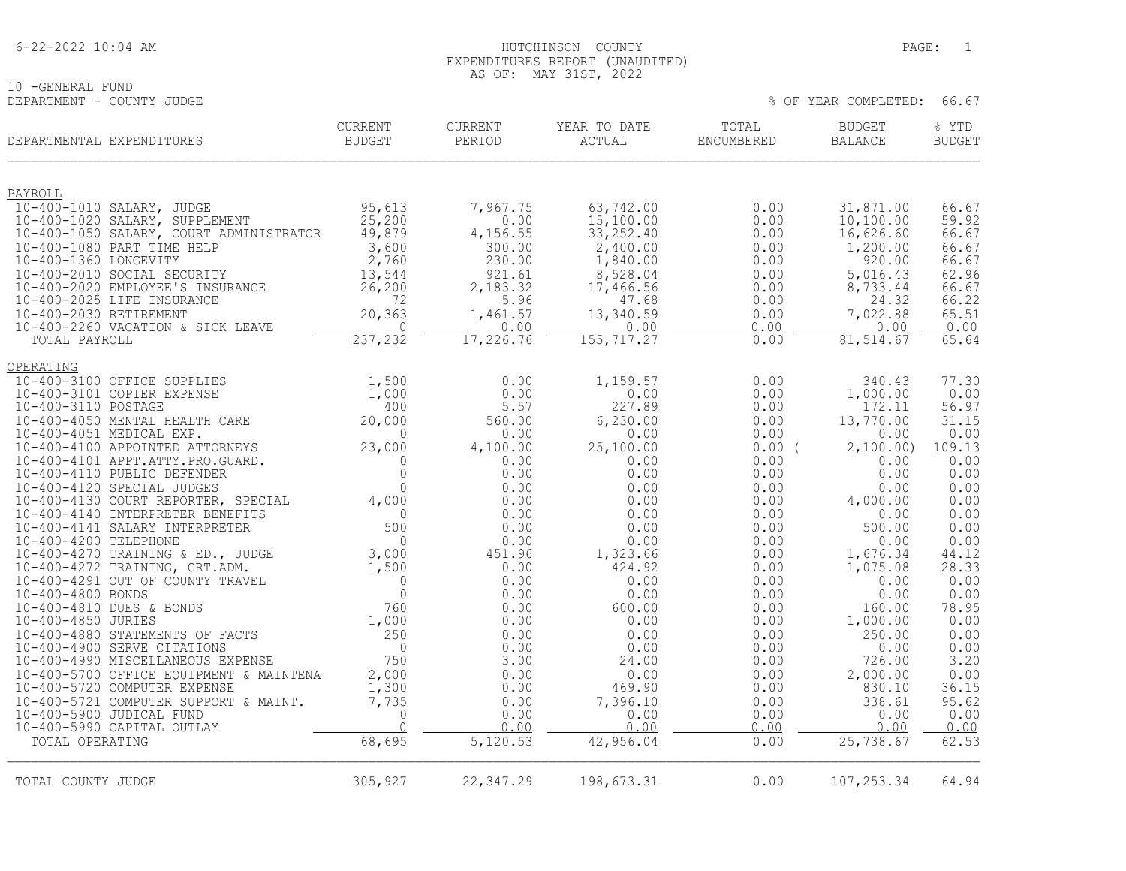# 10 -GENERAL FUND<br>DEPARTMENT - COUNTY JUDGE

| DEPARTMENTAL EXPENDITURES                                               | CURRENT<br>BUDGET  | <b>CURRENT</b><br>PERIOD | YEAR TO DATE<br>ACTUAL | TOTAL<br>ENCUMBERED | <b>BUDGET</b><br><b>BALANCE</b> | % YTD<br><b>BUDGET</b> |
|-------------------------------------------------------------------------|--------------------|--------------------------|------------------------|---------------------|---------------------------------|------------------------|
| PAYROLL                                                                 |                    |                          |                        |                     |                                 |                        |
| 10-400-1010 SALARY, JUDGE                                               | 95,613             | 7,967.75                 | 63,742.00              | 0.00                | 31,871.00                       | 66.67                  |
| 10-400-1020 SALARY, SUPPLEMENT                                          | 25,200             | 0.00                     | 15,100.00              | 0.00                | 10, 100.00                      | 59.92                  |
| 10-400-1050 SALARY, COURT ADMINISTRATOR                                 | 49,879             | 4,156.55                 | 33, 252.40             | 0.00                | 16,626.60                       | 66.67                  |
| 10-400-1080 PART TIME HELP                                              | 3,600              | 300.00                   | 2,400.00               | 0.00                | 1,200.00                        | 66.67                  |
| 10-400-1360 LONGEVITY                                                   | 2,760              | 230.00                   | 1,840.00               | 0.00                | 920.00                          | 66.67                  |
| 10-400-2010 SOCIAL SECURITY<br>10-400-2020 EMPLOYEE'S INSURANCE         | 13,544<br>26,200   | 921.61<br>2,183.32       | 8,528.04<br>17,466.56  | 0.00<br>0.00        | 5,016.43<br>8,733.44            | 62.96<br>66.67         |
| 10-400-2025 LIFE INSURANCE                                              | 72                 | 5.96                     | 47.68                  | 0.00                | 24.32                           | 66.22                  |
| 10-400-2030 RETIREMENT                                                  | 20,363             | 1,461.57                 | 13,340.59              | 0.00                | 7,022.88                        | 65.51                  |
| 10-400-2260 VACATION & SICK LEAVE                                       | 0                  | 0.00                     | 0.00                   | 0.00                | 0.00                            | 0.00                   |
| TOTAL PAYROLL                                                           | 237,232            | 17,226.76                | 155,717.27             | 0.00                | 81,514.67                       | 65.64                  |
| OPERATING                                                               |                    |                          |                        |                     |                                 |                        |
| 10-400-3100 OFFICE SUPPLIES                                             | 1,500              | 0.00                     | 1,159.57               | 0.00                | 340.43                          | 77.30                  |
| 10-400-3101 COPIER EXPENSE                                              | 1,000              | 0.00                     | 0.00                   | 0.00                | 1,000.00                        | 0.00                   |
| 10-400-3110 POSTAGE                                                     | 400                | 5.57                     | 227.89                 | 0.00                | 172.11                          | 56.97                  |
| 10-400-4050 MENTAL HEALTH CARE<br>10-400-4051 MEDICAL EXP.              | 20,000<br>$\Omega$ | 560.00                   | 6, 230.00              | 0.00                | 13,770.00                       | 31.15<br>0.00          |
| 10-400-4100 APPOINTED ATTORNEYS                                         | 23,000             | 0.00<br>4,100.00         | 0.00<br>25,100.00      | 0.00<br>$0.00$ (    | 0.00<br>2,100.00)               | 109.13                 |
| 10-400-4101 APPT.ATTY.PRO.GUARD.                                        | $\mathbf{0}$       | 0.00                     | 0.00                   | 0.00                | 0.00                            | 0.00                   |
| 10-400-4110 PUBLIC DEFENDER                                             | $\circ$            | 0.00                     | 0.00                   | 0.00                | 0.00                            | 0.00                   |
| 10-400-4120 SPECIAL JUDGES                                              | $\Omega$           | 0.00                     | 0.00                   | 0.00                | 0.00                            | 0.00                   |
| 10-400-4130 COURT REPORTER, SPECIAL                                     | 4,000              | 0.00                     | 0.00                   | 0.00                | 4,000.00                        | 0.00                   |
| 10-400-4140 INTERPRETER BENEFITS                                        | $\Omega$           | 0.00                     | 0.00                   | 0.00                | 0.00                            | 0.00                   |
| 10-400-4141 SALARY INTERPRETER                                          | 500                | 0.00                     | 0.00                   | 0.00                | 500.00                          | 0.00                   |
| 10-400-4200 TELEPHONE<br>10-400-4270 TRAINING & ED., JUDGE              | $\Omega$<br>3,000  | 0.00<br>451.96           | 0.00<br>1,323.66       | 0.00<br>0.00        | 0.00<br>1,676.34                | 0.00<br>44.12          |
| 10-400-4272 TRAINING, CRT.ADM.                                          | 1,500              | 0.00                     | 424.92                 | 0.00                | 1,075.08                        | 28.33                  |
| 10-400-4291 OUT OF COUNTY TRAVEL                                        | $\Omega$           | 0.00                     | 0.00                   | 0.00                | 0.00                            | 0.00                   |
| 10-400-4800 BONDS                                                       | $\Omega$           | 0.00                     | 0.00                   | 0.00                | 0.00                            | 0.00                   |
| 10-400-4810 DUES & BONDS                                                | 760                | 0.00                     | 600.00                 | 0.00                | 160.00                          | 78.95                  |
| 10-400-4850 JURIES                                                      | 1,000              | 0.00                     | 0.00                   | 0.00                | 1,000.00                        | 0.00                   |
| 10-400-4880 STATEMENTS OF FACTS                                         | 250                | 0.00                     | 0.00                   | 0.00                | 250.00                          | 0.00                   |
| 10-400-4900 SERVE CITATIONS                                             | $\overline{0}$     | 0.00                     | 0.00                   | 0.00                | 0.00                            | 0.00                   |
| 10-400-4990 MISCELLANEOUS EXPENSE                                       | 750                | 3.00                     | 24.00                  | 0.00                | 726.00                          | 3.20                   |
| 10-400-5700 OFFICE EQUIPMENT & MAINTENA<br>10-400-5720 COMPUTER EXPENSE | 2,000              | 0.00<br>0.00             | 0.00<br>469.90         | 0.00                | 2,000.00<br>830.10              | 0.00<br>36.15          |
| 10-400-5721 COMPUTER SUPPORT & MAINT.                                   | 1,300<br>7,735     | 0.00                     | 7,396.10               | 0.00<br>0.00        | 338.61                          | 95.62                  |
| 10-400-5900 JUDICAL FUND                                                | 0                  | 0.00                     | 0.00                   | 0.00                | 0.00                            | 0.00                   |
| 10-400-5990 CAPITAL OUTLAY                                              | $\Omega$           | 0.00                     | 0.00                   | 0.00                | 0.00                            | 0.00                   |
| TOTAL OPERATING                                                         | 68,695             | 5,120.53                 | 42,956.04              | 0.00                | 25,738.67                       | 62.53                  |
|                                                                         |                    |                          |                        |                     |                                 |                        |
| TOTAL COUNTY JUDGE                                                      | 305,927            | 22, 347.29               | 198,673.31             | 0.00                | 107, 253.34                     | 64.94                  |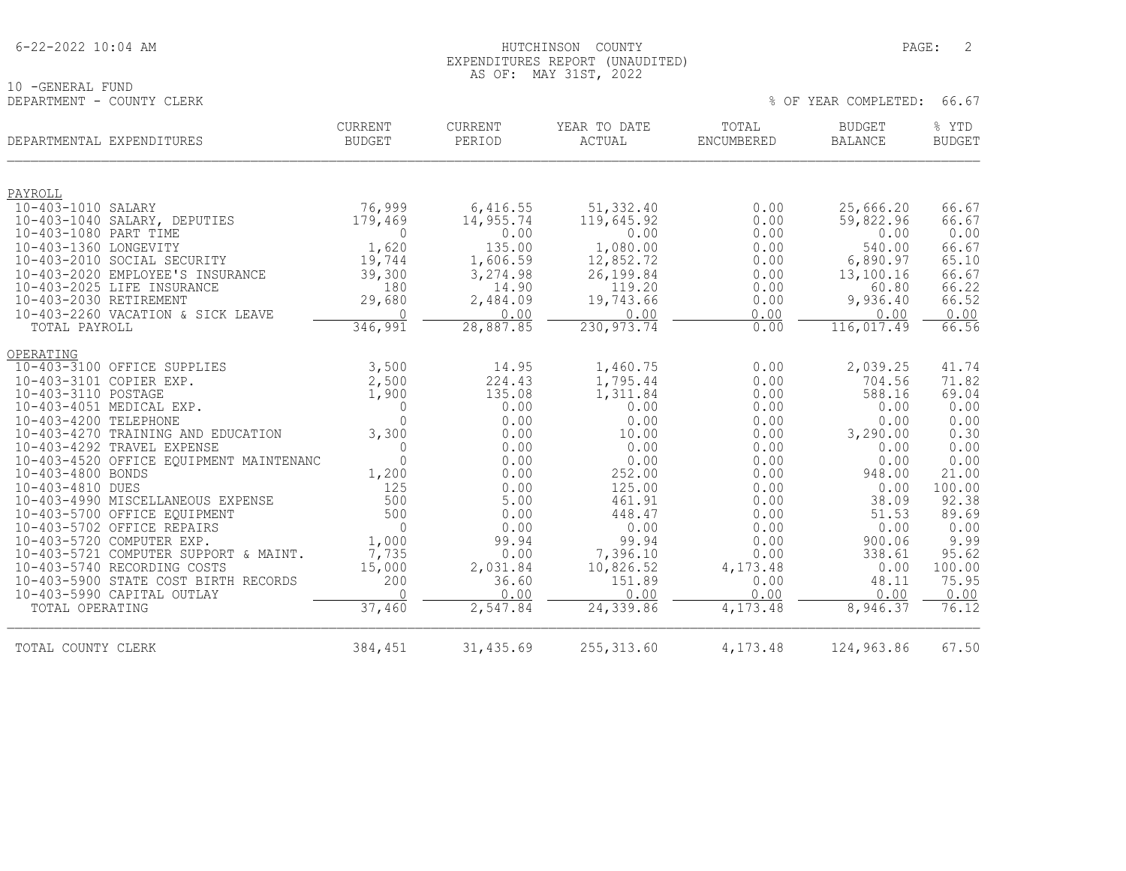|  | 6-22-2022 10:04 AM |  |
|--|--------------------|--|
|  |                    |  |

### AS OF: MAY 31ST, 2022

10 -GENERAL FUND<br>DEPARTMENT - COUNTY CLERK

| DEPARTMENTAL EXPENDITURES     |                                                            | <b>CURRENT</b><br><b>BUDGET</b> | CURRENT<br>PERIOD | YEAR TO DATE<br>ACTUAL | TOTAL<br>ENCUMBERED | <b>BUDGET</b><br><b>BALANCE</b> | % YTD<br><b>BUDGET</b> |
|-------------------------------|------------------------------------------------------------|---------------------------------|-------------------|------------------------|---------------------|---------------------------------|------------------------|
|                               |                                                            |                                 |                   |                        |                     |                                 |                        |
| PAYROLL<br>10-403-1010 SALARY |                                                            | 76,999                          | 6,416.55          | 51,332.40              | 0.00                | 25,666.20                       | 66.67                  |
|                               | 10-403-1040 SALARY, DEPUTIES                               | 179,469                         | 14,955.74         | 119,645.92             | 0.00                | 59,822.96                       | 66.67                  |
| 10-403-1080 PART TIME         |                                                            | 0                               | 0.00              | 0.00                   | 0.00                | 0.00                            | 0.00                   |
| 10-403-1360 LONGEVITY         |                                                            | 1,620                           | 135.00            | 1,080.00               | 0.00                | 540.00                          | 66.67                  |
|                               | 10-403-2010 SOCIAL SECURITY                                | 19,744                          | 1,606.59          | 12,852.72              | 0.00                | 6,890.97                        | 65.10                  |
|                               | 10-403-2020 EMPLOYEE'S INSURANCE                           | 39,300                          | 3,274.98          | 26,199.84              | 0.00                | 13,100.16                       | 66.67                  |
|                               | 10-403-2025 LIFE INSURANCE                                 | 180                             | 14.90             | 119.20                 | 0.00                | 60.80                           | 66.22                  |
| 10-403-2030 RETIREMENT        |                                                            | 29,680                          | 2,484.09          | 19,743.66              | 0.00                | 9,936.40                        | 66.52                  |
|                               | 10-403-2260 VACATION & SICK LEAVE                          | $\Omega$                        | 0.00              | 0.00                   | 0.00                | 0.00                            | 0.00                   |
| TOTAL PAYROLL                 |                                                            | 346, 991                        | 28,887.85         | 230, 973.74            | 0.00                | 116,017.49                      | 66.56                  |
| <b>OPERATING</b>              |                                                            |                                 |                   |                        |                     |                                 |                        |
|                               | 10-403-3100 OFFICE SUPPLIES                                | 3,500                           | 14.95             | 1,460.75               | 0.00                | 2,039.25                        | 41.74                  |
| 10-403-3101 COPIER EXP.       |                                                            | 2,500                           | 224.43            | 1,795.44               | 0.00                | 704.56                          | 71.82                  |
| 10-403-3110 POSTAGE           |                                                            | 1,900                           | 135.08            | 1,311.84               | 0.00                | 588.16                          | 69.04                  |
|                               | 10-403-4051 MEDICAL EXP.                                   | $\mathbf{0}$                    | 0.00              | 0.00                   | 0.00                | 0.00                            | 0.00                   |
| 10-403-4200 TELEPHONE         |                                                            | $\Omega$                        | 0.00              | 0.00                   | 0.00                | 0.00                            | 0.00                   |
|                               | 10-403-4270 TRAINING AND EDUCATION                         | 3,300                           | 0.00              | 10.00                  | 0.00                | 3,290.00                        | 0.30                   |
|                               | 10-403-4292 TRAVEL EXPENSE                                 | 0                               | 0.00              | 0.00                   | 0.00                | 0.00                            | 0.00                   |
|                               | 10-403-4520 OFFICE EQUIPMENT MAINTENANC                    | $\mathbf 0$                     | 0.00              | 0.00                   | 0.00                | 0.00                            | 0.00                   |
| 10-403-4800 BONDS             |                                                            | 1,200                           | 0.00              | 252.00                 | 0.00                | 948.00                          | 21.00                  |
| 10-403-4810 DUES              |                                                            | 125                             | 0.00              | 125.00                 | 0.00                | 0.00                            | 100.00                 |
|                               | 10-403-4990 MISCELLANEOUS EXPENSE                          | 500<br>500                      | 5.00<br>0.00      | 461.91<br>448.47       | 0.00<br>0.00        | 38.09<br>51.53                  | 92.38<br>89.69         |
|                               | 10-403-5700 OFFICE EQUIPMENT<br>10-403-5702 OFFICE REPAIRS | $\overline{0}$                  | 0.00              | 0.00                   | 0.00                | 0.00                            | 0.00                   |
|                               | 10-403-5720 COMPUTER EXP.                                  | 1,000                           | 99.94             | 99.94                  | 0.00                | 900.06                          | 9.99                   |
|                               | 10-403-5721 COMPUTER SUPPORT & MAINT.                      | 7,735                           | 0.00              | 7,396.10               | 0.00                | 338.61                          | 95.62                  |
|                               | 10-403-5740 RECORDING COSTS                                | 15,000                          | 2,031.84          | 10,826.52              | 4,173.48            | 0.00                            | 100.00                 |
|                               | 10-403-5900 STATE COST BIRTH RECORDS                       | 200                             | 36.60             | 151.89                 | 0.00                | 48.11                           | 75.95                  |
|                               | 10-403-5990 CAPITAL OUTLAY                                 | $\Omega$                        | 0.00              | 0.00                   | 0.00                | 0.00                            | 0.00                   |
| TOTAL OPERATING               |                                                            | 37,460                          | 2,547.84          | 24,339.86              | 4,173.48            | 8,946.37                        | 76.12                  |
| TOTAL COUNTY CLERK            |                                                            | 384,451                         | 31,435.69         | 255, 313.60            | 4,173.48            | 124,963.86                      | 67.50                  |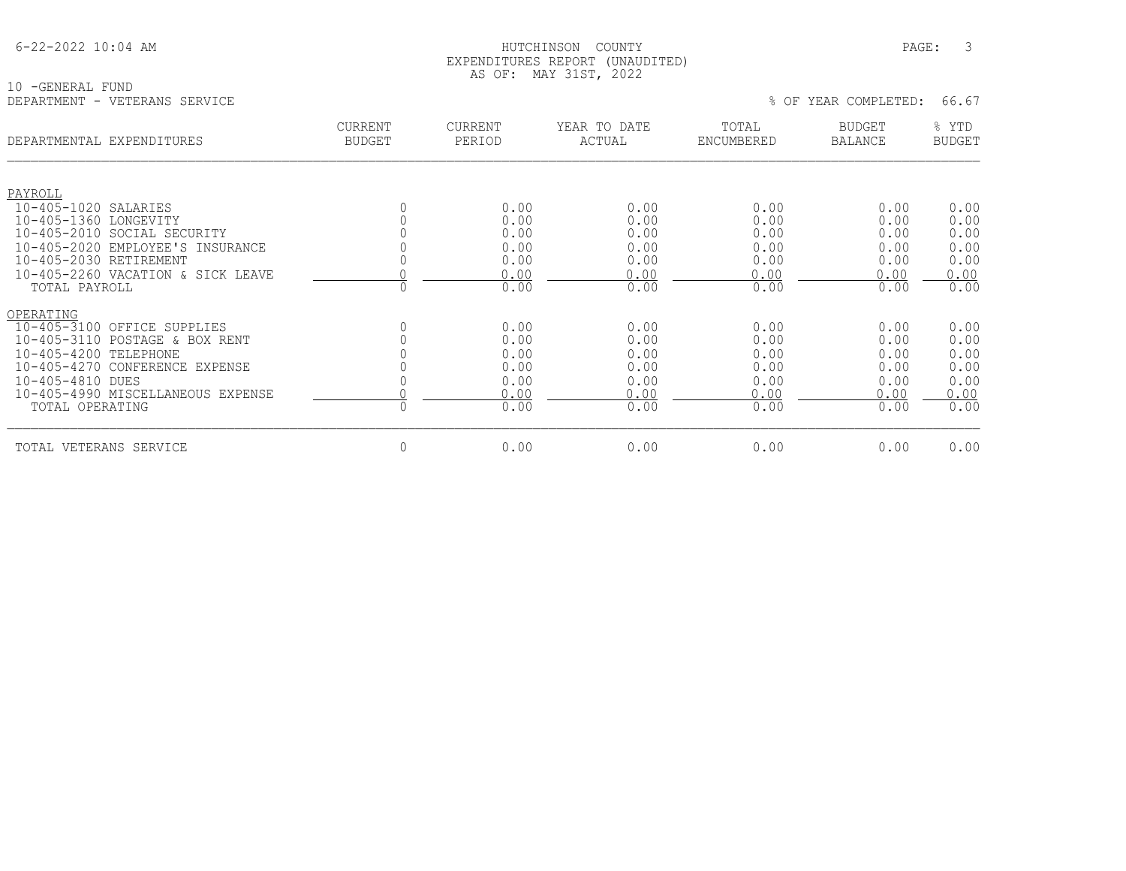#### HUTCHINSON COUNTY PAGE: 3 EXPENDITURES REPORT (UNAUDITED) AS OF: MAY 31ST, 2022

10 -GENERAL FUND<br>DEPARTMENT - VETERANS SERVICE

| DEPARTMENTAL EXPENDITURES         | <b>CURRENT</b><br><b>BUDGET</b> | <b>CURRENT</b><br>PERIOD | YEAR TO DATE<br>ACTUAL | TOTAL<br>ENCUMBERED | <b>BUDGET</b><br><b>BALANCE</b> | % YTD<br><b>BUDGET</b> |
|-----------------------------------|---------------------------------|--------------------------|------------------------|---------------------|---------------------------------|------------------------|
| PAYROLL<br>10-405-1020 SALARIES   |                                 | 0.00                     | 0.00                   | 0.00                | 0.00                            | 0.00                   |
| 10-405-1360 LONGEVITY             |                                 | 0.00                     | 0.00                   | 0.00                | 0.00                            | 0.00                   |
| 10-405-2010 SOCIAL SECURITY       |                                 | 0.00                     | 0.00                   | 0.00                | 0.00                            | 0.00                   |
| 10-405-2020 EMPLOYEE'S INSURANCE  |                                 | 0.00                     | 0.00                   | 0.00                | 0.00                            | 0.00                   |
| 10-405-2030 RETIREMENT            |                                 | 0.00                     | 0.00                   | 0.00                | 0.00                            | 0.00                   |
| 10-405-2260 VACATION & SICK LEAVE |                                 | 0.00                     | 0.00                   | 0.00                | 0.00                            | 0.00                   |
| TOTAL PAYROLL                     | $\Omega$                        | 0.00                     | 0.00                   | 0.00                | 0.00                            | 0.00                   |
| OPERATING                         |                                 |                          |                        |                     |                                 |                        |
| 10-405-3100 OFFICE SUPPLIES       |                                 | 0.00                     | 0.00                   | 0.00                | 0.00                            | 0.00                   |
| 10-405-3110 POSTAGE & BOX RENT    |                                 | 0.00                     | 0.00                   | 0.00                | 0.00                            | 0.00                   |
| 10-405-4200 TELEPHONE             |                                 | 0.00                     | 0.00                   | 0.00                | 0.00                            | 0.00                   |
| 10-405-4270 CONFERENCE EXPENSE    |                                 | 0.00                     | 0.00                   | 0.00                | 0.00                            | 0.00                   |
| 10-405-4810 DUES                  |                                 | 0.00                     | 0.00                   | 0.00                | 0.00                            | 0.00                   |
| 10-405-4990 MISCELLANEOUS EXPENSE |                                 | 0.00                     | 0.00                   | 0.00                | 0.00                            | 0.00                   |
| TOTAL OPERATING                   | $\Omega$                        | 0.00                     | 0.00                   | 0.00                | 0.00                            | 0.00                   |
| TOTAL VETERANS SERVICE            | 0                               | 0.00                     | 0.00                   | 0.00                | 0.00                            | 0.00                   |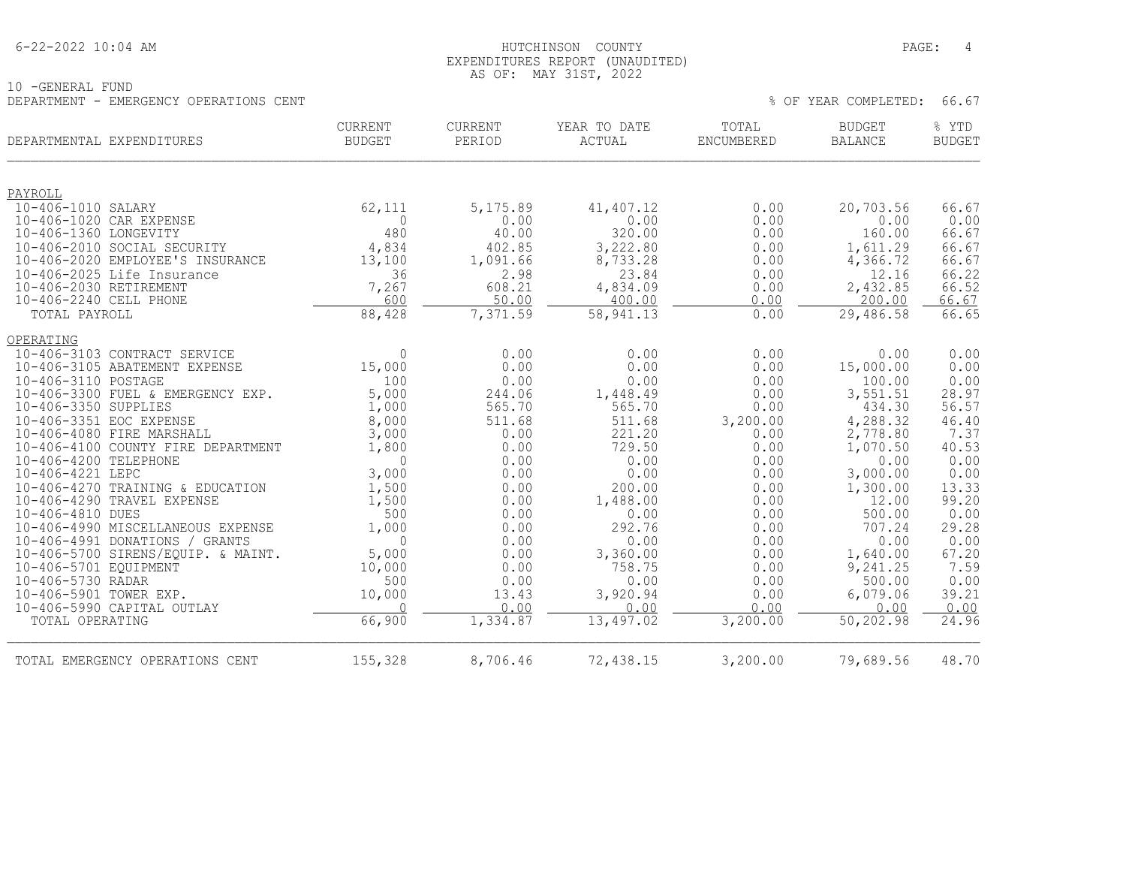|  | 6-22-2022 10:04 AM |  |
|--|--------------------|--|
|  |                    |  |

10 -GENERAL FUND

#### HUTCHINSON COUNTY PAGE: 4 EXPENDITURES REPORT (UNAUDITED) AS OF: MAY 31ST, 2022

| DEPARTMENT - EMERGENCY OPERATIONS CENT                          |                                 |                   |                        | % OF YEAR COMPLETED:<br>66.67 |                                 |                        |
|-----------------------------------------------------------------|---------------------------------|-------------------|------------------------|-------------------------------|---------------------------------|------------------------|
| DEPARTMENTAL EXPENDITURES                                       | <b>CURRENT</b><br><b>BUDGET</b> | CURRENT<br>PERIOD | YEAR TO DATE<br>ACTUAL | TOTAL<br>ENCUMBERED           | <b>BUDGET</b><br><b>BALANCE</b> | % YTD<br><b>BUDGET</b> |
| PAYROLL                                                         |                                 |                   |                        |                               |                                 |                        |
| 10-406-1010 SALARY                                              | 62,111                          | 5,175.89          | 41,407.12              | 0.00                          | 20,703.56                       | 66.67                  |
| 10-406-1020 CAR EXPENSE                                         | $\Omega$                        | 0.00              | 0.00                   | 0.00                          | 0.00                            | 0.00                   |
| 10-406-1360 LONGEVITY                                           | 480                             | 40.00             | 320.00                 | 0.00                          | 160.00                          | 66.67                  |
| 10-406-2010 SOCIAL SECURITY                                     | 4,834                           | 402.85            | 3,222.80               | 0.00                          | 1,611.29                        | 66.67                  |
| 10-406-2020 EMPLOYEE'S INSURANCE                                | 13,100                          | 1,091.66          | 8,733.28               | 0.00                          | 4,366.72                        | 66.67                  |
| 10-406-2025 Life Insurance<br>10-406-2030 RETIREMENT            | 36<br>7,267                     | 2.98<br>608.21    | 23.84<br>4,834.09      | 0.00<br>0.00                  | 12.16<br>2,432.85               | 66.22<br>66.52         |
| 10-406-2240 CELL PHONE                                          | 600                             | 50.00             | 400.00                 | 0.00                          | 200.00                          | 66.67                  |
| TOTAL PAYROLL                                                   | 88,428                          | 7,371.59          | 58, 941.13             | 0.00                          | 29,486.58                       | 66.65                  |
|                                                                 |                                 |                   |                        |                               |                                 |                        |
| OPERATING                                                       |                                 |                   |                        |                               |                                 |                        |
| 10-406-3103 CONTRACT SERVICE                                    | $\Omega$                        | 0.00              | 0.00                   | 0.00                          | 0.00                            | 0.00                   |
| 10-406-3105 ABATEMENT EXPENSE                                   | 15,000                          | 0.00              | 0.00                   | 0.00                          | 15,000.00                       | 0.00                   |
| 10-406-3110 POSTAGE                                             | 100                             | 0.00              | 0.00                   | 0.00                          | 100.00                          | 0.00                   |
| 10-406-3300 FUEL & EMERGENCY EXP.                               | 5,000                           | 244.06            | 1,448.49               | 0.00                          | 3,551.51                        | 28.97                  |
| 10-406-3350 SUPPLIES                                            | 1,000                           | 565.70            | 565.70                 | 0.00                          | 434.30                          | 56.57                  |
| 10-406-3351 EOC EXPENSE                                         | 8,000                           | 511.68            | 511.68<br>221.20       | 3,200.00                      | 4,288.32                        | 46.40<br>7.37          |
| 10-406-4080 FIRE MARSHALL<br>10-406-4100 COUNTY FIRE DEPARTMENT | 3,000<br>1,800                  | 0.00<br>0.00      | 729.50                 | 0.00<br>0.00                  | 2,778.80<br>1,070.50            | 40.53                  |
| 10-406-4200 TELEPHONE                                           | $\Omega$                        | 0.00              | 0.00                   | 0.00                          | 0.00                            | 0.00                   |
| 10-406-4221 LEPC                                                | 3,000                           | 0.00              | 0.00                   | 0.00                          | 3,000.00                        | 0.00                   |
| 10-406-4270 TRAINING & EDUCATION                                | 1,500                           | 0.00              | 200.00                 | 0.00                          | 1,300.00                        | 13.33                  |
| 10-406-4290 TRAVEL EXPENSE                                      | 1,500                           | 0.00              | 1,488.00               | 0.00                          | 12.00                           | 99.20                  |
| 10-406-4810 DUES                                                | 500                             | 0.00              | 0.00                   | 0.00                          | 500.00                          | 0.00                   |
| 10-406-4990 MISCELLANEOUS EXPENSE                               | 1,000                           | 0.00              | 292.76                 | 0.00                          | 707.24                          | 29.28                  |
| 10-406-4991 DONATIONS / GRANTS                                  | $\Omega$                        | 0.00              | 0.00                   | 0.00                          | 0.00                            | 0.00                   |
| 10-406-5700 SIRENS/EQUIP. & MAINT.                              | 5,000                           | 0.00              | 3,360.00               | 0.00                          | 1,640.00                        | 67.20                  |
| 10-406-5701 EQUIPMENT                                           | 10,000                          | 0.00              | 758.75                 | 0.00                          | 9,241.25                        | 7.59                   |
| 10-406-5730 RADAR                                               | 500                             | 0.00              | 0.00                   | 0.00                          | 500.00                          | 0.00                   |
| 10-406-5901 TOWER EXP.                                          | 10,000                          | 13.43             | 3,920.94               | 0.00                          | 6,079.06                        | 39.21                  |
| 10-406-5990 CAPITAL OUTLAY                                      | $\cap$                          | 0.00              | 0.00                   | 0.00                          | 0.00                            | 0.00                   |
| TOTAL OPERATING                                                 | 66,900                          | 1,334.87          | 13,497.02              | 3,200.00                      | 50,202.98                       | 24.96                  |
| TOTAL EMERGENCY OPERATIONS CENT                                 | 155,328                         | 8,706.46          | 72,438.15              | 3,200.00                      | 79,689.56                       | 48.70                  |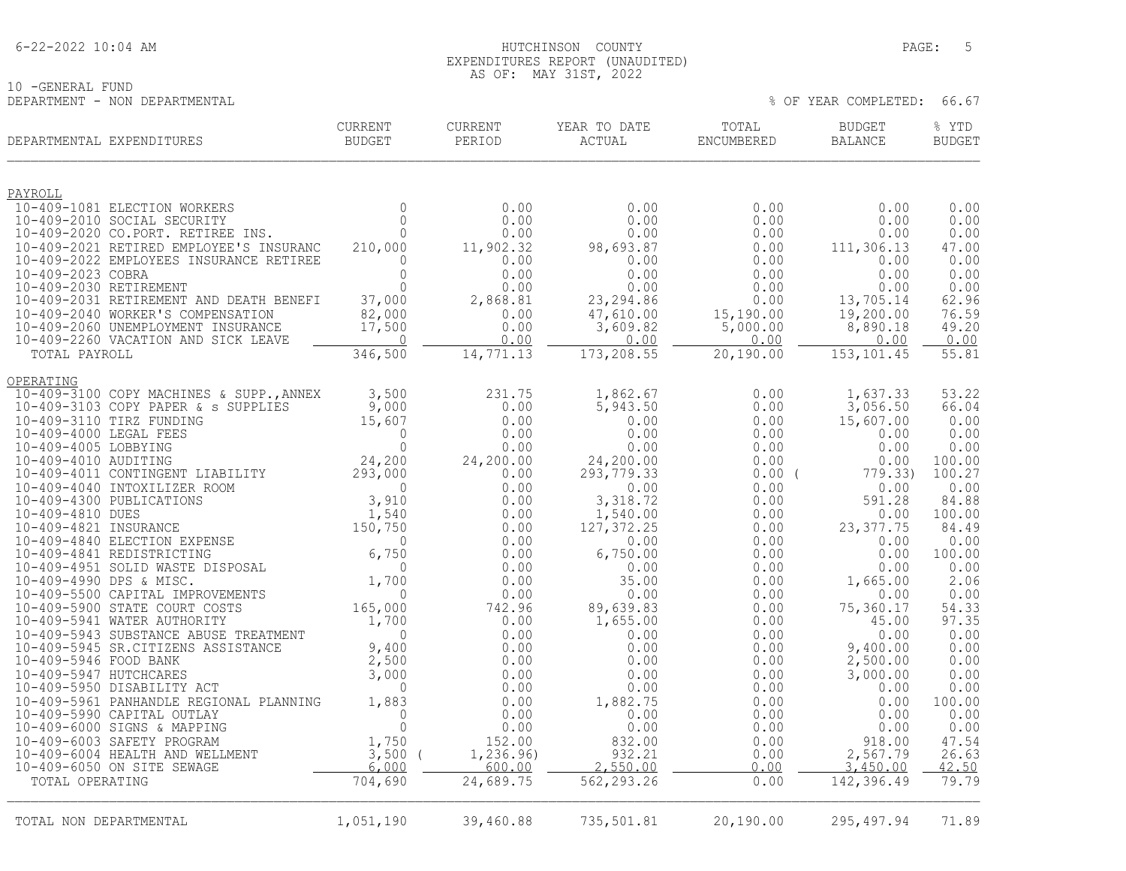#### 6-22-2022 10:04 AM HUTCHINSON COUNTY PAGE: 5 EXPENDITURES REPORT (UNAUDITED) AS OF: MAY 31ST, 2022

10 -GENERAL FUND DEPARTMENT - NON DEPARTMENTAL % OF YEAR COMPLETED: 66.67

| DEPARTMENTAL EXPENDITURES                                                    | <b>CURRENT</b><br><b>BUDGET</b>                                                                                                                                                        | <b>CURRENT</b><br>PERIOD | YEAR TO DATE<br>ACTUAL | TOTAL<br>ENCUMBERED   | <b>BUDGET</b><br>BALANCE | % YTD<br><b>BUDGET</b> |
|------------------------------------------------------------------------------|----------------------------------------------------------------------------------------------------------------------------------------------------------------------------------------|--------------------------|------------------------|-----------------------|--------------------------|------------------------|
| PAYROLL                                                                      |                                                                                                                                                                                        |                          |                        |                       |                          |                        |
| 10-409-1081 ELECTION WORKERS                                                 | $\Omega$                                                                                                                                                                               | 0.00                     | 0.00                   | 0.00                  | 0.00                     | 0.00                   |
| 10-409-2010 SOCIAL SECURITY                                                  | $\cap$                                                                                                                                                                                 | 0.00                     | 0.00                   | 0.00                  | 0.00                     | 0.00                   |
| 10-409-2020 CO.PORT. RETIREE INS.<br>10-409-2021 RETIRED EMPLOYEE'S INSURANC | $\Omega$<br>210,000                                                                                                                                                                    | 0.00                     | 0.00                   | 0.00<br>0.00          | 0.00                     | 0.00<br>47.00          |
| 10-409-2022 EMPLOYEES INSURANCE RETIREE                                      | $\Omega$                                                                                                                                                                               | 11,902.32<br>0.00        | 98,693.87<br>0.00      | 0.00                  | 111,306.13<br>0.00       | 0.00                   |
| 10-409-2023 COBRA                                                            | $\Omega$                                                                                                                                                                               | 0.00                     | 0.00                   | 0.00                  | 0.00                     | 0.00                   |
| 10-409-2030 RETIREMENT                                                       | $\Omega$                                                                                                                                                                               | 0.00                     | 0.00                   | 0.00                  | 0.00                     | 0.00                   |
| 10-409-2031 RETIREMENT AND DEATH BENEFI                                      | 37,000                                                                                                                                                                                 | 2,868.81                 | 23, 294.86             | 0.00                  | 13,705.14                | 62.96                  |
| 10-409-2040 WORKER'S COMPENSATION<br>10-409-2060 UNEMPLOYMENT INSURANCE      | 82,000<br>17,500                                                                                                                                                                       | 0.00<br>0.00             | 47,610.00<br>3,609.82  | 15,190.00<br>5,000.00 | 19,200.00<br>8,890.18    | 76.59<br>49.20         |
| 10-409-2260 VACATION AND SICK LEAVE                                          | $\circ$                                                                                                                                                                                | 0.00                     | 0.00                   | 0.00                  | 0.00                     | 0.00                   |
| TOTAL PAYROLL                                                                | 346,500                                                                                                                                                                                | 14,771.13                | 173,208.55             | 20,190.00             | 153, 101.45              | 55.81                  |
| OPERATING                                                                    |                                                                                                                                                                                        |                          |                        |                       |                          |                        |
| 10-409-3100 COPY MACHINES & SUPP., ANNEX                                     | 3,500                                                                                                                                                                                  | 231.75                   | 1,862.67               | 0.00                  | 1,637.33                 | 53.22                  |
| 10-409-3103 COPY PAPER & s SUPPLIES<br>10-409-3110 TIRZ FUNDING              | 9,000                                                                                                                                                                                  | 0.00<br>0.00             | 5,943.50<br>0.00       | 0.00<br>0.00          | 3,056.50                 | 66.04                  |
| 10-409-4000 LEGAL FEES                                                       | 15,607<br>$\Omega$                                                                                                                                                                     | 0.00                     | 0.00                   | 0.00                  | 15,607.00<br>0.00        | 0.00<br>0.00           |
| 10-409-4005 LOBBYING                                                         | $\overline{0}$                                                                                                                                                                         | 0.00                     | 0.00                   | 0.00                  | 0.00                     | 0.00                   |
| 10-409-4010 AUDITING                                                         | 24,200                                                                                                                                                                                 | 24,200.00                | 24,200.00              | 0.00                  | 0.00                     | 100.00                 |
| 10-409-4011 CONTINGENT LIABILITY                                             | 293,000                                                                                                                                                                                | 0.00                     | 293, 779.33            | $0.00$ (              | 779.33)                  | 100.27                 |
| 10-409-4040 INTOXILIZER ROOM                                                 |                                                                                                                                                                                        | 0.00<br>0.00             | 0.00                   | 0.00                  | 0.00                     | 0.00<br>84.88          |
| 10-409-4300 PUBLICATIONS<br>10-409-4810 DUES                                 | $\begin{array}{ccccc} & & & & 293,000\ 0 & & & & 0\ 3,910 & & & & 0\ 1,540 & & & & 150,750\ 6,750 & & & & 0\ 8\end{array}$ SAL $\begin{array}{c} 6,750\ 0 & & & 0\ 1,700\ \end{array}$ | 0.00                     | 3,318.72<br>1,540.00   | 0.00<br>0.00          | 591.28<br>0.00           | 100.00                 |
| 10-409-4821 INSURANCE                                                        |                                                                                                                                                                                        | 0.00                     | 127, 372.25            | 0.00                  | 23, 377.75               | 84.49                  |
| 10-409-4840 ELECTION EXPENSE                                                 |                                                                                                                                                                                        | 0.00                     | 0.00                   | 0.00                  | 0.00                     | 0.00                   |
| 10-409-4841 REDISTRICTING                                                    |                                                                                                                                                                                        | 0.00                     | 6,750.00               | 0.00                  | 0.00                     | 100.00                 |
| 10-409-4951 SOLID WASTE DISPOSAL<br>10-409-4990 DPS & MISC.                  | 1,700                                                                                                                                                                                  | 0.00<br>0.00             | 0.00<br>35.00          | 0.00                  | 0.00<br>1,665.00         | 0.00<br>2.06           |
| 10-409-5500 CAPITAL IMPROVEMENTS                                             | $\Omega$                                                                                                                                                                               | 0.00                     | 0.00                   | 0.00<br>0.00          | 0.00                     | 0.00                   |
| 10-409-5900 STATE COURT COSTS                                                | 165,000                                                                                                                                                                                | 742.96                   | 89,639.83              | 0.00                  | 75,360.17                | 54.33                  |
| 10-409-5941 WATER AUTHORITY                                                  | 1,700                                                                                                                                                                                  | 0.00                     | 1,655.00               | 0.00                  | 45.00                    | 97.35                  |
| 10-409-5943 SUBSTANCE ABUSE TREATMENT                                        | $\Omega$                                                                                                                                                                               | 0.00                     | 0.00                   | 0.00                  | 0.00                     | 0.00                   |
| 10-409-5945 SR.CITIZENS ASSISTANCE<br>10-409-5946 FOOD BANK                  | 9,400<br>2,500                                                                                                                                                                         | 0.00<br>0.00             | 0.00                   | 0.00<br>0.00          | 9,400.00<br>2,500.00     | 0.00<br>0.00           |
| 10-409-5947 HUTCHCARES                                                       | 3,000                                                                                                                                                                                  | 0.00                     | 0.00<br>0.00           | 0.00                  | 3,000.00                 | 0.00                   |
| 10-409-5950 DISABILITY ACT                                                   | $\Omega$                                                                                                                                                                               | 0.00                     | 0.00                   | 0.00                  | 0.00                     | 0.00                   |
| 10-409-5961 PANHANDLE REGIONAL PLANNING                                      | 1,883                                                                                                                                                                                  | 0.00                     | 1,882.75               | 0.00                  | 0.00                     | 100.00                 |
| 10-409-5990 CAPITAL OUTLAY                                                   | $\Omega$                                                                                                                                                                               | 0.00                     | 0.00                   | 0.00                  | 0.00                     | 0.00                   |
| 10-409-6000 SIGNS & MAPPING                                                  | $\overline{0}$                                                                                                                                                                         | 0.00                     | 0.00                   | 0.00                  | 0.00                     | 0.00                   |
| 10-409-6003 SAFETY PROGRAM<br>10-409-6004 HEALTH AND WELLMENT                | 1,750<br>$3,500$ (                                                                                                                                                                     | 152.00<br>1,236.96)      | 832.00<br>932.21       | 0.00<br>0.00          | 918.00<br>2,567.79       | 47.54<br>26.63         |
| 10-409-6050 ON SITE SEWAGE                                                   | 6,000                                                                                                                                                                                  | 600.00                   | 2,550.00               | 0.00                  | 3,450.00                 | 42.50                  |
| TOTAL OPERATING                                                              | 704,690                                                                                                                                                                                | 24,689.75                | 562, 293.26            | 0.00                  | 142,396.49               | 79.79                  |
|                                                                              |                                                                                                                                                                                        |                          |                        |                       |                          |                        |
| TOTAL NON DEPARTMENTAL                                                       | 1,051,190                                                                                                                                                                              | 39,460.88                | 735,501.81             | 20,190.00             | 295,497.94               | 71.89                  |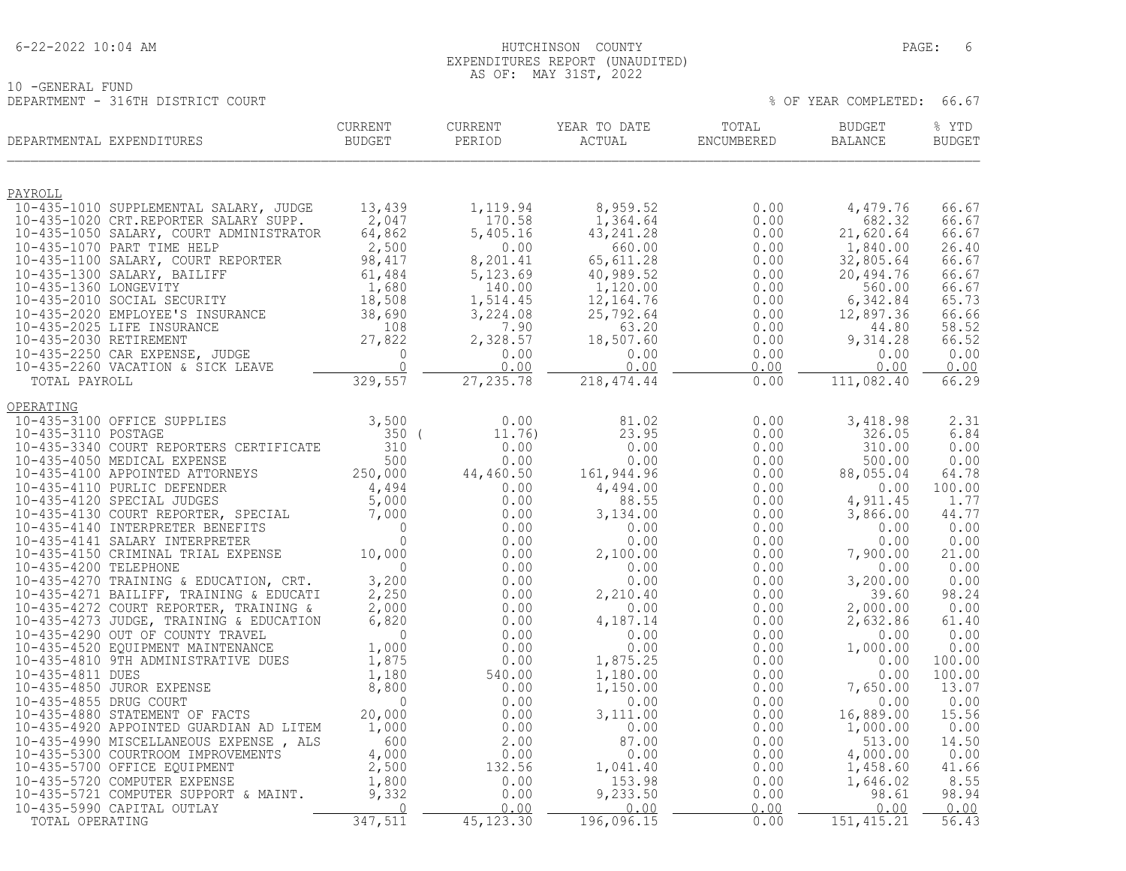#### 6-22-2022 10:04 AM HUTCHINSON COUNTY PAGE: 6 EXPENDITURES REPORT (UNAUDITED) AS OF: MAY 31ST, 2022

| 10 - GENERAL FUND |                                   |
|-------------------|-----------------------------------|
|                   |                                   |
|                   | DEPARTMENT - 316TH DISTRICT COURT |

| DEPARTMENT - 316TH DISTRICT COURT                                                                                                  |                          |                    |                        |                     | % OF YEAR COMPLETED:     | 66.67                  |
|------------------------------------------------------------------------------------------------------------------------------------|--------------------------|--------------------|------------------------|---------------------|--------------------------|------------------------|
| DEPARTMENTAL EXPENDITURES                                                                                                          | CURRENT<br><b>BUDGET</b> | CURRENT<br>PERIOD  | YEAR TO DATE<br>ACTUAL | TOTAL<br>ENCUMBERED | <b>BUDGET</b><br>BALANCE | % YTD<br><b>BUDGET</b> |
| PAYROLL                                                                                                                            |                          |                    |                        |                     |                          |                        |
| 10-435-1010 SUPPLEMENTAL SALARY, JUDGE                                                                                             | 13,439<br>2,047          | 1,119.94           | 8,959.52               | 0.00                | 4,479.76<br>682.32       | 66.67                  |
| 10-435-1020 CRT.REPORTER SALARY SUPP.<br>10-435-1050 SALARY, COURT ADMINISTRATOR                                                   | 64,862                   | 170.58<br>5,405.16 | 1,364.64<br>43, 241.28 | 0.00<br>0.00        | 21,620.64                | 66.67<br>66.67         |
| 10-435-1070 PART TIME HELP                                                                                                         | 2,500                    | 0.00               | 660.00                 | 0.00                | 1,840.00                 | 26.40                  |
| 10-435-1100 SALARY, COURT REPORTER                                                                                                 | 98,417                   | 8,201.41           | 65,611.28              | 0.00                | 32,805.64                | 66.67                  |
| 10-435-1300 SALARY, BAILIFF                                                                                                        | 61,484                   | 5,123.69           | 40,989.52              | 0.00                | 20,494.76                | 66.67                  |
| 10-435-1360 LONGEVITY<br>10-435-2010 SOCIAL SECURITY                                                                               | 1,680<br>18,508          | 140.00<br>1,514.45 | 1,120.00<br>12,164.76  | 0.00<br>0.00        | 560.00<br>6,342.84       | 66.67<br>65.73         |
| 10-435-2020 EMPLOYEE'S INSURANCE                                                                                                   | $\frac{1}{38}$ , 690     | 3,224.08           | 25,792.64              | 0.00                | 12,897.36                | 66.66                  |
| 10-435-2025 LIFE INSURANCE                                                                                                         | 108                      | 7.90               | 63.20                  | 0.00                | 44.80                    | 58.52                  |
|                                                                                                                                    |                          | 2,328.57           | 18,507.60              | 0.00                | 9,314.28                 | 66.52                  |
|                                                                                                                                    |                          | 0.00<br>0.00       | 0.00<br>0.00           | 0.00<br>0.00        | 0.00<br>0.00             | 0.00<br>0.00           |
| 108<br>10-435-2250 CAR EXPENSE, JUDGE<br>10-435-2260 VACATION & SICK LEAVE<br>10-435-2260 VACATION & SICK LEAVE<br>10TOTAL PAYROLL |                          | 27, 235.78         | 218, 474.44            | 0.00                | 111,082.40               | 66.29                  |
| OPERATING                                                                                                                          |                          |                    |                        |                     |                          |                        |
| 10-435-3100 OFFICE SUPPLIES                                                                                                        | 3,500                    | 0.00               | 81.02                  | 0.00                | 3,418.98                 | 2.31                   |
| 10-435-3110 POSTAGE                                                                                                                | 350(                     | 11.76)             | 23.95                  | 0.00                | 326.05                   | 6.84                   |
| 10-435-3340 COURT REPORTERS CERTIFICATE                                                                                            | 310                      | 0.00               | 0.00                   | 0.00                | 310.00                   | 0.00                   |
| 10-435-4050 MEDICAL EXPENSE                                                                                                        | 500                      | 0.00               | 0.00                   | 0.00                | 500.00                   | 0.00                   |
| 10-435-4100 APPOINTED ATTORNEYS<br>10-435-4110 PURLIC DEFENDER                                                                     | 250,000                  | 44,460.50<br>0.00  | 161,944.96<br>4,494.00 | 0.00<br>0.00        | 88,055.04<br>0.00        | 64.78<br>100.00        |
| 10-435-4120 SPECIAL JUDGES                                                                                                         | $\frac{4,494}{5,000}$    | 0.00               | 88.55                  | 0.00                | 4,911.45                 | 1.77                   |
| 10-435-4130 COURT REPORTER, SPECIAL                                                                                                | 7,000                    | 0.00               | 3,134.00               | 0.00                | 3,866.00                 | 44.77                  |
| 10-435-4140 INTERPRETER BENEFITS                                                                                                   | $\Omega$                 | 0.00               | 0.00                   | 0.00                | 0.00                     | 0.00                   |
| 10-435-4141 SALARY INTERPRETER<br>10-435-4150 CRIMINAL TRIAL EXPENSE                                                               | $\Omega$<br>10,000       | 0.00<br>0.00       | 0.00<br>2,100.00       | 0.00<br>0.00        | 0.00<br>7,900.00         | 0.00<br>21.00          |
| 10-435-4200 TELEPHONE                                                                                                              | $\Omega$                 | 0.00               | 0.00                   | 0.00                | 0.00                     | 0.00                   |
| 10-435-4270 TRAINING & EDUCATION, CRT.                                                                                             | 3,200                    | 0.00               | 0.00                   | 0.00                | 3,200.00                 | 0.00                   |
| 10-435-4271 BAILIFF, TRAINING & EDUCATI                                                                                            | 2,250                    | 0.00               | 2,210.40               | 0.00                | 39.60                    | 98.24                  |
| 10-435-4272 COURT REPORTER, TRAINING &                                                                                             | 2,000                    | 0.00               | 0.00                   | 0.00                | 2,000.00                 | 0.00                   |
| 10-435-4273 JUDGE, TRAINING & EDUCATION<br>10-435-4290 OUT OF COUNTY TRAVEL                                                        | 6,820<br>$\overline{0}$  | 0.00<br>0.00       | 4,187.14<br>0.00       | 0.00<br>0.00        | 2,632.86<br>0.00         | 61.40<br>0.00          |
| 10-435-4520 EQUIPMENT MAINTENANCE                                                                                                  | 1,000                    | 0.00               | 0.00                   | 0.00                | 1,000.00                 | 0.00                   |
| 10-435-4810 9TH ADMINISTRATIVE DUES                                                                                                | 1,875                    | 0.00               | 1,875.25               | 0.00                | 0.00                     | 100.00                 |
| 10-435-4811 DUES                                                                                                                   | 1,180                    | 540.00             | 1,180.00               | 0.00                | 0.00                     | 100.00                 |
| 10-435-4850 JUROR EXPENSE<br>10-435-4855 DRUG COURT                                                                                | 8,800<br>$\mathbf 0$     | 0.00               | 1,150.00<br>0.00       | 0.00<br>0.00        | 7,650.00<br>0.00         | 13.07<br>0.00          |
| 10-435-4880 STATEMENT OF FACTS                                                                                                     | 20,000                   | 0.00<br>0.00       | 3,111.00               | 0.00                | 16,889.00                | 15.56                  |
| 10-435-4920 APPOINTED GUARDIAN AD LITEM                                                                                            | 1,000                    | 0.00               | 0.00                   | 0.00                | 1,000.00                 | 0.00                   |
| 10-435-4990 MISCELLANEOUS EXPENSE, ALS                                                                                             | 600                      | 2.00               | 87.00                  | 0.00                | 513.00                   | 14.50                  |
| 10-435-5300 COURTROOM IMPROVEMENTS                                                                                                 | 4,000                    | 0.00               | 0.00                   | 0.00                | 4,000.00                 | 0.00                   |
| 10-435-5700 OFFICE EQUIPMENT<br>10-435-5720 COMPUTER EXPENSE                                                                       | 2,500<br>1,800           | 132.56<br>0.00     | 1,041.40<br>153.98     | 0.00<br>0.00        | 1,458.60<br>1,646.02     | 41.66<br>8.55          |
| 10-435-5721 COMPUTER SUPPORT & MAINT.                                                                                              | 9,332                    | 0.00               | 9,233.50               | 0.00                | 98.61                    | 98.94                  |
| 10-435-5990 CAPITAL OUTLAY                                                                                                         | $\Omega$                 | 0.00               | 0.00                   | 0.00                | 0.00                     | 0.00                   |
| TOTAL OPERATING                                                                                                                    | 347,511                  | 45, 123.30         | 196,096.15             | 0.00                | 151, 415.21              | 56.43                  |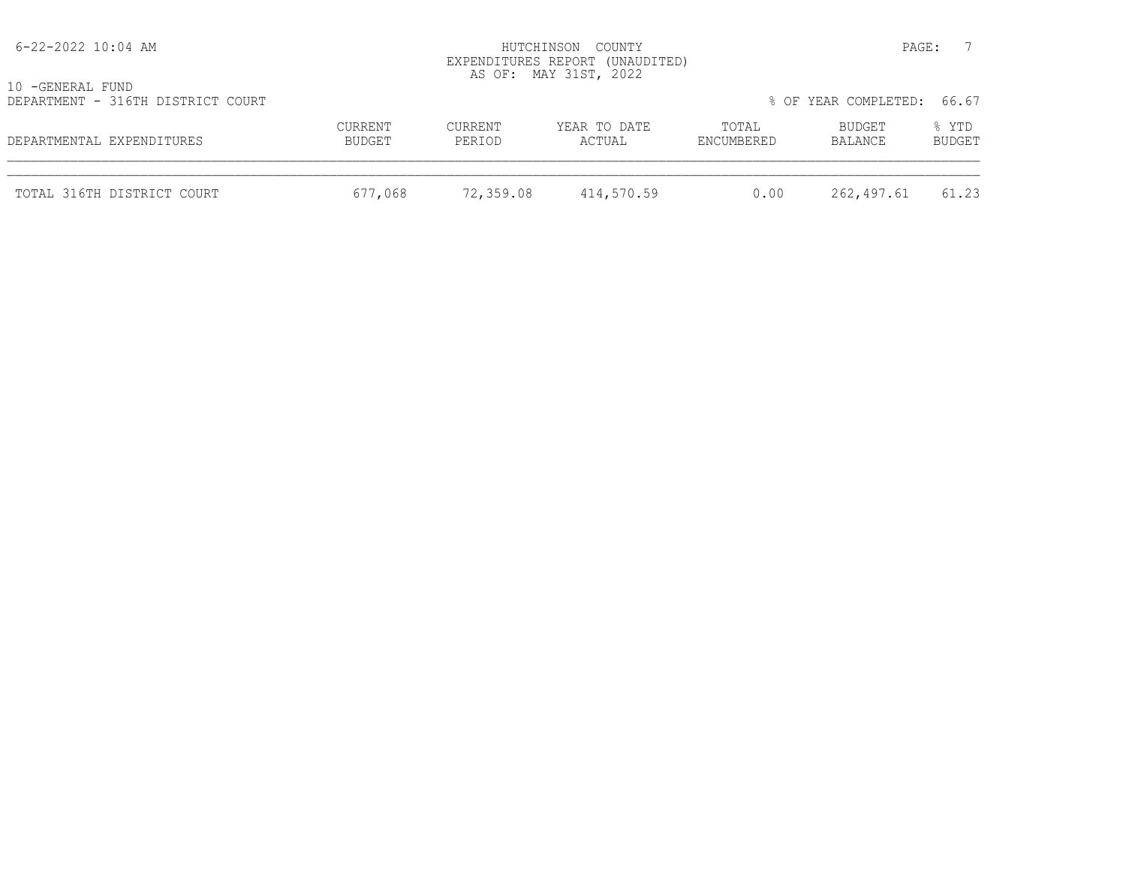| 6-22-2022 10:04 AM                                    | HUTCHINSON COUNTY<br>EXPENDITURES REPORT (UNAUDITED)<br>AS OF: MAY 31ST, 2022 |                   |                        |                     |                            | PAGE:           |
|-------------------------------------------------------|-------------------------------------------------------------------------------|-------------------|------------------------|---------------------|----------------------------|-----------------|
| 10 -GENERAL FUND<br>DEPARTMENT - 316TH DISTRICT COURT |                                                                               |                   |                        |                     | % OF YEAR COMPLETED: 66.67 |                 |
| DEPARTMENTAL EXPENDITURES                             | CURRENT<br>BUDGET                                                             | CURRENT<br>PERIOD | YEAR TO DATE<br>ACTUAL | TOTAL<br>ENCUMBERED | BUDGET<br>BALANCE          | % YTD<br>BUDGET |
| TOTAL 316TH DISTRICT COURT                            | 677,068                                                                       | 72,359.08         | 414,570.59             | 0.00                | 262,497.61                 | 61.23           |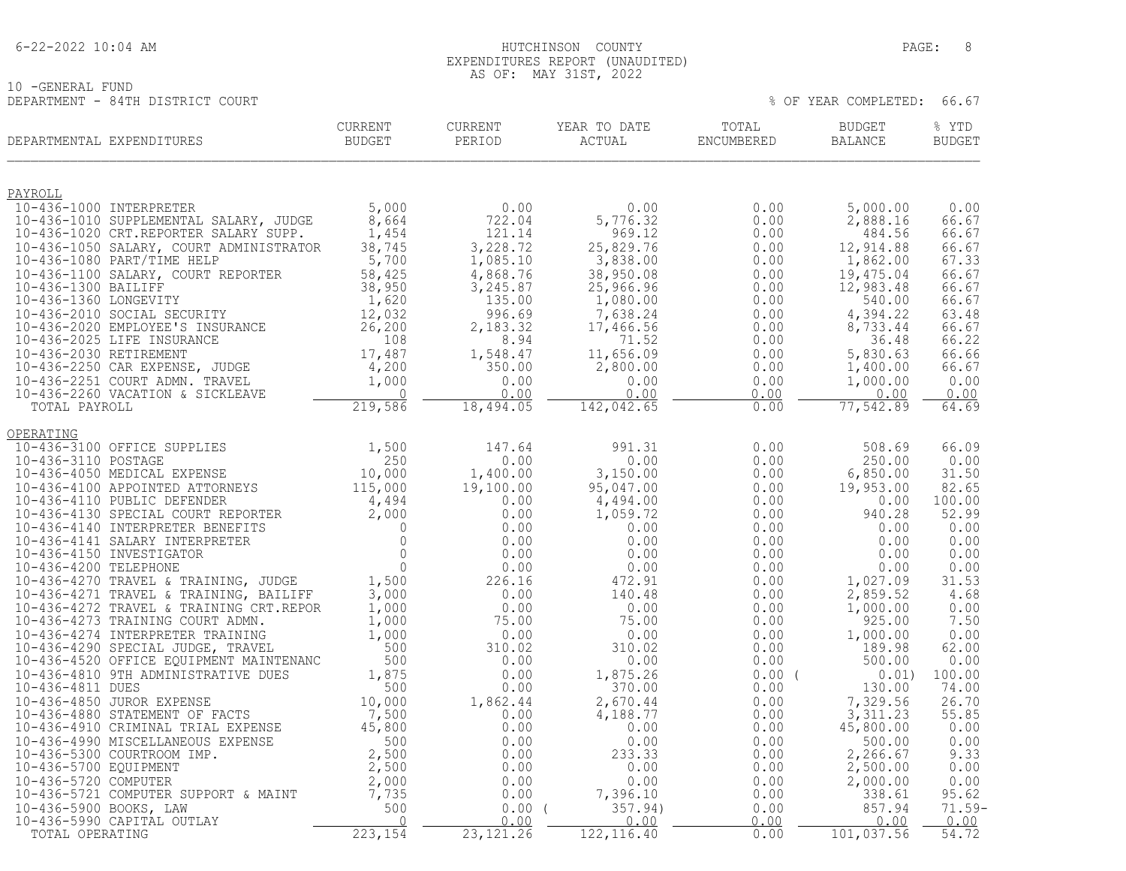#### 6-22-2022 10:04 AM HUTCHINSON COUNTY PAGE: 8 EXPENDITURES REPORT (UNAUDITED) AS OF: MAY 31ST, 2022

10 -GENERAL FUND DEPARTMENT - 84TH DISTRICT COURT % OF YEAR COMPLETED: 66.67

| PAYROLL<br>10-436-1000 INTERPRETER<br>5,000<br>0.00<br>0.00<br>0.00<br>5,000.00<br>0.00<br>8,664<br>722.04<br>5,776.32<br>2,888.16<br>10-436-1010 SUPPLEMENTAL SALARY, JUDGE<br>0.00<br>66.67<br>$0,004$<br>$1,454$<br>121.14<br>0.00<br>484.56<br>10-436-1020 CRT.REPORTER SALARY SUPP.<br>969.12<br>66.67<br>38,745<br>3,228.72<br>12,914.88<br>10-436-1050 SALARY, COURT ADMINISTRATOR<br>66.67<br>$\begin{array}{cccc} 25,829.76 & 0.000\ 3,838.00 & 0.000\ 3,950.08 & 0.000\ 25,966.96 & 0.000\ 1,080.00 & 0.000\ 7,638.24 & 0.000\ 7,638.24 & 0.000\ 71.52 & 0.00\ 2,800.00 & 0.00\ 0.00 & 0.00\ 0.00 & 0.00\ 0.00 & 0.00\ \end{array}$<br>1,862.00<br>10-436-1050 SALARY, COURT ADMINISTRATOR 38,745<br>10-436-1080 PART/TIME HELP 5,700<br>10-436-1100 SALARY, COURT REPORTER 58,425<br>10-436-1300 BAILIFF 38,950<br>10-436-1360 LONGEVITY 1,620<br>10-436-2010 SOCIAL SECURITY 12,032<br>10-4<br>1,085.10<br>67.33<br>4,868.76<br>19,475.04<br>66.67<br>3,245.87<br>12,983.48<br>66.67<br>135.00<br>1,080.00<br>540.00<br>66.67<br>4,394.22<br>996.69<br>63.48<br>2,183.32<br>8,733.44<br>66.67<br>8.94<br>36.48<br>66.22<br>1,548.47<br>5,830.63<br>66.66<br>350.00<br>1,400.00<br>66.67<br>0.00<br>1,000.00<br>0.00<br>0.00<br>0.00<br>0.00<br>0.00<br>0.00<br>18,494.05<br>142,042.65<br>77,542.89<br>0.00<br>64.69<br>OPERATING<br>10-436-3100 OFFICE SUPPLIES<br>1,500<br>147.64<br>991.31<br>0.00<br>508.69<br>66.09<br>0.00<br>0.00<br>250.00<br>0.00<br>3,150.00<br>6,850.00<br>31.50<br>0.00<br>0.00<br>95,047.00<br>19,953.00<br>82.65<br>4,494.00<br>0.00<br>100.00<br>0.00<br>0.00<br>940.28<br>52.99<br>1,059.72<br>0.00<br>0.00<br>0.00<br>0.00<br>0.00<br>0.00<br>0.00<br>0.00<br>0.00<br>0.00<br>0.00<br>0.00<br>0.00<br>0.00<br>0.00<br>0.00<br>472.91<br>0.00<br>1,027.09<br>31.53<br>2,859.52<br>140.48<br>0.00<br>4.68<br>0.00<br>0.00<br>1,000.00<br>0.00<br>925.00<br>7.50<br>75.00<br>0.00<br>0.00<br>0.00<br>1,000.00<br>0.00<br>62.00<br>310.02<br>0.00<br>189.98<br>0.00<br>500.00<br>0.00<br>0.00<br>0.00<br>0.00<br>1,875.26<br>$0.00$ (<br>100.00<br>0.01)<br>0.00<br>370.00<br>130.00<br>74.00<br>0.00<br>0.00<br>2,670.44<br>7,329.56<br>26.70<br>1,862.44<br>0.00<br>0.00<br>4,188.77<br>3,311.23<br>55.85<br>45,800.00<br>0.00<br>0.00<br>0.00<br>0.00<br>0.00<br>0.00<br>500.00<br>0.00<br>0.00<br>9.33<br>0.00<br>233.33<br>0.00<br>2,266.67<br>$\begin{array}{c} 0.00\ 0.00\ 0.00\ 0.00 \end{array}$<br>2,500.00<br>0.00<br>0.00<br>0.00<br>0.00<br>0.00<br>2,000.00<br>0.00<br>7,396.10<br>338.61<br>95.62<br>0.00<br>0.00<br>357.94)<br>857.94<br>0.00(<br>0.00<br>0.00<br>0.00<br>0.00<br>0.00<br>23, 121.26<br>122, 116.40<br>0.00<br>101,037.56<br>54.72 | DEPARTMENTAL EXPENDITURES | <b>CURRENT</b><br><b>BUDGET</b> | CURRENT<br>PERIOD | YEAR TO DATE<br>ACTUAL | TOTAL<br>ENCUMBERED | <b>BUDGET</b><br>BALANCE | % YTD<br><b>BUDGET</b> |
|-------------------------------------------------------------------------------------------------------------------------------------------------------------------------------------------------------------------------------------------------------------------------------------------------------------------------------------------------------------------------------------------------------------------------------------------------------------------------------------------------------------------------------------------------------------------------------------------------------------------------------------------------------------------------------------------------------------------------------------------------------------------------------------------------------------------------------------------------------------------------------------------------------------------------------------------------------------------------------------------------------------------------------------------------------------------------------------------------------------------------------------------------------------------------------------------------------------------------------------------------------------------------------------------------------------------------------------------------------------------------------------------------------------------------------------------------------------------------------------------------------------------------------------------------------------------------------------------------------------------------------------------------------------------------------------------------------------------------------------------------------------------------------------------------------------------------------------------------------------------------------------------------------------------------------------------------------------------------------------------------------------------------------------------------------------------------------------------------------------------------------------------------------------------------------------------------------------------------------------------------------------------------------------------------------------------------------------------------------------------------------------------------------------------------------------------------------------------------------------------------------------------------------------------------------------------------------------------------------------------------------------------------------------------------------------------------------------|---------------------------|---------------------------------|-------------------|------------------------|---------------------|--------------------------|------------------------|
| $71.59-$                                                                                                                                                                                                                                                                                                                                                                                                                                                                                                                                                                                                                                                                                                                                                                                                                                                                                                                                                                                                                                                                                                                                                                                                                                                                                                                                                                                                                                                                                                                                                                                                                                                                                                                                                                                                                                                                                                                                                                                                                                                                                                                                                                                                                                                                                                                                                                                                                                                                                                                                                                                                                                                                                                    |                           |                                 |                   |                        |                     |                          |                        |
|                                                                                                                                                                                                                                                                                                                                                                                                                                                                                                                                                                                                                                                                                                                                                                                                                                                                                                                                                                                                                                                                                                                                                                                                                                                                                                                                                                                                                                                                                                                                                                                                                                                                                                                                                                                                                                                                                                                                                                                                                                                                                                                                                                                                                                                                                                                                                                                                                                                                                                                                                                                                                                                                                                             |                           |                                 |                   |                        |                     |                          |                        |
|                                                                                                                                                                                                                                                                                                                                                                                                                                                                                                                                                                                                                                                                                                                                                                                                                                                                                                                                                                                                                                                                                                                                                                                                                                                                                                                                                                                                                                                                                                                                                                                                                                                                                                                                                                                                                                                                                                                                                                                                                                                                                                                                                                                                                                                                                                                                                                                                                                                                                                                                                                                                                                                                                                             |                           |                                 |                   |                        |                     |                          |                        |
|                                                                                                                                                                                                                                                                                                                                                                                                                                                                                                                                                                                                                                                                                                                                                                                                                                                                                                                                                                                                                                                                                                                                                                                                                                                                                                                                                                                                                                                                                                                                                                                                                                                                                                                                                                                                                                                                                                                                                                                                                                                                                                                                                                                                                                                                                                                                                                                                                                                                                                                                                                                                                                                                                                             |                           |                                 |                   |                        |                     |                          |                        |
|                                                                                                                                                                                                                                                                                                                                                                                                                                                                                                                                                                                                                                                                                                                                                                                                                                                                                                                                                                                                                                                                                                                                                                                                                                                                                                                                                                                                                                                                                                                                                                                                                                                                                                                                                                                                                                                                                                                                                                                                                                                                                                                                                                                                                                                                                                                                                                                                                                                                                                                                                                                                                                                                                                             |                           |                                 |                   |                        |                     |                          |                        |
|                                                                                                                                                                                                                                                                                                                                                                                                                                                                                                                                                                                                                                                                                                                                                                                                                                                                                                                                                                                                                                                                                                                                                                                                                                                                                                                                                                                                                                                                                                                                                                                                                                                                                                                                                                                                                                                                                                                                                                                                                                                                                                                                                                                                                                                                                                                                                                                                                                                                                                                                                                                                                                                                                                             |                           |                                 |                   |                        |                     |                          |                        |
|                                                                                                                                                                                                                                                                                                                                                                                                                                                                                                                                                                                                                                                                                                                                                                                                                                                                                                                                                                                                                                                                                                                                                                                                                                                                                                                                                                                                                                                                                                                                                                                                                                                                                                                                                                                                                                                                                                                                                                                                                                                                                                                                                                                                                                                                                                                                                                                                                                                                                                                                                                                                                                                                                                             |                           |                                 |                   |                        |                     |                          |                        |
|                                                                                                                                                                                                                                                                                                                                                                                                                                                                                                                                                                                                                                                                                                                                                                                                                                                                                                                                                                                                                                                                                                                                                                                                                                                                                                                                                                                                                                                                                                                                                                                                                                                                                                                                                                                                                                                                                                                                                                                                                                                                                                                                                                                                                                                                                                                                                                                                                                                                                                                                                                                                                                                                                                             |                           |                                 |                   |                        |                     |                          |                        |
|                                                                                                                                                                                                                                                                                                                                                                                                                                                                                                                                                                                                                                                                                                                                                                                                                                                                                                                                                                                                                                                                                                                                                                                                                                                                                                                                                                                                                                                                                                                                                                                                                                                                                                                                                                                                                                                                                                                                                                                                                                                                                                                                                                                                                                                                                                                                                                                                                                                                                                                                                                                                                                                                                                             |                           |                                 |                   |                        |                     |                          |                        |
|                                                                                                                                                                                                                                                                                                                                                                                                                                                                                                                                                                                                                                                                                                                                                                                                                                                                                                                                                                                                                                                                                                                                                                                                                                                                                                                                                                                                                                                                                                                                                                                                                                                                                                                                                                                                                                                                                                                                                                                                                                                                                                                                                                                                                                                                                                                                                                                                                                                                                                                                                                                                                                                                                                             |                           |                                 |                   |                        |                     |                          |                        |
|                                                                                                                                                                                                                                                                                                                                                                                                                                                                                                                                                                                                                                                                                                                                                                                                                                                                                                                                                                                                                                                                                                                                                                                                                                                                                                                                                                                                                                                                                                                                                                                                                                                                                                                                                                                                                                                                                                                                                                                                                                                                                                                                                                                                                                                                                                                                                                                                                                                                                                                                                                                                                                                                                                             |                           |                                 |                   |                        |                     |                          |                        |
|                                                                                                                                                                                                                                                                                                                                                                                                                                                                                                                                                                                                                                                                                                                                                                                                                                                                                                                                                                                                                                                                                                                                                                                                                                                                                                                                                                                                                                                                                                                                                                                                                                                                                                                                                                                                                                                                                                                                                                                                                                                                                                                                                                                                                                                                                                                                                                                                                                                                                                                                                                                                                                                                                                             |                           |                                 |                   |                        |                     |                          |                        |
|                                                                                                                                                                                                                                                                                                                                                                                                                                                                                                                                                                                                                                                                                                                                                                                                                                                                                                                                                                                                                                                                                                                                                                                                                                                                                                                                                                                                                                                                                                                                                                                                                                                                                                                                                                                                                                                                                                                                                                                                                                                                                                                                                                                                                                                                                                                                                                                                                                                                                                                                                                                                                                                                                                             |                           |                                 |                   |                        |                     |                          |                        |
|                                                                                                                                                                                                                                                                                                                                                                                                                                                                                                                                                                                                                                                                                                                                                                                                                                                                                                                                                                                                                                                                                                                                                                                                                                                                                                                                                                                                                                                                                                                                                                                                                                                                                                                                                                                                                                                                                                                                                                                                                                                                                                                                                                                                                                                                                                                                                                                                                                                                                                                                                                                                                                                                                                             |                           |                                 |                   |                        |                     |                          |                        |
|                                                                                                                                                                                                                                                                                                                                                                                                                                                                                                                                                                                                                                                                                                                                                                                                                                                                                                                                                                                                                                                                                                                                                                                                                                                                                                                                                                                                                                                                                                                                                                                                                                                                                                                                                                                                                                                                                                                                                                                                                                                                                                                                                                                                                                                                                                                                                                                                                                                                                                                                                                                                                                                                                                             |                           |                                 |                   |                        |                     |                          |                        |
|                                                                                                                                                                                                                                                                                                                                                                                                                                                                                                                                                                                                                                                                                                                                                                                                                                                                                                                                                                                                                                                                                                                                                                                                                                                                                                                                                                                                                                                                                                                                                                                                                                                                                                                                                                                                                                                                                                                                                                                                                                                                                                                                                                                                                                                                                                                                                                                                                                                                                                                                                                                                                                                                                                             |                           |                                 |                   |                        |                     |                          |                        |
|                                                                                                                                                                                                                                                                                                                                                                                                                                                                                                                                                                                                                                                                                                                                                                                                                                                                                                                                                                                                                                                                                                                                                                                                                                                                                                                                                                                                                                                                                                                                                                                                                                                                                                                                                                                                                                                                                                                                                                                                                                                                                                                                                                                                                                                                                                                                                                                                                                                                                                                                                                                                                                                                                                             |                           |                                 |                   |                        |                     |                          |                        |
|                                                                                                                                                                                                                                                                                                                                                                                                                                                                                                                                                                                                                                                                                                                                                                                                                                                                                                                                                                                                                                                                                                                                                                                                                                                                                                                                                                                                                                                                                                                                                                                                                                                                                                                                                                                                                                                                                                                                                                                                                                                                                                                                                                                                                                                                                                                                                                                                                                                                                                                                                                                                                                                                                                             |                           |                                 |                   |                        |                     |                          |                        |
|                                                                                                                                                                                                                                                                                                                                                                                                                                                                                                                                                                                                                                                                                                                                                                                                                                                                                                                                                                                                                                                                                                                                                                                                                                                                                                                                                                                                                                                                                                                                                                                                                                                                                                                                                                                                                                                                                                                                                                                                                                                                                                                                                                                                                                                                                                                                                                                                                                                                                                                                                                                                                                                                                                             |                           |                                 |                   |                        |                     |                          |                        |
|                                                                                                                                                                                                                                                                                                                                                                                                                                                                                                                                                                                                                                                                                                                                                                                                                                                                                                                                                                                                                                                                                                                                                                                                                                                                                                                                                                                                                                                                                                                                                                                                                                                                                                                                                                                                                                                                                                                                                                                                                                                                                                                                                                                                                                                                                                                                                                                                                                                                                                                                                                                                                                                                                                             |                           |                                 |                   |                        |                     |                          |                        |
|                                                                                                                                                                                                                                                                                                                                                                                                                                                                                                                                                                                                                                                                                                                                                                                                                                                                                                                                                                                                                                                                                                                                                                                                                                                                                                                                                                                                                                                                                                                                                                                                                                                                                                                                                                                                                                                                                                                                                                                                                                                                                                                                                                                                                                                                                                                                                                                                                                                                                                                                                                                                                                                                                                             |                           |                                 |                   |                        |                     |                          |                        |
|                                                                                                                                                                                                                                                                                                                                                                                                                                                                                                                                                                                                                                                                                                                                                                                                                                                                                                                                                                                                                                                                                                                                                                                                                                                                                                                                                                                                                                                                                                                                                                                                                                                                                                                                                                                                                                                                                                                                                                                                                                                                                                                                                                                                                                                                                                                                                                                                                                                                                                                                                                                                                                                                                                             |                           |                                 |                   |                        |                     |                          |                        |
|                                                                                                                                                                                                                                                                                                                                                                                                                                                                                                                                                                                                                                                                                                                                                                                                                                                                                                                                                                                                                                                                                                                                                                                                                                                                                                                                                                                                                                                                                                                                                                                                                                                                                                                                                                                                                                                                                                                                                                                                                                                                                                                                                                                                                                                                                                                                                                                                                                                                                                                                                                                                                                                                                                             |                           |                                 |                   |                        |                     |                          |                        |
|                                                                                                                                                                                                                                                                                                                                                                                                                                                                                                                                                                                                                                                                                                                                                                                                                                                                                                                                                                                                                                                                                                                                                                                                                                                                                                                                                                                                                                                                                                                                                                                                                                                                                                                                                                                                                                                                                                                                                                                                                                                                                                                                                                                                                                                                                                                                                                                                                                                                                                                                                                                                                                                                                                             |                           |                                 |                   |                        |                     |                          |                        |
|                                                                                                                                                                                                                                                                                                                                                                                                                                                                                                                                                                                                                                                                                                                                                                                                                                                                                                                                                                                                                                                                                                                                                                                                                                                                                                                                                                                                                                                                                                                                                                                                                                                                                                                                                                                                                                                                                                                                                                                                                                                                                                                                                                                                                                                                                                                                                                                                                                                                                                                                                                                                                                                                                                             |                           |                                 |                   |                        |                     |                          |                        |
|                                                                                                                                                                                                                                                                                                                                                                                                                                                                                                                                                                                                                                                                                                                                                                                                                                                                                                                                                                                                                                                                                                                                                                                                                                                                                                                                                                                                                                                                                                                                                                                                                                                                                                                                                                                                                                                                                                                                                                                                                                                                                                                                                                                                                                                                                                                                                                                                                                                                                                                                                                                                                                                                                                             |                           |                                 |                   |                        |                     |                          |                        |
|                                                                                                                                                                                                                                                                                                                                                                                                                                                                                                                                                                                                                                                                                                                                                                                                                                                                                                                                                                                                                                                                                                                                                                                                                                                                                                                                                                                                                                                                                                                                                                                                                                                                                                                                                                                                                                                                                                                                                                                                                                                                                                                                                                                                                                                                                                                                                                                                                                                                                                                                                                                                                                                                                                             |                           |                                 |                   |                        |                     |                          |                        |
|                                                                                                                                                                                                                                                                                                                                                                                                                                                                                                                                                                                                                                                                                                                                                                                                                                                                                                                                                                                                                                                                                                                                                                                                                                                                                                                                                                                                                                                                                                                                                                                                                                                                                                                                                                                                                                                                                                                                                                                                                                                                                                                                                                                                                                                                                                                                                                                                                                                                                                                                                                                                                                                                                                             |                           |                                 |                   |                        |                     |                          |                        |
|                                                                                                                                                                                                                                                                                                                                                                                                                                                                                                                                                                                                                                                                                                                                                                                                                                                                                                                                                                                                                                                                                                                                                                                                                                                                                                                                                                                                                                                                                                                                                                                                                                                                                                                                                                                                                                                                                                                                                                                                                                                                                                                                                                                                                                                                                                                                                                                                                                                                                                                                                                                                                                                                                                             |                           |                                 |                   |                        |                     |                          |                        |
|                                                                                                                                                                                                                                                                                                                                                                                                                                                                                                                                                                                                                                                                                                                                                                                                                                                                                                                                                                                                                                                                                                                                                                                                                                                                                                                                                                                                                                                                                                                                                                                                                                                                                                                                                                                                                                                                                                                                                                                                                                                                                                                                                                                                                                                                                                                                                                                                                                                                                                                                                                                                                                                                                                             |                           |                                 |                   |                        |                     |                          |                        |
|                                                                                                                                                                                                                                                                                                                                                                                                                                                                                                                                                                                                                                                                                                                                                                                                                                                                                                                                                                                                                                                                                                                                                                                                                                                                                                                                                                                                                                                                                                                                                                                                                                                                                                                                                                                                                                                                                                                                                                                                                                                                                                                                                                                                                                                                                                                                                                                                                                                                                                                                                                                                                                                                                                             |                           |                                 |                   |                        |                     |                          |                        |
|                                                                                                                                                                                                                                                                                                                                                                                                                                                                                                                                                                                                                                                                                                                                                                                                                                                                                                                                                                                                                                                                                                                                                                                                                                                                                                                                                                                                                                                                                                                                                                                                                                                                                                                                                                                                                                                                                                                                                                                                                                                                                                                                                                                                                                                                                                                                                                                                                                                                                                                                                                                                                                                                                                             |                           |                                 |                   |                        |                     |                          |                        |
|                                                                                                                                                                                                                                                                                                                                                                                                                                                                                                                                                                                                                                                                                                                                                                                                                                                                                                                                                                                                                                                                                                                                                                                                                                                                                                                                                                                                                                                                                                                                                                                                                                                                                                                                                                                                                                                                                                                                                                                                                                                                                                                                                                                                                                                                                                                                                                                                                                                                                                                                                                                                                                                                                                             |                           |                                 |                   |                        |                     |                          |                        |
|                                                                                                                                                                                                                                                                                                                                                                                                                                                                                                                                                                                                                                                                                                                                                                                                                                                                                                                                                                                                                                                                                                                                                                                                                                                                                                                                                                                                                                                                                                                                                                                                                                                                                                                                                                                                                                                                                                                                                                                                                                                                                                                                                                                                                                                                                                                                                                                                                                                                                                                                                                                                                                                                                                             |                           |                                 |                   |                        |                     |                          |                        |
|                                                                                                                                                                                                                                                                                                                                                                                                                                                                                                                                                                                                                                                                                                                                                                                                                                                                                                                                                                                                                                                                                                                                                                                                                                                                                                                                                                                                                                                                                                                                                                                                                                                                                                                                                                                                                                                                                                                                                                                                                                                                                                                                                                                                                                                                                                                                                                                                                                                                                                                                                                                                                                                                                                             |                           |                                 |                   |                        |                     |                          |                        |
|                                                                                                                                                                                                                                                                                                                                                                                                                                                                                                                                                                                                                                                                                                                                                                                                                                                                                                                                                                                                                                                                                                                                                                                                                                                                                                                                                                                                                                                                                                                                                                                                                                                                                                                                                                                                                                                                                                                                                                                                                                                                                                                                                                                                                                                                                                                                                                                                                                                                                                                                                                                                                                                                                                             |                           |                                 |                   |                        |                     |                          |                        |
|                                                                                                                                                                                                                                                                                                                                                                                                                                                                                                                                                                                                                                                                                                                                                                                                                                                                                                                                                                                                                                                                                                                                                                                                                                                                                                                                                                                                                                                                                                                                                                                                                                                                                                                                                                                                                                                                                                                                                                                                                                                                                                                                                                                                                                                                                                                                                                                                                                                                                                                                                                                                                                                                                                             |                           |                                 |                   |                        |                     |                          |                        |
|                                                                                                                                                                                                                                                                                                                                                                                                                                                                                                                                                                                                                                                                                                                                                                                                                                                                                                                                                                                                                                                                                                                                                                                                                                                                                                                                                                                                                                                                                                                                                                                                                                                                                                                                                                                                                                                                                                                                                                                                                                                                                                                                                                                                                                                                                                                                                                                                                                                                                                                                                                                                                                                                                                             |                           |                                 |                   |                        |                     |                          |                        |
|                                                                                                                                                                                                                                                                                                                                                                                                                                                                                                                                                                                                                                                                                                                                                                                                                                                                                                                                                                                                                                                                                                                                                                                                                                                                                                                                                                                                                                                                                                                                                                                                                                                                                                                                                                                                                                                                                                                                                                                                                                                                                                                                                                                                                                                                                                                                                                                                                                                                                                                                                                                                                                                                                                             |                           |                                 |                   |                        |                     |                          |                        |
|                                                                                                                                                                                                                                                                                                                                                                                                                                                                                                                                                                                                                                                                                                                                                                                                                                                                                                                                                                                                                                                                                                                                                                                                                                                                                                                                                                                                                                                                                                                                                                                                                                                                                                                                                                                                                                                                                                                                                                                                                                                                                                                                                                                                                                                                                                                                                                                                                                                                                                                                                                                                                                                                                                             |                           |                                 |                   |                        |                     |                          |                        |
|                                                                                                                                                                                                                                                                                                                                                                                                                                                                                                                                                                                                                                                                                                                                                                                                                                                                                                                                                                                                                                                                                                                                                                                                                                                                                                                                                                                                                                                                                                                                                                                                                                                                                                                                                                                                                                                                                                                                                                                                                                                                                                                                                                                                                                                                                                                                                                                                                                                                                                                                                                                                                                                                                                             |                           |                                 |                   |                        |                     |                          |                        |
|                                                                                                                                                                                                                                                                                                                                                                                                                                                                                                                                                                                                                                                                                                                                                                                                                                                                                                                                                                                                                                                                                                                                                                                                                                                                                                                                                                                                                                                                                                                                                                                                                                                                                                                                                                                                                                                                                                                                                                                                                                                                                                                                                                                                                                                                                                                                                                                                                                                                                                                                                                                                                                                                                                             |                           |                                 |                   |                        |                     |                          |                        |
|                                                                                                                                                                                                                                                                                                                                                                                                                                                                                                                                                                                                                                                                                                                                                                                                                                                                                                                                                                                                                                                                                                                                                                                                                                                                                                                                                                                                                                                                                                                                                                                                                                                                                                                                                                                                                                                                                                                                                                                                                                                                                                                                                                                                                                                                                                                                                                                                                                                                                                                                                                                                                                                                                                             |                           |                                 |                   |                        |                     |                          |                        |
|                                                                                                                                                                                                                                                                                                                                                                                                                                                                                                                                                                                                                                                                                                                                                                                                                                                                                                                                                                                                                                                                                                                                                                                                                                                                                                                                                                                                                                                                                                                                                                                                                                                                                                                                                                                                                                                                                                                                                                                                                                                                                                                                                                                                                                                                                                                                                                                                                                                                                                                                                                                                                                                                                                             |                           |                                 |                   |                        |                     |                          |                        |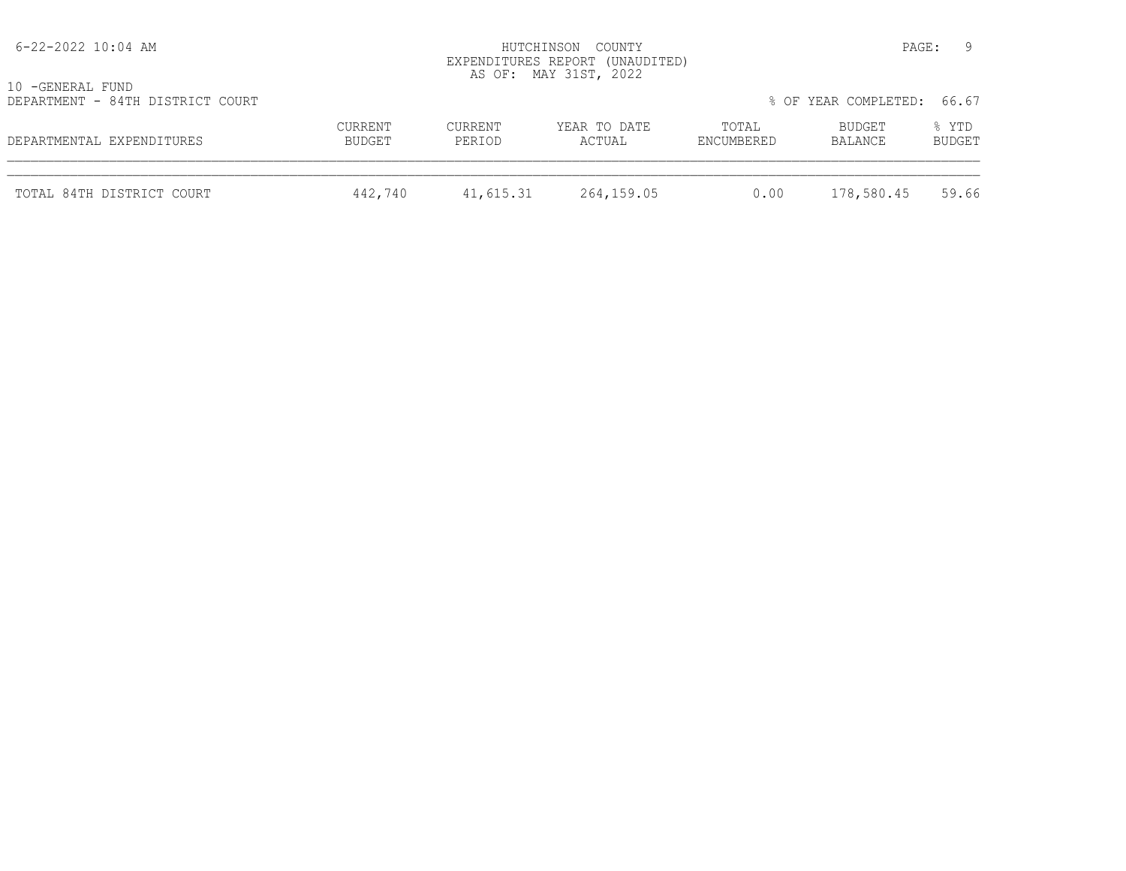| TOTAL 84TH DISTRICT COURT                            | 442,740           | 41,615.31         | 264,159.05                                               | 0.00                | 178,580.45                 | 59.66           |
|------------------------------------------------------|-------------------|-------------------|----------------------------------------------------------|---------------------|----------------------------|-----------------|
| DEPARTMENTAL EXPENDITURES                            | CURRENT<br>BUDGET | CURRENT<br>PERIOD | YEAR TO DATE<br>ACTUAL                                   | TOTAL<br>ENCUMBERED | BUDGET<br>BALANCE          | % YTD<br>BUDGET |
| 10 -GENERAL FUND<br>DEPARTMENT - 84TH DISTRICT COURT |                   |                   |                                                          |                     | % OF YEAR COMPLETED: 66.67 |                 |
|                                                      |                   |                   | EXPENDITURES REPORT (UNAUDITED)<br>AS OF: MAY 31ST, 2022 |                     |                            |                 |
| 6-22-2022 10:04 AM                                   |                   | HUTCHINSON COUNTY |                                                          |                     |                            | - 9<br>PAGE:    |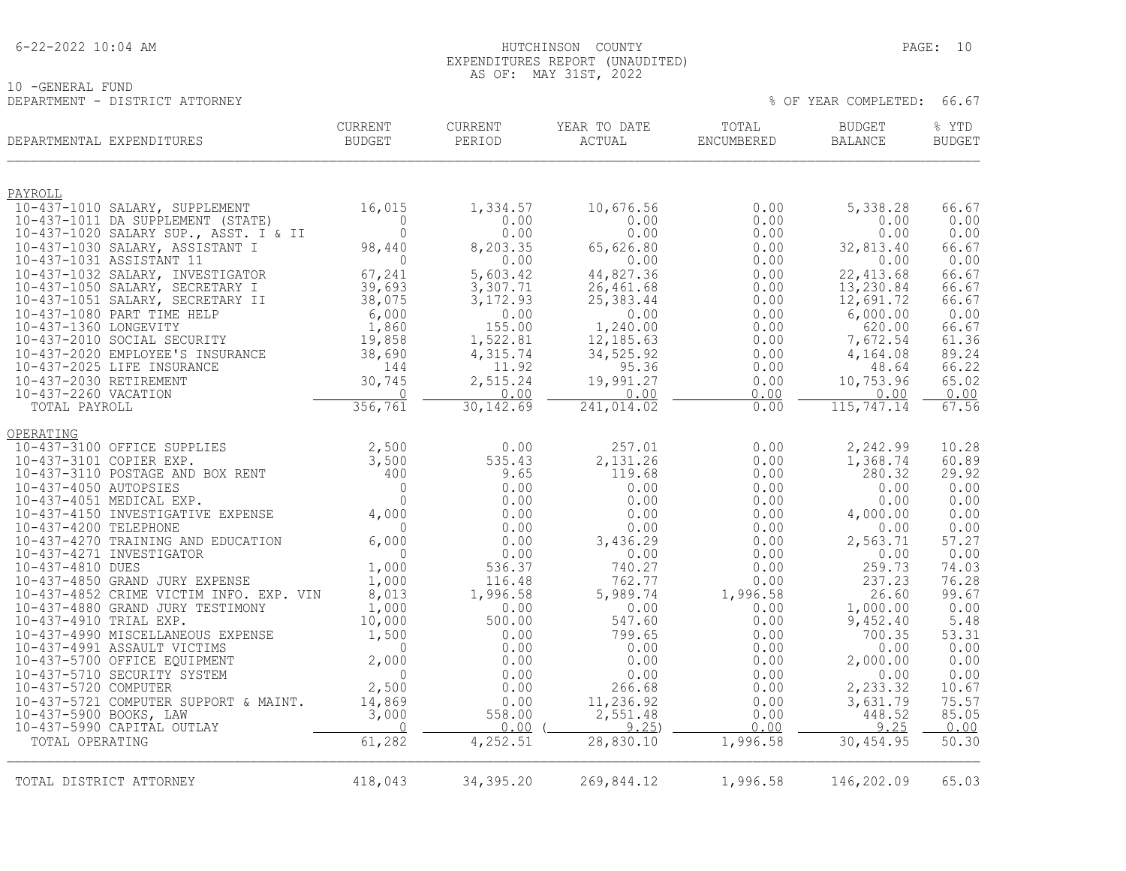#### 6-22-2022 10:04 AM HUTCHINSON COUNTY PAGE: 10 EXPENDITURES REPORT (UNAUDITED) AS OF: MAY 31ST, 2022

10 -GENERAL FUND DEPARTMENT - DISTRICT ATTORNEY % OF YEAR COMPLETED: 66.67

| DEPARTMENTAL EXPENDITURES                                    | <b>CURRENT</b><br>BUDGET | <b>CURRENT</b><br>PERIOD       | YEAR TO DATE<br>ACTUAL | TOTAL<br>ENCUMBERED | <b>BUDGET</b><br>BALANCE | % YTD<br><b>BUDGET</b> |
|--------------------------------------------------------------|--------------------------|--------------------------------|------------------------|---------------------|--------------------------|------------------------|
| PAYROLL                                                      |                          |                                |                        |                     |                          |                        |
| 10-437-1010 SALARY, SUPPLEMENT                               | 16,015                   | 1,334.57                       | 10,676.56              | 0.00                | 5,338.28                 | 66.67                  |
| 10-437-1011 DA SUPPLEMENT (STATE)                            | $\Omega$                 | 0.00                           | 0.00                   | 0.00                | 0.00                     | 0.00                   |
| 10-437-1020 SALARY SUP., ASST. I & II                        | $\overline{0}$           | 0.00                           | 0.00                   | 0.00                | 0.00                     | 0.00                   |
| 10-437-1030 SALARY, ASSISTANT I                              | 98,440                   | 8,203.35                       | 65,626.80              | 0.00                | 32,813.40                | 66.67                  |
| 10-437-1031 ASSISTANT 11<br>10-437-1032 SALARY, INVESTIGATOR | $\overline{0}$<br>67,241 | 0.00<br>5,603.42               | 0.00<br>44,827.36      | 0.00<br>0.00        | 0.00<br>22, 413.68       | 0.00<br>66.67          |
| 10-437-1050 SALARY, SECRETARY I                              | 39,693                   | 3,307.71                       | 26,461.68              | 0.00                | 13,230.84                | 66.67                  |
| 10-437-1051 SALARY, SECRETARY II                             | 38,075                   | 3,172.93                       | 25, 383.44             | 0.00                | 12,691.72                | 66.67                  |
| 10-437-1080 PART TIME HELP                                   | 6,000                    | 0.00                           | 0.00                   | 0.00                | 6,000.00                 | 0.00                   |
| 10-437-1360 LONGEVITY                                        | 1,860                    | 155.00                         | 1,240.00               | 0.00                | 620.00                   | 66.67                  |
| 10-437-2010 SOCIAL SECURITY                                  | 19,858                   | 1,522.81                       | 12,185.63              | 0.00                | 7,672.54                 | 61.36                  |
| 10-437-2020 EMPLOYEE'S INSURANCE                             | 38,690                   | 4,315.74                       | 34,525.92              | 0.00                | 4,164.08                 | 89.24<br>66.22         |
| 10-437-2025 LIFE INSURANCE<br>10-437-2030 RETIREMENT         | 144<br>30,745            | 11.92<br>2,515.24              | 95.36<br>19,991.27     | 0.00<br>0.00        | 48.64<br>10,753.96       | 65.02                  |
| 10-437-2260 VACATION                                         | $\Omega$                 | 0.00                           | 0.00                   | 0.00                | 0.00                     | 0.00                   |
| TOTAL PAYROLL                                                | 356,761                  | 30, 142.69                     | 241,014.02             | 0.00                | 115,747.14               | 67.56                  |
| OPERATING                                                    |                          |                                |                        |                     |                          |                        |
| 10-437-3100 OFFICE SUPPLIES                                  | 2,500                    | 0.00                           | 257.01                 | 0.00                | 2,242.99                 | 10.28                  |
| 10-437-3101 COPIER EXP.                                      | 3,500                    | 535.43                         | 2,131.26               | 0.00                | 1,368.74                 | 60.89                  |
| 10-437-3110 POSTAGE AND BOX RENT                             | 400                      | 9.65                           | 119.68                 | 0.00                | 280.32                   | 29.92                  |
| 10-437-4050 AUTOPSIES                                        | $\overline{0}$           | 0.00                           | 0.00                   | 0.00                | 0.00                     | 0.00                   |
| 10-437-4051 MEDICAL EXP.                                     | $\Omega$                 | 0.00                           | 0.00                   | 0.00                | 0.00                     | 0.00                   |
| 10-437-4150 INVESTIGATIVE EXPENSE<br>10-437-4200 TELEPHONE   | 4,000<br>$\bigcap$       | 0.00<br>0.00                   | 0.00<br>0.00           | 0.00<br>0.00        | 4,000.00<br>0.00         | 0.00<br>0.00           |
| 10-437-4270 TRAINING AND EDUCATION                           | 6,000                    | 0.00                           | 3,436.29               | 0.00                | 2,563.71                 | 57.27                  |
| 10-437-4271 INVESTIGATOR                                     | $\overline{0}$           | 0.00                           | 0.00                   | 0.00                | 0.00                     | 0.00                   |
| 10-437-4810 DUES                                             | 1,000                    | 536.37                         | 740.27                 | 0.00                | 259.73                   | 74.03                  |
| 10-437-4850 GRAND JURY EXPENSE                               | 1,000                    | 116.48                         | 762.77                 | 0.00                | 237.23                   | 76.28                  |
| 10-437-4852 CRIME VICTIM INFO. EXP. VIN                      | 8,013                    | 1,996.58                       | 5,989.74               | 1,996.58            | 26.60                    | 99.67                  |
| 10-437-4880 GRAND JURY TESTIMONY                             | 1,000                    | 0.00                           | 0.00                   | 0.00                | 1,000.00                 | 0.00                   |
| 10-437-4910 TRIAL EXP.<br>10-437-4990 MISCELLANEOUS EXPENSE  | 10,000<br>1,500          | 500.00<br>0.00                 | 547.60<br>799.65       | 0.00<br>0.00        | 9,452.40<br>700.35       | 5.48<br>53.31          |
| 10-437-4991 ASSAULT VICTIMS                                  | $\overline{0}$           | 0.00                           | 0.00                   | 0.00                | 0.00                     | 0.00                   |
| 10-437-5700 OFFICE EQUIPMENT                                 | 2,000                    | 0.00                           | 0.00                   | 0.00                | 2,000.00                 | 0.00                   |
| 10-437-5710 SECURITY SYSTEM                                  | $\Omega$                 | 0.00                           | 0.00                   | 0.00                | 0.00                     | 0.00                   |
| 10-437-5720 COMPUTER                                         | 2,500                    | 0.00                           | 266.68                 | 0.00                | 2,233.32                 | 10.67                  |
| 10-437-5721 COMPUTER SUPPORT & MAINT.                        | 14,869                   | 0.00                           | 11,236.92              | 0.00                | 3,631.79                 | 75.57                  |
| 10-437-5900 BOOKS, LAW                                       | 3,000                    | 558.00                         | 2,551.48               | 0.00                | 448.52                   | 85.05                  |
| 10-437-5990 CAPITAL OUTLAY<br>TOTAL OPERATING                | $\overline{0}$<br>61,282 | 0.00<br>$\overline{4,}$ 252.51 | 9.25<br>28,830.10      | 0.00<br>1,996.58    | 9.25<br>30, 454.95       | 0.00<br>50.30          |
|                                                              |                          |                                |                        |                     |                          |                        |
| TOTAL DISTRICT ATTORNEY                                      | 418,043                  | 34, 395.20                     | 269,844.12             | 1,996.58            | 146,202.09               | 65.03                  |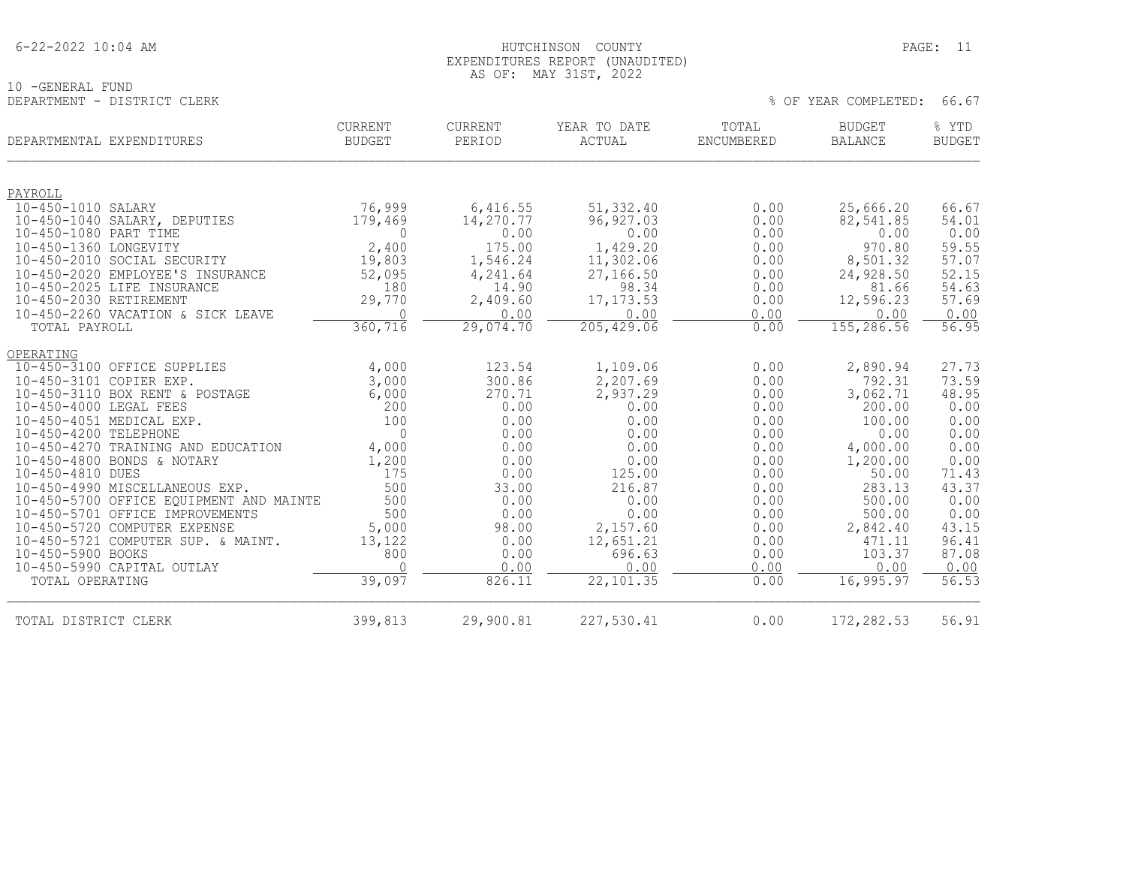#### HUTCHINSON COUNTY PAGE: 11 EXPENDITURES REPORT (UNAUDITED) AS OF: MAY 31ST, 2022

% OF YEAR COMPLETED: 66.67

10 -GENERAL FUND<br>DEPARTMENT - DISTRICT CLERK

| DEPARTMENTAL EXPENDITURES                                       | <b>CURRENT</b><br><b>BUDGET</b> | CURRENT<br>PERIOD     | YEAR TO DATE<br><b>ACTUAL</b> | TOTAL<br>ENCUMBERED | <b>BUDGET</b><br><b>BALANCE</b> | % YTD<br><b>BUDGET</b> |
|-----------------------------------------------------------------|---------------------------------|-----------------------|-------------------------------|---------------------|---------------------------------|------------------------|
| PAYROLL                                                         |                                 |                       |                               |                     |                                 |                        |
| 10-450-1010 SALARY<br>10-450-1040 SALARY, DEPUTIES              | 76,999<br>179,469               | 6,416.55<br>14,270.77 | 51,332.40<br>96, 927.03       | 0.00<br>0.00        | 25,666.20<br>82,541.85          | 66.67<br>54.01         |
| 10-450-1080 PART TIME                                           | 0                               | 0.00                  | 0.00                          | 0.00                | 0.00                            | 0.00                   |
| 10-450-1360 LONGEVITY<br>10-450-2010 SOCIAL SECURITY            | 2,400<br>19,803                 | 175.00<br>1,546.24    | 1,429.20<br>11,302.06         | 0.00<br>0.00        | 970.80<br>8,501.32              | 59.55<br>57.07         |
| 10-450-2020 EMPLOYEE'S INSURANCE                                | 52,095                          | 4,241.64              | 27,166.50                     | 0.00                | 24,928.50                       | 52.15                  |
| 10-450-2025 LIFE INSURANCE                                      | 180                             | 14.90                 | 98.34                         | 0.00                | 81.66                           | 54.63                  |
| 10-450-2030 RETIREMENT                                          | 29,770                          | 2,409.60              | 17, 173.53                    | 0.00                | 12,596.23                       | 57.69                  |
| 10-450-2260 VACATION & SICK LEAVE                               | $\bigcap$                       | 0.00                  | 0.00                          | 0.00                | 0.00                            | 0.00                   |
| TOTAL PAYROLL                                                   | 360,716                         | 29,074.70             | 205, 429.06                   | 0.00                | 155,286.56                      | 56.95                  |
| OPERATING                                                       |                                 |                       |                               |                     |                                 |                        |
| 10-450-3100 OFFICE SUPPLIES                                     | 4,000                           | 123.54                | 1,109.06                      | 0.00                | 2,890.94                        | 27.73                  |
| 10-450-3101 COPIER EXP.                                         | 3,000                           | 300.86                | 2,207.69                      | 0.00                | 792.31                          | 73.59                  |
| 10-450-3110 BOX RENT & POSTAGE                                  | 6,000                           | 270.71                | 2,937.29                      | 0.00                | 3,062.71                        | 48.95                  |
| 10-450-4000 LEGAL FEES<br>10-450-4051 MEDICAL EXP.              | 200<br>100                      | 0.00<br>0.00          | 0.00<br>0.00                  | 0.00                | 200.00                          | 0.00                   |
| 10-450-4200 TELEPHONE                                           | $\mathbf 0$                     | 0.00                  | 0.00                          | 0.00<br>0.00        | 100.00<br>0.00                  | 0.00<br>0.00           |
| 10-450-4270 TRAINING AND EDUCATION                              | 4,000                           | 0.00                  | 0.00                          | 0.00                | 4,000.00                        | 0.00                   |
| 10-450-4800 BONDS & NOTARY                                      | 1,200                           | 0.00                  | 0.00                          | 0.00                | 1,200.00                        | 0.00                   |
| 10-450-4810 DUES                                                | 175                             | 0.00                  | 125.00                        | 0.00                | 50.00                           | 71.43                  |
| 10-450-4990 MISCELLANEOUS EXP.                                  | 500                             | 33.00                 | 216.87                        | 0.00                | 283.13                          | 43.37                  |
| 10-450-5700 OFFICE EQUIPMENT AND MAINTE                         | 500                             | 0.00                  | 0.00                          | 0.00                | 500.00                          | 0.00                   |
| 10-450-5701 OFFICE IMPROVEMENTS<br>10-450-5720 COMPUTER EXPENSE | 500                             | 0.00<br>98.00         | 0.00<br>2,157.60              | 0.00<br>0.00        | 500.00<br>2,842.40              | 0.00<br>43.15          |
| 10-450-5721 COMPUTER SUP. & MAINT.                              | 5,000<br>13,122                 | 0.00                  | 12,651.21                     | 0.00                | 471.11                          | 96.41                  |
| 10-450-5900 BOOKS                                               | 800                             | 0.00                  | 696.63                        | 0.00                | 103.37                          | 87.08                  |
| 10-450-5990 CAPITAL OUTLAY                                      | $\Omega$                        | 0.00                  | 0.00                          | 0.00                | 0.00                            | 0.00                   |
| TOTAL OPERATING                                                 | 39,097                          | 826.11                | 22,101.35                     | 0.00                | 16,995.97                       | 56.53                  |
| TOTAL DISTRICT CLERK                                            | 399,813                         | 29,900.81             | 227,530.41                    | 0.00                | 172, 282.53                     | 56.91                  |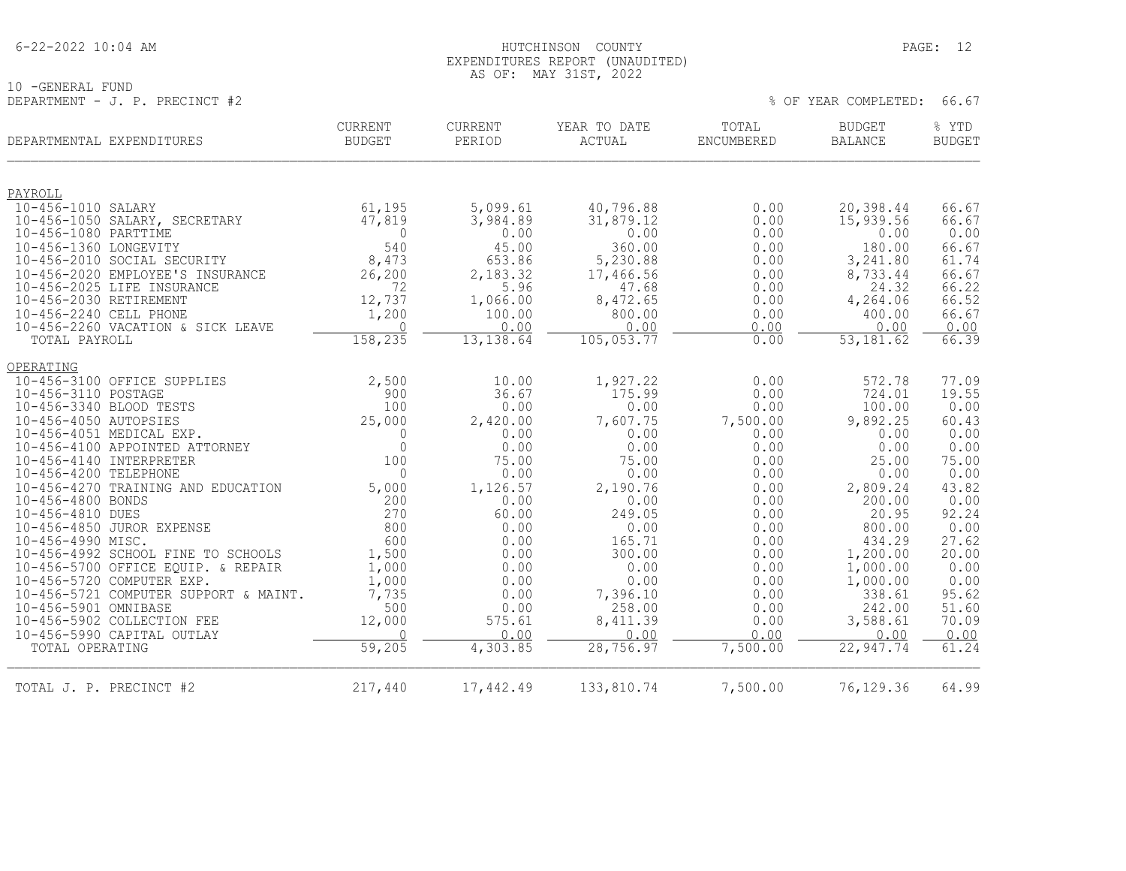#### 6-22-2022 10:04 AM HUTCHINSON COUNTY PAGE: 12 EXPENDITURES REPORT (UNAUDITED) AS OF: MAY 31ST, 2022

10 -GENERAL FUND

DEPARTMENT - J. P. PRECINCT #2 % OF YEAR COMPLETED: 66.67

|                         | DEPARTMENTAL EXPENDITURES             | <b>CURRENT</b><br><b>BUDGET</b> | <b>CURRENT</b><br>PERIOD | YEAR TO DATE<br>ACTUAL | TOTAL<br>ENCUMBERED | <b>BUDGET</b><br><b>BALANCE</b> | % YTD<br><b>BUDGET</b> |
|-------------------------|---------------------------------------|---------------------------------|--------------------------|------------------------|---------------------|---------------------------------|------------------------|
| PAYROLL                 |                                       |                                 |                          |                        |                     |                                 |                        |
| 10-456-1010 SALARY      |                                       | 61,195                          | 5,099.61                 | 40,796.88              | 0.00                | 20,398.44                       | 66.67                  |
|                         | 10-456-1050 SALARY, SECRETARY         | 47,819                          | 3,984.89                 | 31,879.12              | 0.00                | 15,939.56                       | 66.67                  |
| 10-456-1080 PARTTIME    |                                       | $\overline{0}$                  | 0.00                     | 0.00                   | 0.00                | 0.00                            | 0.00                   |
| 10-456-1360 LONGEVITY   |                                       | 540                             | 45.00                    | 360.00                 | 0.00                | 180.00                          | 66.67                  |
|                         | 10-456-2010 SOCIAL SECURITY           | 8,473                           | 653.86                   | 5,230.88               | 0.00                | 3,241.80                        | 61.74                  |
|                         | 10-456-2020 EMPLOYEE'S INSURANCE      | 26,200                          | 2,183.32                 | 17,466.56              | 0.00                | 8,733.44                        | 66.67                  |
|                         | 10-456-2025 LIFE INSURANCE            | 72                              | 5.96                     | 47.68                  | 0.00                | 24.32                           | 66.22                  |
| 10-456-2030 RETIREMENT  |                                       | 12,737                          | 1,066.00                 | 8,472.65               | 0.00                | 4,264.06                        | 66.52                  |
| 10-456-2240 CELL PHONE  |                                       | 1,200                           | 100.00                   | 800.00                 | 0.00                | 400.00                          | 66.67                  |
| TOTAL PAYROLL           | 10-456-2260 VACATION & SICK LEAVE     | 0<br>158,235                    | 0.00<br>13, 138.64       | 0.00<br>105, 053.77    | 0.00<br>0.00        | 0.00<br>53, 181.62              | 0.00<br>66.39          |
|                         |                                       |                                 |                          |                        |                     |                                 |                        |
| OPERATING               |                                       |                                 |                          |                        |                     |                                 |                        |
|                         | 10-456-3100 OFFICE SUPPLIES           | 2,500                           | 10.00                    | 1,927.22               | 0.00                | 572.78                          | 77.09                  |
| 10-456-3110 POSTAGE     |                                       | 900                             | 36.67                    | 175.99                 | 0.00                | 724.01                          | 19.55                  |
| 10-456-3340 BLOOD TESTS |                                       | 100                             | 0.00                     | 0.00                   | 0.00                | 100.00                          | 0.00                   |
| 10-456-4050 AUTOPSIES   |                                       | 25,000                          | 2,420.00                 | 7,607.75               | 7,500.00            | 9,892.25                        | 60.43                  |
|                         | 10-456-4051 MEDICAL EXP.              | 0                               | 0.00                     | 0.00                   | 0.00                | 0.00                            | 0.00                   |
|                         | 10-456-4100 APPOINTED ATTORNEY        | $\circ$                         | 0.00                     | 0.00                   | 0.00                | 0.00                            | 0.00                   |
| 10-456-4140 INTERPRETER |                                       | 100                             | 75.00                    | 75.00                  | 0.00                | 25.00                           | 75.00                  |
| 10-456-4200 TELEPHONE   |                                       | $\Omega$                        | 0.00                     | 0.00                   | 0.00                | 0.00                            | 0.00                   |
|                         | 10-456-4270 TRAINING AND EDUCATION    | 5,000                           | 1,126.57                 | 2,190.76               | 0.00                | 2,809.24                        | 43.82                  |
| 10-456-4800 BONDS       |                                       | 200                             | 0.00                     | 0.00                   | 0.00                | 200.00                          | 0.00                   |
| 10-456-4810 DUES        |                                       | 270<br>800                      | 60.00<br>0.00            | 249.05                 | 0.00<br>0.00        | 20.95                           | 92.24                  |
| 10-456-4990 MISC.       | 10-456-4850 JUROR EXPENSE             | 600                             | 0.00                     | 0.00<br>165.71         | 0.00                | 800.00<br>434.29                | 0.00<br>27.62          |
|                         | 10-456-4992 SCHOOL FINE TO SCHOOLS    | 1,500                           | 0.00                     | 300.00                 | 0.00                | 1,200.00                        | 20.00                  |
|                         | 10-456-5700 OFFICE EQUIP. & REPAIR    | 1,000                           | 0.00                     | 0.00                   | 0.00                | 1,000.00                        | 0.00                   |
|                         | 10-456-5720 COMPUTER EXP.             | 1,000                           | 0.00                     | 0.00                   | 0.00                | 1,000.00                        | 0.00                   |
|                         | 10-456-5721 COMPUTER SUPPORT & MAINT. | 7,735                           | 0.00                     | 7,396.10               | 0.00                | 338.61                          | 95.62                  |
| 10-456-5901 OMNIBASE    |                                       | 500                             | 0.00                     | 258.00                 | 0.00                | 242.00                          | 51.60                  |
|                         | 10-456-5902 COLLECTION FEE            | 12,000                          | 575.61                   | 8,411.39               | 0.00                | 3,588.61                        | 70.09                  |
|                         | 10-456-5990 CAPITAL OUTLAY            |                                 | 0.00                     | 0.00                   | 0.00                | 0.00                            | 0.00                   |
| TOTAL OPERATING         |                                       | 59,205                          | 4,303.85                 | 28,756.97              | 7,500.00            | 22,947.74                       | 61.24                  |
| TOTAL J. P. PRECINCT #2 |                                       | 217,440                         | 17,442.49                | 133,810.74             | 7,500.00            | 76,129.36                       | 64.99                  |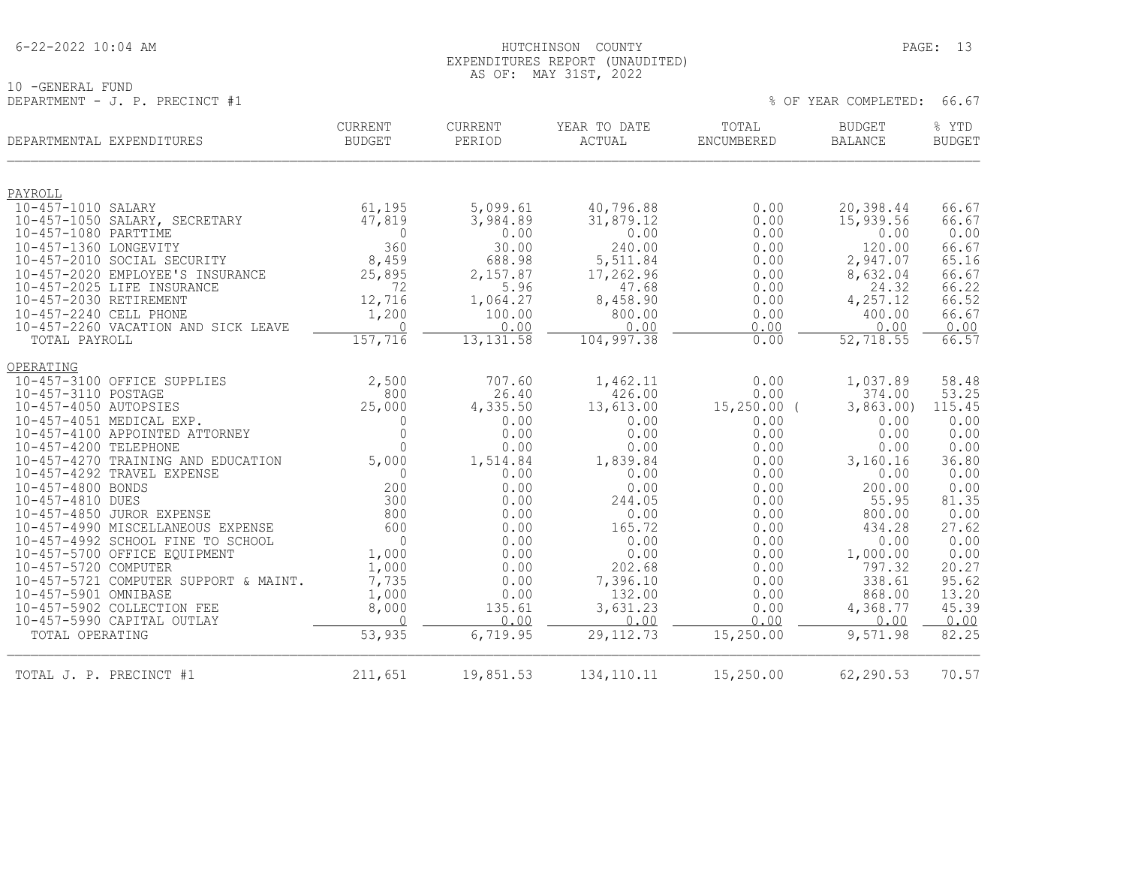10 -GENERAL FUND

#### 6-22-2022 10:04 AM HUTCHINSON COUNTY PAGE: 13 EXPENDITURES REPORT (UNAUDITED) AS OF: MAY 31ST, 2022

DEPARTMENT - J. P. PRECINCT #1 % OF YEAR COMPLETED: 66.67

| DEPARTMENTAL EXPENDITURES     |                                                            | <b>CURRENT</b><br><b>BUDGET</b> | CURRENT<br>PERIOD  | YEAR TO DATE<br><b>ACTUAL</b> | TOTAL<br>ENCUMBERED | <b>BUDGET</b><br><b>BALANCE</b> | % YTD<br><b>BUDGET</b> |
|-------------------------------|------------------------------------------------------------|---------------------------------|--------------------|-------------------------------|---------------------|---------------------------------|------------------------|
|                               |                                                            |                                 |                    |                               |                     |                                 |                        |
| PAYROLL<br>10-457-1010 SALARY |                                                            | 61,195                          | 5,099.61           | 40,796.88                     | 0.00                | 20,398.44                       | 66.67                  |
|                               | 10-457-1050 SALARY, SECRETARY                              | 47,819                          | 3,984.89           | 31,879.12                     | 0.00                | 15,939.56                       | 66.67                  |
| 10-457-1080 PARTTIME          |                                                            | $\Omega$                        | 0.00               | 0.00                          | 0.00                | 0.00                            | 0.00                   |
| 10-457-1360 LONGEVITY         |                                                            | 360                             | 30.00              | 240.00                        | 0.00                | 120.00                          | 66.67                  |
|                               | 10-457-2010 SOCIAL SECURITY                                | 8,459                           | 688.98             | 5,511.84                      | 0.00                | 2,947.07                        | 65.16                  |
|                               | 10-457-2020 EMPLOYEE'S INSURANCE                           | 25,895                          | 2,157.87           | 17,262.96                     | 0.00                | 8,632.04                        | 66.67                  |
|                               | 10-457-2025 LIFE INSURANCE                                 | 72                              | 5.96               | 47.68                         | 0.00                | 24.32                           | 66.22                  |
| 10-457-2030 RETIREMENT        |                                                            | 12,716                          | 1,064.27           | 8,458.90                      | 0.00                | 4,257.12                        | 66.52                  |
| 10-457-2240 CELL PHONE        |                                                            | 1,200                           | 100.00             | 800.00                        | 0.00                | 400.00                          | 66.67                  |
| TOTAL PAYROLL                 | 10-457-2260 VACATION AND SICK LEAVE                        | $\Omega$<br>157,716             | 0.00<br>13, 131.58 | 0.00<br>104,997.38            | 0.00<br>0.00        | 0.00<br>52, 718.55              | 0.00<br>66.57          |
|                               |                                                            |                                 |                    |                               |                     |                                 |                        |
| OPERATING                     |                                                            |                                 |                    |                               |                     |                                 |                        |
|                               | 10-457-3100 OFFICE SUPPLIES                                | 2,500                           | 707.60             | 1,462.11                      | 0.00                | 1,037.89                        | 58.48                  |
| 10-457-3110 POSTAGE           |                                                            | 800                             | 26.40              | 426.00                        | 0.00                | 374.00                          | 53.25                  |
| 10-457-4050 AUTOPSIES         |                                                            | 25,000                          | 4,335.50           | 13,613.00                     | $15, 250.00$ (      | 3,863.00                        | 115.45                 |
|                               | 10-457-4051 MEDICAL EXP.<br>10-457-4100 APPOINTED ATTORNEY | $\Omega$<br>$\Omega$            | 0.00<br>0.00       | 0.00<br>0.00                  | 0.00<br>0.00        | 0.00<br>0.00                    | 0.00<br>0.00           |
| 10-457-4200 TELEPHONE         |                                                            | $\Omega$                        | 0.00               | 0.00                          | 0.00                | 0.00                            | 0.00                   |
|                               | 10-457-4270 TRAINING AND EDUCATION                         | 5,000                           | 1,514.84           | 1,839.84                      | 0.00                | 3,160.16                        | 36.80                  |
|                               | 10-457-4292 TRAVEL EXPENSE                                 | $\Omega$                        | 0.00               | 0.00                          | 0.00                | 0.00                            | 0.00                   |
| 10-457-4800 BONDS             |                                                            | 200                             | 0.00               | 0.00                          | 0.00                | 200.00                          | 0.00                   |
| 10-457-4810 DUES              |                                                            | 300                             | 0.00               | 244.05                        | 0.00                | 55.95                           | 81.35                  |
|                               | 10-457-4850 JUROR EXPENSE                                  | 800                             | 0.00               | 0.00                          | 0.00                | 800.00                          | 0.00                   |
|                               | 10-457-4990 MISCELLANEOUS EXPENSE                          | 600                             | 0.00               | 165.72                        | 0.00                | 434.28                          | 27.62                  |
|                               | 10-457-4992 SCHOOL FINE TO SCHOOL                          | $\Omega$                        | 0.00               | 0.00                          | 0.00                | 0.00                            | 0.00                   |
|                               | 10-457-5700 OFFICE EQUIPMENT                               | 1,000                           | 0.00               | 0.00                          | 0.00                | 1,000.00                        | 0.00                   |
| 10-457-5720 COMPUTER          |                                                            | 1,000                           | 0.00               | 202.68                        | 0.00                | 797.32                          | 20.27                  |
|                               | 10-457-5721 COMPUTER SUPPORT & MAINT.                      | 7,735                           | 0.00               | 7,396.10                      | 0.00                | 338.61                          | 95.62                  |
| 10-457-5901 OMNIBASE          |                                                            | 1,000                           | 0.00               | 132.00                        | 0.00                | 868.00                          | 13.20<br>45.39         |
|                               | 10-457-5902 COLLECTION FEE<br>10-457-5990 CAPITAL OUTLAY   | 8,000<br>$\bigcap$              | 135.61<br>0.00     | 3,631.23<br>0.00              | 0.00<br>0.00        | 4,368.77<br>0.00                | 0.00                   |
| TOTAL OPERATING               |                                                            | 53,935                          | 6,719.95           | 29, 112.73                    | 15,250.00           | 9,571.98                        | 82.25                  |
|                               |                                                            |                                 |                    |                               |                     |                                 |                        |
| TOTAL J. P. PRECINCT #1       |                                                            | 211,651                         | 19,851.53          | 134, 110. 11                  | 15,250.00           | 62,290.53                       | 70.57                  |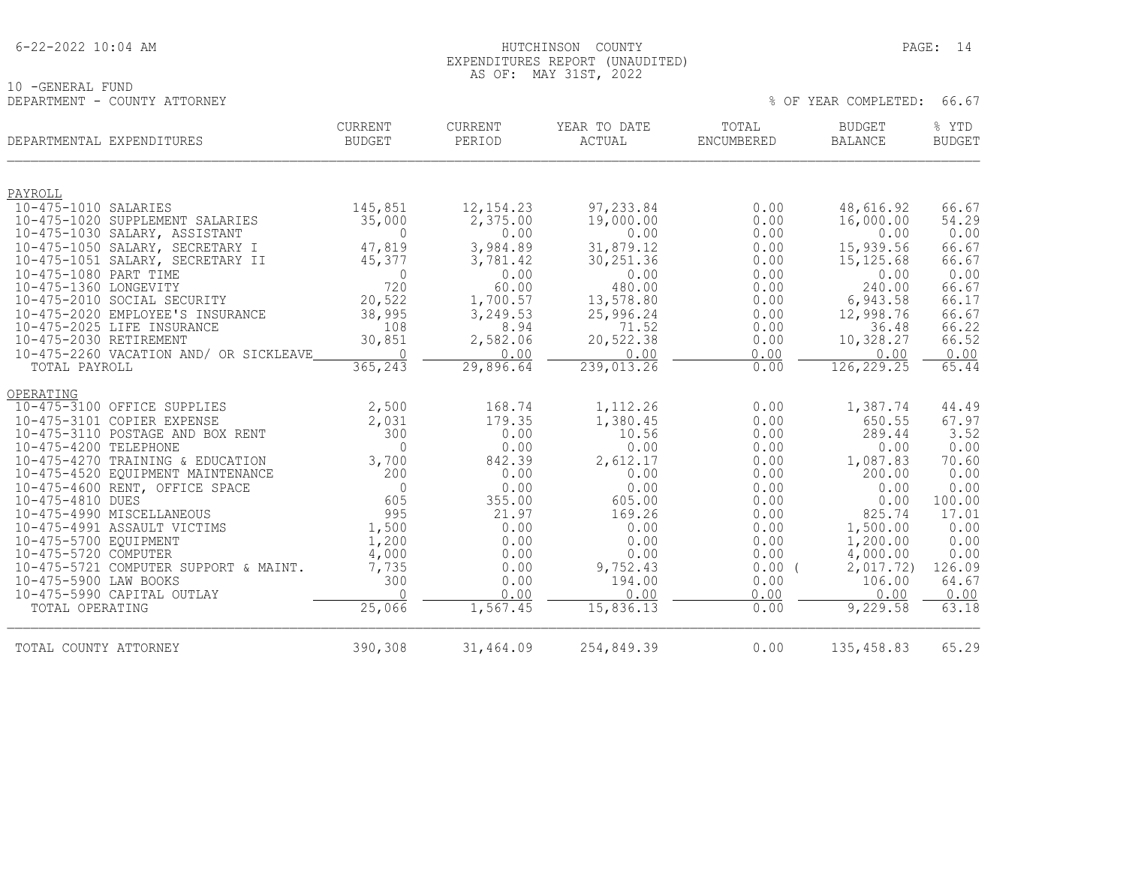|  | $6 - 22 - 2022$ 10:04 AM |  |
|--|--------------------------|--|
|  |                          |  |

10 -GENERAL FUND<br>DEPARTMENT - COUNTY ATTORNEY

#### HUTCHINSON COUNTY PAGE: 14 EXPENDITURES REPORT (UNAUDITED) AS OF: MAY 31ST, 2022

|                        | DEPARTMENTAL EXPENDITURES                                | <b>CURRENT</b><br><b>BUDGET</b> | <b>CURRENT</b><br>PERIOD | YEAR TO DATE<br>ACTUAL | TOTAL<br>ENCUMBERED | <b>BUDGET</b><br><b>BALANCE</b> | % YTD<br><b>BUDGET</b> |
|------------------------|----------------------------------------------------------|---------------------------------|--------------------------|------------------------|---------------------|---------------------------------|------------------------|
| PAYROLL                |                                                          |                                 |                          |                        |                     |                                 |                        |
| 10-475-1010 SALARIES   |                                                          | 145,851                         | 12, 154.23               | 97,233.84              | 0.00                | 48,616.92                       | 66.67                  |
|                        | 10-475-1020 SUPPLEMENT SALARIES                          | 35,000                          | 2,375.00                 | 19,000.00              | 0.00                | 16,000.00                       | 54.29                  |
|                        | 10-475-1030 SALARY, ASSISTANT                            | $\Omega$                        | 0.00                     | 0.00                   | 0.00                | 0.00                            | 0.00                   |
|                        | 10-475-1050 SALARY, SECRETARY I                          | 47,819                          | 3,984.89                 | 31,879.12              | 0.00                | 15,939.56                       | 66.67                  |
|                        | 10-475-1051 SALARY, SECRETARY II                         | 45,377                          | 3,781.42                 | 30, 251.36             | 0.00                | 15, 125.68                      | 66.67                  |
| 10-475-1080 PART TIME  |                                                          | $\Omega$                        | 0.00                     | 0.00                   | 0.00                | 0.00                            | 0.00                   |
| 10-475-1360 LONGEVITY  | 10-475-2010 SOCIAL SECURITY                              | 720<br>20,522                   | 60.00                    | 480.00                 | 0.00<br>0.00        | 240.00                          | 66.67<br>66.17         |
|                        | 10-475-2020 EMPLOYEE'S INSURANCE                         | 38,995                          | 1,700.57<br>3,249.53     | 13,578.80<br>25,996.24 | 0.00                | 6,943.58<br>12,998.76           | 66.67                  |
|                        | 10-475-2025 LIFE INSURANCE                               | 108                             | 8.94                     | 71.52                  | 0.00                | 36.48                           | 66.22                  |
| 10-475-2030 RETIREMENT |                                                          | 30,851                          | 2,582.06                 | 20,522.38              | 0.00                | 10,328.27                       | 66.52                  |
|                        | 10-475-2260 VACATION AND/ OR SICKLEAVE                   | $\Omega$                        | 0.00                     | 0.00                   | 0.00                | 0.00                            | 0.00                   |
| TOTAL PAYROLL          |                                                          | 365,243                         | 29,896.64                | 239,013.26             | 0.00                | 126,229.25                      | 65.44                  |
| OPERATING              |                                                          |                                 |                          |                        |                     |                                 |                        |
|                        | 10-475-3100 OFFICE SUPPLIES                              | 2,500                           | 168.74                   | 1,112.26               | 0.00                | 1,387.74                        | 44.49                  |
|                        | 10-475-3101 COPIER EXPENSE                               | 2,031                           | 179.35                   | 1,380.45               | 0.00                | 650.55                          | 67.97                  |
|                        | 10-475-3110 POSTAGE AND BOX RENT                         | 300                             | 0.00                     | 10.56                  | 0.00                | 289.44                          | 3.52                   |
| 10-475-4200 TELEPHONE  |                                                          | $\Omega$                        | 0.00                     | 0.00                   | 0.00                | 0.00                            | 0.00                   |
|                        | 10-475-4270 TRAINING & EDUCATION                         | 3,700                           | 842.39                   | 2,612.17               | 0.00                | 1,087.83                        | 70.60                  |
|                        | 10-475-4520 EQUIPMENT MAINTENANCE                        | 200                             | 0.00                     | 0.00                   | 0.00                | 200.00                          | 0.00                   |
|                        | 10-475-4600 RENT, OFFICE SPACE                           | $\Omega$                        | 0.00                     | 0.00                   | 0.00                | 0.00                            | 0.00                   |
| 10-475-4810 DUES       |                                                          | 605                             | 355.00                   | 605.00                 | 0.00                | 0.00                            | 100.00                 |
|                        | 10-475-4990 MISCELLANEOUS<br>10-475-4991 ASSAULT VICTIMS | 995                             | 21.97                    | 169.26<br>0.00         | 0.00                | 825.74                          | 17.01                  |
| 10-475-5700 EOUIPMENT  |                                                          | 1,500<br>1,200                  | 0.00<br>0.00             | 0.00                   | 0.00<br>0.00        | 1,500.00<br>1,200.00            | 0.00<br>0.00           |
| 10-475-5720 COMPUTER   |                                                          | 4,000                           | 0.00                     | 0.00                   | 0.00                | 4,000.00                        | 0.00                   |
|                        | 10-475-5721 COMPUTER SUPPORT & MAINT.                    | 7,735                           | 0.00                     | 9,752.43               | $0.00$ (            | 2,017.72)                       | 126.09                 |
| 10-475-5900 LAW BOOKS  |                                                          | 300                             | 0.00                     | 194.00                 | 0.00                | 106.00                          | 64.67                  |
|                        | 10-475-5990 CAPITAL OUTLAY                               | $\Omega$                        | 0.00                     | 0.00                   | 0.00                | 0.00                            | 0.00                   |
| TOTAL OPERATING        |                                                          | 25,066                          | 1,567.45                 | 15,836.13              | 0.00                | 9,229.58                        | 63.18                  |
| TOTAL COUNTY ATTORNEY  |                                                          | 390,308                         | 31,464.09                | 254,849.39             | 0.00                | 135,458.83                      | 65.29                  |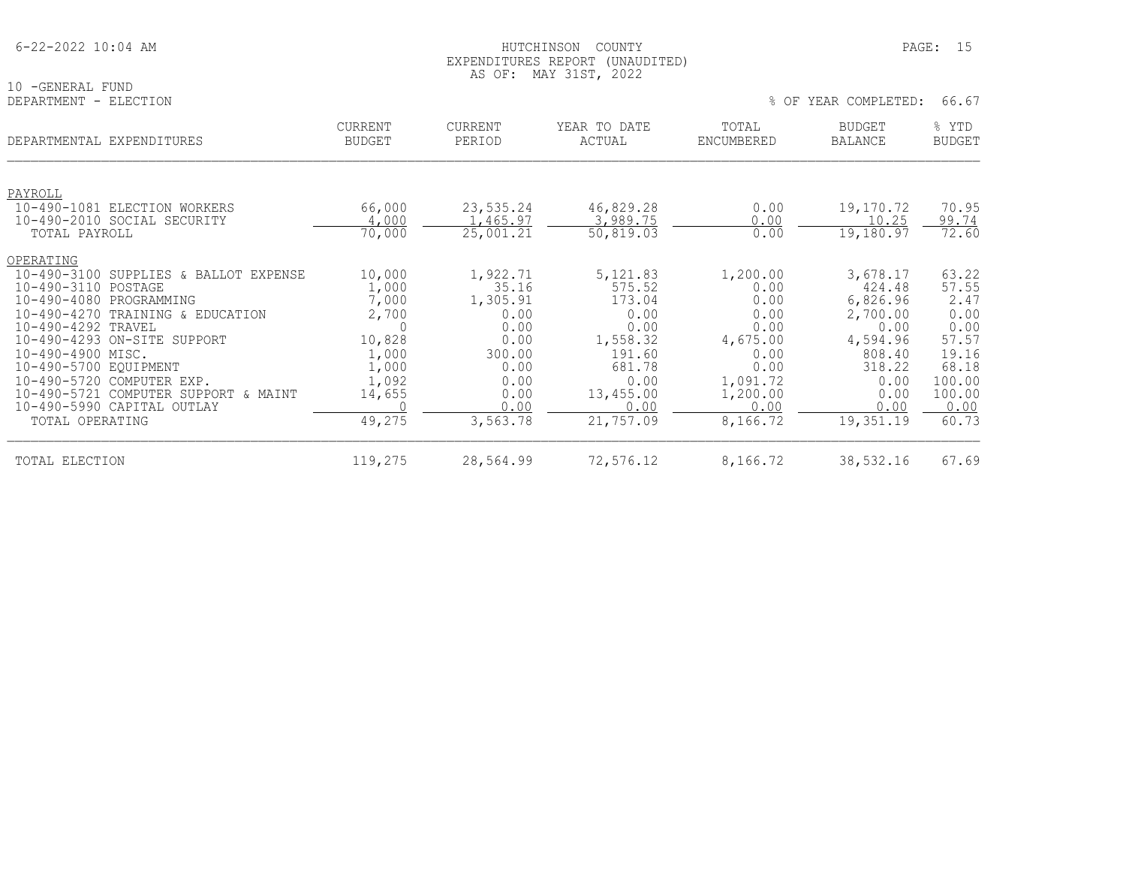|  | $6 - 22 - 2022$ 10:04 AM |  |
|--|--------------------------|--|
|  |                          |  |

#### HUTCHINSON COUNTY PAGE: 15 EXPENDITURES REPORT (UNAUDITED) AS OF: MAY 31ST, 2022

10 -GENERAL FUND<br>DEPARTMENT - ELECTION

| DEPARTMENT<br>- ELECTION                         |                                 |                   |                        | $8$ OF<br>YEAR COMPLETED: |                                 |                        |
|--------------------------------------------------|---------------------------------|-------------------|------------------------|---------------------------|---------------------------------|------------------------|
| DEPARTMENTAL EXPENDITURES                        | <b>CURRENT</b><br><b>BUDGET</b> | CURRENT<br>PERIOD | YEAR TO DATE<br>ACTUAL | TOTAL<br>ENCUMBERED       | <b>BUDGET</b><br><b>BALANCE</b> | % YTD<br><b>BUDGET</b> |
|                                                  |                                 |                   |                        |                           |                                 |                        |
| PAYROLL<br>$10 - 490 - 1081$<br>ELECTION WORKERS | 66,000                          | 23,535.24         | 46,829.28              | 0.00                      | 19,170.72                       | 70.95                  |
| 10-490-2010 SOCIAL SECURITY                      | 4,000                           | 1,465.97          | 3,989.75               | 0.00                      | 10.25                           | 99.74                  |
| TOTAL PAYROLL                                    | 70,000                          | 25,001.21         | 50,819.03              | 0.00                      | 19, 180.97                      | 72.60                  |
| OPERATING                                        |                                 |                   |                        |                           |                                 |                        |
| $10 - 490 - 3100$<br>SUPPLIES & BALLOT EXPENSE   | 10,000                          | 1,922.71          | 5, 121.83              | 1,200.00                  | 3,678.17                        | 63.22                  |
| 10-490-3110 POSTAGE                              | 1,000                           | 35.16             | 575.52                 | 0.00                      | 424.48                          | 57.55                  |
| 10-490-4080 PROGRAMMING                          | 7,000                           | 1,305.91          | 173.04                 | 0.00                      | 6,826.96                        | 2.47                   |
| $10 - 490 - 4270$<br>TRAINING & EDUCATION        | 2,700                           | 0.00              | 0.00                   | 0.00                      | 2,700.00                        | 0.00                   |
| 10-490-4292 TRAVEL                               | $\Omega$                        | 0.00              | 0.00                   | 0.00                      | 0.00                            | 0.00                   |
| 10-490-4293 ON-SITE SUPPORT                      | 10,828                          | 0.00              | 1,558.32               | 4,675.00                  | 4,594.96                        | 57.57                  |
| 10-490-4900 MISC.                                | 1,000                           | 300.00            | 191.60                 | 0.00                      | 808.40                          | 19.16                  |
| 10-490-5700 EQUIPMENT                            | 1,000                           | 0.00              | 681.78                 | 0.00                      | 318.22                          | 68.18                  |
| 10-490-5720 COMPUTER EXP.                        | 1,092                           | 0.00              | 0.00                   | 1,091.72                  | 0.00                            | 100.00                 |
| 10-490-5721 COMPUTER SUPPORT & MAINT             | 14,655                          | 0.00              | 13,455.00              | 1,200.00                  | 0.00                            | 100.00                 |
| 10-490-5990 CAPITAL OUTLAY                       |                                 | 0.00              | 0.00                   | 0.00                      | 0.00                            | 0.00                   |
| TOTAL OPERATING                                  | 49,275                          | 3,563.78          | 21,757.09              | 8,166.72                  | 19,351.19                       | 60.73                  |
| TOTAL ELECTION                                   | 119,275                         | 28,564.99         | 72,576.12              | 8,166.72                  | 38,532.16                       | 67.69                  |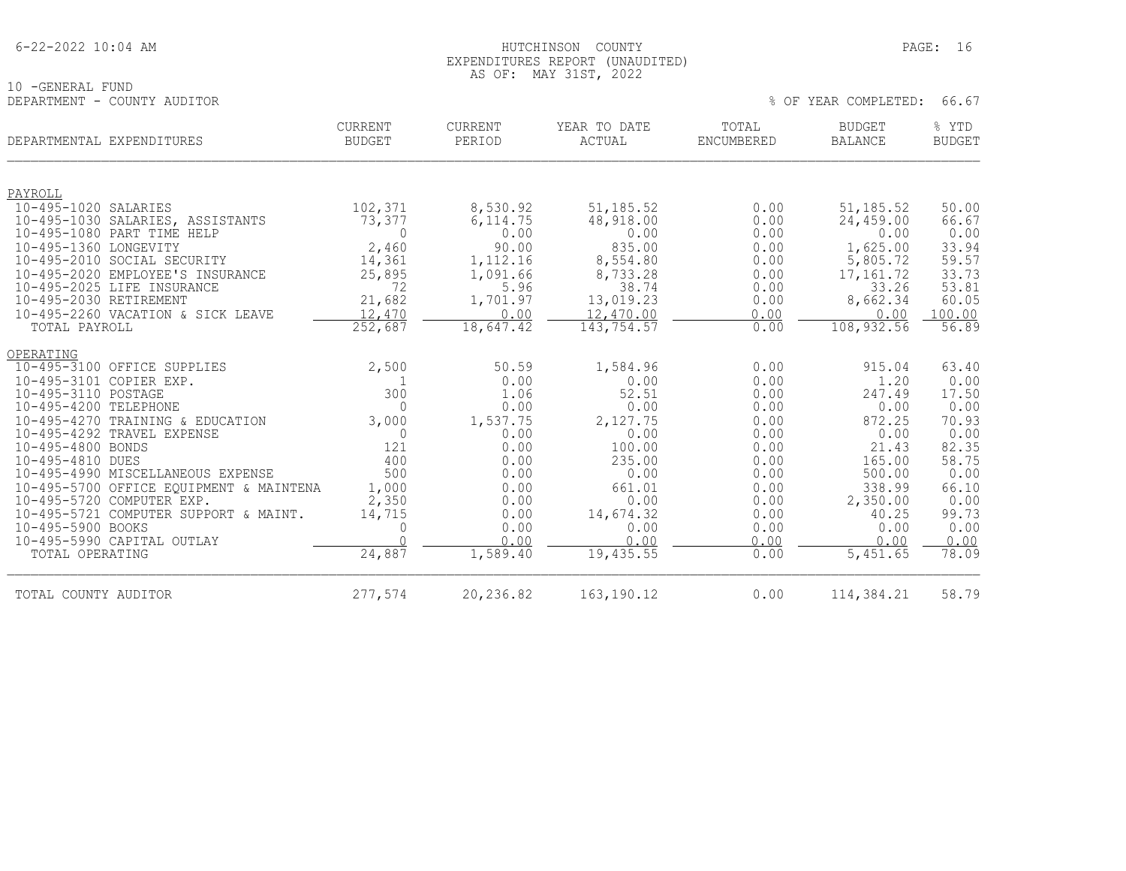#### HUTCHINSON COUNTY PAGE: 16 EXPENDITURES REPORT (UNAUDITED) AS OF: MAY 31ST, 2022

% OF YEAR COMPLETED: 66.67

10 -GENERAL FUND<br>DEPARTMENT - COUNTY AUDITOR

| % YTD<br><b>BUDGET</b> | <b>BUDGET</b><br><b>BALANCE</b> | TOTAL<br>ENCUMBERED | YEAR TO DATE<br><b>ACTUAL</b> | CURRENT<br>PERIOD | <b>CURRENT</b><br><b>BUDGET</b> | DEPARTMENTAL EXPENDITURES                       |
|------------------------|---------------------------------|---------------------|-------------------------------|-------------------|---------------------------------|-------------------------------------------------|
|                        |                                 |                     |                               |                   |                                 | PAYROLL                                         |
| 50.00                  | 51, 185.52                      | 0.00                | 51, 185. 52                   | 8,530.92          | 102,371                         | 10-495-1020 SALARIES                            |
| 66.67                  | 24,459.00                       | 0.00                | 48,918.00                     | 6, 114.75         | 73,377                          | 10-495-1030 SALARIES, ASSISTANTS                |
| 0.00                   | 0.00                            | 0.00                | 0.00                          | 0.00              | $\Omega$                        | 10-495-1080 PART TIME HELP                      |
| 33.94                  | 1,625.00                        | 0.00                | 835.00                        | 90.00             | 2,460                           | 10-495-1360 LONGEVITY                           |
| 59.57                  | 5,805.72                        | 0.00                | 8,554.80                      | 1,112.16          | 14,361                          | 10-495-2010 SOCIAL SECURITY                     |
| 33.73                  | 17,161.72                       | 0.00                | 8,733.28                      | 1,091.66          | 25,895                          | 10-495-2020 EMPLOYEE'S INSURANCE                |
| 53.81                  | 33.26                           | 0.00                | 38.74                         | 5.96              | 72                              | 10-495-2025 LIFE INSURANCE                      |
| 60.05                  | 8,662.34                        | 0.00                | 13,019.23                     | 1,701.97          | 21,682                          | 10-495-2030 RETIREMENT                          |
| 100.00                 | 0.00                            | 0.00                | 12,470.00                     | 0.00              | 12,470                          | 10-495-2260 VACATION & SICK LEAVE               |
| 56.89                  | 108,932.56                      | 0.00                | 143,754.57                    | 18,647.42         | 252,687                         | TOTAL PAYROLL                                   |
|                        |                                 |                     |                               |                   |                                 | OPERATING                                       |
| 63.40                  | 915.04                          | 0.00                | 1,584.96                      | 50.59             | 2,500                           | 10-495-3100 OFFICE SUPPLIES                     |
| 0.00                   | 1.20                            | 0.00                | 0.00                          | 0.00              |                                 | 10-495-3101 COPIER EXP.                         |
| 17.50                  | 247.49                          | 0.00                | 52.51                         | 1.06              | 300                             | 10-495-3110 POSTAGE                             |
| 0.00                   | 0.00                            | 0.00                | 0.00                          | 0.00              | $\Omega$                        | 10-495-4200 TELEPHONE                           |
| 70.93                  | 872.25                          | 0.00                | 2,127.75                      | 1,537.75          | 3,000                           | 10-495-4270 TRAINING & EDUCATION                |
| 0.00                   | 0.00                            | 0.00                | 0.00                          | 0.00              | $\mathbf 0$                     | 10-495-4292 TRAVEL EXPENSE                      |
| 82.35                  | 21.43                           | 0.00                | 100.00                        | 0.00              | 121                             | 10-495-4800 BONDS                               |
| 58.75                  | 165.00                          | 0.00                | 235.00                        | 0.00              | 400                             | 10-495-4810 DUES                                |
| 0.00                   | 500.00                          | 0.00                | 0.00                          | 0.00              | 500                             | 10-495-4990 MISCELLANEOUS EXPENSE               |
| 66.10                  | 338.99                          | 0.00                | 661.01                        | 0.00              | 1,000                           | 10-495-5700 OFFICE EQUIPMENT & MAINTENA         |
| 0.00                   | 2,350.00                        | 0.00                | 0.00                          | 0.00              | 2,350                           | 10-495-5720 COMPUTER EXP.                       |
| 99.73                  | 40.25                           | 0.00                | 14,674.32                     | 0.00              | 14,715                          | 10-495-5721 COMPUTER SUPPORT & MAINT.           |
| 0.00<br>0.00           | 0.00<br>0.00                    | 0.00<br>0.00        | 0.00<br>0.00                  | 0.00<br>0.00      | $\Omega$<br>$\cap$              | 10-495-5900 BOOKS<br>10-495-5990 CAPITAL OUTLAY |
| 78.09                  | 5,451.65                        | 0.00                | 19,435.55                     | 1,589.40          | 24,887                          | TOTAL OPERATING                                 |
| 58.79                  |                                 |                     |                               |                   |                                 |                                                 |
|                        | 114,384.21                      | 0.00                | 163, 190. 12                  | 20,236.82         | 277,574                         | TOTAL COUNTY AUDITOR                            |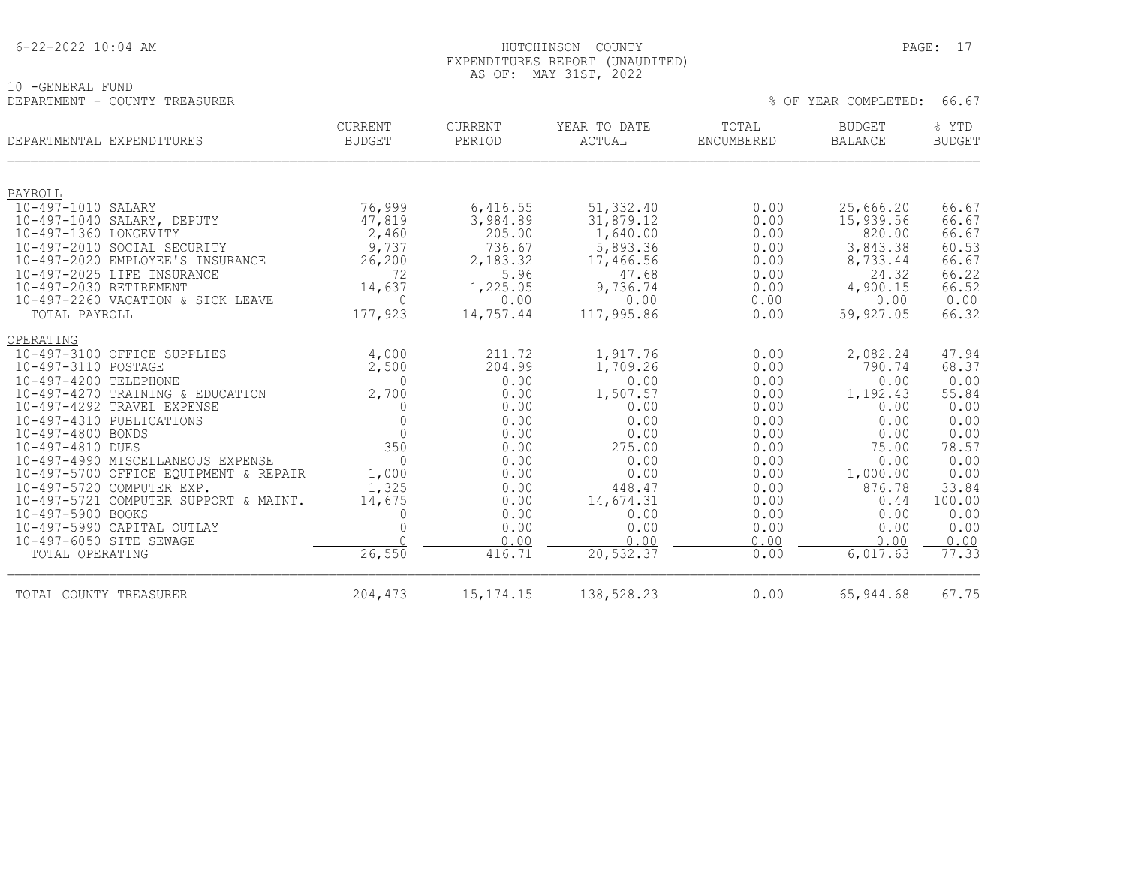|  | 6-22-2022 10:04 AM |  |
|--|--------------------|--|
|  |                    |  |

#### HUTCHINSON COUNTY PAGE: 17 EXPENDITURES REPORT (UNAUDITED) AS OF: MAY 31ST, 2022

| DEPARTMENT - COUNTY TREASURER                                              |                                 |                      |                               | 66.67<br>% OF YEAR COMPLETED: |                                 |                        |  |
|----------------------------------------------------------------------------|---------------------------------|----------------------|-------------------------------|-------------------------------|---------------------------------|------------------------|--|
| DEPARTMENTAL EXPENDITURES                                                  | <b>CURRENT</b><br><b>BUDGET</b> | CURRENT<br>PERIOD    | YEAR TO DATE<br><b>ACTUAL</b> | TOTAL<br><b>ENCUMBERED</b>    | <b>BUDGET</b><br><b>BALANCE</b> | % YTD<br><b>BUDGET</b> |  |
|                                                                            |                                 |                      |                               |                               |                                 |                        |  |
| PAYROLL<br>10-497-1010 SALARY                                              |                                 |                      |                               |                               |                                 | 66.67                  |  |
| 10-497-1040 SALARY, DEPUTY                                                 | 76,999<br>47,819                | 6,416.55<br>3,984.89 | 51,332.40<br>31,879.12        | 0.00<br>0.00                  | 25,666.20<br>15,939.56          | 66.67                  |  |
| 10-497-1360 LONGEVITY                                                      | 2,460                           | 205.00               | 1,640.00                      | 0.00                          | 820.00                          | 66.67                  |  |
| 10-497-2010 SOCIAL SECURITY                                                | 9,737                           | 736.67               | 5,893.36                      | 0.00                          | 3,843.38                        | 60.53                  |  |
| 10-497-2020 EMPLOYEE'S INSURANCE                                           | 26,200                          | 2,183.32             | 17,466.56                     | 0.00                          | 8,733.44                        | 66.67                  |  |
| 10-497-2025 LIFE INSURANCE                                                 | 72                              | 5.96                 | 47.68                         | 0.00                          | 24.32                           | 66.22                  |  |
| 10-497-2030 RETIREMENT                                                     | 14,637                          | 1,225.05             | 9,736.74                      | 0.00                          | 4,900.15                        | 66.52                  |  |
| 10-497-2260 VACATION & SICK LEAVE                                          | $\Omega$                        | 0.00                 | 0.00                          | 0.00                          | 0.00                            | 0.00                   |  |
| TOTAL PAYROLL                                                              | 177,923                         | 14,757.44            | 117,995.86                    | 0.00                          | 59,927.05                       | 66.32                  |  |
| OPERATING                                                                  |                                 |                      |                               |                               |                                 |                        |  |
| 10-497-3100 OFFICE SUPPLIES                                                | 4,000                           | 211.72               | 1,917.76                      | 0.00                          | 2,082.24                        | 47.94                  |  |
| 10-497-3110 POSTAGE                                                        | 2,500                           | 204.99               | 1,709.26                      | 0.00                          | 790.74                          | 68.37                  |  |
| 10-497-4200 TELEPHONE                                                      | $\Omega$                        | 0.00                 | 0.00                          | 0.00                          | 0.00                            | 0.00                   |  |
| 10-497-4270 TRAINING & EDUCATION                                           | 2,700                           | 0.00                 | 1,507.57                      | 0.00                          | 1,192.43                        | 55.84                  |  |
| 10-497-4292 TRAVEL EXPENSE                                                 |                                 | 0.00                 | 0.00                          | 0.00                          | 0.00                            | 0.00                   |  |
| 10-497-4310 PUBLICATIONS                                                   |                                 | 0.00                 | 0.00                          | 0.00                          | 0.00                            | 0.00                   |  |
| 10-497-4800 BONDS                                                          | $\Omega$<br>350                 | 0.00                 | 0.00                          | 0.00                          | 0.00                            | 0.00                   |  |
| 10-497-4810 DUES                                                           | $\Omega$                        | 0.00<br>0.00         | 275.00<br>0.00                | 0.00<br>0.00                  | 75.00<br>0.00                   | 78.57<br>0.00          |  |
| 10-497-4990 MISCELLANEOUS EXPENSE<br>10-497-5700 OFFICE EQUIPMENT & REPAIR | 1,000                           | 0.00                 | 0.00                          | 0.00                          | 1,000.00                        | 0.00                   |  |
| 10-497-5720 COMPUTER EXP.                                                  | 1,325                           | 0.00                 | 448.47                        | 0.00                          | 876.78                          | 33.84                  |  |
| 10-497-5721 COMPUTER SUPPORT & MAINT.                                      | 14,675                          | 0.00                 | 14,674.31                     | 0.00                          | 0.44                            | 100.00                 |  |
| 10-497-5900 BOOKS                                                          |                                 | 0.00                 | 0.00                          | 0.00                          | 0.00                            | 0.00                   |  |
| 10-497-5990 CAPITAL OUTLAY                                                 |                                 | 0.00                 | 0.00                          | 0.00                          | 0.00                            | 0.00                   |  |
| 10-497-6050 SITE SEWAGE                                                    |                                 | 0.00                 | 0.00                          | 0.00                          | 0.00                            | 0.00                   |  |
| TOTAL OPERATING                                                            | 26,550                          | 416.71               | 20,532.37                     | 0.00                          | $6,017.\overline{63}$           | 77.33                  |  |

TOTAL COUNTY TREASURER 204,473 15,174.15 138,528.23 0.00 65,944.68 67.75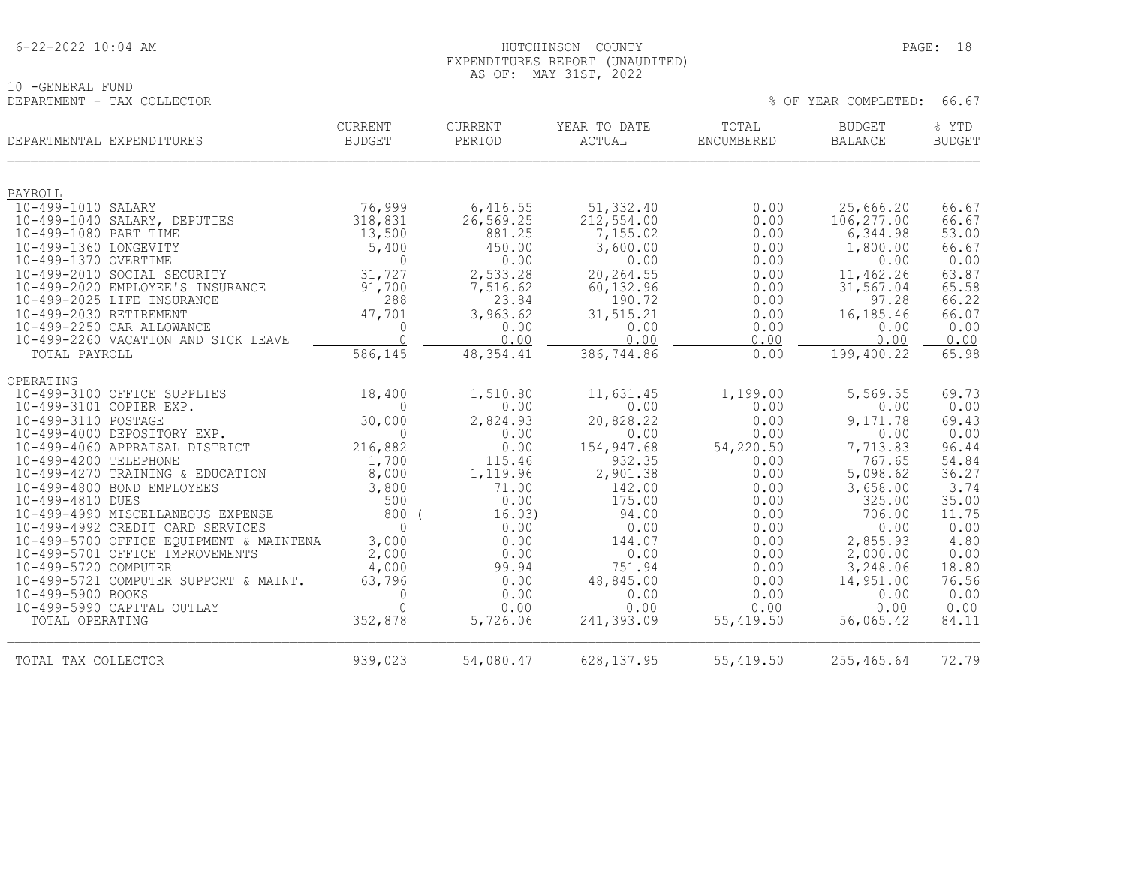| $6 - 22 - 2022$ 10:04 AM |
|--------------------------|
|--------------------------|

#### 6-22-2022 10:04 AM HUTCHINSON COUNTY PAGE: 18 EXPENDITURES REPORT (UNAUDITED) AS OF: MAY 31ST, 2022

% OF YEAR COMPLETED: 66.67

10 -GENERAL FUND<br>DEPARTMENT - TAX COLLECTOR

| DEPARTMENTAL EXPENDITURES                                      | <b>CURRENT</b><br><b>BUDGET</b> | CURRENT<br>PERIOD     | YEAR TO DATE<br>ACTUAL | TOTAL<br><b>ENCUMBERED</b> | <b>BUDGET</b><br><b>BALANCE</b> | % YTD<br><b>BUDGET</b> |
|----------------------------------------------------------------|---------------------------------|-----------------------|------------------------|----------------------------|---------------------------------|------------------------|
|                                                                |                                 |                       |                        |                            |                                 |                        |
| PAYROLL<br>10-499-1010 SALARY                                  | 76,999                          | 6,416.55              | 51,332.40              | 0.00                       | 25,666.20                       | 66.67                  |
| 10-499-1040 SALARY, DEPUTIES                                   | 318,831                         | 26,569.25             | 212,554.00             | 0.00                       | 106,277.00                      | 66.67                  |
| 10-499-1080 PART TIME                                          | 13,500                          | 881.25                | 7,155.02               | 0.00                       | 6,344.98                        | 53.00                  |
| 10-499-1360 LONGEVITY                                          | 5,400                           | 450.00                | 3,600.00               | 0.00                       | 1,800.00                        | 66.67                  |
| 10-499-1370 OVERTIME                                           | $\Omega$                        | 0.00                  | 0.00                   | 0.00                       | 0.00                            | 0.00                   |
| 10-499-2010 SOCIAL SECURITY                                    | 31,727                          | 2,533.28              | 20,264.55              | 0.00                       | 11,462.26                       | 63.87                  |
| 10-499-2020 EMPLOYEE'S INSURANCE<br>10-499-2025 LIFE INSURANCE | 91,700<br>288                   | 7,516.62<br>23.84     | 60,132.96<br>190.72    | 0.00<br>0.00               | 31,567.04<br>97.28              | 65.58<br>66.22         |
| 10-499-2030 RETIREMENT                                         | 47,701                          | 3,963.62              | 31,515.21              | 0.00                       | 16, 185. 46                     | 66.07                  |
| 10-499-2250 CAR ALLOWANCE                                      | 0                               | 0.00                  | 0.00                   | 0.00                       | 0.00                            | 0.00                   |
| 10-499-2260 VACATION AND SICK LEAVE                            | $\cap$                          | 0.00                  | 0.00                   | 0.00                       | 0.00                            | 0.00                   |
| TOTAL PAYROLL                                                  | 586,145                         | 48, 354.41            | 386,744.86             | 0.00                       | 199,400.22                      | 65.98                  |
| OPERATING                                                      |                                 |                       |                        |                            |                                 |                        |
| 10-499-3100 OFFICE SUPPLIES                                    | 18,400                          | 1,510.80              | 11,631.45              | 1,199.00                   | 5,569.55                        | 69.73                  |
| 10-499-3101 COPIER EXP.                                        | $\Omega$                        | 0.00                  | 0.00                   | 0.00                       | 0.00                            | 0.00                   |
| 10-499-3110 POSTAGE                                            | 30,000                          | 2,824.93              | 20,828.22              | 0.00                       | 9,171.78                        | 69.43                  |
| 10-499-4000 DEPOSITORY EXP.                                    | $\Omega$                        | 0.00                  | 0.00                   | 0.00                       | 0.00                            | 0.00                   |
| 10-499-4060 APPRAISAL DISTRICT<br>10-499-4200 TELEPHONE        | 216,882<br>1,700                | 0.00<br>115.46        | 154,947.68<br>932.35   | 54,220.50                  | 7,713.83<br>767.65              | 96.44                  |
| 10-499-4270 TRAINING & EDUCATION                               | 8,000                           | 1,119.96              | 2,901.38               | 0.00<br>0.00               | 5,098.62                        | 54.84<br>36.27         |
| 10-499-4800 BOND EMPLOYEES                                     | 3,800                           | 71.00                 | 142.00                 | 0.00                       | 3,658.00                        | 3.74                   |
| 10-499-4810 DUES                                               | 500                             | 0.00                  | 175.00                 | 0.00                       | 325.00                          | 35.00                  |
| 10-499-4990 MISCELLANEOUS EXPENSE                              | 800 (                           | 16.03)                | 94.00                  | 0.00                       | 706.00                          | 11.75                  |
| 10-499-4992 CREDIT CARD SERVICES                               | $\bigcap$                       | 0.00                  | 0.00                   | 0.00                       | 0.00                            | 0.00                   |
| 10-499-5700 OFFICE EQUIPMENT & MAINTENA                        | 3,000                           | 0.00                  | 144.07                 | 0.00                       | 2,855.93                        | 4.80                   |
| 10-499-5701 OFFICE IMPROVEMENTS                                | 2,000                           | 0.00                  | 0.00                   | 0.00                       | 2,000.00                        | 0.00                   |
| 10-499-5720 COMPUTER                                           | 4,000                           | 99.94                 | 751.94                 | 0.00                       | 3,248.06                        | 18.80                  |
| 10-499-5721 COMPUTER SUPPORT & MAINT.<br>10-499-5900 BOOKS     | 63,796                          | 0.00<br>0.00          | 48,845.00<br>0.00      | 0.00<br>0.00               | 14,951.00<br>0.00               | 76.56<br>0.00          |
| 10-499-5990 CAPITAL OUTLAY                                     | 0<br>$\cap$                     | 0.00                  | 0.00                   | 0.00                       | 0.00                            | 0.00                   |
| TOTAL OPERATING                                                | 352,878                         | $\overline{5,726.06}$ | 241,393.09             | 55,419.50                  | 56,065.42                       | 84.11                  |
| TOTAL TAX COLLECTOR                                            | 939,023                         | 54,080.47             | 628, 137.95            | 55,419.50                  | 255, 465.64                     | 72.79                  |
|                                                                |                                 |                       |                        |                            |                                 |                        |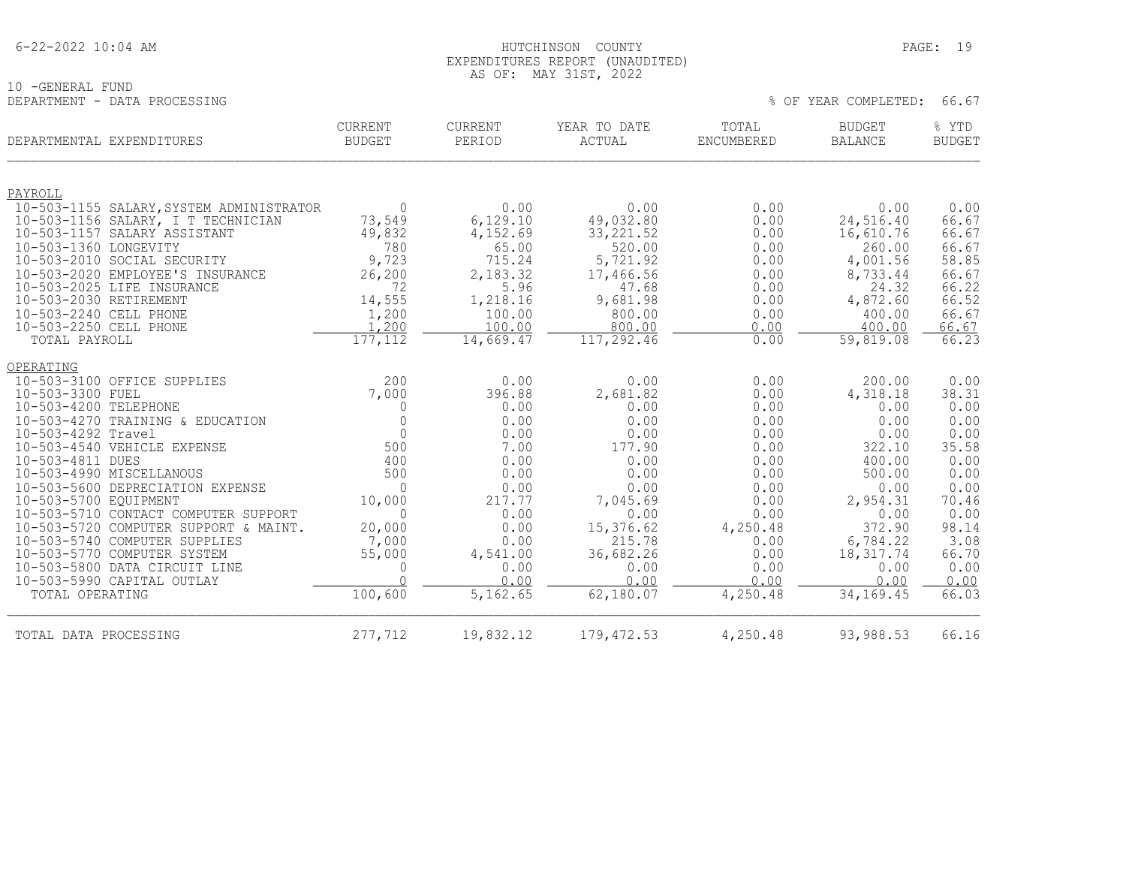|  | $6 - 22 - 2022$ 10:04 AM |  |
|--|--------------------------|--|
|  |                          |  |

10 -GENERAL FUND<br>DEPARTMENT - DATA PROCESSING

#### HUTCHINSON COUNTY PAGE: 19 EXPENDITURES REPORT (UNAUDITED) AS OF: MAY 31ST, 2022

| DEPARTMENTAL EXPENDITURES |                                                                | <b>CURRENT</b><br><b>BUDGET</b> | CURRENT<br>PERIOD | YEAR TO DATE<br><b>ACTUAL</b> | TOTAL<br>ENCUMBERED | BUDGET<br><b>BALANCE</b> | % YTD<br><b>BUDGET</b> |
|---------------------------|----------------------------------------------------------------|---------------------------------|-------------------|-------------------------------|---------------------|--------------------------|------------------------|
| PAYROLL                   |                                                                |                                 |                   |                               |                     |                          |                        |
|                           | 10-503-1155 SALARY, SYSTEM ADMINISTRATOR                       | $\Omega$                        | 0.00              | 0.00                          | 0.00                | 0.00                     | 0.00                   |
|                           | 10-503-1156 SALARY, I T TECHNICIAN                             | 73,549                          | 6,129.10          | 49,032.80                     | 0.00                | 24,516.40                | 66.67                  |
|                           | 10-503-1157 SALARY ASSISTANT                                   | 49,832                          | 4,152.69          | 33, 221.52                    | 0.00                | 16,610.76                | 66.67                  |
| 10-503-1360 LONGEVITY     |                                                                | 780                             | 65.00             | 520.00                        | 0.00                | 260.00                   | 66.67                  |
|                           | 10-503-2010 SOCIAL SECURITY                                    | 9,723                           | 715.24            | 5,721.92                      | 0.00                | 4,001.56                 | 58.85                  |
|                           | 10-503-2020 EMPLOYEE'S INSURANCE<br>10-503-2025 LIFE INSURANCE | 26,200<br>72                    | 2,183.32          | 17,466.56<br>47.68            | 0.00<br>0.00        | 8,733.44<br>24.32        | 66.67                  |
| 10-503-2030 RETIREMENT    |                                                                | 14,555                          | 5.96<br>1,218.16  | 9,681.98                      | 0.00                | 4,872.60                 | 66.22<br>66.52         |
| 10-503-2240 CELL PHONE    |                                                                | 1,200                           | 100.00            | 800.00                        | 0.00                | 400.00                   | 66.67                  |
| 10-503-2250 CELL PHONE    |                                                                | 1,200                           | 100.00            | 800.00                        | 0.00                | 400.00                   | 66.67                  |
| TOTAL PAYROLL             |                                                                | 177, 112                        | 14,669.47         | 117,292.46                    | 0.00                | 59,819.08                | 66.23                  |
| <b>OPERATING</b>          |                                                                |                                 |                   |                               |                     |                          |                        |
|                           | 10-503-3100 OFFICE SUPPLIES                                    | 200                             | 0.00              | 0.00                          | 0.00                | 200.00                   | 0.00                   |
| 10-503-3300 FUEL          |                                                                | 7,000                           | 396.88            | 2,681.82                      | 0.00                | 4,318.18                 | 38.31                  |
| 10-503-4200 TELEPHONE     |                                                                | 0                               | 0.00              | 0.00                          | 0.00                | 0.00                     | 0.00                   |
|                           | 10-503-4270 TRAINING & EDUCATION                               | $\Omega$                        | 0.00              | 0.00                          | 0.00                | 0.00                     | 0.00                   |
| 10-503-4292 Travel        |                                                                | $\Omega$                        | 0.00              | 0.00                          | 0.00                | 0.00                     | 0.00                   |
|                           | 10-503-4540 VEHICLE EXPENSE                                    | 500                             | 7.00              | 177.90                        | 0.00                | 322.10                   | 35.58                  |
| 10-503-4811 DUES          |                                                                | 400                             | 0.00              | 0.00                          | 0.00                | 400.00                   | 0.00                   |
|                           | 10-503-4990 MISCELLANOUS                                       | 500                             | 0.00              | 0.00                          | 0.00                | 500.00                   | 0.00                   |
|                           | 10-503-5600 DEPRECIATION EXPENSE                               | $\Omega$                        | 0.00              | 0.00                          | 0.00                | 0.00                     | 0.00                   |
| 10-503-5700 EQUIPMENT     | 10-503-5710 CONTACT COMPUTER SUPPORT                           | 10,000<br>$\Omega$              | 217.77<br>0.00    | 7,045.69<br>0.00              | 0.00<br>0.00        | 2,954.31<br>0.00         | 70.46<br>0.00          |
|                           | 10-503-5720 COMPUTER SUPPORT & MAINT.                          | 20,000                          | 0.00              | 15,376.62                     | 4,250.48            | 372.90                   | 98.14                  |
|                           | 10-503-5740 COMPUTER SUPPLIES                                  | 7,000                           | 0.00              | 215.78                        | 0.00                | 6,784.22                 | 3.08                   |
|                           | 10-503-5770 COMPUTER SYSTEM                                    | 55,000                          | 4,541.00          | 36,682.26                     | 0.00                | 18,317.74                | 66.70                  |
|                           | 10-503-5800 DATA CIRCUIT LINE                                  | $\mathbf{0}$                    | 0.00              | 0.00                          | 0.00                | 0.00                     | 0.00                   |
|                           | 10-503-5990 CAPITAL OUTLAY                                     | $\bigcap$                       | 0.00              | 0.00                          | 0.00                | 0.00                     | 0.00                   |
| TOTAL OPERATING           |                                                                | 100,600                         | 5,162.65          | 62,180.07                     | 4,250.48            | 34,169.45                | 66.03                  |
| TOTAL DATA PROCESSING     |                                                                | 277,712                         | 19,832.12         | 179, 472.53                   | 4,250.48            | 93,988.53                | 66.16                  |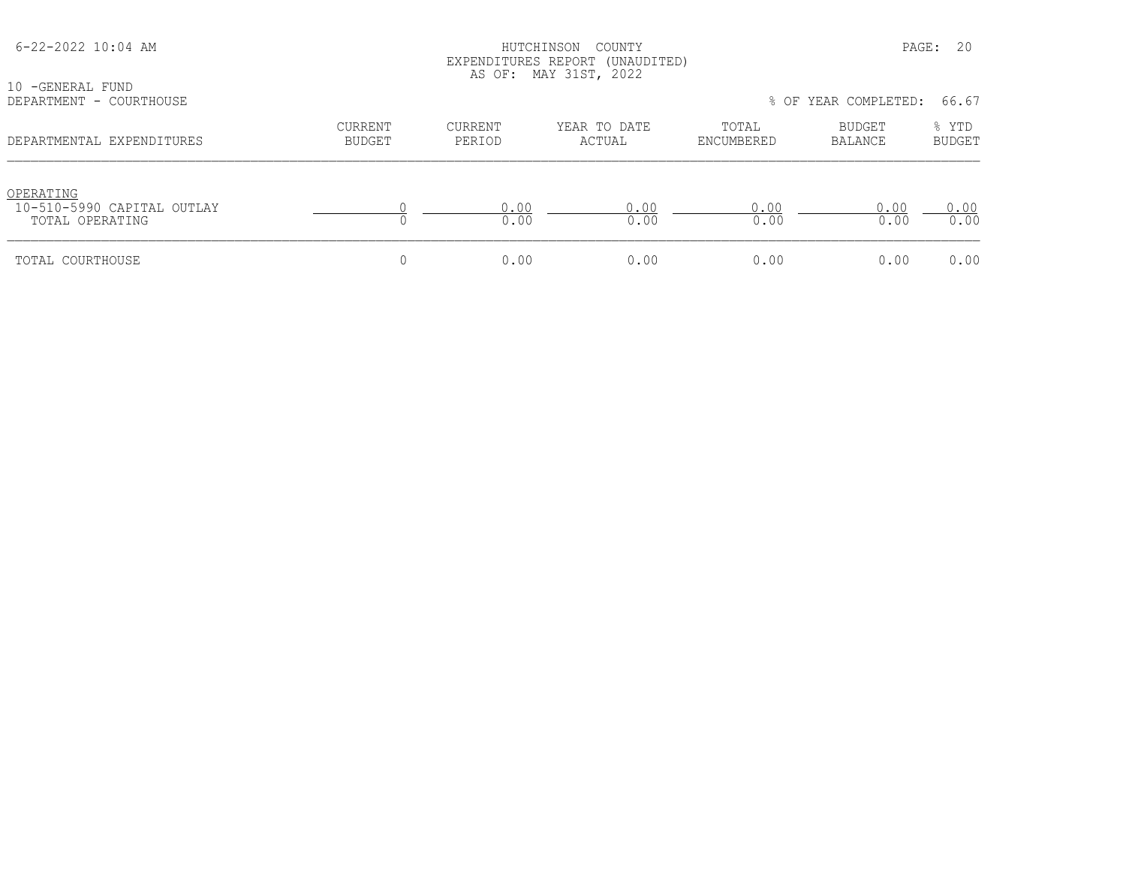| 6-22-2022 10:04 AM<br>10 -GENERAL FUND<br>DEPARTMENT - COURTHOUSE |                                 | COUNTY<br>HUTCHINSON<br>EXPENDITURES REPORT (UNAUDITED)<br>AS OF: MAY 31ST, 2022<br>% OF YEAR COMPLETED: |                        |                     |                          |                                 |
|-------------------------------------------------------------------|---------------------------------|----------------------------------------------------------------------------------------------------------|------------------------|---------------------|--------------------------|---------------------------------|
| DEPARTMENTAL EXPENDITURES                                         | <b>CURRENT</b><br><b>BUDGET</b> | <b>CURRENT</b><br>PERIOD                                                                                 | YEAR TO DATE<br>ACTUAL | TOTAL<br>ENCUMBERED | <b>BUDGET</b><br>BALANCE | 66.67<br>% YTD<br><b>BUDGET</b> |
| OPERATING<br>10-510-5990 CAPITAL OUTLAY<br>TOTAL OPERATING        |                                 | 0.00<br>0.00                                                                                             | 0.00<br>0.00           | 0.00<br>0.00        | 0.00<br>0.00             | 0.00<br>0.00                    |
| TOTAL COURTHOUSE                                                  | 0                               | 0.00                                                                                                     | 0.00                   | 0.00                | 0.00                     | 0.00                            |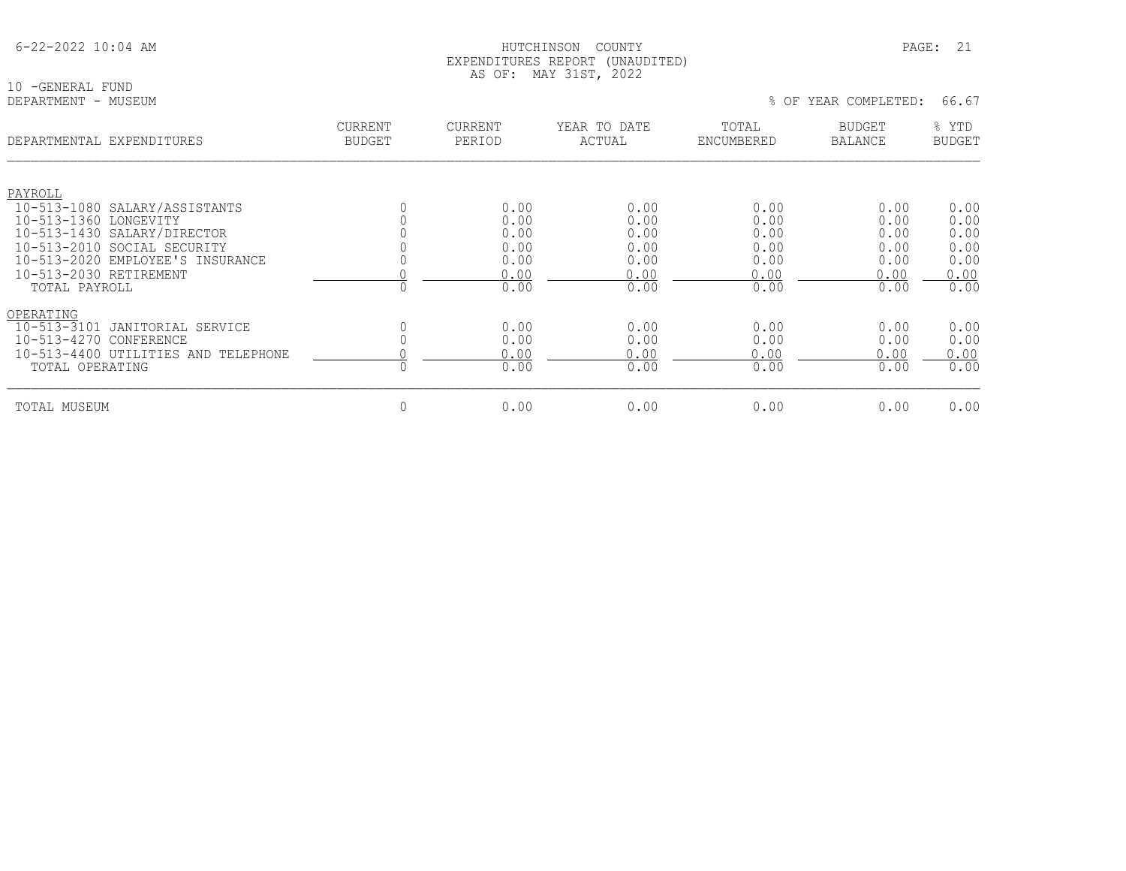|  | $6 - 22 - 2022$ 10:04 AM |  |
|--|--------------------------|--|
|  |                          |  |

10 -GENERAL FUND<br>DEPARTMENT - MUSEUM

| DEPARTMENTAL EXPENDITURES                    | CURRENT<br><b>BUDGET</b> | <b>CURRENT</b><br>PERIOD | YEAR TO DATE<br>ACTUAL | TOTAL<br>ENCUMBERED | <b>BUDGET</b><br><b>BALANCE</b> | % YTD<br><b>BUDGET</b> |
|----------------------------------------------|--------------------------|--------------------------|------------------------|---------------------|---------------------------------|------------------------|
|                                              |                          |                          |                        |                     |                                 |                        |
| PAYROLL                                      |                          |                          |                        |                     |                                 |                        |
| 10-513-1080 SALARY/ASSISTANTS                |                          | 0.00                     | 0.00                   | 0.00                | 0.00                            | 0.00                   |
| $10 - 513 - 1360$<br>LONGEVITY               |                          | 0.00                     | 0.00                   | 0.00                | 0.00                            | 0.00                   |
| 10-513-1430 SALARY/DIRECTOR                  |                          | 0.00                     | 0.00                   | 0.00                | 0.00                            | 0.00                   |
| 10-513-2010 SOCIAL SECURITY                  |                          | 0.00                     | 0.00                   | 0.00                | 0.00                            | 0.00                   |
| 10-513-2020 EMPLOYEE'S INSURANCE             |                          | 0.00                     | 0.00                   | 0.00                | 0.00                            | 0.00                   |
| 10-513-2030 RETIREMENT                       |                          | 0.00                     | 0.00                   | 0.00                | 0.00                            | 0.00                   |
| TOTAL PAYROLL                                |                          | 0.00                     | 0.00                   | 0.00                | 0.00                            | 0.00                   |
| OPERATING                                    |                          |                          |                        |                     |                                 |                        |
| $10 - 513 - 3101$<br>JANITORIAL SERVICE      |                          | 0.00                     | 0.00                   | 0.00                | 0.00                            | 0.00                   |
| $10 - 513 - 4270$<br>CONFERENCE              |                          | 0.00                     | 0.00                   | 0.00                | 0.00                            | 0.00                   |
| $10 - 513 - 4400$<br>UTILITIES AND TELEPHONE |                          | 0.00                     | 0.00                   | 0.00                | 0.00                            | 0.00                   |
| TOTAL OPERATING                              |                          | 0.00                     | 0.00                   | 0.00                | 0.00                            | 0.00                   |
| TOTAL MUSEUM                                 | $\mathbf{0}$             | 0.00                     | 0.00                   | 0.00                | 0.00                            | 0.00                   |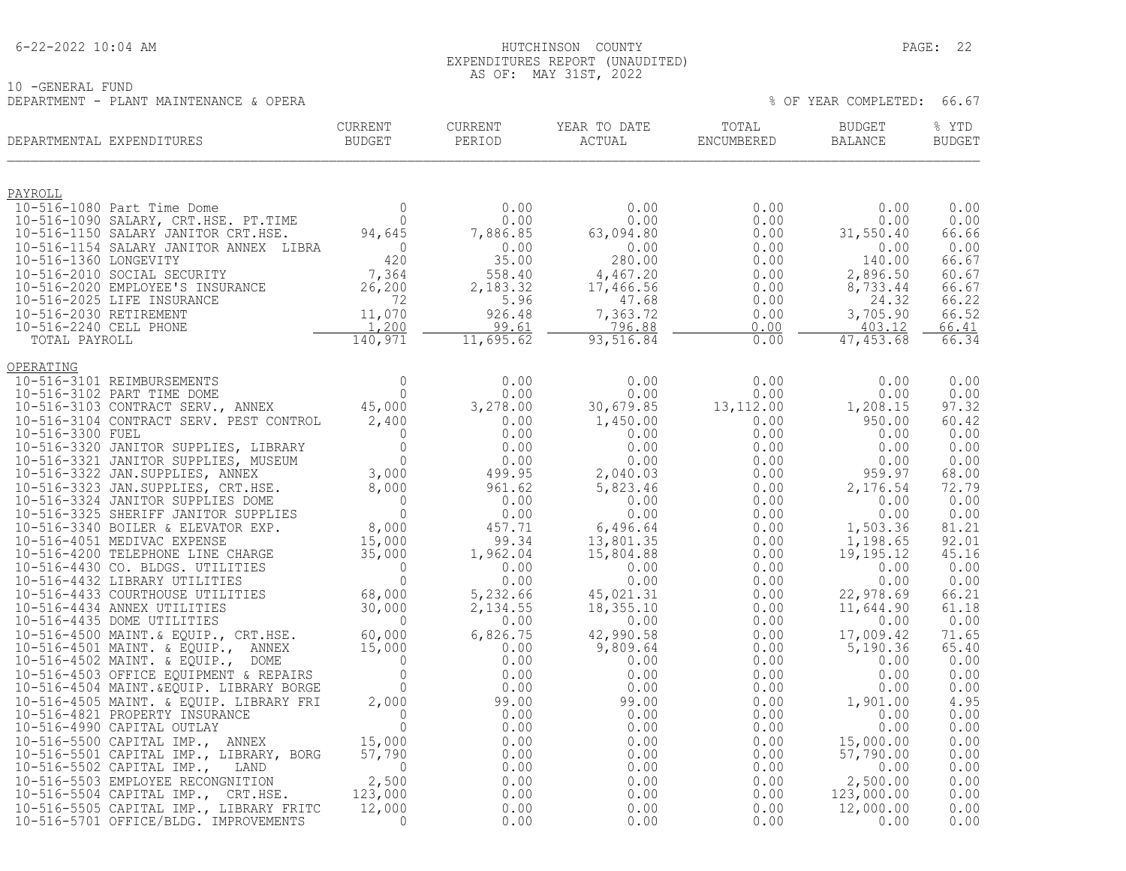#### 6-22-2022 10:04 AM HUTCHINSON COUNTY PAGE: 22 EXPENDITURES REPORT (UNAUDITED) AS OF: MAY 31ST, 2022

10 -GENERAL FUND DEPARTMENT - PLANT MAINTENANCE & OPERA  $\,$  8 OF YEAR COMPLETED: 66.67

| CURRENT<br>BUDGET<br>DEPARTMENTAL EXPENDITURES | CURRENT   | CURRENT<br>PERIOD | YEAR TO DATE<br><b>ACTUAL</b>                                                                                                                                                                                                                                                   | TOTAL<br>ENCUMBERED                                                                                                                                                                         | BUDGET<br>BALANCE                                        | % YTD<br><b>BUDGET</b> |
|------------------------------------------------|-----------|-------------------|---------------------------------------------------------------------------------------------------------------------------------------------------------------------------------------------------------------------------------------------------------------------------------|---------------------------------------------------------------------------------------------------------------------------------------------------------------------------------------------|----------------------------------------------------------|------------------------|
|                                                |           |                   |                                                                                                                                                                                                                                                                                 |                                                                                                                                                                                             |                                                          |                        |
|                                                |           |                   |                                                                                                                                                                                                                                                                                 | 0.00                                                                                                                                                                                        | 0.00                                                     | 0.00                   |
|                                                |           |                   |                                                                                                                                                                                                                                                                                 | 0.00<br>$0.00$<br>$0.00$                                                                                                                                                                    | 0.00<br>31,550.40                                        | 0.00<br>66.66          |
|                                                |           |                   |                                                                                                                                                                                                                                                                                 | $\begin{array}{cccc} 0.00 & 0.00 & 0.00 \\ 280.00 & 0.00 & 0.00 \\ 4,467.20 & 0.00 \\ 17,466.56 & 0.00 \\ 47.68 & 0.00 \\ 7,363.72 & 0.00 \\ \hline 22,516.88 & 0.00 \\ \hline \end{array}$ |                                                          | 0.00                   |
|                                                |           |                   |                                                                                                                                                                                                                                                                                 |                                                                                                                                                                                             | $0.00$<br>140.00                                         | 66.67                  |
|                                                |           |                   |                                                                                                                                                                                                                                                                                 |                                                                                                                                                                                             | 2,896.50                                                 | 60.67                  |
|                                                |           |                   |                                                                                                                                                                                                                                                                                 |                                                                                                                                                                                             | 8,733.44<br>24.32                                        | 66.67<br>66.22         |
|                                                |           |                   |                                                                                                                                                                                                                                                                                 |                                                                                                                                                                                             | 3,705.90                                                 | 66.52                  |
|                                                |           |                   |                                                                                                                                                                                                                                                                                 |                                                                                                                                                                                             | 403.12                                                   | 66.41                  |
|                                                |           |                   |                                                                                                                                                                                                                                                                                 | 0.00                                                                                                                                                                                        | 47,453.68                                                | 66.34                  |
|                                                |           |                   |                                                                                                                                                                                                                                                                                 |                                                                                                                                                                                             |                                                          |                        |
|                                                |           |                   | $\begin{array}{cccc} 0.00 & 0.00 & 0.00 & 0.00 \\ 0.00 & 0.00 & 0.00 & 0.00 \\ 30,679.85 & 13,112.00 & 1,208.15 \\ 1,450.00 & 0.00 & 0.00 & 0.00 \\ 0.00 & 0.00 & 0.00 & 0.00 \\ 0.00 & 0.00 & 0.00 & 0.00 \\ 2,040.03 & 0.00 & 0.00 & 0.00 \\ 5,823.46 & 0.00 & 0.00 & 2,176.$ |                                                                                                                                                                                             |                                                          | 0.00                   |
|                                                |           |                   |                                                                                                                                                                                                                                                                                 |                                                                                                                                                                                             |                                                          | 0.00                   |
|                                                |           |                   |                                                                                                                                                                                                                                                                                 |                                                                                                                                                                                             |                                                          | 97.32<br>60.42         |
|                                                |           |                   |                                                                                                                                                                                                                                                                                 |                                                                                                                                                                                             |                                                          | 0.00                   |
|                                                |           |                   |                                                                                                                                                                                                                                                                                 |                                                                                                                                                                                             |                                                          | 0.00                   |
|                                                |           |                   |                                                                                                                                                                                                                                                                                 |                                                                                                                                                                                             |                                                          | 0.00                   |
|                                                |           |                   |                                                                                                                                                                                                                                                                                 |                                                                                                                                                                                             |                                                          | 68.00<br>72.79         |
|                                                |           |                   |                                                                                                                                                                                                                                                                                 |                                                                                                                                                                                             |                                                          | 0.00                   |
|                                                |           |                   |                                                                                                                                                                                                                                                                                 |                                                                                                                                                                                             |                                                          | 0.00                   |
|                                                |           |                   |                                                                                                                                                                                                                                                                                 |                                                                                                                                                                                             |                                                          | 81.21                  |
|                                                |           |                   |                                                                                                                                                                                                                                                                                 |                                                                                                                                                                                             |                                                          | 92.01<br>45.16         |
|                                                |           |                   |                                                                                                                                                                                                                                                                                 |                                                                                                                                                                                             |                                                          | 0.00                   |
|                                                |           |                   |                                                                                                                                                                                                                                                                                 |                                                                                                                                                                                             |                                                          | 0.00                   |
|                                                |           |                   |                                                                                                                                                                                                                                                                                 |                                                                                                                                                                                             |                                                          | 66.21                  |
|                                                |           |                   |                                                                                                                                                                                                                                                                                 |                                                                                                                                                                                             |                                                          | 61.18<br>0.00          |
|                                                |           |                   |                                                                                                                                                                                                                                                                                 |                                                                                                                                                                                             |                                                          | 71.65                  |
|                                                |           |                   |                                                                                                                                                                                                                                                                                 |                                                                                                                                                                                             |                                                          | 65.40                  |
|                                                |           |                   |                                                                                                                                                                                                                                                                                 |                                                                                                                                                                                             |                                                          | 0.00                   |
|                                                |           |                   |                                                                                                                                                                                                                                                                                 |                                                                                                                                                                                             |                                                          | 0.00<br>0.00           |
|                                                |           |                   |                                                                                                                                                                                                                                                                                 | $0.00$<br>0.00<br>0.00<br>0.00                                                                                                                                                              | $\begin{smallmatrix} &0.00\ 0.00\ 0.00\end{smallmatrix}$ | 4.95                   |
|                                                |           |                   |                                                                                                                                                                                                                                                                                 |                                                                                                                                                                                             | 0.00                                                     | 0.00                   |
|                                                |           |                   |                                                                                                                                                                                                                                                                                 | $0.00$<br>0.00<br>0.00                                                                                                                                                                      | 0.00                                                     | 0.00                   |
|                                                |           |                   |                                                                                                                                                                                                                                                                                 |                                                                                                                                                                                             | 15,000.00<br>57,790.00                                   | 0.00                   |
|                                                |           |                   |                                                                                                                                                                                                                                                                                 | $0.00$<br>0.00<br>0.00                                                                                                                                                                      | 0.00                                                     | 0.00<br>0.00           |
|                                                |           |                   |                                                                                                                                                                                                                                                                                 |                                                                                                                                                                                             |                                                          | 0.00                   |
|                                                |           |                   |                                                                                                                                                                                                                                                                                 | $0.00$<br>0.00                                                                                                                                                                              |                                                          | 0.00                   |
|                                                | $\bigcap$ |                   |                                                                                                                                                                                                                                                                                 | 0.00                                                                                                                                                                                        | $2,500.00$<br>123,000.00<br>12,000.00                    | 0.00                   |
| 10-516-5701 OFFICE/BLDG. IMPROVEMENTS          |           | 0.00              | 0.00                                                                                                                                                                                                                                                                            | 0.00                                                                                                                                                                                        | 0.00                                                     | 0.00                   |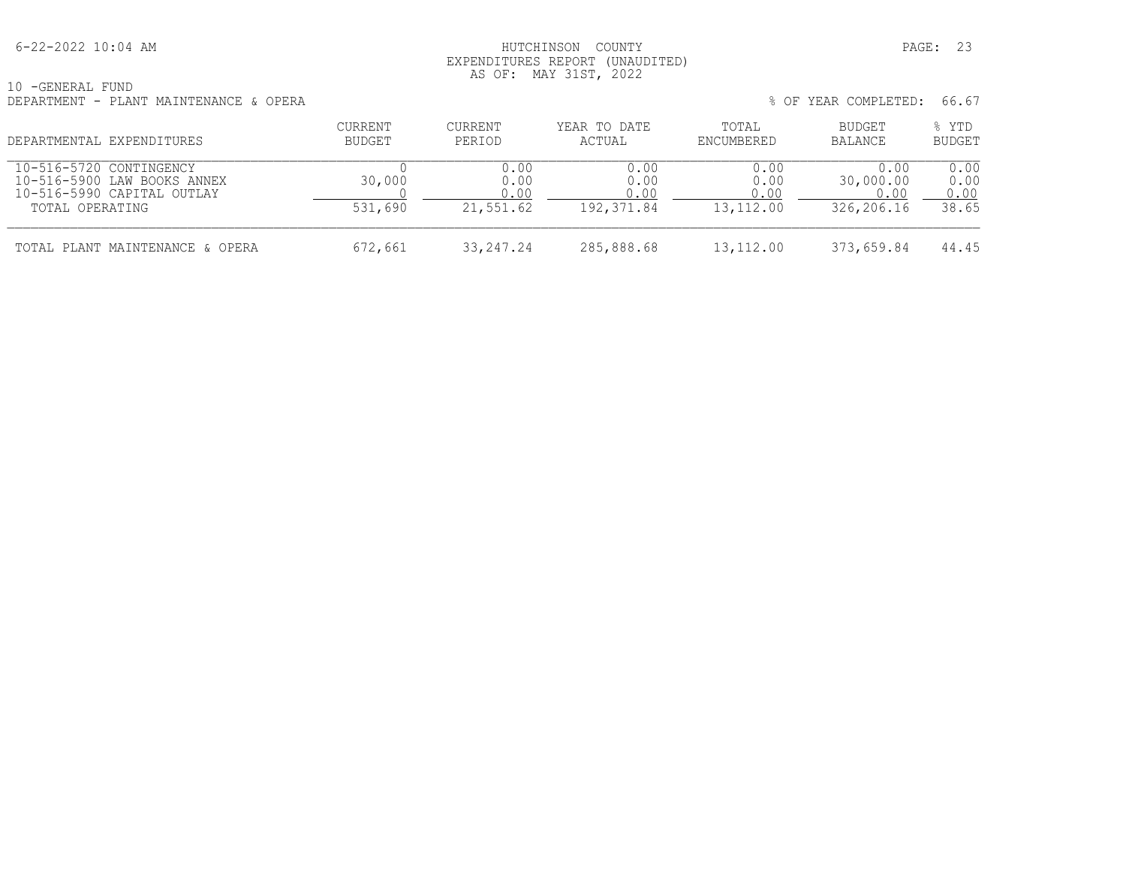#### 6-22-2022 10:04 AM HUTCHINSON COUNTY PAGE: 23 EXPENDITURES REPORT (UNAUDITED) AS OF: MAY 31ST, 2022

10 -GENERAL FUND DEPARTMENT - PLANT MAINTENANCE & OPERA

| DEPARTMENTAL EXPENDITURES                                                                               | CURRENT<br>BUDGET | <b>CURRENT</b><br>PERIOD  | YEAR TO DATE<br>ACTUAL              | TOTAL<br>ENCUMBERED               | BUDGET<br>BALANCE                       | % YTD<br><b>BUDGET</b>        |
|---------------------------------------------------------------------------------------------------------|-------------------|---------------------------|-------------------------------------|-----------------------------------|-----------------------------------------|-------------------------------|
| 10-516-5720 CONTINGENCY<br>10-516-5900 LAW BOOKS ANNEX<br>10-516-5990 CAPITAL OUTLAY<br>TOTAL OPERATING | 30,000<br>531,690 | 0.00<br>0.00<br>21,551.62 | 0.00<br>0.00<br>0.00<br>192, 371.84 | 0.00<br>0.00<br>0.00<br>13,112.00 | 0.00<br>30,000.00<br>0.00<br>326,206.16 | 0.00<br>0.00<br>0.00<br>38.65 |
| TOTAL PLANT MAINTENANCE & OPERA                                                                         | 672,661           | 33, 247, 24               | 285,888.68                          | 13,112.00                         | 373,659.84                              | 44.45                         |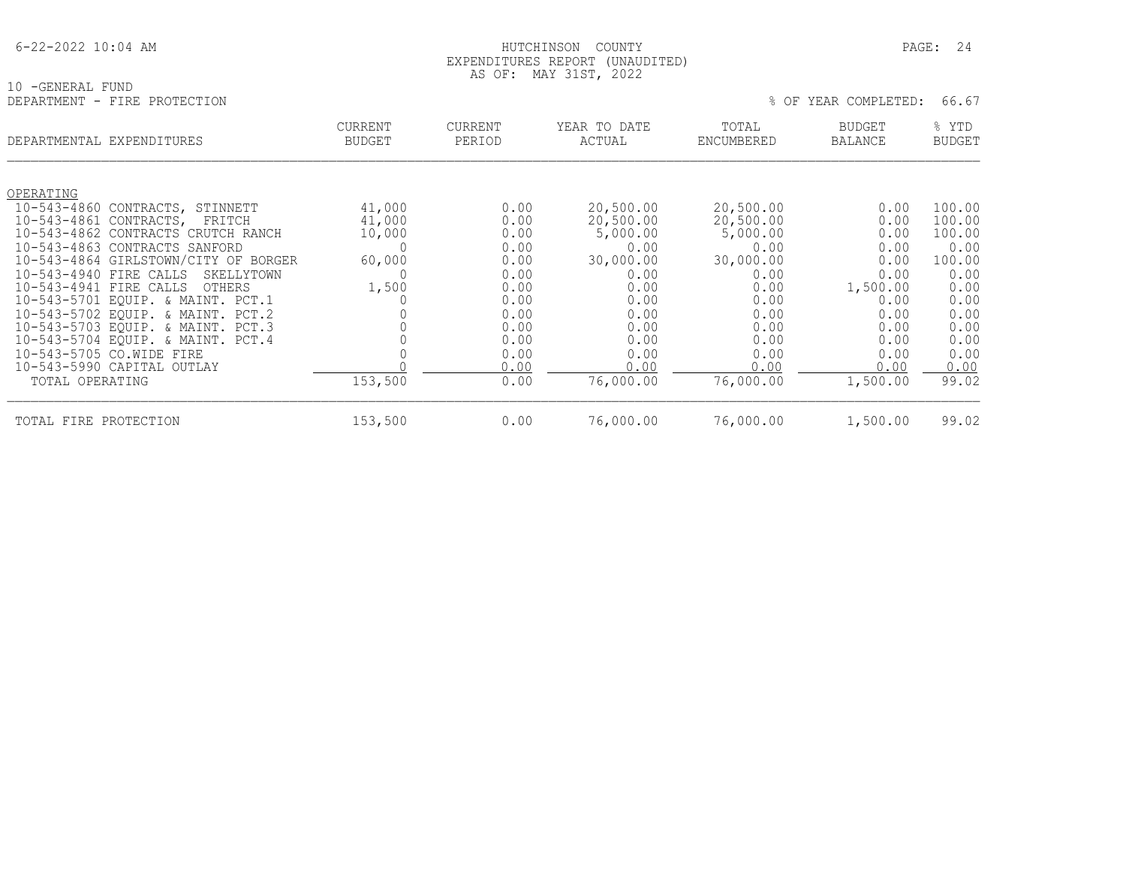#### HUTCHINSON COUNTY PAGE: 24 EXPENDITURES REPORT (UNAUDITED) AS OF: MAY 31ST, 2022

| 10 -GENERAL FUND<br>DEPARTMENT - FIRE PROTECTION | AU UI. FIAI JIUI, 2022          |                          |                        | 66.67<br>% OF YEAR COMPLETED: |                          |                        |  |
|--------------------------------------------------|---------------------------------|--------------------------|------------------------|-------------------------------|--------------------------|------------------------|--|
| DEPARTMENTAL EXPENDITURES                        | <b>CURRENT</b><br><b>BUDGET</b> | <b>CURRENT</b><br>PERIOD | YEAR TO DATE<br>ACTUAL | TOTAL<br>ENCUMBERED           | <b>BUDGET</b><br>BALANCE | % YTD<br><b>BUDGET</b> |  |
| OPERATING                                        |                                 |                          |                        |                               |                          |                        |  |
| 10-543-4860 CONTRACTS, STINNETT                  | 41,000                          | 0.00                     | 20,500.00              | 20,500.00                     | 0.00                     | 100.00                 |  |
| 10-543-4861 CONTRACTS, FRITCH                    | 41,000                          | 0.00                     | 20,500.00              | 20,500.00                     | 0.00                     | 100.00                 |  |
| 10-543-4862 CONTRACTS CRUTCH RANCH               | 10,000                          | 0.00                     | 5,000.00               | 5,000.00                      | 0.00                     | 100.00                 |  |
| 10-543-4863 CONTRACTS SANFORD                    |                                 | 0.00                     | 0.00                   | 0.00                          | 0.00                     | 0.00                   |  |
| 10-543-4864 GIRLSTOWN/CITY OF BORGER             | 60,000                          | 0.00                     | 30,000.00              | 30,000.00                     | 0.00                     | 100.00                 |  |
| 10-543-4940 FIRE CALLS<br>SKELLYTOWN             |                                 | 0.00                     | 0.00                   | 0.00                          | 0.00                     | 0.00                   |  |
| 10-543-4941 FIRE CALLS<br>OTHERS                 | 1,500                           | 0.00                     | 0.00                   | 0.00                          | 1,500.00                 | 0.00                   |  |
| 10-543-5701 EQUIP. & MAINT. PCT.1                |                                 | 0.00                     | 0.00                   | 0.00                          | 0.00                     | 0.00                   |  |
| 10-543-5702 EQUIP. & MAINT. PCT.2                |                                 | 0.00                     | 0.00                   | 0.00                          | 0.00                     | 0.00                   |  |
| 10-543-5703 EQUIP. & MAINT. PCT.3                |                                 | 0.00                     | 0.00                   | 0.00                          | 0.00                     | 0.00                   |  |
| 10-543-5704 EQUIP. & MAINT. PCT.4                |                                 | 0.00                     | 0.00                   | 0.00                          | 0.00                     | 0.00                   |  |
| 10-543-5705 CO.WIDE FIRE                         |                                 | 0.00                     | 0.00                   | 0.00                          | 0.00                     | 0.00                   |  |
| 10-543-5990 CAPITAL OUTLAY                       |                                 | 0.00                     | 0.00                   | 0.00                          | 0.00                     | 0.00                   |  |
| TOTAL OPERATING                                  | 153,500                         | 0.00                     | 76,000.00              | 76,000.00                     | 1,500.00                 | 99.02                  |  |

TOTAL FIRE PROTECTION 153,500 0.00 76,000.00 76,000.00 1,500.00 99.02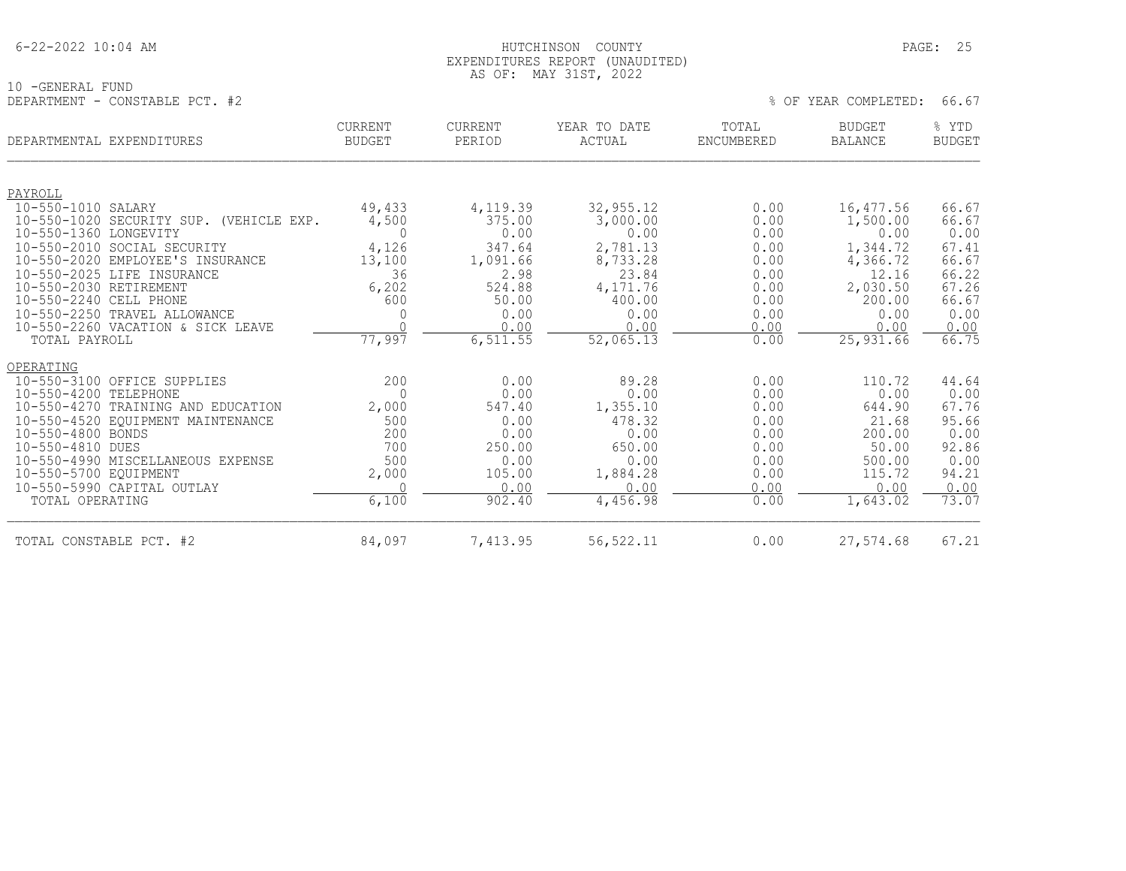|  | 6-22-2022 10:04 AM |  |
|--|--------------------|--|
|  |                    |  |

#### HUTCHINSON COUNTY PAGE: 25 EXPENDITURES REPORT (UNAUDITED) AS OF: MAY 31ST, 2022

10 -GENERAL FUND DEPARTMENT - CONSTABLE PCT. #2  $\%$  OF YEAR COMPLETED: 66.67

|                         | DEPARTMENTAL EXPENDITURES                                       | <b>CURRENT</b><br><b>BUDGET</b> | <b>CURRENT</b><br>PERIOD | YEAR TO DATE<br>ACTUAL | TOTAL<br><b>ENCUMBERED</b> | <b>BUDGET</b><br><b>BALANCE</b> | % YTD<br><b>BUDGET</b> |
|-------------------------|-----------------------------------------------------------------|---------------------------------|--------------------------|------------------------|----------------------------|---------------------------------|------------------------|
|                         |                                                                 |                                 |                          |                        |                            |                                 |                        |
| PAYROLL                 |                                                                 |                                 |                          |                        |                            |                                 |                        |
| 10-550-1010 SALARY      |                                                                 | 49,433                          | 4,119.39                 | 32,955.12              | 0.00                       | 16,477.56                       | 66.67                  |
|                         | 10-550-1020 SECURITY SUP. (VEHICLE EXP.                         | 4,500                           | 375.00                   | 3,000.00               | 0.00                       | 1,500.00                        | 66.67                  |
| 10-550-1360 LONGEVITY   |                                                                 | $\Omega$                        | 0.00                     | 0.00                   | 0.00                       | 0.00                            | 0.00                   |
|                         | 10-550-2010 SOCIAL SECURITY<br>10-550-2020 EMPLOYEE'S INSURANCE | 4,126<br>13,100                 | 347.64<br>1,091.66       | 2,781.13<br>8,733.28   | 0.00<br>0.00               | 1,344.72<br>4,366.72            | 67.41<br>66.67         |
|                         | 10-550-2025 LIFE INSURANCE                                      | 36                              | 2.98                     | 23.84                  | 0.00                       | 12.16                           | 66.22                  |
| 10-550-2030 RETIREMENT  |                                                                 | 6,202                           | 524.88                   | 4,171.76               | 0.00                       | 2,030.50                        | 67.26                  |
| 10-550-2240 CELL PHONE  |                                                                 | 600                             | 50.00                    | 400.00                 | 0.00                       | 200.00                          | 66.67                  |
|                         | 10-550-2250 TRAVEL ALLOWANCE                                    | 0                               | 0.00                     | 0.00                   | 0.00                       | 0.00                            | 0.00                   |
|                         | 10-550-2260 VACATION & SICK LEAVE                               | $\cap$                          | 0.00                     | 0.00                   | 0.00                       | 0.00                            | 0.00                   |
| TOTAL PAYROLL           |                                                                 | 77,997                          | 6,511.55                 | 52,065.13              | 0.00                       | 25,931.66                       | 66.75                  |
| OPERATING               |                                                                 |                                 |                          |                        |                            |                                 |                        |
|                         | 10-550-3100 OFFICE SUPPLIES                                     | 200                             | 0.00                     | 89.28                  | 0.00                       | 110.72                          | 44.64                  |
| 10-550-4200 TELEPHONE   |                                                                 | $\Omega$                        | 0.00                     | 0.00                   | 0.00                       | 0.00                            | 0.00                   |
|                         | 10-550-4270 TRAINING AND EDUCATION                              | 2,000                           | 547.40                   | 1,355.10               | 0.00                       | 644.90                          | 67.76                  |
|                         | 10-550-4520 EQUIPMENT MAINTENANCE                               | 500                             | 0.00                     | 478.32                 | 0.00                       | 21.68                           | 95.66                  |
| 10-550-4800 BONDS       |                                                                 | 200                             | 0.00                     | 0.00                   | 0.00                       | 200.00                          | 0.00                   |
| 10-550-4810 DUES        |                                                                 | 700                             | 250.00                   | 650.00                 | 0.00                       | 50.00                           | 92.86                  |
| 10-550-5700 EOUIPMENT   | 10-550-4990 MISCELLANEOUS EXPENSE                               | 500                             | 0.00<br>105.00           | 0.00<br>1,884.28       | 0.00<br>0.00               | 500.00<br>115.72                | 0.00<br>94.21          |
|                         | 10-550-5990 CAPITAL OUTLAY                                      | 2,000                           | 0.00                     | 0.00                   | 0.00                       | 0.00                            | 0.00                   |
| TOTAL OPERATING         |                                                                 | 6,100                           | 902.40                   | 4,456.98               | 0.00                       | 1,643.02                        | 73.07                  |
| TOTAL CONSTABLE PCT. #2 |                                                                 | 84,097                          | 7,413.95                 | 56, 522.11             | 0.00                       | 27,574.68                       | 67.21                  |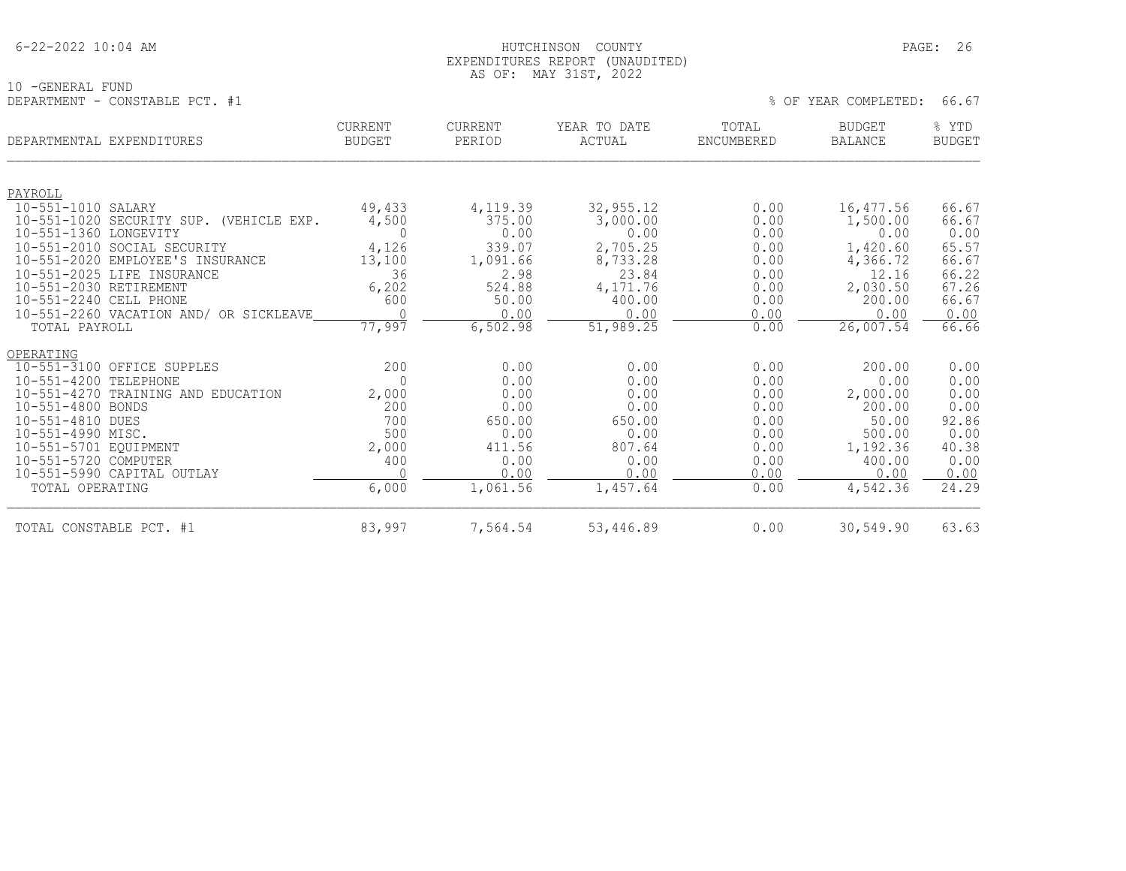#### 6-22-2022 10:04 AM HUTCHINSON COUNTY PAGE: 26 EXPENDITURES REPORT (UNAUDITED) AS OF: MAY 31ST, 2022

10 -GENERAL FUND DEPARTMENT - CONSTABLE PCT. #1

|  |  |  | OF YEAR COMPLETED: | 66.67 |  |  |
|--|--|--|--------------------|-------|--|--|
|--|--|--|--------------------|-------|--|--|

| DEPARTMENTAL EXPENDITURES                                                                                                                                                             |                                                                                                                 | <b>CURRENT</b><br><b>BUDGET</b>                                        | <b>CURRENT</b><br>PERIOD                                                             | YEAR TO DATE<br>ACTUAL                                                               | TOTAL<br>ENCUMBERED                                                          | <b>BUDGET</b><br><b>BALANCE</b>                                                                   | % YTD<br><b>BUDGET</b>                                                          |
|---------------------------------------------------------------------------------------------------------------------------------------------------------------------------------------|-----------------------------------------------------------------------------------------------------------------|------------------------------------------------------------------------|--------------------------------------------------------------------------------------|--------------------------------------------------------------------------------------|------------------------------------------------------------------------------|---------------------------------------------------------------------------------------------------|---------------------------------------------------------------------------------|
| PAYROLL<br>$10 - 551 - 1010$<br>10-551-1360 LONGEVITY                                                                                                                                 | SALARY<br>10-551-1020 SECURITY SUP. (VEHICLE EXP.                                                               | 49,433<br>4,500<br>$\Omega$                                            | 4,119.39<br>375.00<br>0.00                                                           | 32,955.12<br>3,000.00<br>0.00                                                        | 0.00<br>0.00<br>0.00                                                         | 16,477.56<br>1,500.00<br>0.00                                                                     | 66.67<br>66.67<br>0.00                                                          |
| $10 - 551 - 2020$<br>$10 - 551 - 2025$<br>10-551-2030 RETIREMENT<br>10-551-2240 CELL PHONE<br>TOTAL PAYROLL                                                                           | 10-551-2010 SOCIAL SECURITY<br>EMPLOYEE'S INSURANCE<br>LIFE INSURANCE<br>10-551-2260 VACATION AND/ OR SICKLEAVE | 4,126<br>13,100<br>36<br>6,202<br>600<br>77,997                        | 339.07<br>1,091.66<br>2.98<br>524.88<br>50.00<br>0.00<br>6,502.98                    | 2,705.25<br>8,733.28<br>23.84<br>4,171.76<br>400.00<br>0.00<br>51,989.25             | 0.00<br>0.00<br>0.00<br>0.00<br>0.00<br>0.00<br>0.00                         | 1,420.60<br>4,366.72<br>12.16<br>2,030.50<br>200.00<br>0.00<br>26,007.54                          | 65.57<br>66.67<br>66.22<br>67.26<br>66.67<br>0.00<br>66.66                      |
| OPERATING<br>$10 - 551 - 4200$<br>$10 - 551 - 4270$<br>10-551-4800 BONDS<br>10-551-4810 DUES<br>10-551-4990 MISC.<br>10-551-5701 EQUIPMENT<br>10-551-5720 COMPUTER<br>TOTAL OPERATING | 10-551-3100 OFFICE SUPPLES<br>TELEPHONE<br>TRAINING AND EDUCATION<br>10-551-5990 CAPITAL OUTLAY                 | 200<br>$\Omega$<br>2,000<br>200<br>700<br>500<br>2,000<br>400<br>6,000 | 0.00<br>0.00<br>0.00<br>0.00<br>650.00<br>0.00<br>411.56<br>0.00<br>0.00<br>1,061.56 | 0.00<br>0.00<br>0.00<br>0.00<br>650.00<br>0.00<br>807.64<br>0.00<br>0.00<br>1,457.64 | 0.00<br>0.00<br>0.00<br>0.00<br>0.00<br>0.00<br>0.00<br>0.00<br>0.00<br>0.00 | 200.00<br>0.00<br>2,000.00<br>200.00<br>50.00<br>500.00<br>1,192.36<br>400.00<br>0.00<br>4,542.36 | 0.00<br>0.00<br>0.00<br>0.00<br>92.86<br>0.00<br>40.38<br>0.00<br>0.00<br>24.29 |
| TOTAL CONSTABLE PCT. #1                                                                                                                                                               |                                                                                                                 | 83,997                                                                 | 7,564.54                                                                             | 53,446.89                                                                            | 0.00                                                                         | 30,549.90                                                                                         | 63.63                                                                           |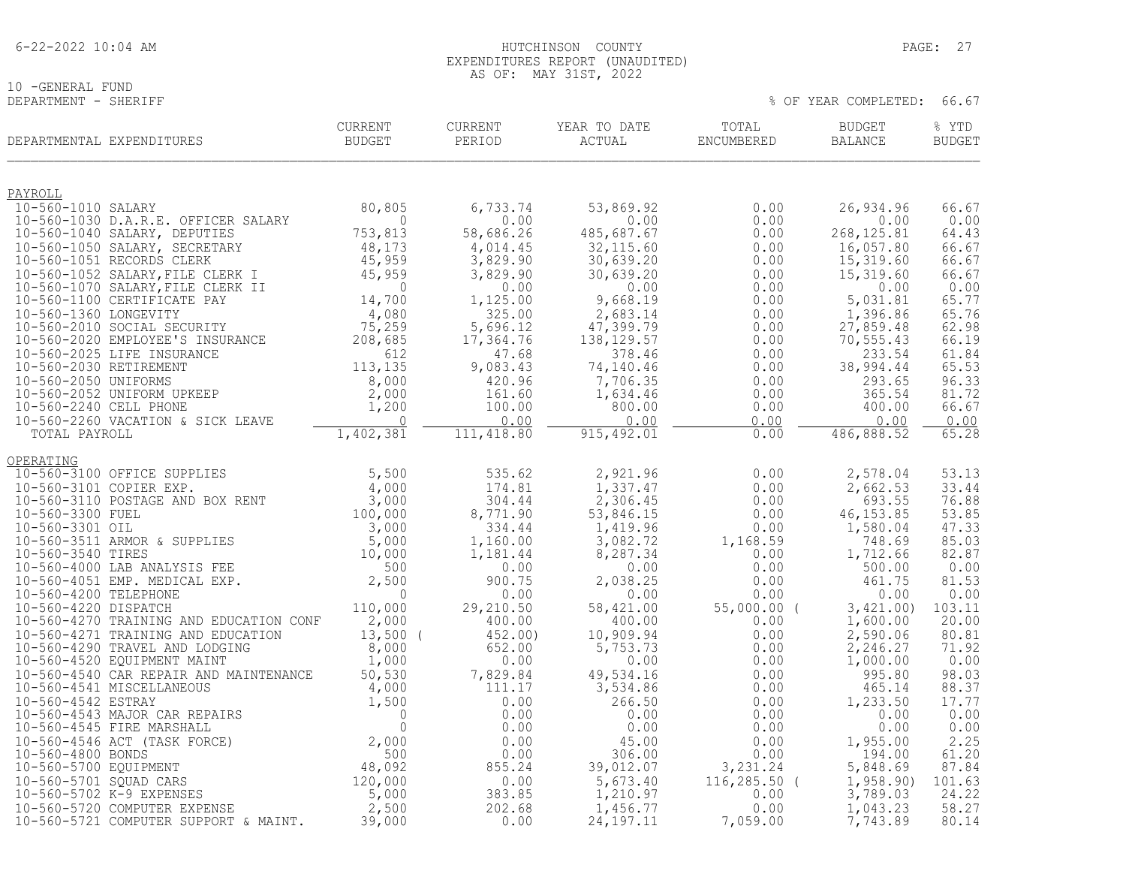| $6 - 22 - 2022$ 10:04 AM |  |  |
|--------------------------|--|--|
|                          |  |  |

## 10 -GENERAL FUND<br>DEPARTMENT - SHERIFF

#### HUTCHINSON COUNTY PAGE: 27 EXPENDITURES REPORT (UNAUDITED) AS OF: MAY 31ST, 2022

|                                               | DEPARTMENTAL EXPENDITURES                                                                                                                                                              | CURRENT<br>BUDGET   | ${\tt CURRENT}$<br>PERIOD | YEAR TO DATE<br>ACTUAL  | TOTAL<br>ENCUMBERED   | <b>BUDGET</b><br>BALANCE | % YTD<br><b>BUDGET</b> |
|-----------------------------------------------|----------------------------------------------------------------------------------------------------------------------------------------------------------------------------------------|---------------------|---------------------------|-------------------------|-----------------------|--------------------------|------------------------|
| PAYROLL                                       |                                                                                                                                                                                        |                     |                           |                         |                       |                          |                        |
| 10-560-1010 SALARY                            |                                                                                                                                                                                        | 80,805              | 6,733.74                  | 53,869.92               | 0.00                  | 26,934.96                | 66.67                  |
|                                               | 10-560-1030 D.A.R.E. OFFICER SALARY<br>10-560-1040 SALARY, DEPUTIES                                                                                                                    | $\Omega$<br>753,813 | 0.00<br>58,686.26         | 0.00<br>485,687.67      | 0.00<br>0.00          | 0.00<br>268, 125.81      | 0.00<br>64.43          |
|                                               | 10-560-1050 SALARY, SECRETARY                                                                                                                                                          | 48,173              | 4,014.45                  | 32,115.60               | 0.00                  | 16,057.80                | 66.67                  |
|                                               | 10-560-1051 RECORDS CLERK                                                                                                                                                              |                     | 3,829.90                  | 30,639.20               | 0.00                  | 15,319.60                | 66.67                  |
|                                               | 10-560-1052 SALARY, FILE CLERK I                                                                                                                                                       | 45,959<br>45,959    | 3,829.90                  | 30,639.20               | 0.00                  | 15,319.60                | 66.67                  |
|                                               | 10-560-1070 SALARY, FILE CLERK II                                                                                                                                                      | $\overline{0}$      | 0.00                      | 0.00                    | 0.00                  | 0.00                     | 0.00                   |
| 10-560-1360 LONGEVITY                         | 10-560-1100 CERTIFICATE PAY                                                                                                                                                            | 14,700<br>4,080     | 1,125.00<br>325.00        | 9,668.19<br>2,683.14    | 0.00<br>0.00          | 5,031.81<br>1,396.86     | 65.77<br>65.76         |
|                                               | 10-560-2010 SOCIAL SECURITY                                                                                                                                                            | 75,259              | 5,696.12                  | 47,399.79               | 0.00                  | 27,859.48                | 62.98                  |
|                                               | 10-560-2020 EMPLOYEE'S INSURANCE                                                                                                                                                       |                     | 17,364.76                 | 138, 129.57             | 0.00                  | 70, 555.43               | 66.19                  |
|                                               | 75, 259<br>208, 685<br>208, 685<br>612<br>113, 135<br>10-560-2025 LIFE INSURANCE                                                                                                       |                     | 47.68                     | 378.46                  | 0.00                  | 233.54                   | 61.84                  |
| 10-560-2030 RETIREMENT                        |                                                                                                                                                                                        |                     | 9,083.43                  | 74,140.46               | 0.00                  | 38,994.44                | 65.53                  |
| 10-560-2050 UNIFORMS                          | 10-560-2052 UNIFORM UPKEEP                                                                                                                                                             | 8,000<br>2,000      | 420.96<br>161.60          | 7,706.35<br>1,634.46    | 0.00<br>0.00          | 293.65<br>365.54         | 96.33<br>81.72         |
| 10-560-2240 CELL PHONE                        |                                                                                                                                                                                        | 1,200               | 100.00                    | 800.00                  | 0.00                  | 400.00                   | 66.67                  |
|                                               | 10-560-2260 VACATION & SICK LEAVE                                                                                                                                                      | $\bigcap$           | 0.00                      | 0.00                    | 0.00                  | 0.00                     | 0.00                   |
| TOTAL PAYROLL                                 |                                                                                                                                                                                        | 1,402,381           | 111,418.80                | 915, 492.01             | 0.00                  | 486,888.52               | 65.28                  |
| OPERATING                                     |                                                                                                                                                                                        |                     |                           |                         |                       |                          |                        |
|                                               | 10-560-3100 OFFICE SUPPLIES                                                                                                                                                            | 5,500               | 535.62                    | 2,921.96                | 0.00                  | 2,578.04                 | 53.13                  |
|                                               | 10-560-3101 COPIER EXP.                                                                                                                                                                | 4,000               | 174.81                    | 1,337.47                | 0.00                  | 2,662.53                 | 33.44                  |
|                                               | 10-560-3110 POSTAGE AND BOX RENT                                                                                                                                                       | $\frac{4}{3}$ , 000 | 304.44                    | 2,306.45                | 0.00                  | 693.55                   | 76.88                  |
| 10-560-3300 FUEL<br>10-560-3301 OIL           |                                                                                                                                                                                        | 100,000             | 8,771.90<br>334.44        | 53,846.15<br>1,419.96   | 0.00<br>0.00          | 46, 153.85<br>1,580.04   | 53.85<br>47.33         |
|                                               | 10-560-3301 OIL<br>10-560-3511 ARMOR & SUPPLIES<br>10-560-3540 TIRES<br>10-560-4000 LAB ANALYSIS FEE<br>10-560-4051 EMP. MEDICAL EXP.<br>2,500<br>10-560-4200 TELEPHONE<br>0           | $3,000$<br>5,000    | 1,160.00                  | 3,082.72                | 1,168.59              | 748.69                   | 85.03                  |
|                                               |                                                                                                                                                                                        |                     | 1,181.44                  | 8,287.34                | 0.00                  | 1,712.66                 | 82.87                  |
|                                               |                                                                                                                                                                                        |                     | 0.00                      | 0.00                    | 0.00                  | 500.00                   | 0.00                   |
|                                               |                                                                                                                                                                                        | $\Omega$            | 900.75                    | 2,038.25                | 0.00                  | 461.75                   | 81.53<br>0.00          |
| 10-560-4200 TELEPHONE<br>10-560-4220 DISPATCH |                                                                                                                                                                                        | 110,000             | 0.00<br>29,210.50         | 0.00<br>58,421.00       | 0.00<br>$55,000.00$ ( | 0.00<br>3,421.00         | 103.11                 |
|                                               | 10-560-4270 TRAINING AND EDUCATION CONF                                                                                                                                                | 2,000               | 400.00                    | 400.00                  | 0.00                  | 1,600.00                 | 20.00                  |
|                                               | 10-560-4271 TRAINING AND EDUCATION                                                                                                                                                     | $13,500$ (          | 452.00)                   | 10,909.94               | 0.00                  | 2,590.06                 | 80.81                  |
|                                               | 10-560-4290 TRAVEL AND LODGING                                                                                                                                                         | 8,000               | 652.00                    | 5,753.73                | 0.00                  | 2,246.27                 | 71.92                  |
|                                               | 10-560-4520 EQUIPMENT MAINT<br>10-560-4540 CAR REPAIR AND MAINTENANCE                                                                                                                  | 1,000<br>50,530     | 0.00<br>7,829.84          | 0.00<br>49,534.16       | 0.00<br>0.00          | 1,000.00<br>995.80       | 0.00<br>98.03          |
|                                               | 10-560-4541 MISCELLANEOUS                                                                                                                                                              |                     | 111.17                    | 3,534.86                | 0.00                  | 465.14                   | 88.37                  |
| 10-560-4542 ESTRAY                            |                                                                                                                                                                                        |                     | 0.00                      | 266.50                  | 0.00                  | 1,233.50                 | 17.77                  |
|                                               | 10-560-4543 MAJOR CAR REPAIRS                                                                                                                                                          |                     | 0.00                      | 0.00                    | 0.00                  | 0.00                     | 0.00                   |
|                                               | 10-560-4545 FIRE MARSHALL                                                                                                                                                              |                     | 0.00                      | 0.00                    | 0.00                  | 0.00                     | 0.00                   |
| 10-560-4800 BONDS                             | 10-560-4546 ACT (TASK FORCE)                                                                                                                                                           |                     | 0.00<br>0.00              | 45.00<br>306.00         | 0.00<br>0.00          | 1,955.00<br>194.00       | 2.25<br>61.20          |
| 10-560-5700 EQUIPMENT                         |                                                                                                                                                                                        |                     | 855.24                    | 39,012.07               | 3,231.24              | 5,848.69                 | 87.84                  |
| 10-560-5701 SQUAD CARS                        |                                                                                                                                                                                        |                     | 0.00                      | 5,673.40                | $116, 285.50$ (       | 1,958.90                 | 101.63                 |
|                                               | AND MAINTENANCE<br>UUS 4,000<br>1,500<br>2,000<br>2,000<br>2,000<br>2,000<br>2,000<br>2,000<br>2,000<br>2,500<br>2,500<br>2,500<br>2,500<br>2,500<br>2,500<br>10-560-5702 K-9 EXPENSES |                     | 383.85                    | 1,210.97                | 0.00                  | 3,789.03                 | 24.22                  |
|                                               | 10-560-5720 COMPUTER EXPENSE<br>10-560-5721 COMPUTER SUPPORT & MAINT.                                                                                                                  | 2,500<br>39,000     | 202.68<br>0.00            | 1,456.77<br>24, 197. 11 | 0.00<br>7,059.00      | 1,043.23<br>7,743.89     | 58.27<br>80.14         |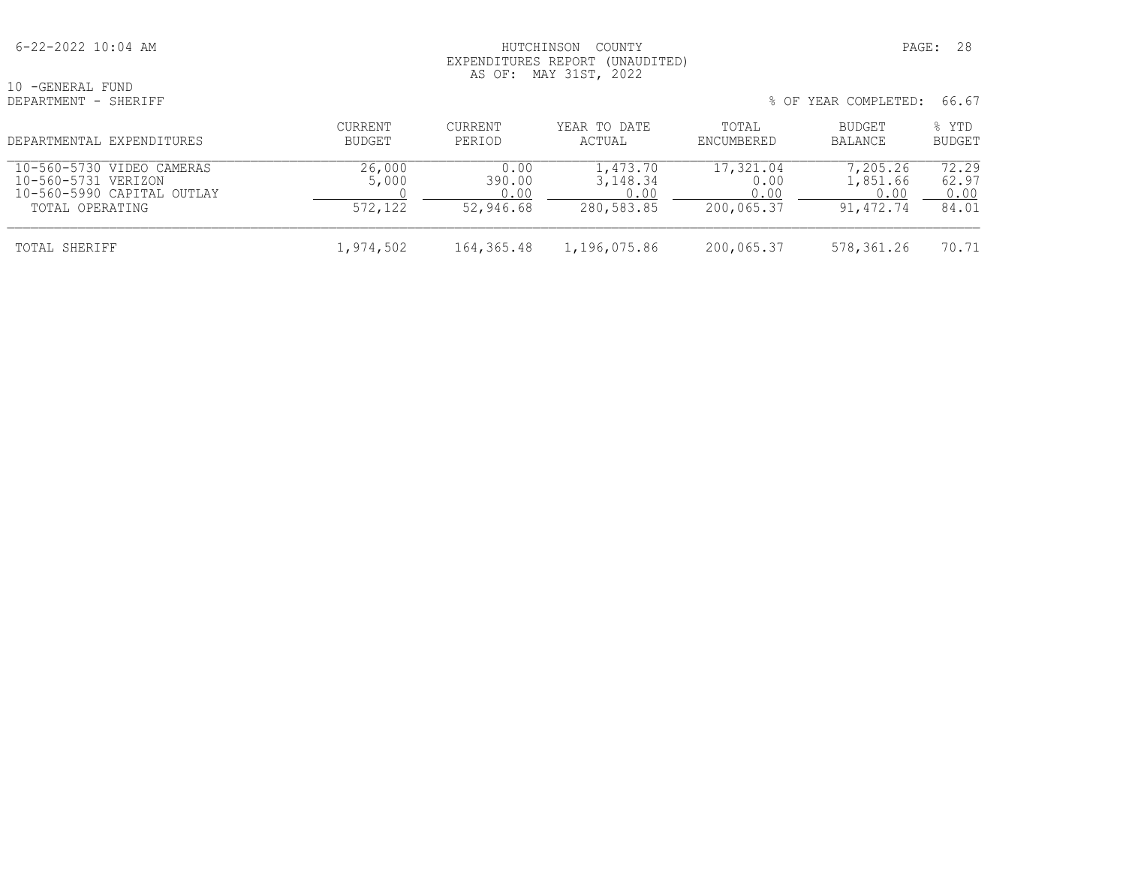#### 6-22-2022 10:04 AM HUTCHINSON COUNTY PAGE: 28 EXPENDITURES REPORT (UNAUDITED) AS OF: MAY 31ST, 2022

10 -GENERAL FUND<br>DEPARTMENT - SHERIFF

| DEPARTMENTAL EXPENDITURES                                                                         | <b>CURRENT</b><br>BUDGET   | <b>CURRENT</b><br>PERIOD            | YEAR TO DATE<br>ACTUAL                       | TOTAL<br>ENCUMBERED                     | BUDGET<br>BALANCE                         | % YTD<br><b>BUDGET</b>          |
|---------------------------------------------------------------------------------------------------|----------------------------|-------------------------------------|----------------------------------------------|-----------------------------------------|-------------------------------------------|---------------------------------|
| 10-560-5730 VIDEO CAMERAS<br>10-560-5731 VERIZON<br>10-560-5990 CAPITAL OUTLAY<br>TOTAL OPERATING | 26,000<br>5,000<br>572,122 | 0.00<br>390.00<br>0.00<br>52,946.68 | 1,473.70<br>3, 148. 34<br>0.00<br>280,583.85 | 17,321.04<br>0.00<br>0.00<br>200,065.37 | 7,205.26<br>1,851.66<br>0.00<br>91,472.74 | 72.29<br>62.97<br>0.00<br>84.01 |
| TOTAL SHERIFF                                                                                     | 1,974,502                  | 164,365.48                          | 1,196,075.86                                 | 200,065.37                              | 578,361.26                                | 70.71                           |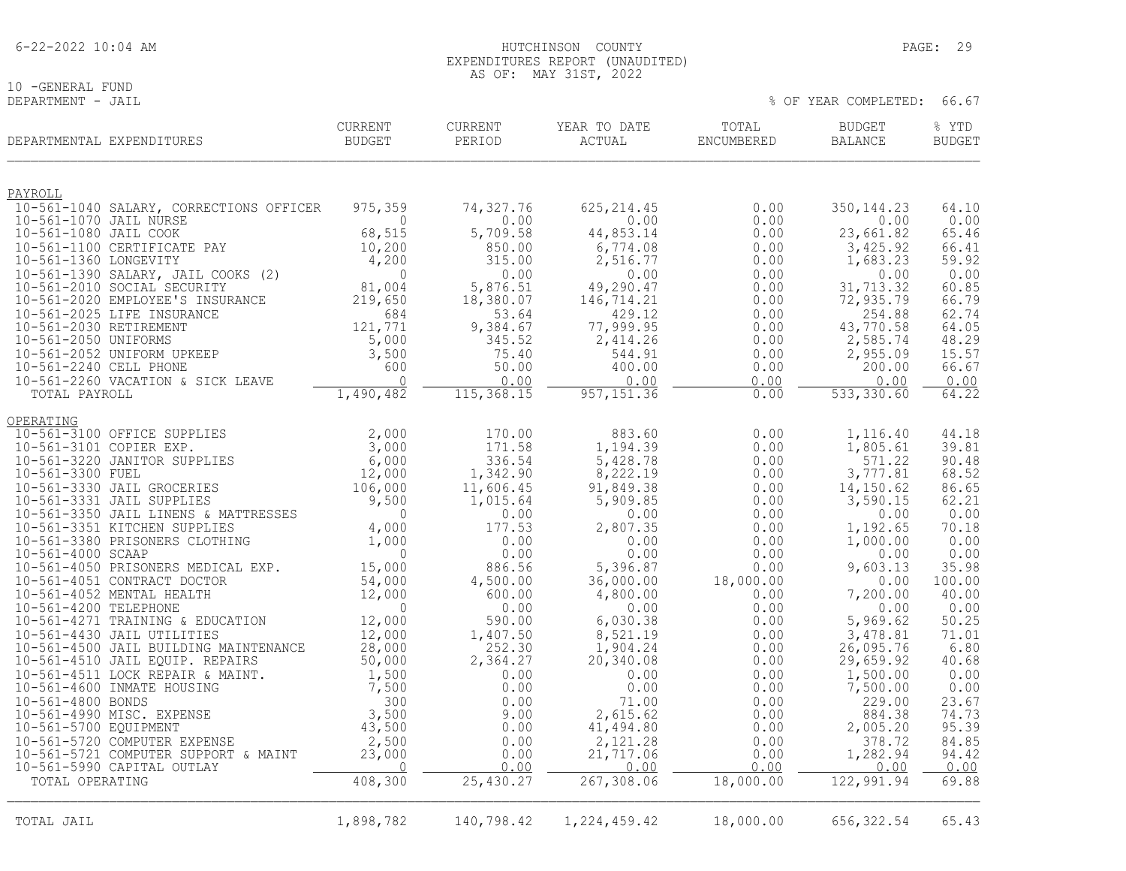| $6 - 22 - 2022$ 10:04 AM |
|--------------------------|
|--------------------------|

10 -GENERAL FUND<br>DEPARTMENT - JAIL

|                         | DEPARTMENTAL EXPENDITURES                                           | <b>CURRENT</b><br><b>BUDGET</b> | <b>CURRENT</b><br>PERIOD | YEAR TO DATE<br>ACTUAL | TOTAL<br>ENCUMBERED | <b>BUDGET</b><br><b>BALANCE</b> | % YTD<br><b>BUDGET</b> |
|-------------------------|---------------------------------------------------------------------|---------------------------------|--------------------------|------------------------|---------------------|---------------------------------|------------------------|
| <u>PAYROLL</u>          |                                                                     |                                 |                          |                        |                     |                                 |                        |
|                         | 10-561-1040 SALARY, CORRECTIONS OFFICER                             | 975,359                         | 74,327.76                | 625, 214.45            | 0.00                | 350, 144.23                     | 64.10                  |
| 10-561-1070 JAIL NURSE  |                                                                     | $\Omega$                        | 0.00                     | 0.00                   | 0.00                | 0.00                            | 0.00                   |
| 10-561-1080 JAIL COOK   | 10-561-1100 CERTIFICATE PAY                                         | 68,515<br>10,200                | 5,709.58<br>850.00       | 44,853.14<br>6,774.08  | 0.00<br>0.00        | 23,661.82<br>3,425.92           | 65.46<br>66.41         |
| 10-561-1360 LONGEVITY   |                                                                     | 4,200                           | 315.00                   | 2,516.77               | 0.00                | 1,683.23                        | 59.92                  |
|                         | 10-561-1390 SALARY, JAIL COOKS (2)                                  | $\Omega$                        | 0.00                     | 0.00                   | 0.00                | 0.00                            | 0.00                   |
|                         | 10-561-2010 SOCIAL SECURITY                                         | 81,004                          | 5,876.51                 | 49,290.47              | 0.00                | 31,713.32                       | 60.85                  |
|                         | 10-561-2020 EMPLOYEE'S INSURANCE<br>10-561-2025 LIFE INSURANCE      | 219,650<br>684                  | 18,380.07<br>53.64       | 146,714.21<br>429.12   | 0.00<br>0.00        | 72,935.79<br>254.88             | 66.79<br>62.74         |
| 10-561-2030 RETIREMENT  |                                                                     | 121,771                         | 9,384.67                 | 77,999.95              | 0.00                | 43,770.58                       | 64.05                  |
| 10-561-2050 UNIFORMS    |                                                                     | 5,000                           | 345.52                   | 2,414.26               | 0.00                | 2,585.74                        | 48.29                  |
|                         | 10-561-2052 UNIFORM UPKEEP                                          | 3,500                           | 75.40                    | 544.91                 | 0.00                | 2,955.09                        | 15.57                  |
| 10-561-2240 CELL PHONE  | 10-561-2260 VACATION & SICK LEAVE                                   | 600<br>$\bigcap$                | 50.00<br>0.00            | 400.00<br>0.00         | 0.00<br>0.00        | 200.00<br>0.00                  | 66.67<br>0.00          |
| TOTAL PAYROLL           |                                                                     | 1,490,482                       | 115, 368.15              | 957, 151.36            | 0.00                | 533, 330.60                     | 64.22                  |
| OPERATING               |                                                                     |                                 |                          |                        |                     |                                 |                        |
|                         | 10-561-3100 OFFICE SUPPLIES                                         | 2,000                           | 170.00                   | 883.60                 | 0.00                | 1,116.40                        | 44.18                  |
| 10-561-3101 COPIER EXP. |                                                                     | 3,000                           | 171.58                   | 1,194.39               | 0.00                | 1,805.61                        | 39.81                  |
| 10-561-3300 FUEL        | 10-561-3220 JANITOR SUPPLIES                                        | 6,000<br>12,000                 | 336.54<br>1,342.90       | 5,428.78<br>8,222.19   | 0.00                | 571.22<br>3,777.81              | 90.48<br>68.52         |
|                         | 10-561-3330 JAIL GROCERIES                                          | 106,000                         | 11,606.45                | 91,849.38              | 0.00<br>0.00        | 14,150.62                       | 86.65                  |
|                         | 10-561-3331 JAIL SUPPLIES                                           | 9,500                           | 1,015.64                 | 5,909.85               | 0.00                | 3,590.15                        | 62.21                  |
|                         | 10-561-3350 JAIL LINENS & MATTRESSES                                | 0                               | 0.00                     | 0.00                   | 0.00                | 0.00                            | 0.00                   |
|                         | 10-561-3351 KITCHEN SUPPLIES<br>10-561-3380 PRISONERS CLOTHING      | 4,000<br>1,000                  | 177.53<br>0.00           | 2,807.35<br>0.00       | 0.00<br>0.00        | 1,192.65<br>1,000.00            | 70.18<br>0.00          |
| 10-561-4000 SCAAP       |                                                                     | $\mathbf{0}$                    | 0.00                     | 0.00                   | 0.00                | 0.00                            | 0.00                   |
|                         | 10-561-4050 PRISONERS MEDICAL EXP.                                  | 15,000                          | 886.56                   | 5,396.87               | 0.00                | 9,603.13                        | 35.98                  |
|                         | 10-561-4051 CONTRACT DOCTOR                                         | 54,000                          | 4,500.00                 | 36,000.00              | 18,000.00           | 0.00                            | 100.00                 |
| 10-561-4200 TELEPHONE   | 10-561-4052 MENTAL HEALTH                                           | 12,000<br>$\mathbf{0}$          | 600.00<br>0.00           | 4,800.00<br>0.00       | 0.00<br>0.00        | 7,200.00<br>0.00                | 40.00<br>0.00          |
|                         | 10-561-4271 TRAINING & EDUCATION                                    | 12,000                          | 590.00                   | 6,030.38               | 0.00                | 5,969.62                        | 50.25                  |
|                         | 10-561-4430 JAIL UTILITIES                                          | 12,000                          | 1,407.50                 | 8,521.19               | 0.00                | 3,478.81                        | 71.01                  |
|                         | 10-561-4500 JAIL BUILDING MAINTENANCE                               | 28,000                          | 252.30                   | 1,904.24               | 0.00                | 26,095.76                       | 6.80                   |
|                         | 10-561-4510 JAIL EQUIP. REPAIRS<br>10-561-4511 LOCK REPAIR & MAINT. | 50,000<br>1,500                 | 2,364.27<br>0.00         | 20,340.08<br>0.00      | 0.00<br>0.00        | 29,659.92<br>1,500.00           | 40.68<br>0.00          |
|                         | 10-561-4600 INMATE HOUSING                                          | 7,500                           | 0.00                     | 0.00                   | 0.00                | 7,500.00                        | 0.00                   |
| 10-561-4800 BONDS       |                                                                     | 300                             | 0.00                     | 71.00                  | 0.00                | 229.00                          | 23.67                  |
|                         | 10-561-4990 MISC. EXPENSE                                           | 3,500                           | 9.00                     | 2,615.62               | 0.00                | 884.38                          | 74.73                  |
| 10-561-5700 EQUIPMENT   | 10-561-5720 COMPUTER EXPENSE                                        | 43,500<br>2,500                 | 0.00<br>0.00             | 41,494.80<br>2,121.28  | 0.00<br>0.00        | 2,005.20<br>378.72              | 95.39<br>84.85         |
|                         | 10-561-5721 COMPUTER SUPPORT & MAINT                                | 23,000                          | 0.00                     | 21,717.06              | 0.00                | 1,282.94                        | 94.42                  |
|                         | 10-561-5990 CAPITAL OUTLAY                                          | $\Omega$                        | 0.00                     | 0.00                   | 0.00                | 0.00                            | 0.00                   |
| TOTAL OPERATING         |                                                                     | 408,300                         | 25,430.27                | 267,308.06             | 18,000.00           | 122,991.94                      | 69.88                  |
|                         |                                                                     |                                 |                          |                        |                     |                                 |                        |
| TOTAL JAIL              |                                                                     | 1,898,782                       | 140,798.42               | 1,224,459.42           | 18,000.00           | 656, 322.54                     | 65.43                  |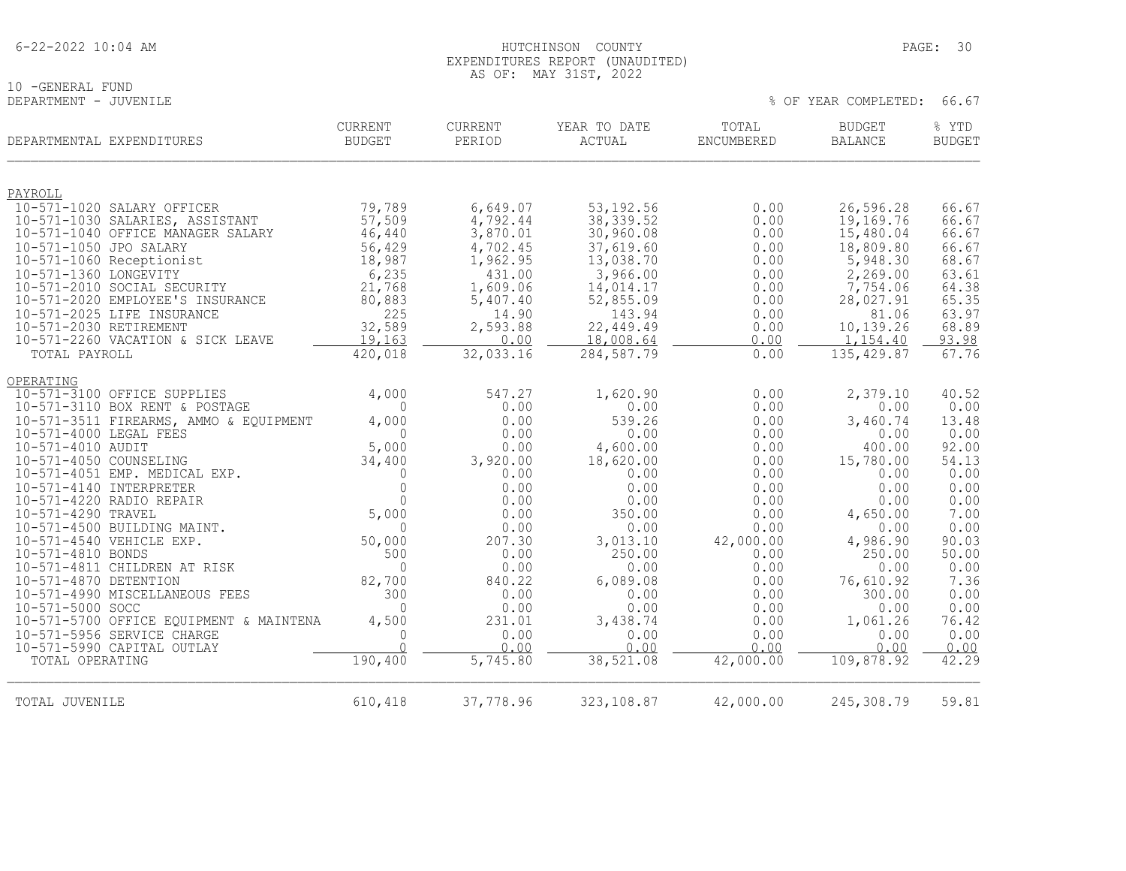| $6 - 22 - 2022$ 10:04 AM |  |  |
|--------------------------|--|--|
|                          |  |  |

#### EXPENDITURES REPORT (UNAUDITED) AS OF: MAY 31ST, 2022

HUTCHINSON COUNTY PAGE: 30

% OF YEAR COMPLETED: 66.67

10 -GENERAL FUND<br>DEPARTMENT - JUVENILE

| DEPARTMENTAL EXPENDITURES                           | <b>CURRENT</b><br><b>BUDGET</b> | CURRENT<br>PERIOD | YEAR TO DATE<br>ACTUAL | TOTAL<br>ENCUMBERED | <b>BUDGET</b><br><b>BALANCE</b> | % YTD<br><b>BUDGET</b> |
|-----------------------------------------------------|---------------------------------|-------------------|------------------------|---------------------|---------------------------------|------------------------|
|                                                     |                                 |                   |                        |                     |                                 |                        |
| PAYROLL<br>10-571-1020 SALARY OFFICER               | 79,789                          | 6,649.07          | 53, 192.56             | 0.00                | 26,596.28                       | 66.67                  |
| 10-571-1030 SALARIES, ASSISTANT                     | 57,509                          | 4,792.44          | 38, 339.52             | 0.00                | 19,169.76                       | 66.67                  |
| 10-571-1040 OFFICE MANAGER SALARY                   | 46,440                          | 3,870.01          | 30,960.08              | 0.00                | 15,480.04                       | 66.67                  |
| 10-571-1050 JPO SALARY                              | 56,429                          | 4,702.45          | 37,619.60              | 0.00                | 18,809.80                       | 66.67                  |
| 10-571-1060 Receptionist                            | 18,987                          | 1,962.95          | 13,038.70              | 0.00                | 5,948.30                        | 68.67                  |
| 10-571-1360 LONGEVITY                               | 6,235                           | 431.00            | 3,966.00               | 0.00                | 2,269.00                        | 63.61                  |
| 10-571-2010 SOCIAL SECURITY                         | 21,768                          | 1,609.06          | 14,014.17              | 0.00                | 7,754.06                        | 64.38                  |
| 10-571-2020 EMPLOYEE'S INSURANCE                    | 80,883                          | 5,407.40          | 52,855.09              | 0.00                | 28,027.91                       | 65.35                  |
| 10-571-2025 LIFE INSURANCE                          | 225                             | 14.90             | 143.94                 | 0.00                | 81.06                           | 63.97                  |
| 10-571-2030 RETIREMENT                              | 32,589                          | 2,593.88          | 22,449.49              | 0.00                | 10,139.26                       | 68.89                  |
| 10-571-2260 VACATION & SICK LEAVE                   | 19,163                          | 0.00              | 18,008.64              | 0.00                | 1,154.40                        | 93.98                  |
| TOTAL PAYROLL                                       | 420,018                         | 32,033.16         | 284,587.79             | 0.00                | 135, 429.87                     | 67.76                  |
| OPERATING                                           |                                 |                   |                        |                     |                                 |                        |
| 10-571-3100 OFFICE SUPPLIES                         | 4,000                           | 547.27            | 1,620.90               | 0.00                | 2,379.10                        | 40.52                  |
| 10-571-3110 BOX RENT & POSTAGE                      | $\Omega$                        | 0.00              | 0.00                   | 0.00                | 0.00                            | 0.00                   |
| 10-571-3511 FIREARMS, AMMO & EQUIPMENT              | 4,000                           | 0.00              | 539.26                 | 0.00                | 3,460.74                        | 13.48                  |
| 10-571-4000 LEGAL FEES                              | $\Omega$                        | 0.00              | 0.00                   | 0.00                | 0.00                            | 0.00                   |
| 10-571-4010 AUDIT                                   | 5,000                           | 0.00              | 4,600.00               | 0.00                | 400.00                          | 92.00                  |
| 10-571-4050 COUNSELING                              | 34,400                          | 3,920.00          | 18,620.00              | 0.00                | 15,780.00                       | 54.13                  |
| 10-571-4051 EMP. MEDICAL EXP.                       | $\Omega$                        | 0.00              | 0.00                   | 0.00                | 0.00                            | 0.00                   |
| 10-571-4140 INTERPRETER<br>10-571-4220 RADIO REPAIR | $\Omega$<br>$\Omega$            | 0.00<br>0.00      | 0.00<br>0.00           | 0.00<br>0.00        | 0.00<br>0.00                    | 0.00<br>0.00           |
| 10-571-4290 TRAVEL                                  | 5,000                           | 0.00              | 350.00                 | 0.00                | 4,650.00                        | 7.00                   |
| 10-571-4500 BUILDING MAINT.                         | $\Omega$                        | 0.00              | 0.00                   | 0.00                | 0.00                            | 0.00                   |
| 10-571-4540 VEHICLE EXP.                            | 50,000                          | 207.30            | 3,013.10               | 42,000.00           | 4,986.90                        | 90.03                  |
| 10-571-4810 BONDS                                   | 500                             | 0.00              | 250.00                 | 0.00                | 250.00                          | 50.00                  |
| 10-571-4811 CHILDREN AT RISK                        | $\Omega$                        | 0.00              | 0.00                   | 0.00                | 0.00                            | 0.00                   |
| 10-571-4870 DETENTION                               | 82,700                          | 840.22            | 6,089.08               | 0.00                | 76,610.92                       | 7.36                   |
| 10-571-4990 MISCELLANEOUS FEES                      | 300                             | 0.00              | 0.00                   | 0.00                | 300.00                          | 0.00                   |
| 10-571-5000 SOCC                                    | $\Omega$                        | 0.00              | 0.00                   | 0.00                | 0.00                            | 0.00                   |
| 10-571-5700 OFFICE EQUIPMENT & MAINTENA             | 4,500                           | 231.01            | 3,438.74               | 0.00                | 1,061.26                        | 76.42                  |
| 10-571-5956 SERVICE CHARGE                          | $\Omega$                        | 0.00              | 0.00                   | 0.00                | 0.00                            | 0.00                   |
| 10-571-5990 CAPITAL OUTLAY                          | $\Omega$                        | 0.00              | 0.00                   | 0.00                | 0.00                            | 0.00                   |
| TOTAL OPERATING                                     | 190,400                         | 5,745.80          | 38,521.08              | 42,000.00           | 109,878.92                      | 42.29                  |
|                                                     |                                 |                   |                        |                     |                                 |                        |
| TOTAL JUVENILE                                      | 610,418                         | 37,778.96         | 323,108.87             | 42,000.00           | 245,308.79                      | 59.81                  |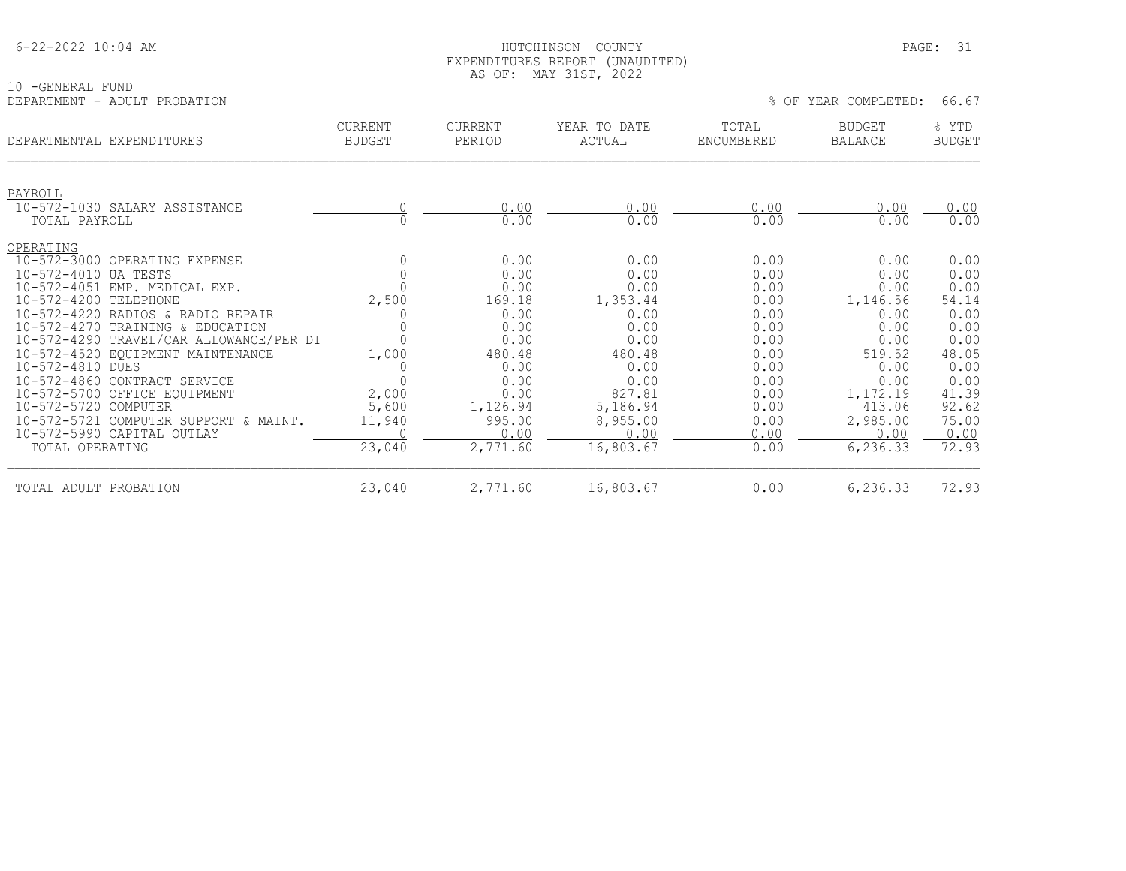#### HUTCHINSON COUNTY **EXECUTE 10:04 AM HUTCHINSON**  EXPENDITURES REPORT (UNAUDITED) AS OF: MAY 31ST, 2022

| 10 - GENERAL FUND<br>DEPARTMENT<br>- ADULT PROBATION |                          |                          |                        |                     | % OF YEAR COMPLETED:            | 66.67                  |
|------------------------------------------------------|--------------------------|--------------------------|------------------------|---------------------|---------------------------------|------------------------|
| DEPARTMENTAL EXPENDITURES                            | CURRENT<br><b>BUDGET</b> | <b>CURRENT</b><br>PERIOD | YEAR TO DATE<br>ACTUAL | TOTAL<br>ENCUMBERED | <b>BUDGET</b><br><b>BALANCE</b> | % YTD<br><b>BUDGET</b> |
| PAYROLL<br>10-572-1030 SALARY ASSISTANCE             |                          | 0.00                     | 0.00                   | 0.00                | 0.00                            | 0.00                   |
| TOTAL PAYROLL                                        |                          | 0.00                     | 0.00                   | 0.00                | 0.00                            | 0.00                   |
| OPERATING                                            |                          |                          |                        |                     |                                 |                        |
| 10-572-3000 OPERATING EXPENSE                        |                          | 0.00                     | 0.00                   | 0.00                | 0.00                            | 0.00                   |
| $10 - 572 - 4010$<br>UA TESTS                        |                          | 0.00                     | 0.00                   | 0.00                | 0.00                            | 0.00                   |
| 10-572-4051 EMP. MEDICAL EXP.                        |                          | 0.00                     | 0.00                   | 0.00                | 0.00                            | 0.00                   |
| 10-572-4200 TELEPHONE                                | 2,500                    | 169.18                   | 1,353.44               | 0.00                | 1,146.56                        | 54.14                  |
| 10-572-4220 RADIOS & RADIO REPAIR                    |                          | 0.00                     | 0.00                   | 0.00                | 0.00                            | 0.00                   |
| 10-572-4270 TRAINING & EDUCATION                     |                          | 0.00                     | 0.00                   | 0.00                | 0.00                            | 0.00                   |
| 10-572-4290 TRAVEL/CAR ALLOWANCE/PER DI              |                          | 0.00                     | 0.00                   | 0.00                | 0.00                            | 0.00                   |
| 10-572-4520 EQUIPMENT MAINTENANCE                    | 1,000                    | 480.48                   | 480.48                 | 0.00                | 519.52                          | 48.05                  |
| 10-572-4810 DUES                                     |                          | 0.00                     | 0.00                   | 0.00                | 0.00                            | 0.00                   |
| 10-572-4860 CONTRACT SERVICE                         |                          | 0.00                     | 0.00                   | 0.00                | 0.00                            | 0.00                   |
| 10-572-5700 OFFICE EQUIPMENT                         | 2,000                    | 0.00                     | 827.81                 | 0.00                | 1,172.19                        | 41.39                  |
| 10-572-5720 COMPUTER                                 | 5,600                    | 1,126.94                 | 5,186.94               | 0.00                | 413.06                          | 92.62                  |
| $10 - 572 - 5721$<br>COMPUTER SUPPORT & MAINT.       | 11,940                   | 995.00                   | 8,955.00               | 0.00                | 2,985.00                        | 75.00                  |
| 10-572-5990 CAPITAL OUTLAY                           |                          | 0.00                     | 0.00                   | 0.00                | 0.00                            | 0.00                   |
| TOTAL OPERATING                                      | 23,040                   | 2,771.60                 | 16,803.67              | 0.00                | 6,236.33                        | 72.93                  |

TOTAL ADULT PROBATION 23,040 2,771.60 16,803.67 0.00 6,236.33 72.93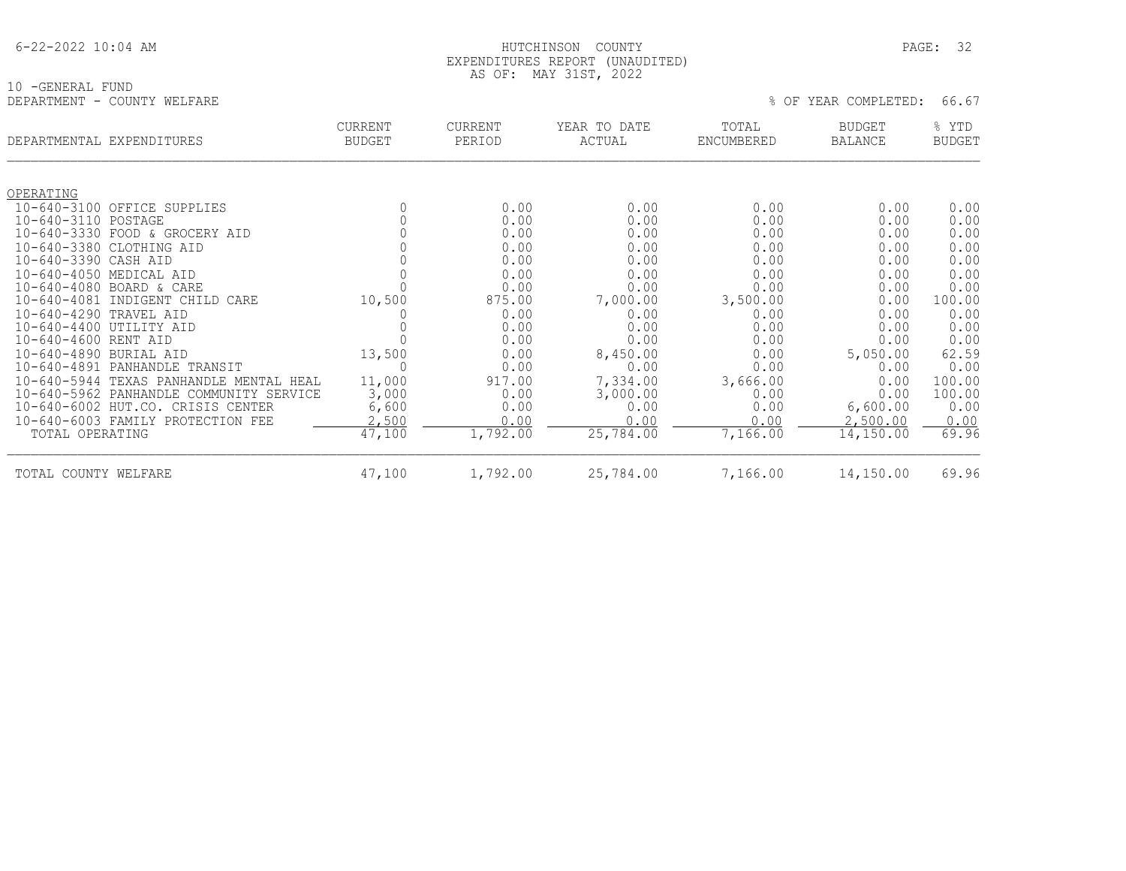|  | $6 - 22 - 2022$ 10:04 AM |  |
|--|--------------------------|--|
|  |                          |  |

#### HUTCHINSON COUNTY PAGE: 32 EXPENDITURES REPORT (UNAUDITED) AS OF: MAY 31ST, 2022

| 10 - GENERAL FUND           |  |
|-----------------------------|--|
| DEPARTMENT - COUNTY WELFARE |  |

|                      | DEPARTMENTAL EXPENDITURES               | <b>CURRENT</b><br><b>BUDGET</b> | <b>CURRENT</b><br>PERIOD | YEAR TO DATE<br>ACTUAL | TOTAL<br>ENCUMBERED | <b>BUDGET</b><br><b>BALANCE</b> | % YTD<br><b>BUDGET</b> |
|----------------------|-----------------------------------------|---------------------------------|--------------------------|------------------------|---------------------|---------------------------------|------------------------|
|                      |                                         |                                 |                          |                        |                     |                                 |                        |
| OPERATING            |                                         |                                 |                          |                        |                     |                                 |                        |
| 10-640-3110 POSTAGE  | 10-640-3100 OFFICE SUPPLIES             |                                 | 0.00<br>0.00             | 0.00<br>0.00           | 0.00<br>0.00        | 0.00<br>0.00                    | 0.00<br>0.00           |
| $10 - 640 - 3330$    | FOOD & GROCERY AID                      |                                 | 0.00                     | 0.00                   | 0.00                | 0.00                            | 0.00                   |
| $10 - 640 - 3380$    | CLOTHING AID                            |                                 | 0.00                     | 0.00                   | 0.00                | 0.00                            | 0.00                   |
| $10 - 640 - 3390$    | CASH AID                                |                                 | 0.00                     | 0.00                   | 0.00                | 0.00                            | 0.00                   |
| $10 - 640 - 4050$    | MEDICAL AID                             |                                 | 0.00                     | 0.00                   | 0.00                | 0.00                            | 0.00                   |
|                      | 10-640-4080 BOARD & CARE                |                                 | 0.00                     | 0.00                   | 0.00                | 0.00                            | 0.00                   |
| $10 - 640 - 4081$    | INDIGENT CHILD CARE                     | 10,500                          | 875.00                   | 7,000.00               | 3,500.00            | 0.00                            | 100.00                 |
| $10 - 640 - 4290$    | TRAVEL AID                              |                                 | 0.00                     | 0.00                   | 0.00                | 0.00                            | 0.00                   |
| $10 - 640 - 4400$    | UTILITY AID                             |                                 | 0.00                     | 0.00                   | 0.00                | 0.00                            | 0.00                   |
| $10 - 640 - 4600$    | RENT AID                                |                                 | 0.00                     | 0.00                   | 0.00                | 0.00                            | 0.00                   |
| $10 - 640 - 4890$    | BURIAL AID                              | 13,500                          | 0.00                     | 8,450.00               | 0.00                | 5,050.00                        | 62.59                  |
| $10 - 640 - 4891$    | PANHANDLE TRANSIT                       | C                               | 0.00                     | 0.00                   | 0.00                | 0.00                            | 0.00                   |
| $10 - 640 - 5944$    | TEXAS PANHANDLE MENTAL HEAL             | 11,000                          | 917.00                   | 7,334.00               | 3,666.00            | 0.00                            | 100.00                 |
|                      | 10-640-5962 PANHANDLE COMMUNITY SERVICE | 3,000                           | 0.00                     | 3,000.00               | 0.00                | 0.00                            | 100.00                 |
|                      | 10-640-6002 HUT.CO. CRISIS CENTER       | 6,600                           | 0.00                     | 0.00                   | 0.00                | 6,600.00                        | 0.00                   |
|                      | 10-640-6003 FAMILY PROTECTION FEE       | 2,500                           | 0.00                     | 0.00                   | 0.00                | 2,500.00                        | 0.00                   |
| TOTAL OPERATING      |                                         | 47,100                          | 1,792.00                 | 25,784.00              | 7,166.00            | 14,150.00                       | 69.96                  |
| TOTAL COUNTY WELFARE |                                         | 47,100                          | 1,792.00                 | 25,784.00              | 7,166.00            | 14,150.00                       | 69.96                  |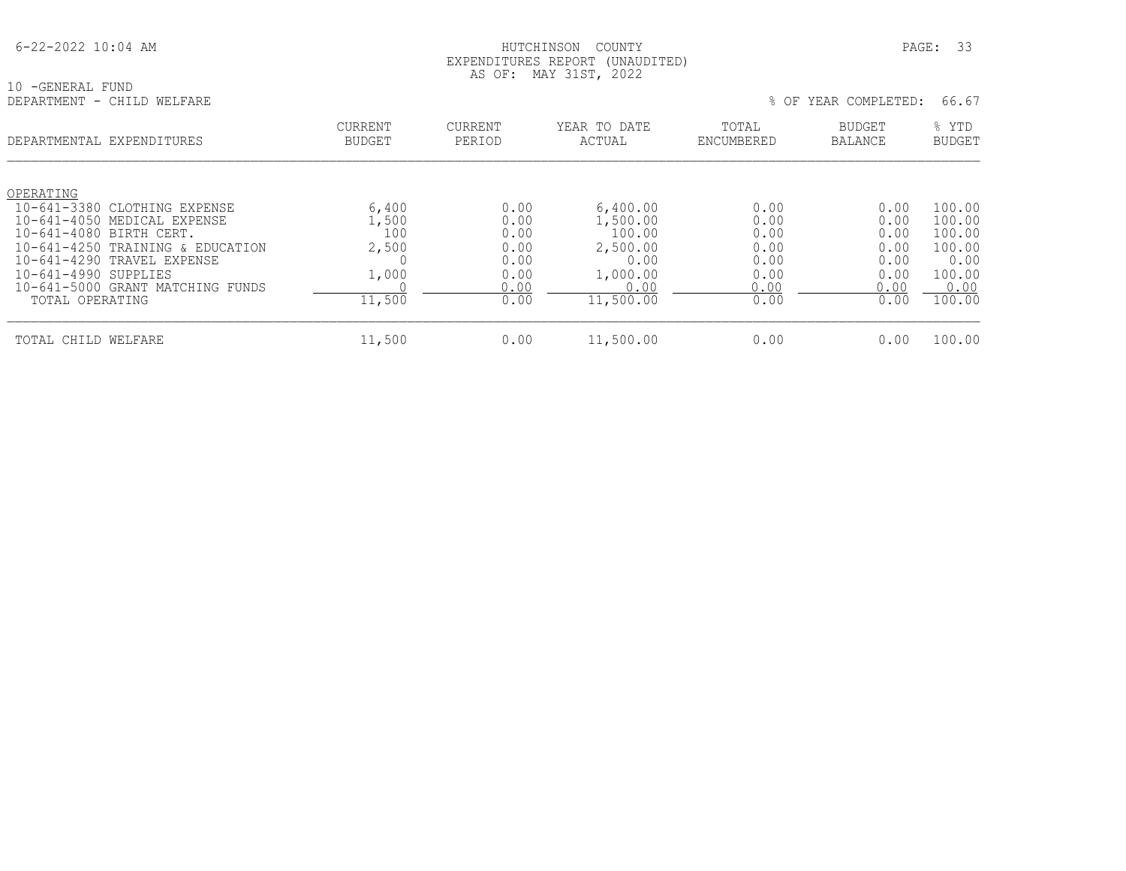#### HUTCHINSON COUNTY PAGE: 33 EXPENDITURES REPORT (UNAUDITED) AS OF: MAY 31ST, 2022

10 -GENERAL FUND<br>DEPARTMENT - CHILD WELFARE

| DEPARTMENTAL EXPENDITURES                                       | <b>CURRENT</b><br><b>BUDGET</b> | <b>CURRENT</b><br>PERIOD | YEAR TO DATE<br>ACTUAL | TOTAL<br>ENCUMBERED | <b>BUDGET</b><br><b>BALANCE</b> | % YTD<br><b>BUDGET</b> |
|-----------------------------------------------------------------|---------------------------------|--------------------------|------------------------|---------------------|---------------------------------|------------------------|
| OPERATING<br>10-641-3380 CLOTHING EXPENSE                       | 6,400                           | 0.00                     | 6,400.00               | 0.00                | 0.00                            | 100.00                 |
| $10 - 641 - 4050$<br>MEDICAL EXPENSE<br>10-641-4080 BIRTH CERT. | 1,500<br>100                    | 0.00<br>0.00             | 1,500.00<br>100.00     | 0.00<br>0.00        | 0.00<br>0.00                    | 100.00<br>100.00       |
| 10-641-4250 TRAINING & EDUCATION<br>10-641-4290 TRAVEL EXPENSE  | 2,500                           | 0.00<br>0.00             | 2,500.00<br>0.00       | 0.00<br>0.00        | 0.00<br>0.00                    | 100.00<br>0.00         |
| 10-641-4990 SUPPLIES<br>10-641-5000 GRANT MATCHING FUNDS        | 1,000                           | 0.00<br>0.00             | 1,000.00<br>0.00       | 0.00<br>0.00        | 0.00<br>0.00                    | 100.00<br>0.00         |
| TOTAL OPERATING                                                 | 11,500                          | 0.00                     | 11,500.00              | 0.00                | 0.00                            | 100.00                 |
| TOTAL CHILD WELFARE                                             | 11,500                          | 0.00                     | 11,500.00              | 0.00                | 0.00                            | 100.00                 |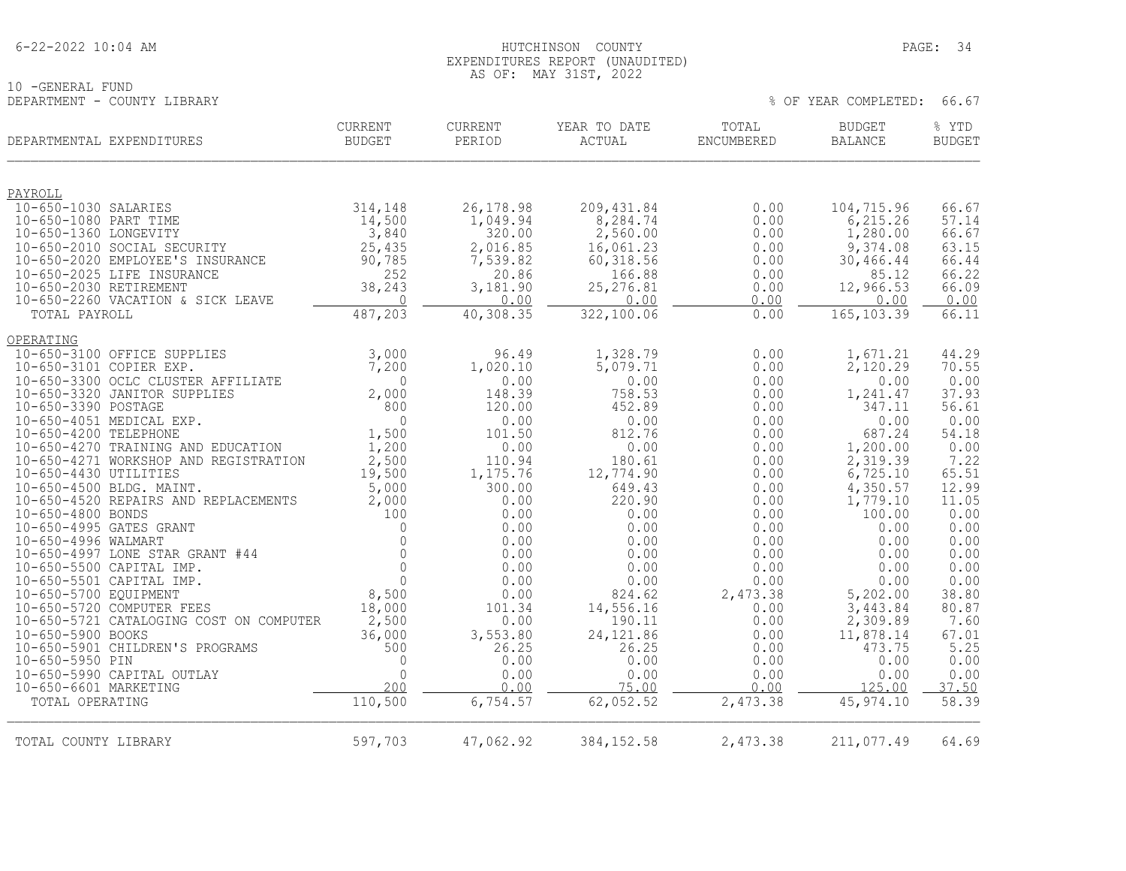| $6 - 22 - 2022$ 10:04 AM |
|--------------------------|
|--------------------------|

#### HUTCHINSON COUNTY PAGE: 34 EXPENDITURES REPORT (UNAUDITED) AS OF: MAY 31ST, 2022

% OF YEAR COMPLETED: 66.67

10 -GENERAL FUND<br>DEPARTMENT - COUNTY LIBRARY

| DEPARTMENTAL EXPENDITURES                                                   | <b>CURRENT</b><br><b>BUDGET</b> | CURRENT<br>PERIOD  | YEAR TO DATE<br>ACTUAL | TOTAL<br>ENCUMBERED | <b>BUDGET</b><br>BALANCE | % YTD<br><b>BUDGET</b> |
|-----------------------------------------------------------------------------|---------------------------------|--------------------|------------------------|---------------------|--------------------------|------------------------|
|                                                                             |                                 |                    |                        |                     |                          |                        |
| PAYROLL                                                                     |                                 |                    |                        |                     |                          |                        |
| 10-650-1030 SALARIES                                                        | 314,148                         | 26, 178.98         | 209, 431.84            | 0.00                | 104,715.96               | 66.67                  |
| 10-650-1080 PART TIME<br>10-650-1360 LONGEVITY                              | 14,500<br>3,840                 | 1,049.94<br>320.00 | 8,284.74<br>2,560.00   | 0.00<br>0.00        | 6, 215.26<br>1,280.00    | 57.14<br>66.67         |
| 10-650-2010 SOCIAL SECURITY                                                 | 25,435                          | 2,016.85           | 16,061.23              | 0.00                | 9,374.08                 | 63.15                  |
| 10-650-2020 EMPLOYEE'S INSURANCE                                            | 90,785                          | 7,539.82           | 60, 318.56             | 0.00                | 30,466.44                | 66.44                  |
| 10-650-2025 LIFE INSURANCE                                                  | 252                             | 20.86              | 166.88                 | 0.00                | 85.12                    | 66.22                  |
| 10-650-2030 RETIREMENT                                                      | 38,243                          | 3,181.90           | 25, 276.81             | 0.00                | 12,966.53                | 66.09                  |
| 10-650-2260 VACATION & SICK LEAVE<br>TOTAL PAYROLL                          | $\Omega$<br>487,203             | 0.00<br>40,308.35  | 0.00<br>322,100.06     | 0.00<br>0.00        | 0.00<br>165, 103.39      | 0.00<br>66.11          |
|                                                                             |                                 |                    |                        |                     |                          |                        |
| OPERATING                                                                   |                                 |                    |                        |                     |                          |                        |
| 10-650-3100 OFFICE SUPPLIES                                                 | 3,000                           | 96.49              | 1,328.79               | 0.00                | 1,671.21                 | 44.29                  |
| 10-650-3101 COPIER EXP.<br>10-650-3300 OCLC CLUSTER AFFILIATE               | 7,200<br>$\Omega$               | 1,020.10           | 5,079.71<br>0.00       | 0.00                | 2,120.29                 | 70.55<br>0.00          |
| 10-650-3320 JANITOR SUPPLIES                                                | 2,000                           | 0.00<br>148.39     | 758.53                 | 0.00<br>0.00        | 0.00<br>1,241.47         | 37.93                  |
| 10-650-3390 POSTAGE                                                         | 800                             | 120.00             | 452.89                 | 0.00                | 347.11                   | 56.61                  |
| 10-650-4051 MEDICAL EXP.                                                    | $\Omega$                        | 0.00               | 0.00                   | 0.00                | 0.00                     | 0.00                   |
| 10-650-4200 TELEPHONE                                                       | 1,500                           | 101.50             | 812.76                 | 0.00                | 687.24                   | 54.18                  |
| 10-650-4270 TRAINING AND EDUCATION<br>10-650-4271 WORKSHOP AND REGISTRATION | 1,200<br>2,500                  | 0.00<br>110.94     | 0.00<br>180.61         | 0.00                | 1,200.00                 | 0.00<br>7.22           |
| 10-650-4430 UTILITIES                                                       | 19,500                          | 1,175.76           | 12,774.90              | 0.00<br>0.00        | 2,319.39<br>6,725.10     | 65.51                  |
| 10-650-4500 BLDG. MAINT.                                                    | 5,000                           | 300.00             | 649.43                 | 0.00                | 4,350.57                 | 12.99                  |
| 10-650-4520 REPAIRS AND REPLACEMENTS                                        | 2,000                           | 0.00               | 220.90                 | 0.00                | 1,779.10                 | 11.05                  |
| 10-650-4800 BONDS                                                           | 100                             | 0.00               | 0.00                   | 0.00                | 100.00                   | 0.00                   |
| 10-650-4995 GATES GRANT                                                     | $\Omega$                        | 0.00               | 0.00                   | 0.00                | 0.00                     | 0.00                   |
| 10-650-4996 WALMART<br>10-650-4997 LONE STAR GRANT #44                      | $\Omega$<br>$\mathbf 0$         | 0.00<br>0.00       | 0.00<br>0.00           | 0.00<br>0.00        | 0.00<br>0.00             | 0.00<br>0.00           |
| 10-650-5500 CAPITAL IMP.                                                    | $\Omega$                        | 0.00               | 0.00                   | 0.00                | 0.00                     | 0.00                   |
| 10-650-5501 CAPITAL IMP.                                                    | $\Omega$                        | 0.00               | 0.00                   | 0.00                | 0.00                     | 0.00                   |
| 10-650-5700 EQUIPMENT                                                       | 8,500                           | 0.00               | 824.62                 | 2,473.38            | 5,202.00                 | 38.80                  |
| 10-650-5720 COMPUTER FEES                                                   | 18,000                          | 101.34             | 14,556.16              | 0.00                | 3,443.84                 | 80.87                  |
| 10-650-5721 CATALOGING COST ON COMPUTER<br>10-650-5900 BOOKS                | 2,500<br>36,000                 | 0.00<br>3,553.80   | 190.11<br>24, 121.86   | 0.00<br>0.00        | 2,309.89<br>11,878.14    | 7.60<br>67.01          |
| 10-650-5901 CHILDREN'S PROGRAMS                                             | 500                             | 26.25              | 26.25                  | 0.00                | 473.75                   | 5.25                   |
| 10-650-5950 PIN                                                             | $\Omega$                        | 0.00               | 0.00                   | 0.00                | 0.00                     | 0.00                   |
| 10-650-5990 CAPITAL OUTLAY                                                  | $\Omega$                        | 0.00               | 0.00                   | 0.00                | 0.00                     | 0.00                   |
| 10-650-6601 MARKETING                                                       | 200                             | 0.00               | 75.00                  | 0.00                | 125.00                   | 37.50                  |
| TOTAL OPERATING                                                             | 110,500                         | 6,754.57           | 62,052.52              | 2,473.38            | 45,974.10                | 58.39                  |
|                                                                             |                                 |                    |                        |                     |                          |                        |
| TOTAL COUNTY LIBRARY                                                        | 597,703                         | 47,062.92          | 384, 152.58            | 2,473.38            | 211,077.49               | 64.69                  |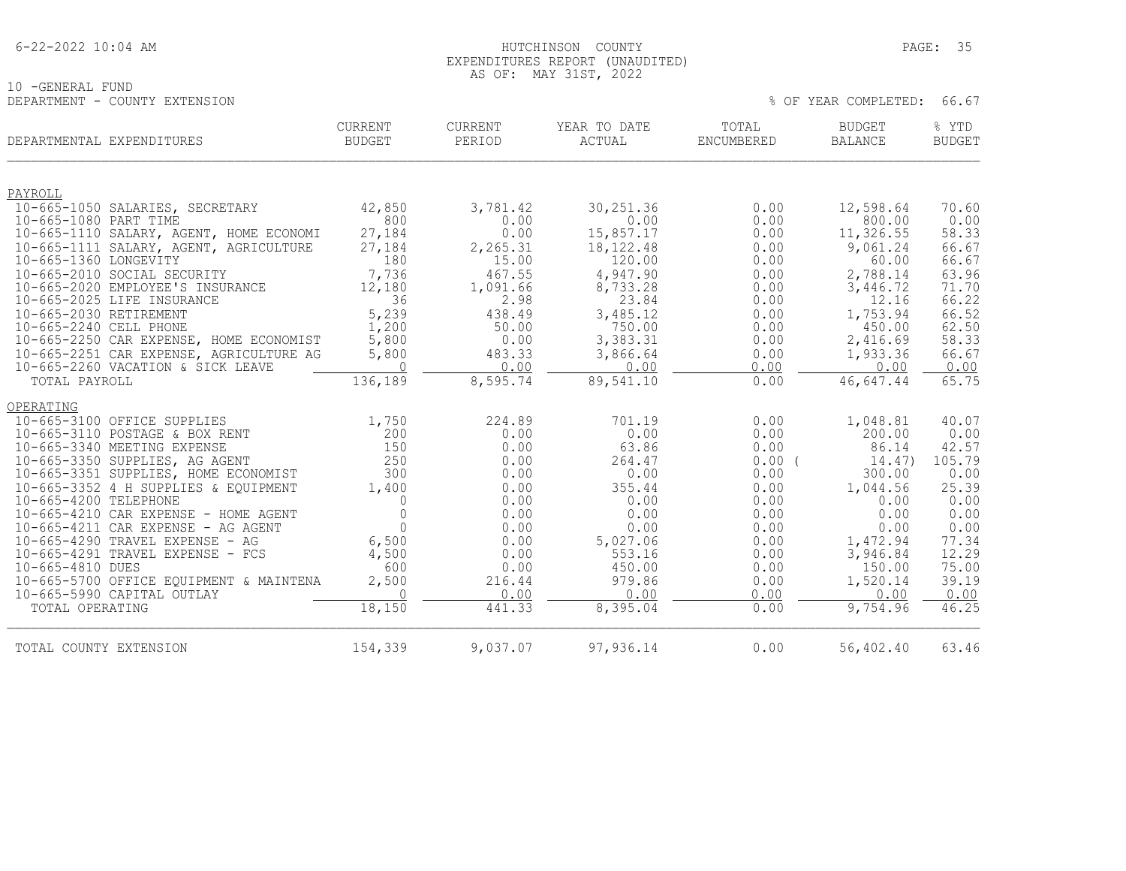| $6 - 22 - 2022$ 10:04 AM |
|--------------------------|
|--------------------------|

10 -GENERAL FUND<br>DEPARTMENT - COUNTY EXTENSION

#### HUTCHINSON COUNTY PAGE: 35 EXPENDITURES REPORT (UNAUDITED) AS OF: MAY 31ST, 2022

| DEPARTMENTAL EXPENDITURES                  | CURRENT<br><b>BUDGET</b> | CURRENT<br>PERIOD | YEAR TO DATE<br>ACTUAL | TOTAL<br><b>ENCUMBERED</b> | <b>BUDGET</b><br><b>BALANCE</b> | % YTD<br><b>BUDGET</b> |
|--------------------------------------------|--------------------------|-------------------|------------------------|----------------------------|---------------------------------|------------------------|
|                                            |                          |                   |                        |                            |                                 |                        |
| PAYROLL<br>10-665-1050 SALARIES, SECRETARY | 42,850                   | 3,781.42          | 30, 251.36             | 0.00                       | 12,598.64                       | 70.60                  |
| 10-665-1080 PART TIME                      | 800                      | 0.00              | 0.00                   | 0.00                       | 800.00                          | 0.00                   |
| 10-665-1110 SALARY, AGENT, HOME ECONOMI    | 27,184                   | 0.00              | 15,857.17              | 0.00                       | 11,326.55                       | 58.33                  |
| 10-665-1111 SALARY, AGENT, AGRICULTURE     | 27,184                   | 2,265.31          | 18, 122. 48            | 0.00                       | 9,061.24                        | 66.67                  |
| 10-665-1360 LONGEVITY                      | 180                      | 15.00             | 120.00                 | 0.00                       | 60.00                           | 66.67                  |
| 10-665-2010 SOCIAL SECURITY                | 7,736                    | 467.55            | 4,947.90               | 0.00                       | 2,788.14                        | 63.96                  |
| 10-665-2020 EMPLOYEE'S INSURANCE           | 12,180                   | 1,091.66          | 8,733.28               | 0.00                       | 3,446.72                        | 71.70                  |
| 10-665-2025 LIFE INSURANCE                 | 36                       | 2.98              | 23.84                  | 0.00                       | 12.16                           | 66.22                  |
| 10-665-2030 RETIREMENT                     | 5,239                    | 438.49            | 3,485.12               | 0.00                       | 1,753.94                        | 66.52                  |
| 10-665-2240 CELL PHONE                     | 1,200                    | 50.00             | 750.00                 | 0.00                       | 450.00                          | 62.50                  |
| 10-665-2250 CAR EXPENSE, HOME ECONOMIST    | 5,800                    | 0.00              | 3,383.31               | 0.00                       | 2,416.69                        | 58.33                  |
| 10-665-2251 CAR EXPENSE, AGRICULTURE AG    | 5,800                    | 483.33            | 3,866.64               | 0.00                       | 1,933.36                        | 66.67                  |
| 10-665-2260 VACATION & SICK LEAVE          | $\Omega$                 | 0.00              | 0.00                   | 0.00                       | 0.00                            | 0.00                   |
| TOTAL PAYROLL                              | 136,189                  | 8,595.74          | 89,541.10              | 0.00                       | 46,647.44                       | 65.75                  |
| OPERATING                                  |                          |                   |                        |                            |                                 |                        |
| 10-665-3100 OFFICE SUPPLIES                | 1,750                    | 224.89            | 701.19                 | 0.00                       | 1,048.81                        | 40.07                  |
| 10-665-3110 POSTAGE & BOX RENT             | 200                      | 0.00              | 0.00                   | 0.00                       | 200.00                          | 0.00                   |
| 10-665-3340 MEETING EXPENSE                | 150                      | 0.00              | 63.86                  | 0.00                       | 86.14                           | 42.57                  |
| 10-665-3350 SUPPLIES, AG AGENT             | 250                      | 0.00              | 264.47                 | $0.00$ (                   | 14.47)                          | 105.79                 |
| 10-665-3351 SUPPLIES, HOME ECONOMIST       | 300                      | 0.00              | 0.00                   | 0.00                       | 300.00                          | 0.00                   |
| 10-665-3352 4 H SUPPLIES & EQUIPMENT       | 1,400                    | 0.00              | 355.44                 | 0.00                       | 1,044.56                        | 25.39                  |
| 10-665-4200 TELEPHONE                      | $\Omega$                 | 0.00              | 0.00                   | 0.00                       | 0.00                            | 0.00                   |
| 10-665-4210 CAR EXPENSE - HOME AGENT       | $\Omega$                 | 0.00              | 0.00                   | 0.00                       | 0.00                            | 0.00                   |
| $10-665-4211$ CAR EXPENSE - AG AGENT       | $\Omega$                 | 0.00              | 0.00                   | 0.00                       | 0.00                            | 0.00                   |
| 10-665-4290 TRAVEL EXPENSE - AG            | 6,500                    | 0.00              | 5,027.06               | 0.00                       | 1,472.94                        | 77.34                  |
| 10-665-4291 TRAVEL EXPENSE - FCS           | 4,500                    | 0.00              | 553.16                 | 0.00                       | 3,946.84                        | 12.29                  |
| 10-665-4810 DUES                           | 600                      | 0.00              | 450.00                 | 0.00                       | 150.00                          | 75.00                  |
| 10-665-5700 OFFICE EQUIPMENT & MAINTENA    | 2,500                    | 216.44            | 979.86                 | 0.00                       | 1,520.14                        | 39.19                  |
| 10-665-5990 CAPITAL OUTLAY                 | $\Omega$                 | 0.00              | 0.00                   | 0.00                       | 0.00                            | 0.00                   |
| TOTAL OPERATING                            | 18,150                   | 441.33            | 8,395.04               | 0.00                       | 9,754.96                        | 46.25                  |
| TOTAL COUNTY EXTENSION                     | 154,339                  | 9,037.07          | 97,936.14              | 0.00                       | 56,402.40                       | 63.46                  |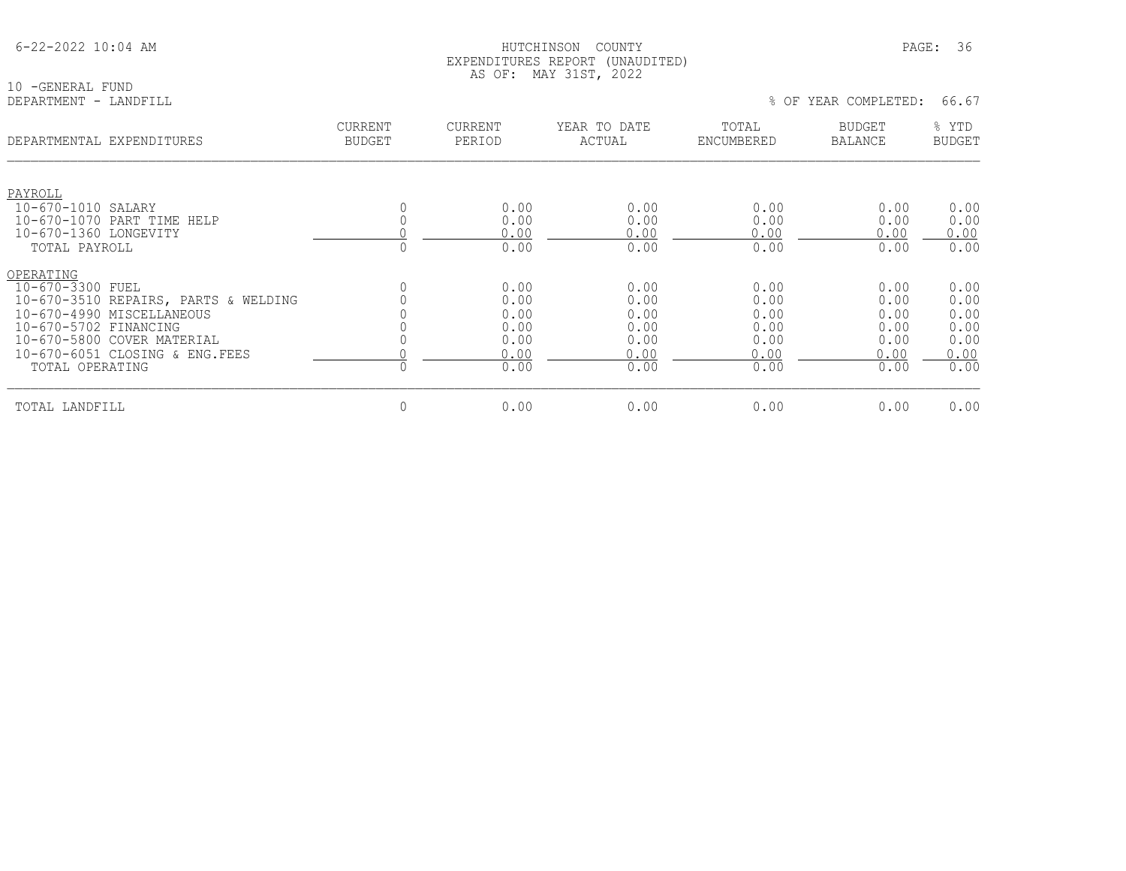#### HUTCHINSON COUNTY PAGE: 36 EXPENDITURES REPORT (UNAUDITED) AS OF: MAY 31ST, 2022

10 -GENERAL FUND<br>DEPARTMENT - LANDFILL

| DEPARTMENTAL EXPENDITURES                                                                                                                                                                                       | <b>CURRENT</b><br><b>BUDGET</b> | CURRENT<br>PERIOD                                    | YEAR TO DATE<br>ACTUAL                               | TOTAL<br>ENCUMBERED                                  | BUDGET<br><b>BALANCE</b>                             | % YTD<br><b>BUDGET</b>                               |
|-----------------------------------------------------------------------------------------------------------------------------------------------------------------------------------------------------------------|---------------------------------|------------------------------------------------------|------------------------------------------------------|------------------------------------------------------|------------------------------------------------------|------------------------------------------------------|
| PAYROLL<br>10-670-1010 SALARY<br>10-670-1070 PART TIME HELP<br>10-670-1360 LONGEVITY                                                                                                                            |                                 | 0.00<br>0.00<br>0.00                                 | 0.00<br>0.00<br>0.00                                 | 0.00<br>0.00<br>0.00                                 | 0.00<br>0.00<br>0.00                                 | 0.00<br>0.00<br>0.00                                 |
| TOTAL PAYROLL                                                                                                                                                                                                   |                                 | 0.00                                                 | 0.00                                                 | 0.00                                                 | 0.00                                                 | 0.00                                                 |
| OPERATING<br>10-670-3300 FUEL<br>10-670-3510 REPAIRS, PARTS & WELDING<br>10-670-4990 MISCELLANEOUS<br>10-670-5702 FINANCING<br>10-670-5800 COVER MATERIAL<br>10-670-6051 CLOSING & ENG. FEES<br>TOTAL OPERATING |                                 | 0.00<br>0.00<br>0.00<br>0.00<br>0.00<br>0.00<br>0.00 | 0.00<br>0.00<br>0.00<br>0.00<br>0.00<br>0.00<br>0.00 | 0.00<br>0.00<br>0.00<br>0.00<br>0.00<br>0.00<br>0.00 | 0.00<br>0.00<br>0.00<br>0.00<br>0.00<br>0.00<br>0.00 | 0.00<br>0.00<br>0.00<br>0.00<br>0.00<br>0.00<br>0.00 |
| TOTAL LANDFILL                                                                                                                                                                                                  | $\Omega$                        | 0.00                                                 | 0.00                                                 | 0.00                                                 | 0.00                                                 | 0.00                                                 |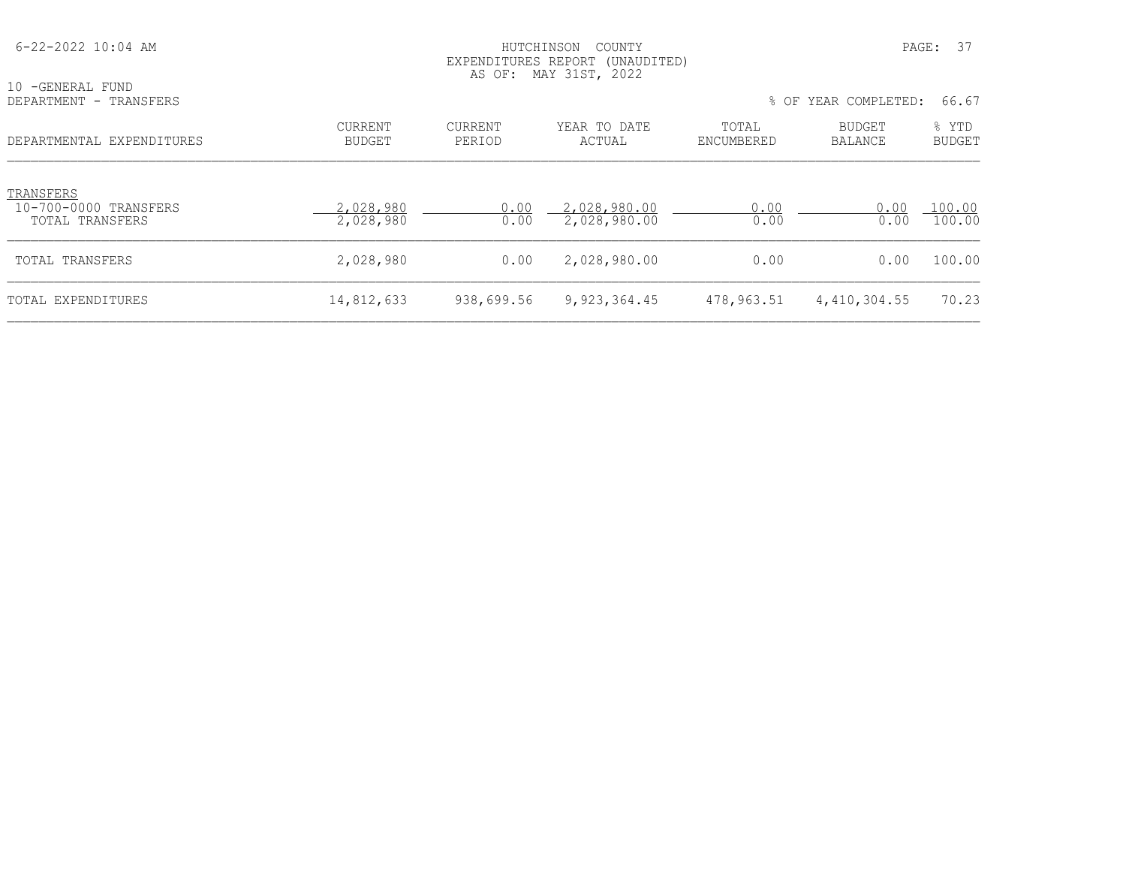| $6 - 22 - 2022$ 10:04 AM                              |                          |                   | HUTCHINSON<br>COUNTY<br>EXPENDITURES REPORT (UNAUDITED)<br>AS OF: MAY 31ST, 2022 |                     |                      | PAGE: 37               |
|-------------------------------------------------------|--------------------------|-------------------|----------------------------------------------------------------------------------|---------------------|----------------------|------------------------|
| 10 - GENERAL FUND<br>DEPARTMENT - TRANSFERS           |                          |                   |                                                                                  |                     | % OF YEAR COMPLETED: | 66.67                  |
| DEPARTMENTAL EXPENDITURES                             | CURRENT<br><b>BUDGET</b> | CURRENT<br>PERIOD | YEAR TO DATE<br>ACTUAL                                                           | TOTAL<br>ENCUMBERED | BUDGET<br>BALANCE    | % YTD<br><b>BUDGET</b> |
| TRANSFERS<br>10-700-0000 TRANSFERS<br>TOTAL TRANSFERS | 2,028,980<br>2,028,980   | 0.00<br>0.00      | 2,028,980.00<br>2,028,980.00                                                     | 0.00<br>0.00        | 0.00<br>0.00         | 100.00<br>100.00       |
| TOTAL TRANSFERS                                       | 2,028,980                | 0.00              | 2,028,980.00                                                                     | 0.00                | 0.00                 | 100.00                 |
| TOTAL EXPENDITURES                                    | 14,812,633               | 938,699.56        | 9, 923, 364.45                                                                   | 478,963.51          | 4,410,304.55         | 70.23                  |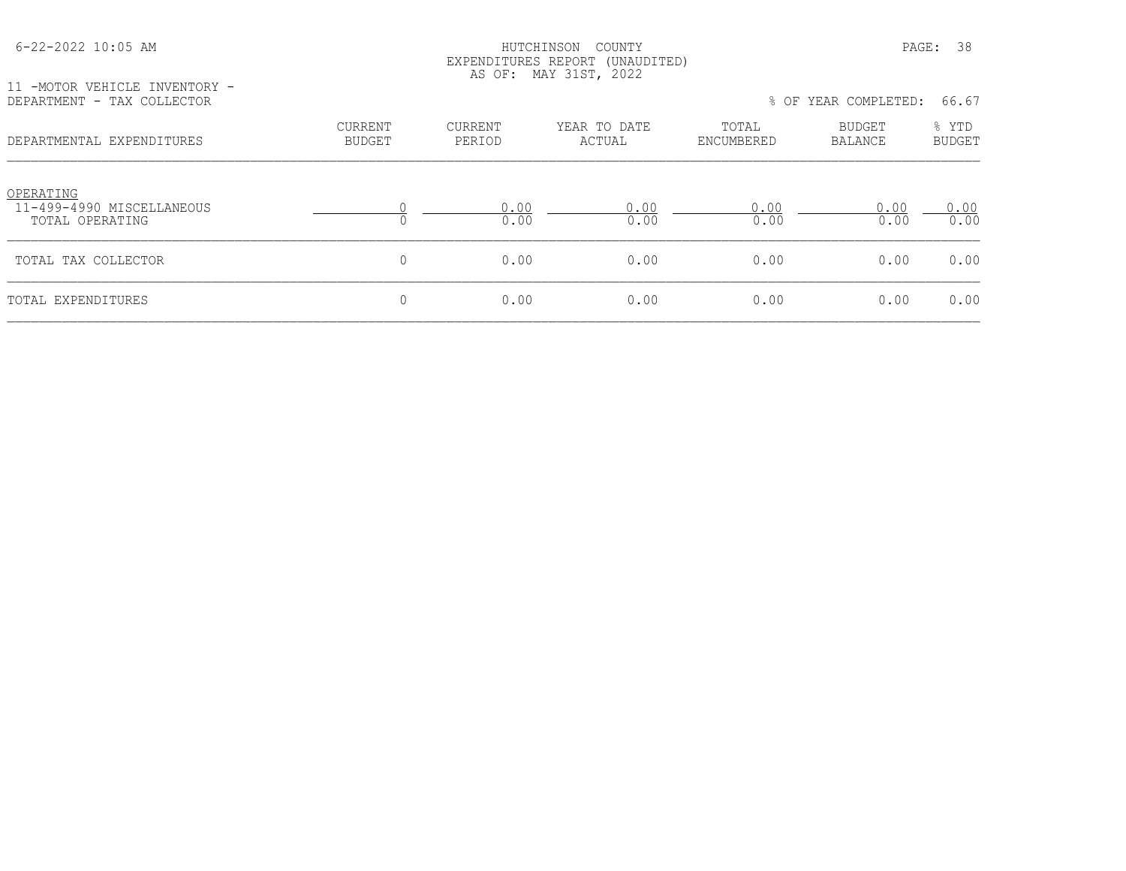| $6 - 22 - 2022$ 10:05 AM                                    |                                 |                   | HUTCHINSON<br>COUNTY<br>EXPENDITURES REPORT (UNAUDITED)<br>AS OF: MAY 31ST, 2022 |                     |                      | 38<br>PAGE:            |
|-------------------------------------------------------------|---------------------------------|-------------------|----------------------------------------------------------------------------------|---------------------|----------------------|------------------------|
| 11 -MOTOR VEHICLE INVENTORY -<br>DEPARTMENT - TAX COLLECTOR |                                 |                   |                                                                                  |                     | % OF YEAR COMPLETED: | 66.67                  |
| DEPARTMENTAL EXPENDITURES                                   | <b>CURRENT</b><br><b>BUDGET</b> | CURRENT<br>PERIOD | YEAR TO DATE<br>ACTUAL                                                           | TOTAL<br>ENCUMBERED | BUDGET<br>BALANCE    | % YTD<br><b>BUDGET</b> |
| OPERATING<br>11-499-4990 MISCELLANEOUS<br>TOTAL OPERATING   |                                 | 0.00<br>0.00      | 0.00<br>0.00                                                                     | 0.00<br>0.00        | 0.00<br>0.00         | 0.00<br>0.00           |
| TOTAL TAX COLLECTOR                                         | $\mathbf{0}$                    | 0.00              | 0.00                                                                             | 0.00                | 0.00                 | 0.00                   |
| TOTAL EXPENDITURES                                          | $\mathbf 0$                     | 0.00              | 0.00                                                                             | 0.00                | 0.00                 | 0.00                   |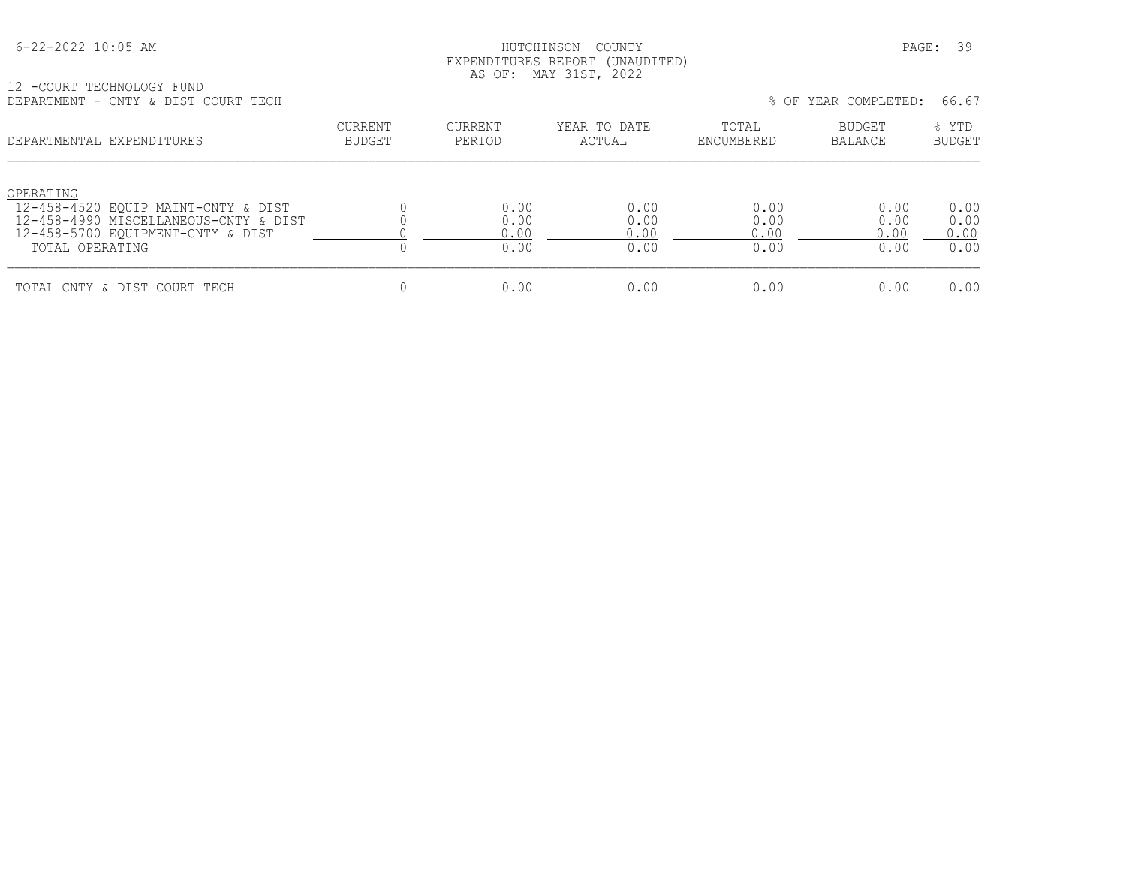#### HUTCHINSON COUNTY PAGE: 39 EXPENDITURES REPORT (UNAUDITED) AS OF: MAY 31ST, 2022

12 -COURT TECHNOLOGY FUND DEPARTMENT - CNTY & DIST COURT TECH % OF YEAR COMPLETED: 66.67

| DEL AIVIPENT<br>CNII & DIDI COONI IECH                                                                                                            |                                 |                              |                              |                              | O OF THAIR COPILEBRIED.      |                              |
|---------------------------------------------------------------------------------------------------------------------------------------------------|---------------------------------|------------------------------|------------------------------|------------------------------|------------------------------|------------------------------|
| DEPARTMENTAL EXPENDITURES                                                                                                                         | <b>CURRENT</b><br><b>BUDGET</b> | CURRENT<br>PERIOD            | YEAR TO DATE<br>ACTUAL       | TOTAL<br>ENCUMBERED          | <b>BUDGET</b><br>BALANCE     | % YTD<br><b>BUDGET</b>       |
| OPERATING<br>12-458-4520 EOUIP MAINT-CNTY & DIST<br>12-458-4990 MISCELLANEOUS-CNTY & DIST<br>12-458-5700 EQUIPMENT-CNTY & DIST<br>TOTAL OPERATING |                                 | 0.00<br>0.00<br>0.00<br>0.00 | 0.00<br>0.00<br>0.00<br>0.00 | 0.00<br>0.00<br>0.00<br>0.00 | 0.00<br>0.00<br>0.00<br>0.00 | 0.00<br>0.00<br>0.00<br>0.00 |
| TOTAL CNTY & DIST COURT TECH                                                                                                                      |                                 | 0.00                         | 0.00                         | 0.00                         | 0.00                         | 0.00                         |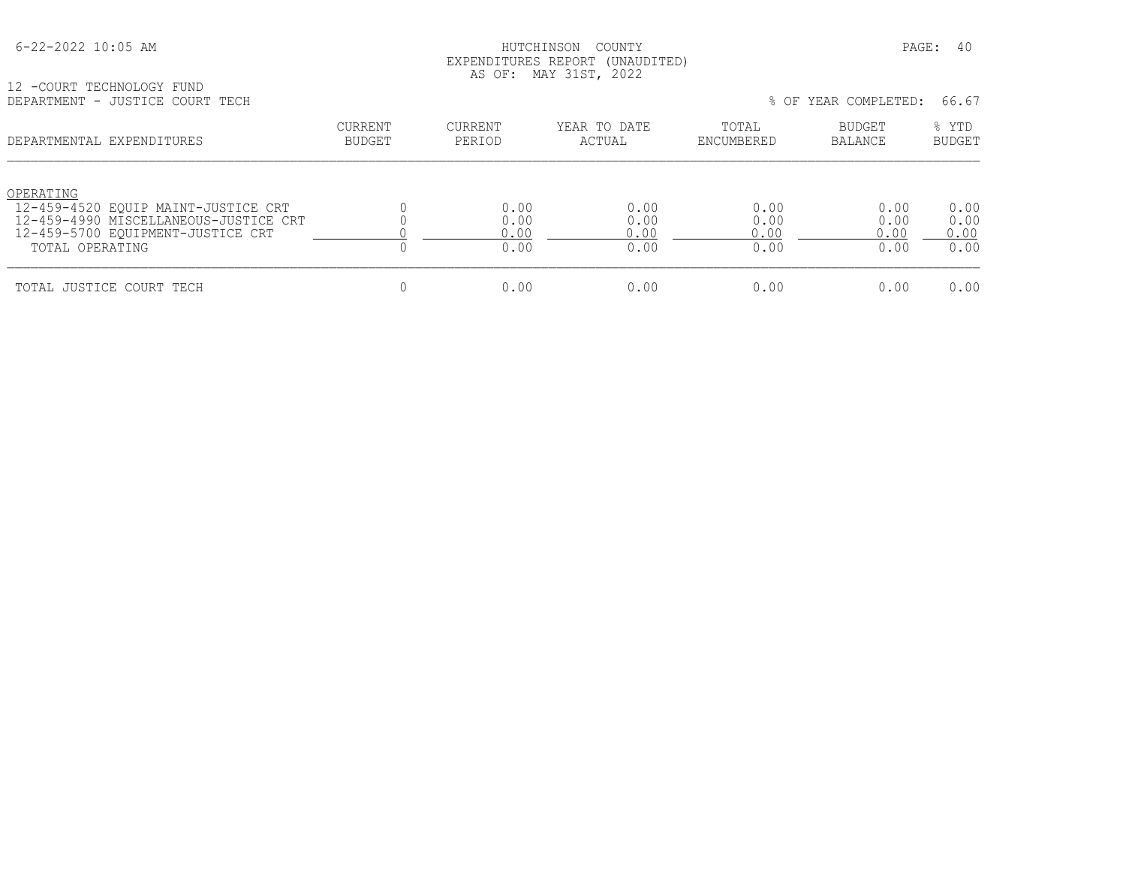#### HUTCHINSON COUNTY PAGE: 40 EXPENDITURES REPORT (UNAUDITED) AS OF: MAY 31ST, 2022

12 -COURT TECHNOLOGY FUND DEPARTMENT - JUSTICE COURT TECH % OF YEAR COMPLETED: 66.67

| DE ANTIJENT<br>- UUDIIVA CUURI IAGH                                                                                                               |                   |                              |                              |                              | O UI ILAN COMELLLU.          | .                            |
|---------------------------------------------------------------------------------------------------------------------------------------------------|-------------------|------------------------------|------------------------------|------------------------------|------------------------------|------------------------------|
| DEPARTMENTAL EXPENDITURES                                                                                                                         | CURRENT<br>BUDGET | CURRENT<br>PERIOD            | YEAR TO DATE<br>ACTUAL       | TOTAL<br>ENCUMBERED          | BUDGET<br>BALANCE            | % YTD<br><b>BUDGET</b>       |
| OPERATING<br>12-459-4520 EOUIP MAINT-JUSTICE CRT<br>12-459-4990 MISCELLANEOUS-JUSTICE CRT<br>12-459-5700 EOUIPMENT-JUSTICE CRT<br>TOTAL OPERATING |                   | 0.00<br>0.00<br>0.00<br>0.00 | 0.00<br>0.00<br>0.00<br>0.00 | 0.00<br>0.00<br>0.00<br>0.00 | 0.00<br>0.00<br>0.00<br>0.00 | 0.00<br>0.00<br>0.00<br>0.00 |
| TOTAL JUSTICE COURT TECH                                                                                                                          |                   | 0.00                         | 0.00                         | 0.00                         | 0.00                         | 0.00                         |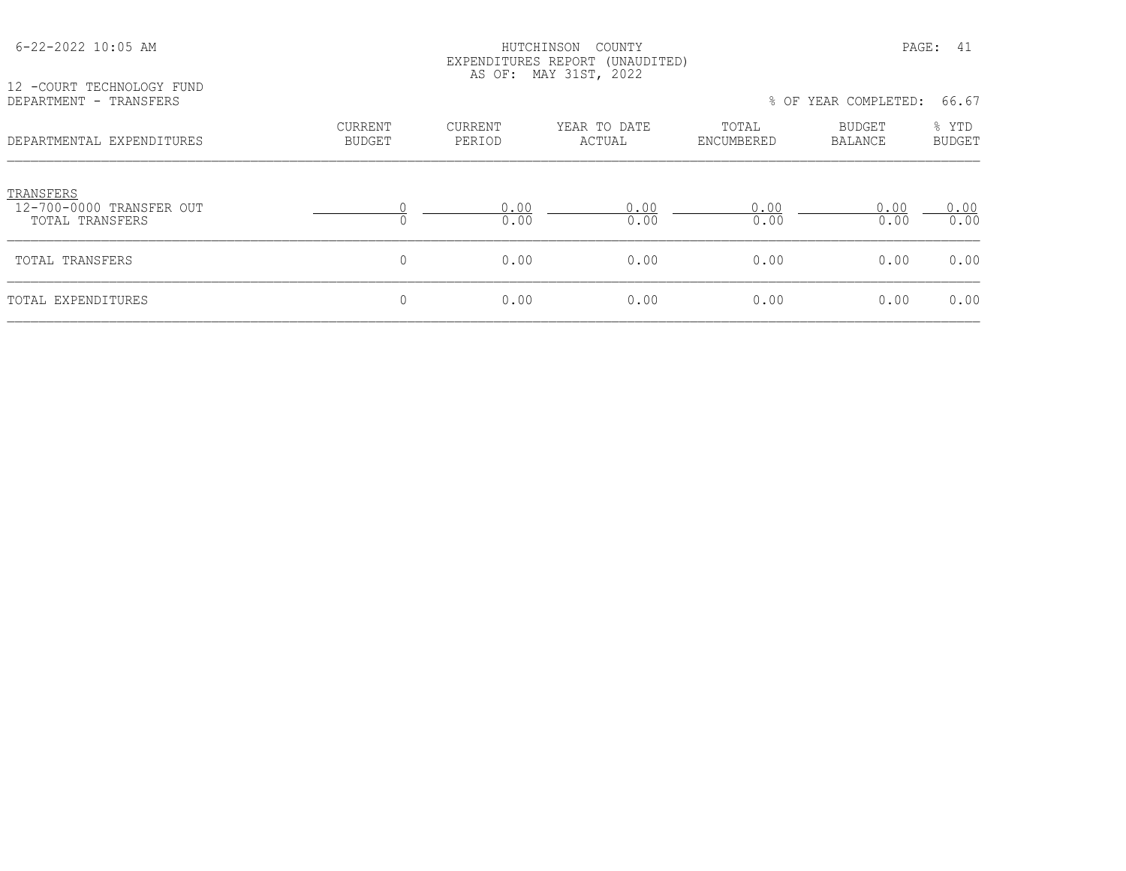| 12 -COURT TECHNOLOGY FUND                                |                          | EXPENDITURES REPORT (UNAUDITED)<br>AS OF: MAY 31ST, 2022 |                        |                     |                          |                        |  |
|----------------------------------------------------------|--------------------------|----------------------------------------------------------|------------------------|---------------------|--------------------------|------------------------|--|
| DEPARTMENT - TRANSFERS                                   |                          |                                                          |                        |                     | % OF YEAR COMPLETED:     | 66.67                  |  |
| DEPARTMENTAL EXPENDITURES                                | CURRENT<br><b>BUDGET</b> | CURRENT<br>PERIOD                                        | YEAR TO DATE<br>ACTUAL | TOTAL<br>ENCUMBERED | BUDGET<br><b>BALANCE</b> | % YTD<br><b>BUDGET</b> |  |
| TRANSFERS<br>12-700-0000 TRANSFER OUT<br>TOTAL TRANSFERS |                          | 0.00<br>0.00                                             | 0.00<br>0.00           | 0.00<br>0.00        | 0.00<br>0.00             | 0.00<br>0.00           |  |
| TOTAL TRANSFERS                                          | 0                        | 0.00                                                     | 0.00                   | 0.00                | 0.00                     | 0.00                   |  |
| TOTAL EXPENDITURES                                       | 0                        | 0.00                                                     | 0.00                   | 0.00                | 0.00                     | 0.00                   |  |

6-22-2022 10:05 AM HUTCHINSON COUNTY PAGE: 41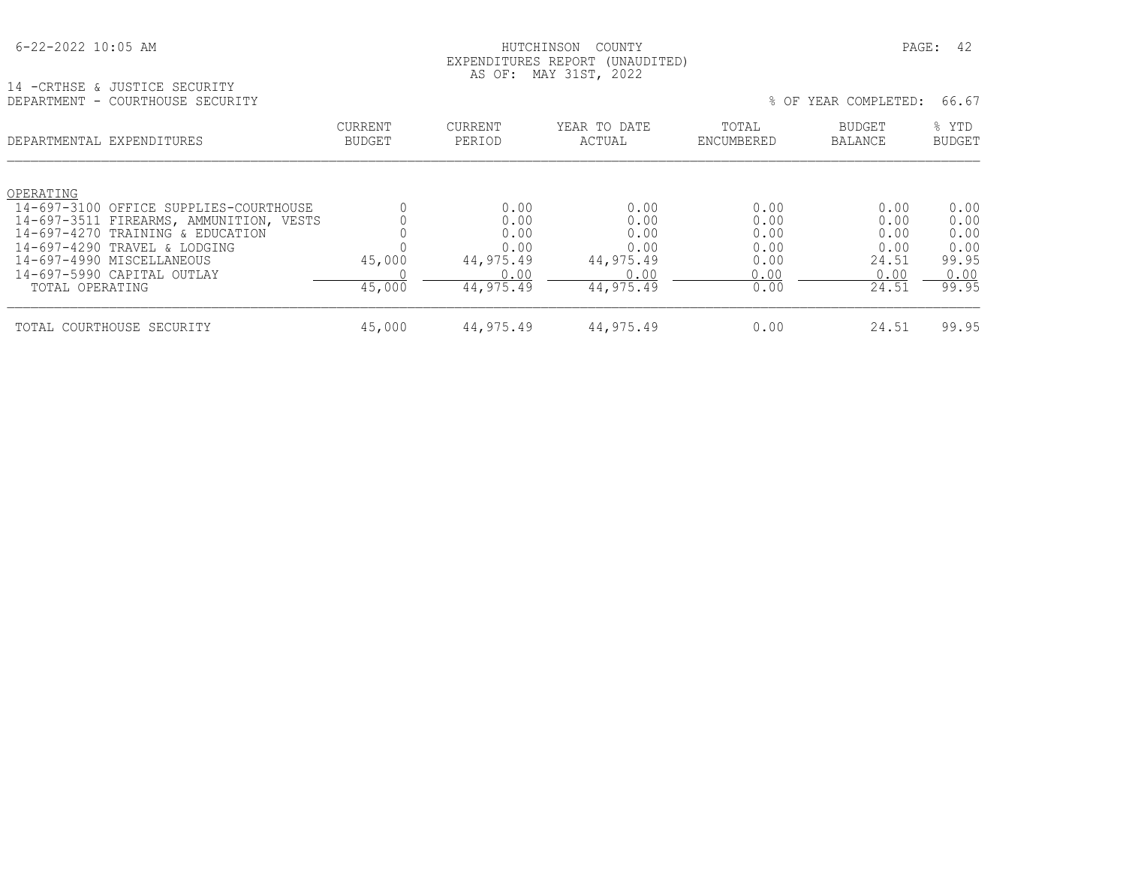#### HUTCHINSON COUNTY PAGE: 42 EXPENDITURES REPORT (UNAUDITED) AS OF: MAY 31ST, 2022

14 -CRTHSE & JUSTICE SECURITY

| TA LAMIUOT & AASIIAT STAAVIII<br>DEPARTMENT - COURTHOUSE SECURITY |                          |                   |                        |                     | % OF YEAR COMPLETED:            | 66.67                  |
|-------------------------------------------------------------------|--------------------------|-------------------|------------------------|---------------------|---------------------------------|------------------------|
| DEPARTMENTAL EXPENDITURES                                         | <b>CURRENT</b><br>BUDGET | CURRENT<br>PERIOD | YEAR TO DATE<br>ACTUAL | TOTAL<br>ENCUMBERED | <b>BUDGET</b><br><b>BALANCE</b> | % YTD<br><b>BUDGET</b> |
| OPERATING                                                         |                          |                   |                        |                     |                                 |                        |
| 14-697-3100 OFFICE SUPPLIES-COURTHOUSE                            |                          | 0.00              | 0.00                   | 0.00                | 0.00                            | 0.00                   |
| 14-697-3511 FIREARMS, AMMUNITION, VESTS                           |                          | 0.00              | 0.00                   | 0.00                | 0.00                            | 0.00                   |
| 14-697-4270 TRAINING & EDUCATION                                  |                          | 0.00              | 0.00                   | 0.00                | 0.00                            | 0.00                   |
| 14-697-4290 TRAVEL & LODGING<br>14-697-4990 MISCELLANEOUS         | 45,000                   | 0.00<br>44,975.49 | 0.00<br>44,975.49      | 0.00<br>0.00        | 0.00<br>24.51                   | 0.00<br>99.95          |
| 14-697-5990 CAPITAL OUTLAY                                        |                          | 0.00              | 0.00                   | 0.00                | 0.00                            | 0.00                   |
| TOTAL OPERATING                                                   | 45,000                   | 44, 975.49        | 44, 975.49             | 0.00                | 24.51                           | 99.95                  |
| TOTAL COURTHOUSE SECURITY                                         | 45,000                   | 44,975.49         | 44,975.49              | 0.00                | 24.51                           | 99.95                  |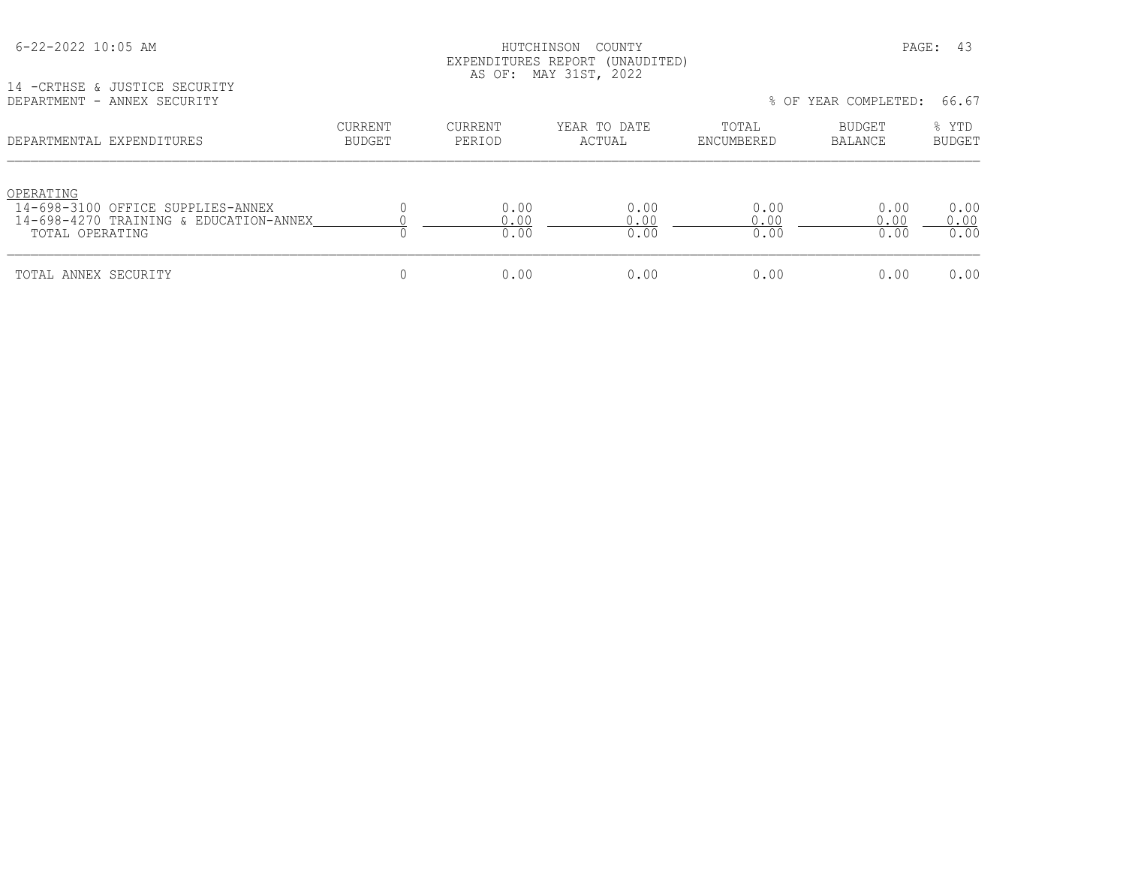#### HUTCHINSON COUNTY PAGE: 43 EXPENDITURES REPORT (UNAUDITED) AS OF: MAY 31ST, 2022

14 -CRTHSE & JUSTICE SECURITY

| DEPARTMENT - ANNEX SECURITY                                                                                 |                   |                      |                        |                      | % OF YEAR COMPLETED: | 66.67                  |
|-------------------------------------------------------------------------------------------------------------|-------------------|----------------------|------------------------|----------------------|----------------------|------------------------|
| DEPARTMENTAL EXPENDITURES                                                                                   | CURRENT<br>BUDGET | CURRENT<br>PERIOD    | YEAR TO DATE<br>ACTUAL | TOTAL<br>ENCUMBERED  | BUDGET<br>BALANCE    | % YTD<br><b>BUDGET</b> |
| OPERATING<br>14-698-3100 OFFICE SUPPLIES-ANNEX<br>14-698-4270 TRAINING & EDUCATION-ANNEX<br>TOTAL OPERATING |                   | 0.00<br>0.00<br>0.00 | 0.00<br>0.00<br>0.00   | 0.00<br>0.00<br>0.00 | 0.00<br>0.00<br>0.00 | 0.00<br>0.00<br>0.00   |
| TOTAL ANNEX SECURITY                                                                                        |                   | 0.00                 | 0.00                   | 0.00                 | 0.00                 | 0.00                   |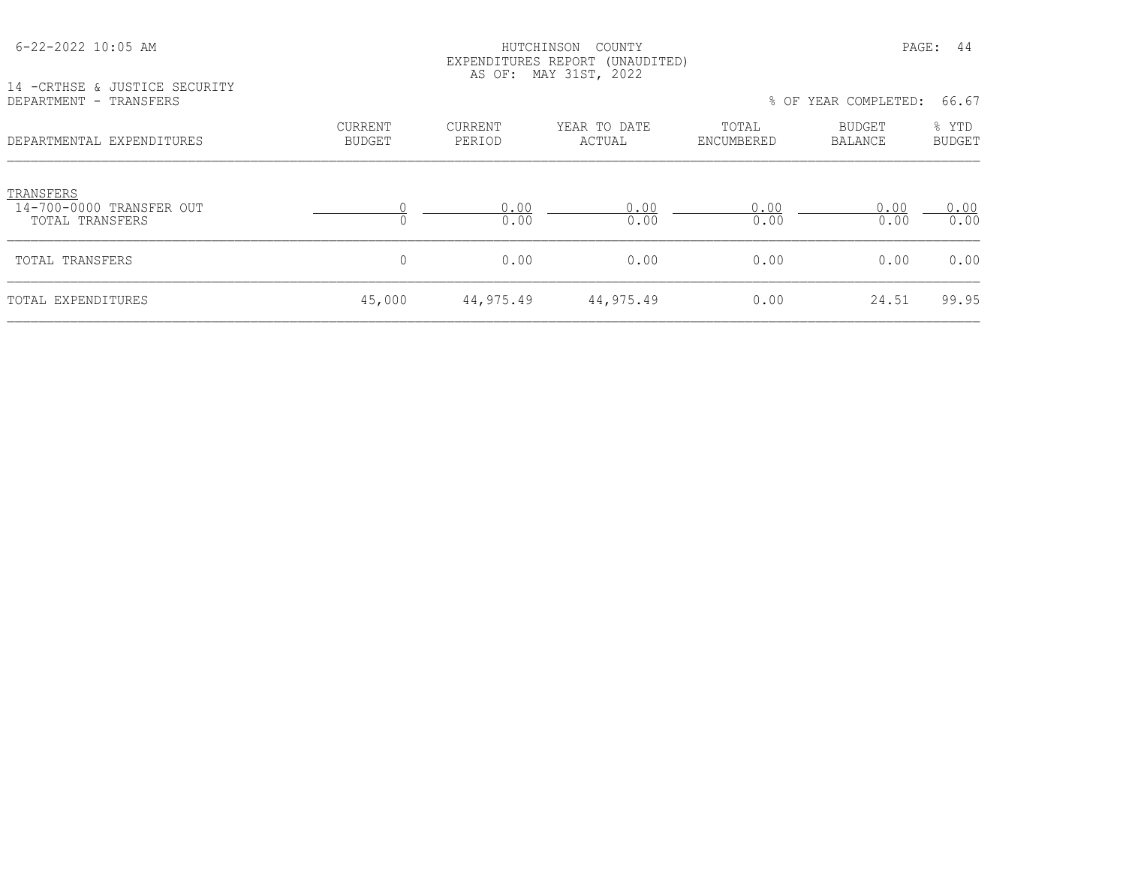|                                                          |                                 |                          | AS OF: MAY 31ST, 2022  |                     |                          |                        |
|----------------------------------------------------------|---------------------------------|--------------------------|------------------------|---------------------|--------------------------|------------------------|
| 14 - CRTHSE & JUSTICE SECURITY<br>DEPARTMENT - TRANSFERS |                                 |                          |                        |                     | % OF YEAR COMPLETED:     | 66.67                  |
| DEPARTMENTAL EXPENDITURES                                | <b>CURRENT</b><br><b>BUDGET</b> | <b>CURRENT</b><br>PERIOD | YEAR TO DATE<br>ACTUAL | TOTAL<br>ENCUMBERED | <b>BUDGET</b><br>BALANCE | % YTD<br><b>BUDGET</b> |
| TRANSFERS<br>14-700-0000 TRANSFER OUT<br>TOTAL TRANSFERS |                                 | 0.00<br>0.00             | 0.00<br>0.00           | 0.00<br>0.00        | 0.00<br>0.00             | 0.00<br>0.00           |
| TOTAL TRANSFERS                                          | 0                               | 0.00                     | 0.00                   | 0.00                | 0.00                     | 0.00                   |
| TOTAL EXPENDITURES                                       | 45,000                          | 44,975.49                | 44,975.49              | 0.00                | 24.51                    | 99.95                  |

 6-22-2022 10:05 AM HUTCHINSON COUNTY PAGE: 44 EXPENDITURES REPORT (UNAUDITED)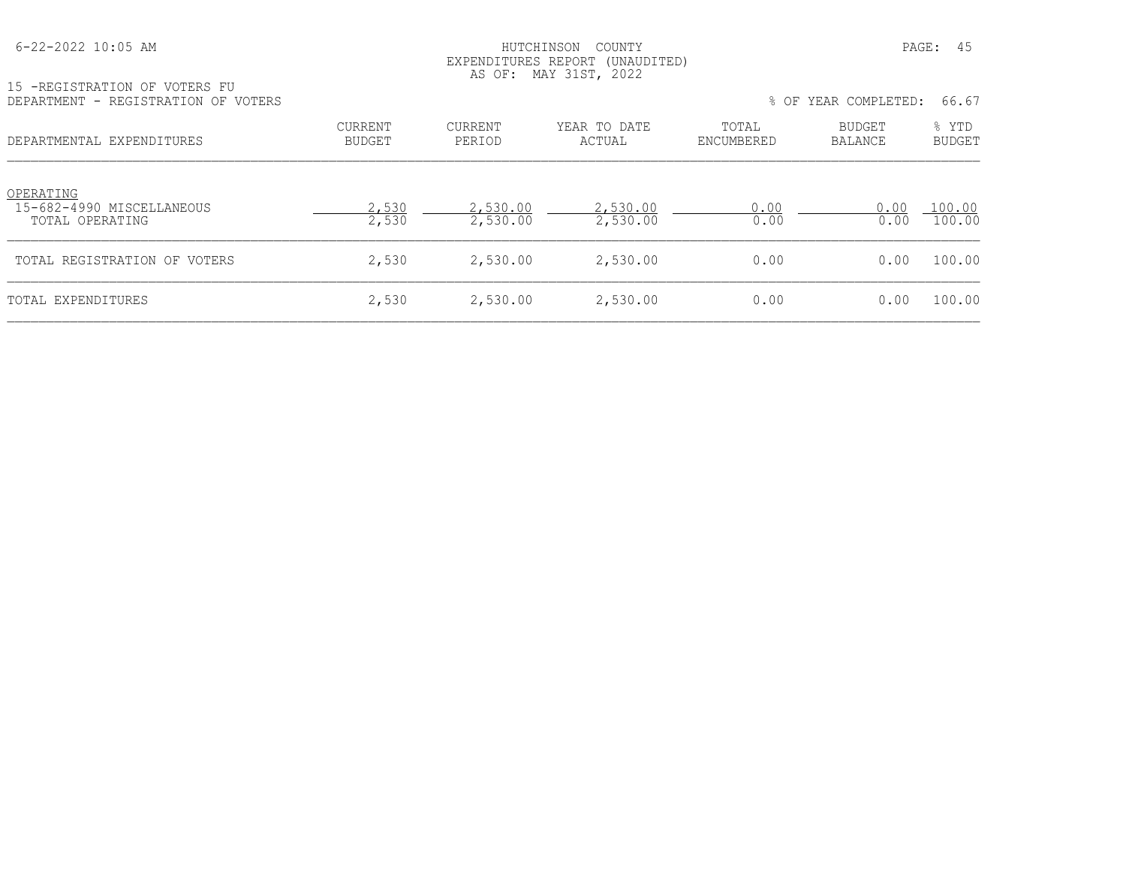#### HUTCHINSON COUNTY PAGE: 45 EXPENDITURES REPORT (UNAUDITED) AS OF: MAY 31ST, 2022

15 -REGISTRATION OF VOTERS FU

| DEPARTMENT - REGISTRATION OF VOTERS                       |                          |                      |                        |                     | % OF YEAR COMPLETED:     |                        |
|-----------------------------------------------------------|--------------------------|----------------------|------------------------|---------------------|--------------------------|------------------------|
| DEPARTMENTAL EXPENDITURES                                 | CURRENT<br><b>BUDGET</b> | CURRENT<br>PERIOD    | YEAR TO DATE<br>ACTUAL | TOTAL<br>ENCUMBERED | <b>BUDGET</b><br>BALANCE | % YTD<br><b>BUDGET</b> |
| OPERATING<br>15-682-4990 MISCELLANEOUS<br>TOTAL OPERATING | 2,530<br>2,530           | 2,530.00<br>2,530.00 | 2,530.00<br>2,530.00   | 0.00<br>0.00        | 0.00<br>0.00             | 100.00<br>100.00       |
| TOTAL REGISTRATION OF VOTERS                              | 2,530                    | 2,530.00             | 2,530.00               | 0.00                | 0.00                     | 100.00                 |
| TOTAL EXPENDITURES                                        | 2,530                    | 2,530.00             | 2,530.00               | 0.00                | 0.00                     | 100.00                 |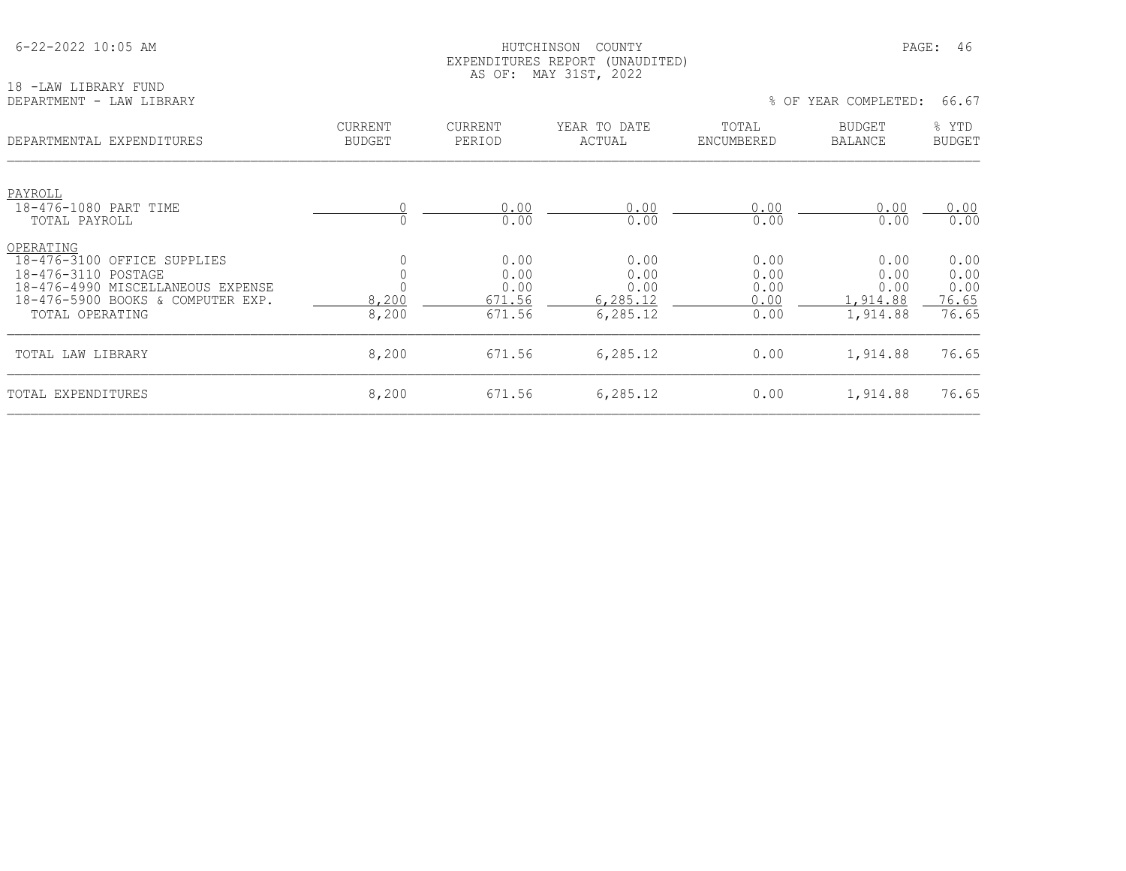#### HUTCHINSON COUNTY PAGE: 46 EXPENDITURES REPORT (UNAUDITED) AS OF: MAY 31ST, 2022

18 -LAW LIBRARY FUND<br>DEPARTMENT - LAW LIBRARY

% OF YEAR COMPLETED: 66.67

| DEPARTMENTAL EXPENDITURES                                                                                                                                    | <b>CURRENT</b><br><b>BUDGET</b> | <b>CURRENT</b><br>PERIOD                 | YEAR TO DATE<br>ACTUAL                       | TOTAL<br>ENCUMBERED                  | <b>BUDGET</b><br>BALANCE                           | % YTD<br><b>BUDGET</b>                 |
|--------------------------------------------------------------------------------------------------------------------------------------------------------------|---------------------------------|------------------------------------------|----------------------------------------------|--------------------------------------|----------------------------------------------------|----------------------------------------|
| PAYROLL                                                                                                                                                      |                                 |                                          |                                              |                                      |                                                    |                                        |
| 18-476-1080 PART TIME<br>TOTAL PAYROLL                                                                                                                       |                                 | 0.00<br>0.00                             | 0.00<br>0.00                                 | 0.00<br>0.00                         | 0.00<br>0.00                                       | 0.00<br>0.00                           |
| OPERATING<br>18-476-3100 OFFICE SUPPLIES<br>18-476-3110 POSTAGE<br>18-476-4990 MISCELLANEOUS EXPENSE<br>18-476-5900 BOOKS & COMPUTER EXP.<br>TOTAL OPERATING | 8,200<br>8,200                  | 0.00<br>0.00<br>0.00<br>671.56<br>671.56 | 0.00<br>0.00<br>0.00<br>6,285.12<br>6,285.12 | 0.00<br>0.00<br>0.00<br>0.00<br>0.00 | 0.00<br>0.00<br>0.00<br><u>,914.88</u><br>1,914.88 | 0.00<br>0.00<br>0.00<br>76.65<br>76.65 |
| TOTAL LAW LIBRARY                                                                                                                                            | 8,200                           | 671.56                                   | 6,285.12                                     | 0.00                                 | 1,914.88                                           | 76.65                                  |
| TOTAL EXPENDITURES                                                                                                                                           | 8,200                           | 671.56                                   | 6,285.12                                     | 0.00                                 | 1,914.88                                           | 76.65                                  |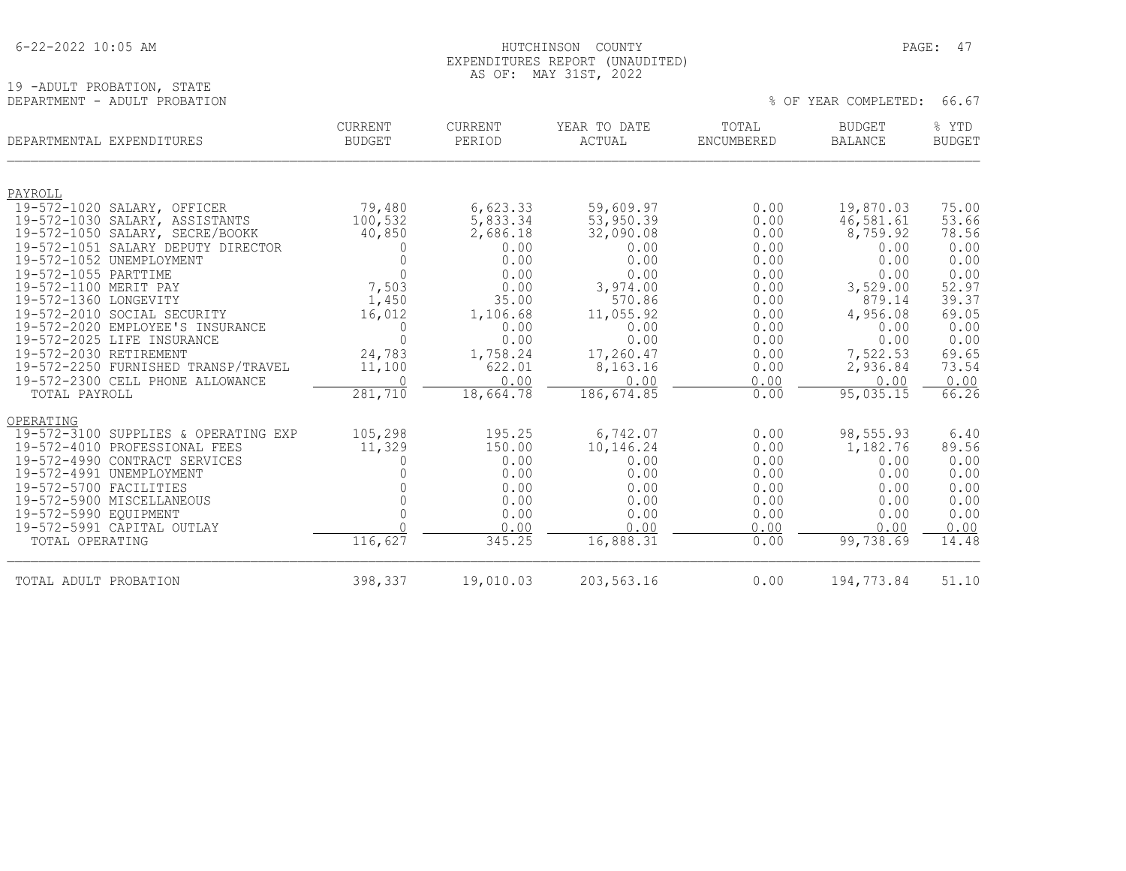19 -ADULT PROBATION, STATE<br>DEPARTMENT - ADULT PROBATION

#### HUTCHINSON COUNTY PAGE: 47 EXPENDITURES REPORT (UNAUDITED) AS OF: MAY 31ST, 2022

% OF YEAR COMPLETED: 66.67

| DEPARTMENTAL EXPENDITURES                                                                         | <b>CURRENT</b>    | <b>CURRENT</b>             | YEAR TO DATE                  | TOTAL                | <b>BUDGET</b>                | % YTD                  |
|---------------------------------------------------------------------------------------------------|-------------------|----------------------------|-------------------------------|----------------------|------------------------------|------------------------|
|                                                                                                   | <b>BUDGET</b>     | PERIOD                     | ACTUAL                        | ENCUMBERED           | <b>BALANCE</b>               | <b>BUDGET</b>          |
| PAYROLL                                                                                           |                   |                            |                               |                      |                              |                        |
| 19-572-1020 SALARY, OFFICER                                                                       | 79,480            | 6,623.33                   | 59,609.97                     | 0.00                 | 19,870.03                    | 75.00                  |
| 19-572-1030 SALARY, ASSISTANTS                                                                    | 100,532           | 5,833.34                   | 53,950.39                     | 0.00                 | 46,581.61                    | 53.66                  |
| 19-572-1050 SALARY, SECRE/BOOKK                                                                   | 40,850            | 2,686.18                   | 32,090.08                     | 0.00                 | 8,759.92                     | 78.56                  |
| 19-572-1051 SALARY DEPUTY DIRECTOR                                                                | O                 | 0.00                       | 0.00                          | 0.00                 | 0.00                         | 0.00                   |
| 19-572-1052 UNEMPLOYMENT                                                                          | $\Omega$          | 0.00                       | 0.00                          | 0.00                 | 0.00                         | 0.00                   |
| 19-572-1055 PARTTIME                                                                              | $\Omega$          | 0.00                       | 0.00                          | 0.00                 | 0.00                         | 0.00                   |
| 19-572-1100 MERIT PAY                                                                             | 7,503             | 0.00                       | 3,974.00                      | 0.00                 | 3,529.00                     | 52.97                  |
| 19-572-1360 LONGEVITY                                                                             | 1,450             | 35.00                      | 570.86                        | 0.00                 | 879.14                       | 39.37                  |
| 19-572-2010 SOCIAL SECURITY                                                                       | 16,012            | 1,106.68                   | 11,055.92                     | 0.00                 | 4,956.08                     | 69.05                  |
| 19-572-2020 EMPLOYEE'S INSURANCE                                                                  | 0                 | 0.00                       | 0.00                          | 0.00                 | 0.00                         | 0.00                   |
| 19-572-2025 LIFE INSURANCE                                                                        | $\Omega$          | 0.00                       | 0.00                          | 0.00                 | 0.00                         | 0.00                   |
| 19-572-2030 RETIREMENT<br>19-572-2250 FURNISHED TRANSP/TRAVEL<br>19-572-2300 CELL PHONE ALLOWANCE | 24,783<br>11,100  | 1,758.24<br>622.01<br>0.00 | 17,260.47<br>8,163.16<br>0.00 | 0.00<br>0.00<br>0.00 | 7,522.53<br>2,936.84<br>0.00 | 69.65<br>73.54<br>0.00 |
| TOTAL PAYROLL                                                                                     | 281,710           | 18,664.78                  | 186, 674.85                   | 0.00                 | 95,035.15                    | 66.26                  |
| OPERATING<br>19-572-3100 SUPPLIES & OPERATING EXP<br>19-572-4010 PROFESSIONAL FEES                | 105,298<br>11,329 | 195.25<br>150.00           | 6,742.07<br>10,146.24         | 0.00<br>0.00         | 98,555.93<br>1,182.76        | 6.40<br>89.56          |
| 19-572-4990 CONTRACT SERVICES                                                                     | 0                 | 0.00                       | 0.00                          | 0.00                 | 0.00                         | 0.00                   |
| 19-572-4991 UNEMPLOYMENT                                                                          |                   | 0.00                       | 0.00                          | 0.00                 | 0.00                         | 0.00                   |
| 19-572-5700 FACILITIES                                                                            |                   | 0.00                       | 0.00                          | 0.00                 | 0.00                         | 0.00                   |
| 19-572-5900 MISCELLANEOUS                                                                         | $\cap$            | 0.00                       | 0.00                          | 0.00                 | 0.00                         | 0.00                   |
| 19-572-5990 EQUIPMENT                                                                             |                   | 0.00                       | 0.00                          | 0.00                 | 0.00                         | 0.00                   |
| 19-572-5991 CAPITAL OUTLAY                                                                        |                   | 0.00                       | 0.00                          | 0.00                 | 0.00                         | 0.00                   |
| TOTAL OPERATING                                                                                   | 116,627           | 345.25                     | 16,888.31                     | 0.00                 | 99,738.69                    | 14.48                  |
| TOTAL ADULT PROBATION                                                                             | 398,337           | 19,010.03                  | 203,563.16                    | 0.00                 | 194,773.84                   | 51.10                  |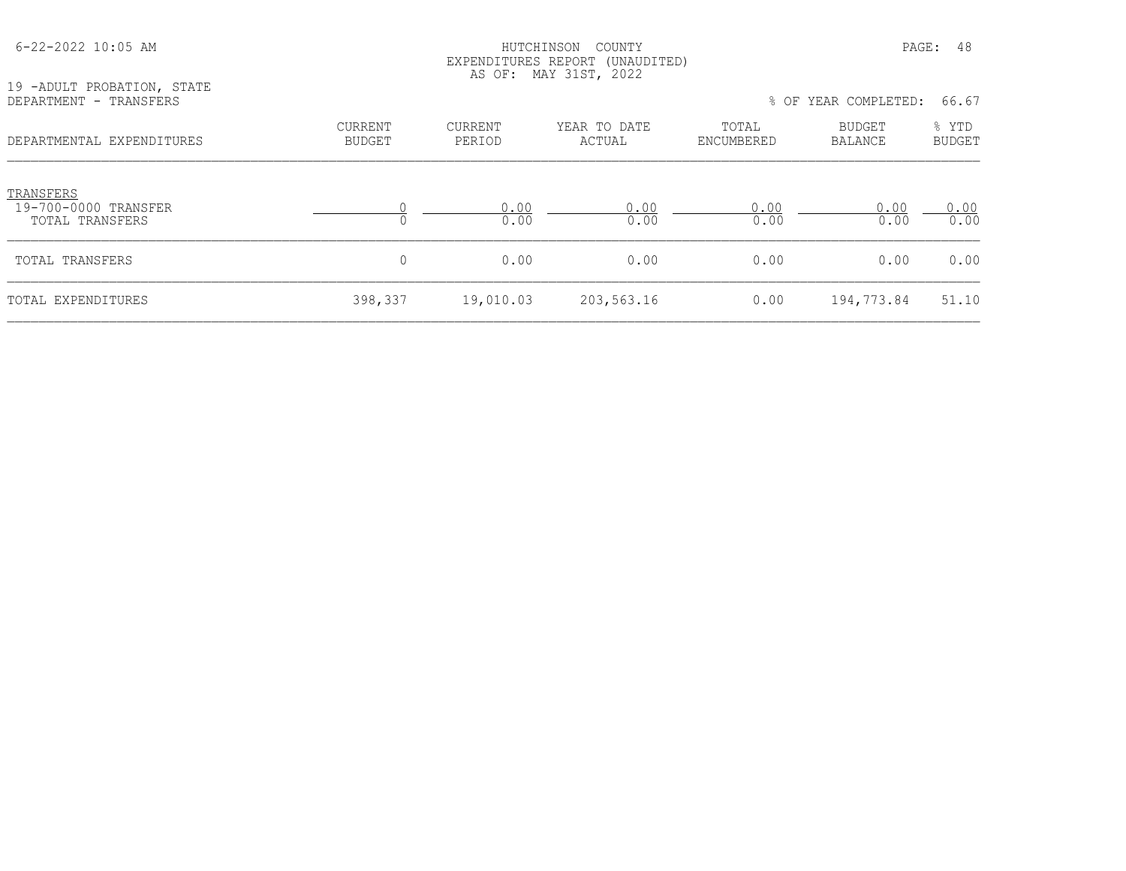| 19 -ADULT PROBATION, STATE<br>DEPARTMENT - TRANSFERS |                          | EXPENDITURES REPORT<br>AS OF: MAY 31ST, 2022 | (UNAUDITED)            | % OF YEAR COMPLETED: |                   |                        |
|------------------------------------------------------|--------------------------|----------------------------------------------|------------------------|----------------------|-------------------|------------------------|
| DEPARTMENTAL EXPENDITURES                            | CURRENT<br><b>BUDGET</b> | CURRENT<br>PERIOD                            | YEAR TO DATE<br>ACTUAL | TOTAL<br>ENCUMBERED  | BUDGET<br>BALANCE | % YTD<br><b>BUDGET</b> |
| TRANSFERS<br>19-700-0000 TRANSFER<br>TOTAL TRANSFERS |                          | 0.00<br>0.00                                 | 0.00<br>0.00           | 0.00<br>0.00         | 0.00<br>0.00      | 0.00<br>0.00           |
| TOTAL TRANSFERS                                      | 0                        | 0.00                                         | 0.00                   | 0.00                 | 0.00              | 0.00                   |
| TOTAL EXPENDITURES                                   | 398,337                  | 19,010.03                                    | 203,563.16             | 0.00                 | 194,773.84        | 51.10                  |

6-22-2022 10:05 AM HUTCHINSON COUNTY PAGE: 48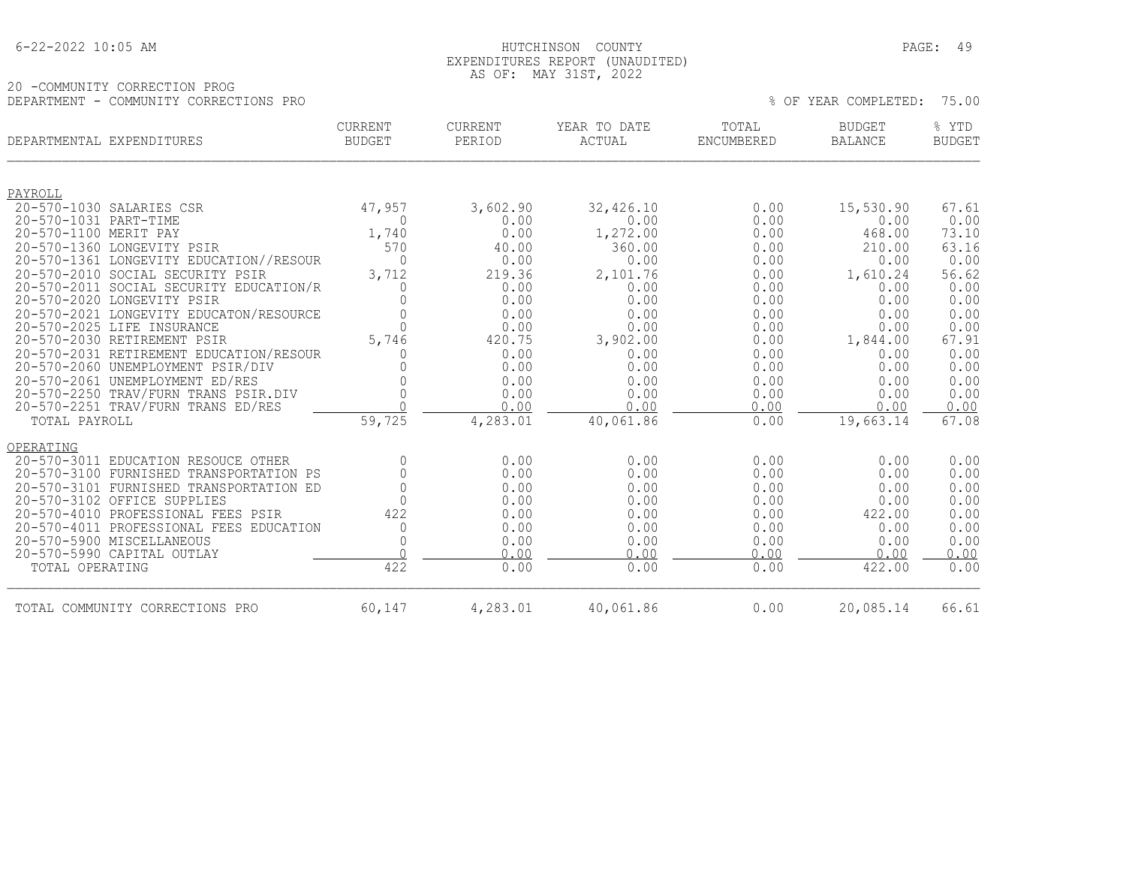|  | $6 - 22 - 2022$ 10:05 AM |  |
|--|--------------------------|--|
|  |                          |  |

#### HUTCHINSON COUNTY **EXECUTE:**  $\overline{49}$  EXPENDITURES REPORT (UNAUDITED) AS OF: MAY 31ST, 2022

20 -COMMUNITY CORRECTION PROG DEPARTMENT - COMMUNITY CORRECTIONS PRO % OF YEAR COMPLETED: 75.00

|                       | DEPARTMENTAL EXPENDITURES                                             | <b>CURRENT</b><br><b>BUDGET</b> | CURRENT<br>PERIOD | YEAR TO DATE<br>ACTUAL | TOTAL<br><b>ENCUMBERED</b> | <b>BUDGET</b><br><b>BALANCE</b> | % YTD<br><b>BUDGET</b> |
|-----------------------|-----------------------------------------------------------------------|---------------------------------|-------------------|------------------------|----------------------------|---------------------------------|------------------------|
| PAYROLL               |                                                                       |                                 |                   |                        |                            |                                 |                        |
|                       | 20-570-1030 SALARIES CSR                                              | 47,957                          | 3,602.90          | 32,426.10              | 0.00                       | 15,530.90                       | 67.61                  |
| 20-570-1031 PART-TIME |                                                                       | $\Omega$                        | 0.00              | 0.00                   | 0.00                       | 0.00                            | 0.00                   |
| 20-570-1100 MERIT PAY |                                                                       | 1,740                           | 0.00              | 1,272.00               | 0.00                       | 468.00                          | 73.10                  |
|                       | 20-570-1360 LONGEVITY PSIR                                            | 570                             | 40.00             | 360.00                 | 0.00                       | 210.00                          | 63.16                  |
|                       | 20-570-1361 LONGEVITY EDUCATION//RESOUR                               | $\bigcap$                       | 0.00              | 0.00                   | 0.00                       | 0.00                            | 0.00                   |
|                       | 20-570-2010 SOCIAL SECURITY PSIR                                      | 3,712                           | 219.36            | 2,101.76               | 0.00                       | 1,610.24                        | 56.62                  |
|                       | 20-570-2011 SOCIAL SECURITY EDUCATION/R                               |                                 | 0.00              | 0.00                   | 0.00                       | 0.00                            | 0.00                   |
|                       | 20-570-2020 LONGEVITY PSIR                                            |                                 | 0.00              | 0.00                   | 0.00                       | 0.00                            | 0.00                   |
|                       | 20-570-2021 LONGEVITY EDUCATON/RESOURCE<br>20-570-2025 LIFE INSURANCE | $\Omega$                        | 0.00<br>0.00      | 0.00<br>0.00           | 0.00<br>0.00               | 0.00<br>0.00                    | 0.00<br>0.00           |
|                       | 20-570-2030 RETIREMENT PSIR                                           | 5,746                           | 420.75            | 3,902.00               | 0.00                       | 1,844.00                        | 67.91                  |
|                       | 20-570-2031 RETIREMENT EDUCATION/RESOUR                               |                                 | 0.00              | 0.00                   | 0.00                       | 0.00                            | 0.00                   |
|                       | 20-570-2060 UNEMPLOYMENT PSIR/DIV                                     |                                 | 0.00              | 0.00                   | 0.00                       | 0.00                            | 0.00                   |
|                       | 20-570-2061 UNEMPLOYMENT ED/RES                                       |                                 | 0.00              | 0.00                   | 0.00                       | 0.00                            | 0.00                   |
|                       | 20-570-2250 TRAV/FURN TRANS PSIR.DIV                                  |                                 | 0.00              | 0.00                   | 0.00                       | 0.00                            | 0.00                   |
|                       | 20-570-2251 TRAV/FURN TRANS ED/RES                                    |                                 | 0.00              | 0.00                   | 0.00                       | 0.00                            | 0.00                   |
| TOTAL PAYROLL         |                                                                       | 59,725                          | 4,283.01          | 40,061.86              | 0.00                       | 19,663.14                       | 67.08                  |
| OPERATING             |                                                                       |                                 |                   |                        |                            |                                 |                        |
|                       | 20-570-3011 EDUCATION RESOUCE OTHER                                   | $\Omega$                        | 0.00              | 0.00                   | 0.00                       | 0.00                            | 0.00                   |
|                       | 20-570-3100 FURNISHED TRANSPORTATION PS                               | $\Omega$                        | 0.00              | 0.00                   | 0.00                       | 0.00                            | 0.00                   |
|                       | 20-570-3101 FURNISHED TRANSPORTATION ED                               | $\Omega$                        | 0.00              | 0.00                   | 0.00                       | 0.00                            | 0.00                   |
|                       | 20-570-3102 OFFICE SUPPLIES                                           |                                 | 0.00              | 0.00                   | 0.00                       | 0.00                            | 0.00                   |
|                       | 20-570-4010 PROFESSIONAL FEES PSIR                                    | 422                             | 0.00              | 0.00                   | 0.00                       | 422.00                          | 0.00                   |
|                       | 20-570-4011 PROFESSIONAL FEES EDUCATION                               | $\Omega$                        | 0.00              | 0.00                   | 0.00                       | 0.00                            | 0.00                   |
|                       | 20-570-5900 MISCELLANEOUS                                             | $\Omega$<br>$\cap$              | 0.00              | 0.00                   | 0.00                       | 0.00                            | 0.00                   |
|                       | 20-570-5990 CAPITAL OUTLAY                                            |                                 | 0.00              | 0.00                   | 0.00                       | 0.00                            | 0.00                   |
| TOTAL OPERATING       |                                                                       | 422                             | 0.00              | 0.00                   | 0.00                       | 422.00                          | 0.00                   |
|                       | TOTAL COMMUNITY CORRECTIONS PRO                                       | 60,147                          | 4,283.01          | 40,061.86              | 0.00                       | 20,085.14                       | 66.61                  |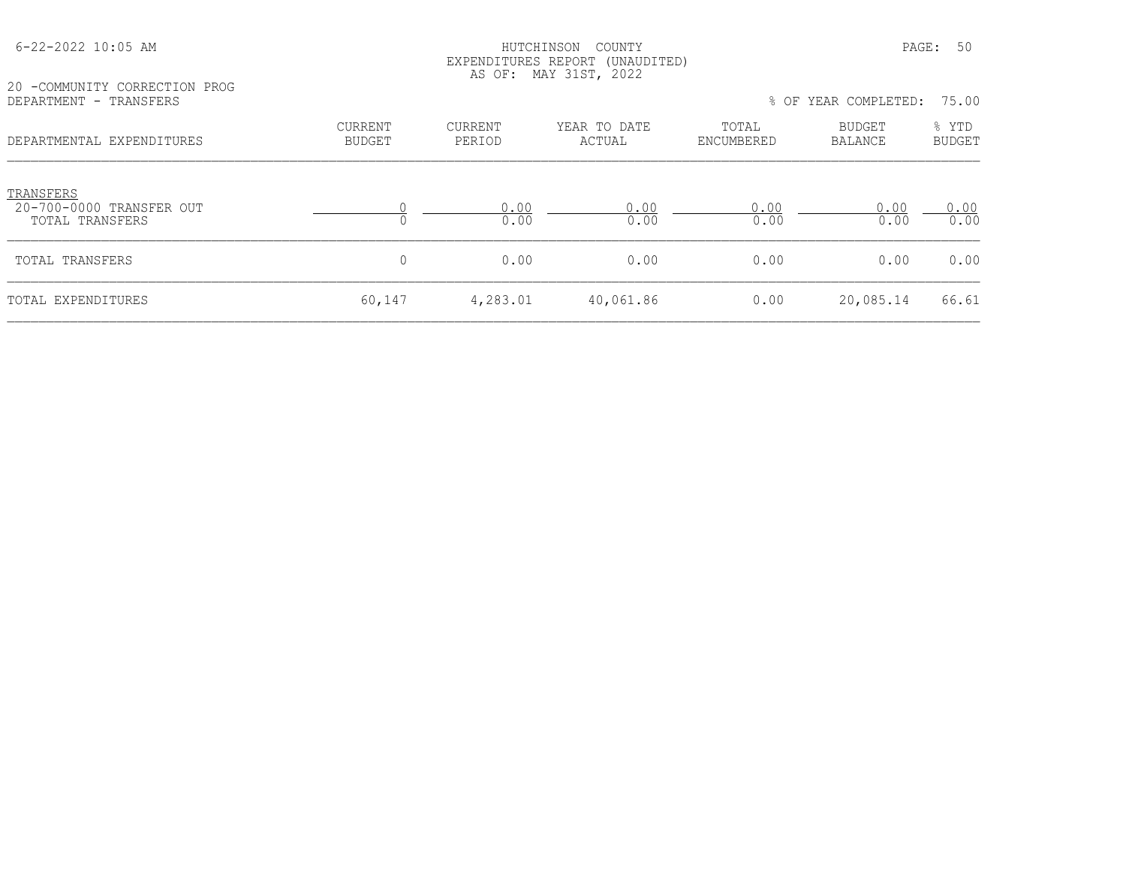|                                                                                      |                                 | AS OF:<br>MAY 31ST, 2022 |                        |                     |                   |                 |
|--------------------------------------------------------------------------------------|---------------------------------|--------------------------|------------------------|---------------------|-------------------|-----------------|
| 20 -COMMUNITY CORRECTION PROG<br>DEPARTMENT - TRANSFERS<br>DEPARTMENTAL EXPENDITURES |                                 |                          |                        | % OF                | YEAR COMPLETED:   | 75.00           |
|                                                                                      | <b>CURRENT</b><br><b>BUDGET</b> | <b>CURRENT</b><br>PERIOD | YEAR TO DATE<br>ACTUAL | TOTAL<br>ENCUMBERED | BUDGET<br>BALANCE | % YTD<br>BUDGET |
| TRANSFERS<br>20-700-0000 TRANSFER OUT<br>TOTAL TRANSFERS                             |                                 | 0.00<br>0.00             | 0.00<br>0.00           | 0.00<br>0.00        | 0.00<br>0.00      | 0.00<br>0.00    |
| TOTAL TRANSFERS                                                                      | 0                               | 0.00                     | 0.00                   | 0.00                | 0.00              | 0.00            |
| TOTAL EXPENDITURES                                                                   | 60,147                          | 4,283.01                 | 40,061.86              | 0.00                | 20,085.14         | 66.61           |

EXPENDITURES REPORT (UNAUDITED)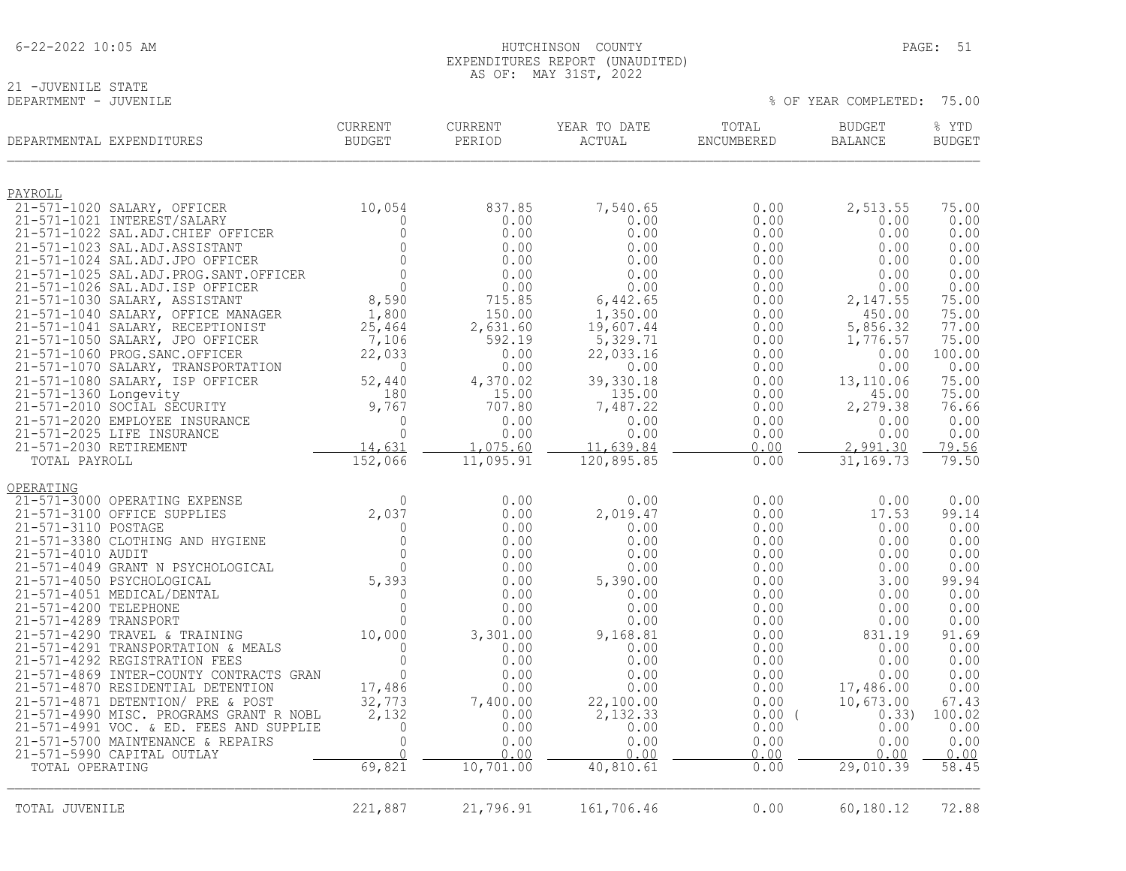| $6 - 22 - 2022$ 10:05 AM |  |  |
|--------------------------|--|--|
|                          |  |  |

# 21 -JUVENILE STATE<br>DEPARTMENT - JUVENILE

% OF YEAR COMPLETED: 75.00

| DEPARTMENTAL EXPENDITURES                                                    | <b>CURRENT</b><br><b>BUDGET</b> | <b>CURRENT</b><br>PERIOD | YEAR TO DATE<br>ACTUAL | TOTAL<br>ENCUMBERED | <b>BUDGET</b><br>BALANCE | % YTD<br><b>BUDGET</b> |
|------------------------------------------------------------------------------|---------------------------------|--------------------------|------------------------|---------------------|--------------------------|------------------------|
| PAYROLL                                                                      |                                 |                          |                        |                     |                          |                        |
| 21-571-1020 SALARY, OFFICER                                                  | 10,054                          | 837.85                   | 7,540.65               | 0.00                | 2,513.55                 | 75.00                  |
| 21-571-1021 INTEREST/SALARY<br>21-571-1022 SAL.ADJ.CHIEF OFFICER             | $\Omega$<br>$\mathbf{0}$        | 0.00<br>0.00             | 0.00<br>0.00           | 0.00<br>0.00        | 0.00<br>0.00             | 0.00<br>0.00           |
| 21-571-1023 SAL.ADJ.ASSISTANT                                                | $\Omega$                        | 0.00                     | 0.00                   | 0.00                | 0.00                     | 0.00                   |
| 21-571-1024 SAL.ADJ.JPO OFFICER                                              | $\circ$                         | 0.00                     | 0.00                   | 0.00                | 0.00                     | 0.00                   |
| 21-571-1025 SAL.ADJ.PROG.SANT.OFFICER                                        | $\Omega$                        | 0.00                     | 0.00                   | 0.00                | 0.00                     | 0.00                   |
| 21-571-1026 SAL.ADJ.ISP OFFICER<br>21-571-1030 SALARY, ASSISTANT             | $\Omega$<br>8,590               | 0.00<br>715.85           | 0.00                   | 0.00                | 0.00<br>2,147.55         | 0.00<br>75.00          |
| 21-571-1040 SALARY, OFFICE MANAGER                                           | 1,800                           | 150.00                   | 6,442.65<br>1,350.00   | 0.00<br>0.00        | 450.00                   | 75.00                  |
| 21-571-1041 SALARY, RECEPTIONIST                                             | 25,464                          | 2,631.60                 | 19,607.44              | 0.00                | 5,856.32                 | 77.00                  |
| 21-571-1050 SALARY, JPO OFFICER                                              | 7,106                           | 592.19                   | 5,329.71               | 0.00                | 1,776.57                 | 75.00                  |
| 21-571-1060 PROG. SANC. OFFICER                                              | 22,033                          | 0.00                     | 22,033.16              | 0.00                | 0.00                     | 100.00                 |
| 21-571-1070 SALARY, TRANSPORTATION<br>21-571-1080 SALARY, ISP OFFICER        | $\mathbf{0}$<br>52,440          | 0.00<br>4,370.02         | 0.00<br>39,330.18      | 0.00<br>0.00        | 0.00<br>13,110.06        | 0.00<br>75.00          |
| 21-571-1360 Longevity                                                        | 180                             | 15.00                    | 135.00                 | 0.00                | 45.00                    | 75.00                  |
| 21-571-2010 SOCIAL SECURITY                                                  | 9,767                           | 707.80                   | 7,487.22               | 0.00                | 2,279.38                 | 76.66                  |
| 21-571-2020 EMPLOYEE INSURANCE<br>21-571-2025 LIFE INSURANCE                 | $\mathbf{0}$<br>$\Omega$        | 0.00<br>0.00             | 0.00<br>0.00           | 0.00                | 0.00<br>0.00             | 0.00<br>0.00           |
| 21-571-2030 RETIREMENT                                                       | 14,631                          | 1,075.60                 | 11,639.84              | 0.00<br>0.00        | 2.991.30                 | 79.56                  |
| TOTAL PAYROLL                                                                | 152,066                         | 11,095.91                | 120,895.85             | 0.00                | 31, 169. 73              | 79.50                  |
|                                                                              |                                 |                          |                        |                     |                          |                        |
| OPERATING<br>21-571-3000 OPERATING EXPENSE                                   | $\Omega$                        | 0.00                     | 0.00                   | 0.00                | 0.00                     | 0.00                   |
| 21-571-3100 OFFICE SUPPLIES                                                  | 2,037                           | 0.00                     | 2,019.47               | 0.00                | 17.53                    | 99.14                  |
| 21-571-3110 POSTAGE                                                          | $\mathbf{0}$                    | 0.00                     | 0.00                   | 0.00                | 0.00                     | 0.00                   |
| 21-571-3380 CLOTHING AND HYGIENE<br>21-571-4010 AUDIT                        | $\Omega$<br>$\Omega$            | 0.00<br>0.00             | 0.00<br>0.00           | 0.00<br>0.00        | 0.00<br>0.00             | 0.00<br>0.00           |
| 21-571-4049 GRANT N PSYCHOLOGICAL                                            | $\Omega$                        | 0.00                     | 0.00                   | 0.00                | 0.00                     | 0.00                   |
| 21-571-4050 PSYCHOLOGICAL                                                    | 5,393                           | 0.00                     | 5,390.00               | 0.00                | 3.00                     | 99.94                  |
| 21-571-4051 MEDICAL/DENTAL                                                   | $\mathbf{0}$                    | 0.00                     | 0.00                   | 0.00                | 0.00                     | 0.00                   |
| 21-571-4200 TELEPHONE<br>21-571-4289 TRANSPORT                               | $\Omega$<br>$\Omega$            | 0.00<br>0.00             | 0.00<br>0.00           | 0.00<br>0.00        | 0.00<br>0.00             | 0.00<br>0.00           |
| 21-571-4290 TRAVEL & TRAINING                                                | 10,000                          | 3,301.00                 | 9,168.81               | 0.00                | 831.19                   | 91.69                  |
| 21-571-4291 TRANSPORTATION & MEALS                                           | $\Omega$                        | 0.00                     | 0.00                   | 0.00                | 0.00                     | 0.00                   |
| 21-571-4292 REGISTRATION FEES                                                | $\overline{0}$                  | 0.00                     | 0.00                   | 0.00                | 0.00                     | 0.00                   |
| 21-571-4869 INTER-COUNTY CONTRACTS GRAN<br>21-571-4870 RESIDENTIAL DETENTION | $\mathbf{0}$<br>17,486          | 0.00<br>0.00             | 0.00<br>0.00           | 0.00<br>0.00        | 0.00<br>17,486.00        | 0.00<br>0.00           |
| 21-571-4871 DETENTION/ PRE & POST                                            | 32,773                          | 7,400.00                 | 22,100.00              | 0.00                | 10,673.00                | 67.43                  |
| 21-571-4990 MISC. PROGRAMS GRANT R NOBL                                      | 2,132                           | 0.00                     | 2,132.33               | 0.00                | 0.33)                    | 100.02                 |
| 21-571-4991 VOC. & ED. FEES AND SUPPLIE                                      | 0                               | 0.00                     | 0.00                   | 0.00                | 0.00                     | 0.00                   |
| 21-571-5700 MAINTENANCE & REPAIRS<br>21-571-5990 CAPITAL OUTLAY              | $\Omega$                        | 0.00<br>0.00             | 0.00<br>0.00           | 0.00<br>0.00        | 0.00<br>0.00             | 0.00<br>0.00           |
| TOTAL OPERATING                                                              | 69,821                          | 10,701.00                | 40,810.61              | 0.00                | 29,010.39                | 58.45                  |
|                                                                              |                                 |                          |                        |                     |                          |                        |
| TOTAL JUVENILE                                                               | 221,887                         | 21,796.91                | 161,706.46             | 0.00                | 60,180.12                | 72.88                  |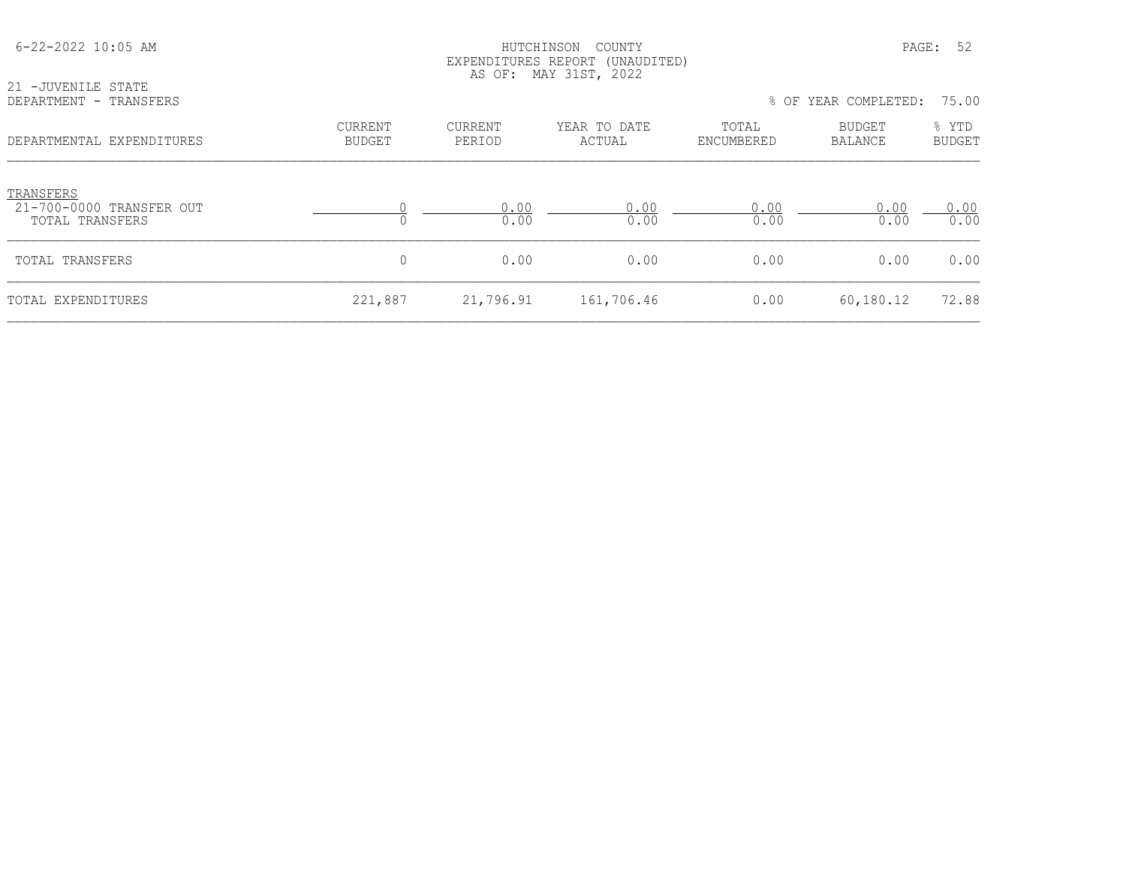| 6-22-2022 10:05 AM                                       |                          | HUTCHINSON<br>COUNTY<br>EXPENDITURES REPORT (UNAUDITED)<br>AS OF: MAY 31ST, 2022 |                        |                     |                      |                        |
|----------------------------------------------------------|--------------------------|----------------------------------------------------------------------------------|------------------------|---------------------|----------------------|------------------------|
| 21 -JUVENILE STATE<br>DEPARTMENT - TRANSFERS             |                          |                                                                                  |                        |                     | % OF YEAR COMPLETED: | 75.00                  |
| DEPARTMENTAL EXPENDITURES                                | CURRENT<br><b>BUDGET</b> | CURRENT<br>PERIOD                                                                | YEAR TO DATE<br>ACTUAL | TOTAL<br>ENCUMBERED | BUDGET<br>BALANCE    | % YTD<br><b>BUDGET</b> |
| TRANSFERS<br>21-700-0000 TRANSFER OUT<br>TOTAL TRANSFERS |                          | 0.00<br>0.00                                                                     | 0.00<br>0.00           | 0.00<br>0.00        | 0.00<br>0.00         | 0.00<br>0.00           |
| TOTAL TRANSFERS                                          | 0                        | 0.00                                                                             | 0.00                   | 0.00                | 0.00                 | 0.00                   |
| TOTAL EXPENDITURES                                       | 221,887                  | 21,796.91                                                                        | 161,706.46             | 0.00                | 60,180.12            | 72.88                  |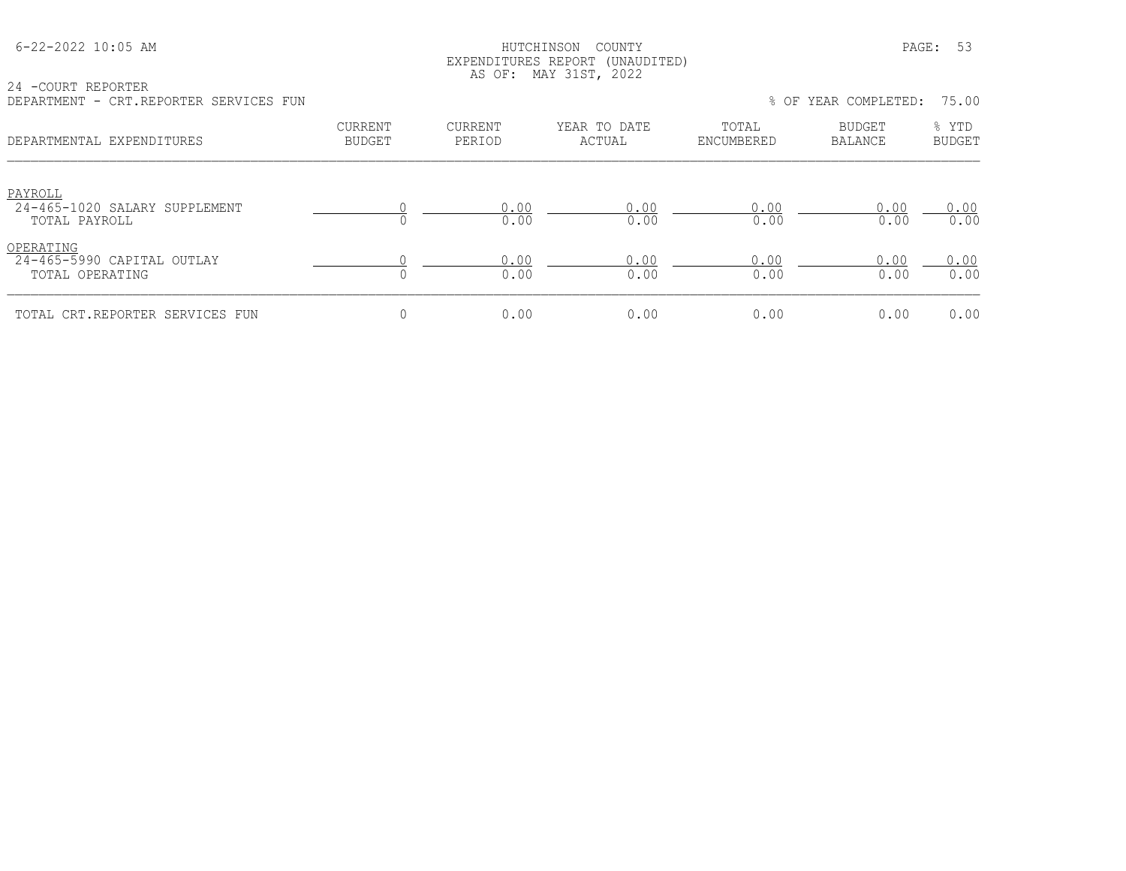#### HUTCHINSON COUNTY PAGE: 53 EXPENDITURES REPORT (UNAUDITED) AS OF: MAY 31ST, 2022

24 -COURT REPORTER DEPARTMENT - CRT.REPORTER SERVICES FUN % OF YEAR COMPLETED: 75.00

| णामारारामानार<br>CILI .ILLI OILLUIL DUILVILOUD I UN        |                                 |                   |                        |                     | 0 OI ILIN CONIILLUD.     | 70.00                  |
|------------------------------------------------------------|---------------------------------|-------------------|------------------------|---------------------|--------------------------|------------------------|
| DEPARTMENTAL EXPENDITURES                                  | <b>CURRENT</b><br><b>BUDGET</b> | CURRENT<br>PERIOD | YEAR TO DATE<br>ACTUAL | TOTAL<br>ENCUMBERED | <b>BUDGET</b><br>BALANCE | % YTD<br><b>BUDGET</b> |
| PAYROLL<br>24-465-1020 SALARY SUPPLEMENT<br>TOTAL PAYROLL  |                                 | 0.00<br>0.00      | 0.00<br>0.00           | 0.00<br>0.00        | 0.00<br>0.00             | 0.00<br>0.00           |
| OPERATING<br>24-465-5990 CAPITAL OUTLAY<br>TOTAL OPERATING |                                 | 0.00<br>0.00      | 0.00<br>0.00           | 0.00<br>0.00        | 0.00<br>0.00             | 0.00<br>0.00           |
| TOTAL CRT.REPORTER SERVICES FUN                            | 0                               | 0.00              | 0.00                   | 0.00                | 0.00                     | 0.00                   |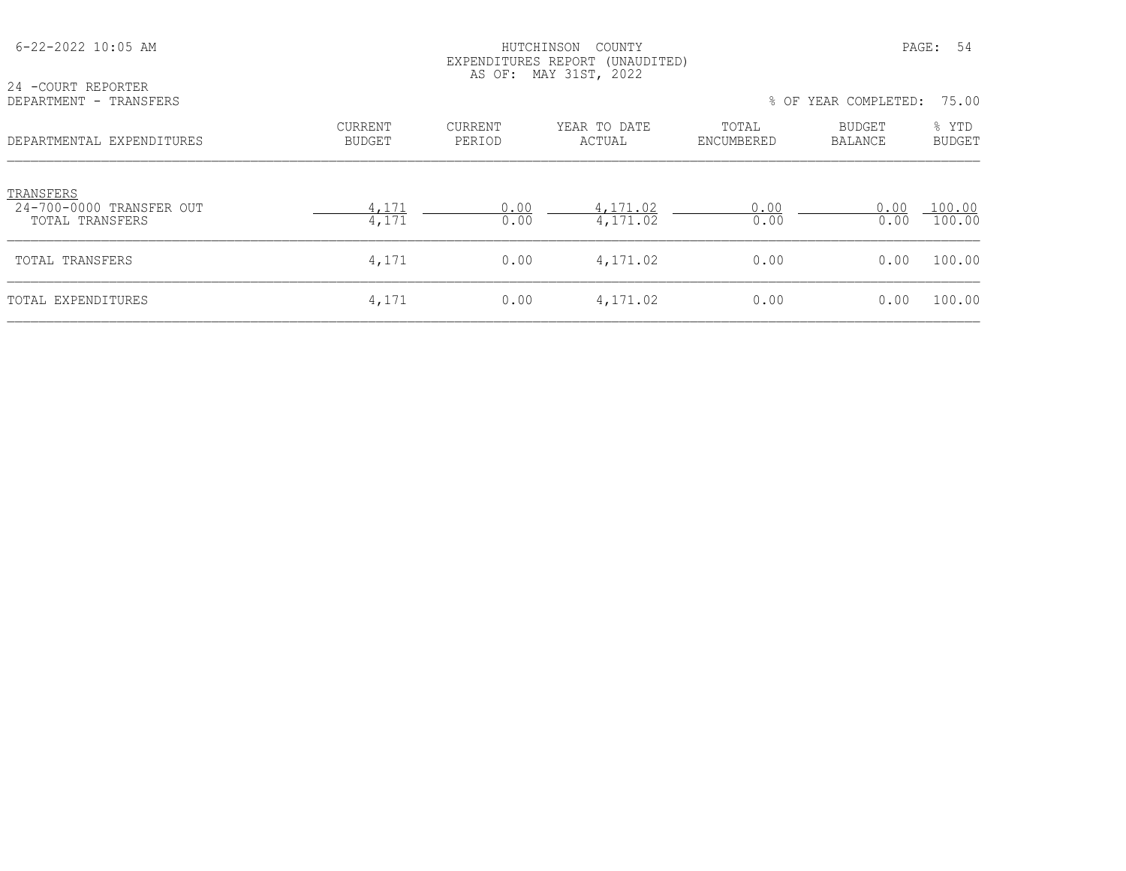| $6 - 22 - 2022$ 10:05 AM                                 |                          | COUNTY<br>HUTCHINSON<br>EXPENDITURES REPORT (UNAUDITED)<br>AS OF: MAY 31ST, 2022 |                        |                     |                      |                        |
|----------------------------------------------------------|--------------------------|----------------------------------------------------------------------------------|------------------------|---------------------|----------------------|------------------------|
| 24 - COURT REPORTER<br>DEPARTMENT - TRANSFERS            |                          |                                                                                  |                        |                     | % OF YEAR COMPLETED: | 75.00                  |
| DEPARTMENTAL EXPENDITURES                                | CURRENT<br><b>BUDGET</b> | CURRENT<br>PERIOD                                                                | YEAR TO DATE<br>ACTUAL | TOTAL<br>ENCUMBERED | BUDGET<br>BALANCE    | % YTD<br><b>BUDGET</b> |
| TRANSFERS<br>24-700-0000 TRANSFER OUT<br>TOTAL TRANSFERS | 4,171<br>4,171           | 0.00<br>0.00                                                                     | 4,171.02<br>4,171.02   | 0.00<br>0.00        | 0.00<br>0.00         | 100.00<br>100.00       |
| TOTAL TRANSFERS                                          | 4,171                    | 0.00                                                                             | 4,171.02               | 0.00                | 0.00                 | 100.00                 |
| TOTAL EXPENDITURES                                       | 4,171                    | 0.00                                                                             | 4,171.02               | 0.00                | 0.00                 | 100.00                 |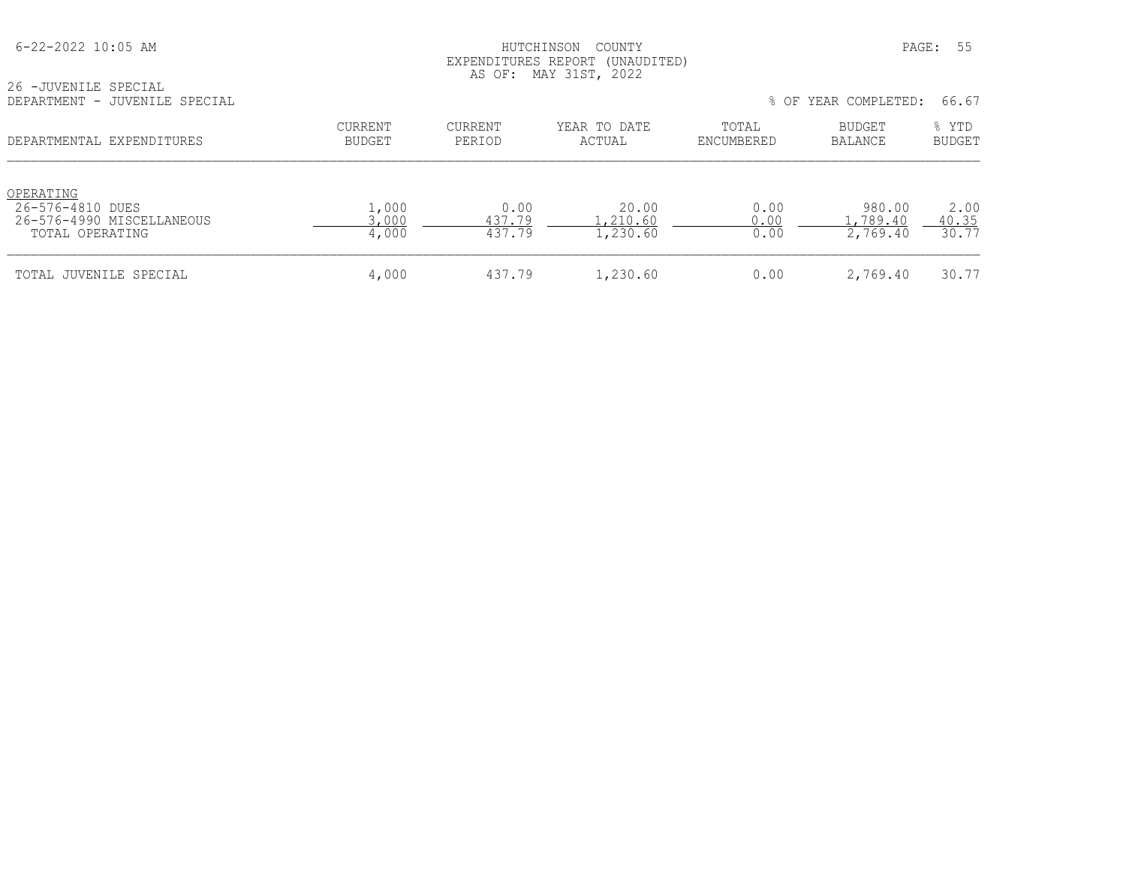#### HUTCHINSON COUNTY PAGE: 55 EXPENDITURES REPORT (UNAUDITED) AS OF: MAY 31ST, 2022

| 26 -JUVENILE SPECIAL          |                            |  |
|-------------------------------|----------------------------|--|
| DEPARTMENT - JUVENILE SPECIAL | % OF YEAR COMPLETED: 66.67 |  |
|                               |                            |  |

|  |  |  | % OF YEAR COMPLETED: | 66.67 |  |
|--|--|--|----------------------|-------|--|
|--|--|--|----------------------|-------|--|

| DEPARTMENTAL EXPENDITURES                                                     | CURRENT<br>BUDGET       | CURRENT<br>PERIOD        | YEAR TO DATE<br>ACTUAL        | TOTAL<br>ENCUMBERED  | <b>BUDGET</b><br>BALANCE       | % YTD<br><b>BUDGET</b> |
|-------------------------------------------------------------------------------|-------------------------|--------------------------|-------------------------------|----------------------|--------------------------------|------------------------|
| OPERATING<br>26-576-4810 DUES<br>26-576-4990 MISCELLANEOUS<br>TOTAL OPERATING | 1,000<br>3,000<br>4,000 | 0.00<br>437.79<br>437.79 | 20.00<br>.,210.60<br>1,230.60 | 0.00<br>0.00<br>0.00 | 980.00<br>.,789.40<br>2,769.40 | 2.00<br>40.35<br>30.77 |
| TOTAL JUVENILE SPECIAL                                                        | 4,000                   | 437.79                   | 1,230.60                      | 0.00                 | 2,769.40                       | 30.77                  |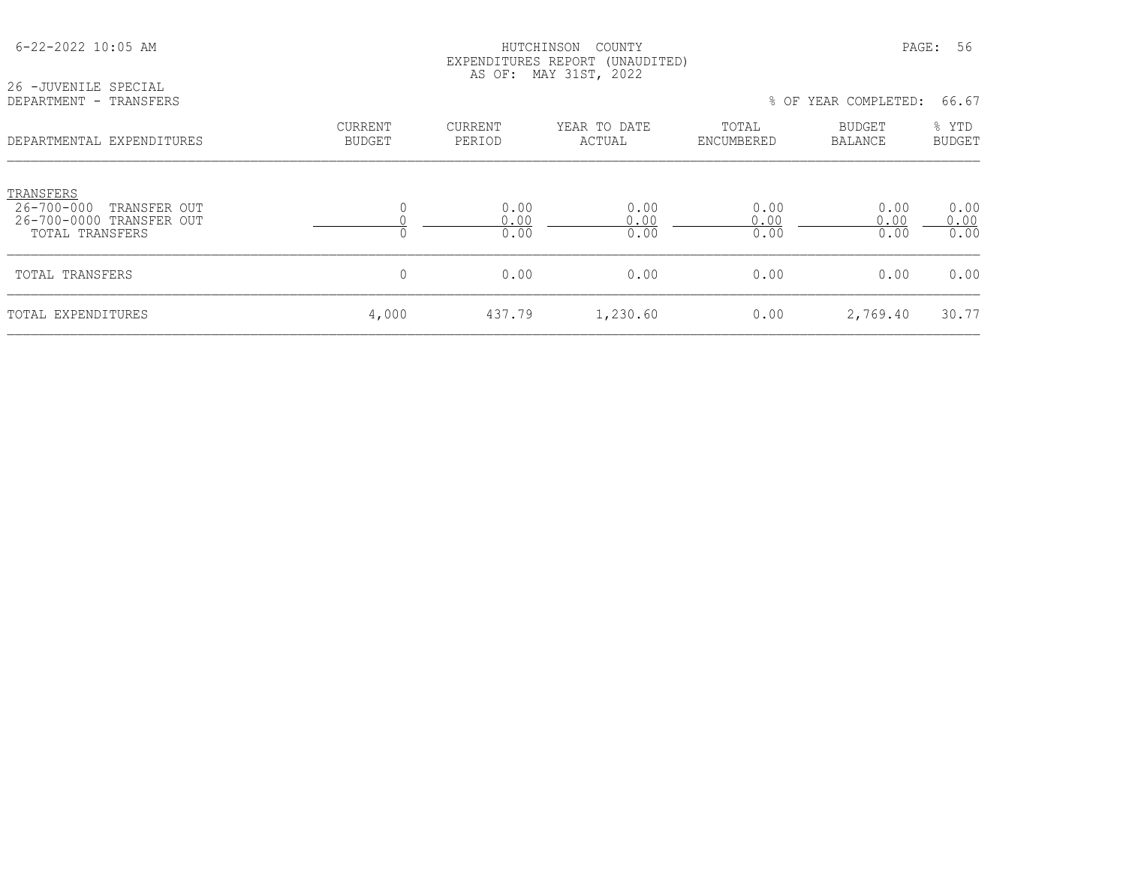|                                                                                                     |                          |                          | EXPENDITURES REPORT (UNAUDITED)<br>AS OF: MAY 31ST, 2022 |                      |                                 |                      |
|-----------------------------------------------------------------------------------------------------|--------------------------|--------------------------|----------------------------------------------------------|----------------------|---------------------------------|----------------------|
| 26 - JUVENILE SPECIAL<br>DEPARTMENT - TRANSFERS                                                     |                          |                          |                                                          |                      | % OF YEAR COMPLETED:            | 66.67                |
| DEPARTMENTAL EXPENDITURES                                                                           | CURRENT<br><b>BUDGET</b> | <b>CURRENT</b><br>PERIOD | YEAR TO DATE<br>ACTUAL                                   | TOTAL<br>ENCUMBERED  | <b>BUDGET</b><br><b>BALANCE</b> | % YTD<br>BUDGET      |
| TRANSFERS<br>$26 - 700 - 000$<br>TRANSFER OUT<br>26-700-0000 TRANSFER OUT<br><b>TOTAL TRANSFERS</b> | 0<br>0                   | 0.00<br>0.00<br>0.00     | 0.00<br>0.00<br>0.00                                     | 0.00<br>0.00<br>0.00 | 0.00<br>0.00<br>0.00            | 0.00<br>0.00<br>0.00 |
| TOTAL TRANSFERS                                                                                     | 0                        | 0.00                     | 0.00                                                     | 0.00                 | 0.00                            | 0.00                 |
| TOTAL EXPENDITURES                                                                                  | 4,000                    | 437.79                   | 1,230.60                                                 | 0.00                 | 2,769.40                        | 30.77                |

6-22-2022 10:05 AM HUTCHINSON COUNTY PAGE: 56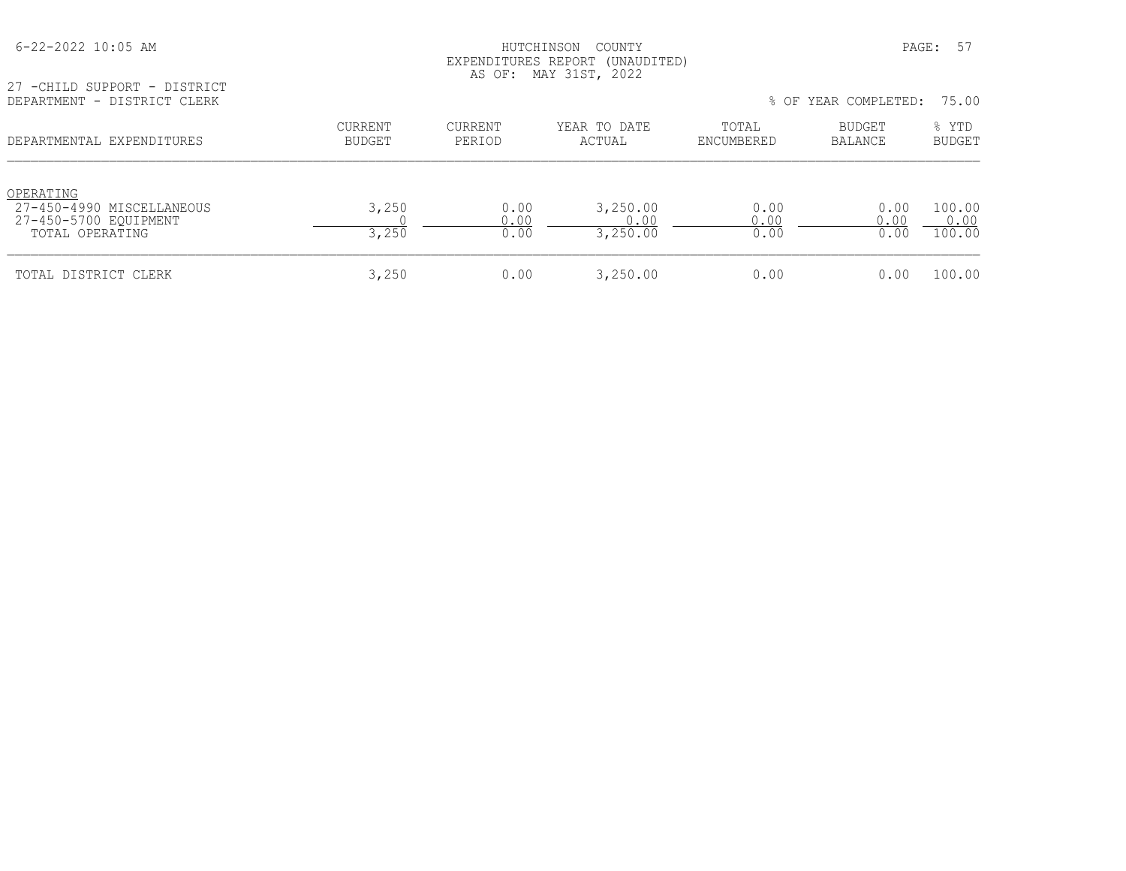#### 6-22-2022 10:05 AM HUTCHINSON COUNTY PAGE: 57 EXPENDITURES REPORT (UNAUDITED) AS OF: MAY 31ST, 2022

27 -CHILD SUPPORT - DISTRICT<br>DEPARTMENT - DISTRICT CLERK

| DEPARTMENT - DISTRICT CLERK                                                        |                   |                          |                              |                      | % OF YEAR COMPLETED: | 75.00                    |
|------------------------------------------------------------------------------------|-------------------|--------------------------|------------------------------|----------------------|----------------------|--------------------------|
| DEPARTMENTAL EXPENDITURES                                                          | CURRENT<br>BUDGET | <b>CURRENT</b><br>PERIOD | YEAR TO DATE<br>ACTUAL       | TOTAL<br>ENCUMBERED  | BUDGET<br>BALANCE    | % YTD<br><b>BUDGET</b>   |
| OPERATING<br>27-450-4990 MISCELLANEOUS<br>27-450-5700 EQUIPMENT<br>TOTAL OPERATING | 3,250<br>3,250    | 0.00<br>0.00<br>0.00     | 3,250.00<br>0.00<br>3,250.00 | 0.00<br>0.00<br>0.00 | 0.00<br>0.00<br>0.00 | 100.00<br>0.00<br>100.00 |
| TOTAL DISTRICT CLERK                                                               | 3,250             | 0.00                     | 3,250.00                     | 0.00                 | 0.00                 | 100.00                   |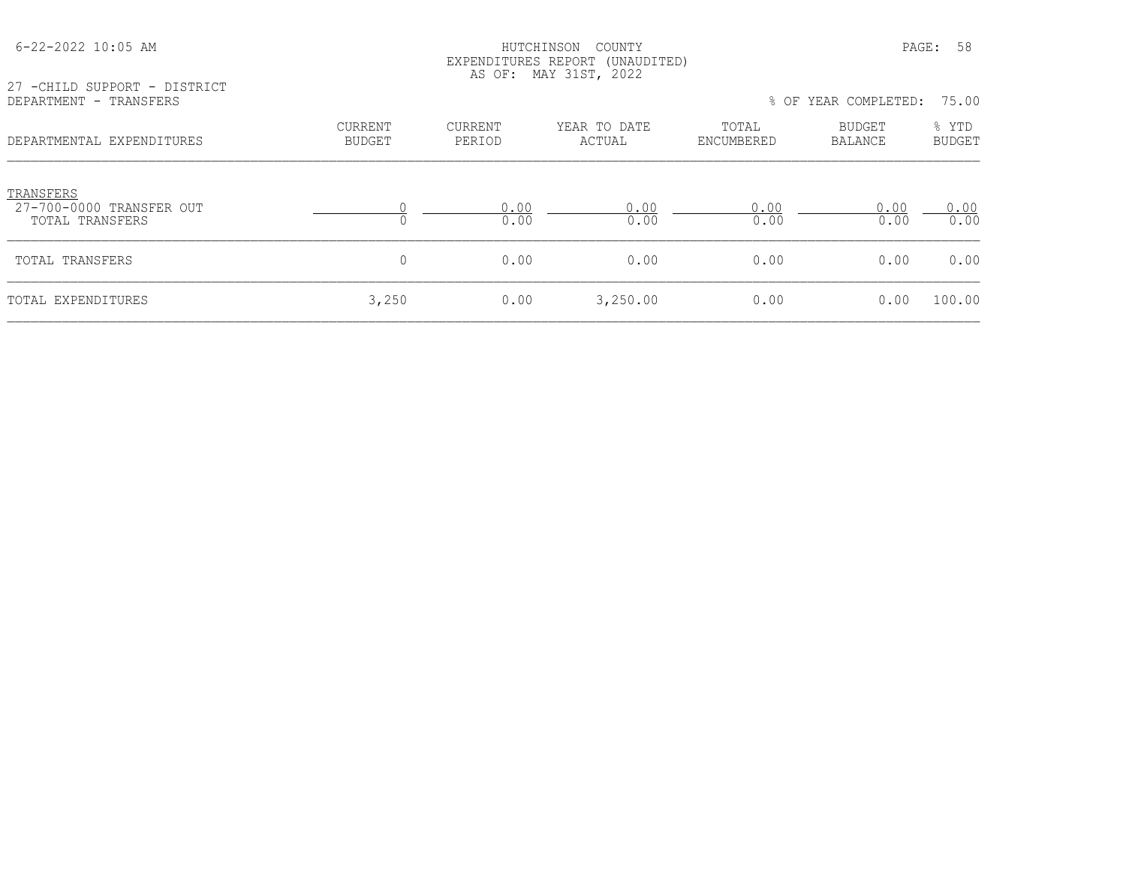| 27 - CHILD SUPPORT - DISTRICT                            |                                 |                          | AS OF: MAY 31ST, 2022  |                     |                            |                        |
|----------------------------------------------------------|---------------------------------|--------------------------|------------------------|---------------------|----------------------------|------------------------|
| DEPARTMENT - TRANSFERS                                   |                                 |                          |                        |                     | % OF YEAR COMPLETED: 75.00 |                        |
| DEPARTMENTAL EXPENDITURES                                | <b>CURRENT</b><br><b>BUDGET</b> | <b>CURRENT</b><br>PERIOD | YEAR TO DATE<br>ACTUAL | TOTAL<br>ENCUMBERED | BUDGET<br>BALANCE          | % YTD<br><b>BUDGET</b> |
| TRANSFERS<br>27-700-0000 TRANSFER OUT<br>TOTAL TRANSFERS |                                 | 0.00<br>0.00             | 0.00<br>0.00           | 0.00<br>0.00        | 0.00<br>0.00               | 0.00<br>0.00           |
| TOTAL TRANSFERS                                          | 0                               | 0.00                     | 0.00                   | 0.00                | 0.00                       | 0.00                   |
| TOTAL EXPENDITURES                                       | 3,250                           | 0.00                     | 3,250.00               | 0.00                | 0.00                       | 100.00                 |

 6-22-2022 10:05 AM HUTCHINSON COUNTY PAGE: 58 EXPENDITURES REPORT (UNAUDITED)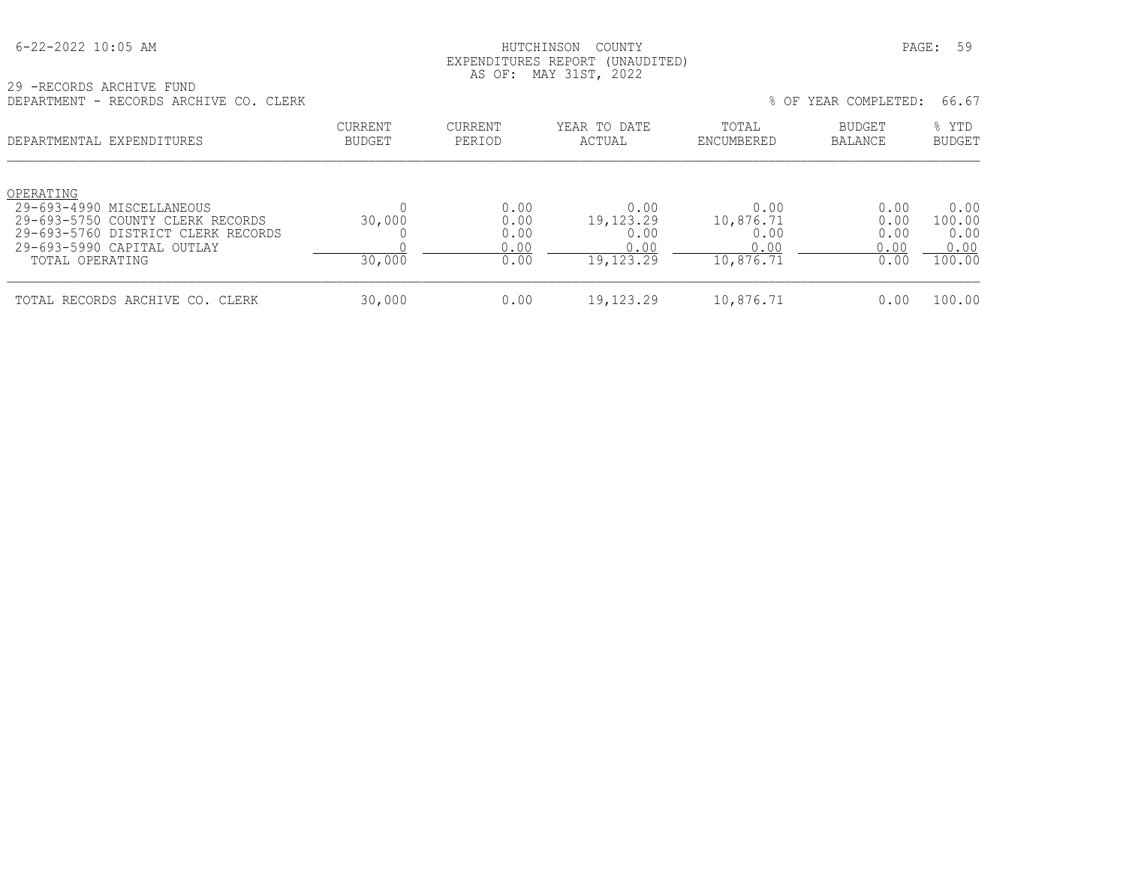#### HUTCHINSON COUNTY PAGE: 59 EXPENDITURES REPORT (UNAUDITED) AS OF: MAY 31ST, 2022

29 -RECORDS ARCHIVE FUND DEPARTMENT - RECORDS ARCHIVE CO. CLERK % OF YEAR COMPLETED: 66.67

| DEFARIMENI - RECURDO ARCHIVE CU. CIERR                                                                                                                              |                          |                                      |                                                |                                                | 3 VP IEAR COMPLEIED.                 | 00.07                                    |
|---------------------------------------------------------------------------------------------------------------------------------------------------------------------|--------------------------|--------------------------------------|------------------------------------------------|------------------------------------------------|--------------------------------------|------------------------------------------|
| DEPARTMENTAL EXPENDITURES                                                                                                                                           | CURRENT<br><b>BUDGET</b> | CURRENT<br>PERIOD                    | YEAR TO DATE<br>ACTUAL                         | TOTAL<br>ENCUMBERED                            | <b>BUDGET</b><br>BALANCE             | % YTD<br><b>BUDGET</b>                   |
| OPERATING<br>29-693-4990 MISCELLANEOUS<br>29-693-5750 COUNTY CLERK RECORDS<br>29-693-5760 DISTRICT CLERK RECORDS<br>$29-693-5990$ CAPITAL OUTLAY<br>TOTAL OPERATING | 30,000<br>30,000         | 0.00<br>0.00<br>0.00<br>0.00<br>0.00 | 0.00<br>19,123.29<br>0.00<br>0.00<br>19,123.29 | 0.00<br>10,876.71<br>0.00<br>0.00<br>10,876.71 | 0.00<br>0.00<br>0.00<br>0.00<br>0.00 | 0.00<br>100.00<br>0.00<br>0.00<br>100.00 |
| TOTAL RECORDS ARCHIVE CO. CLERK                                                                                                                                     | 30,000                   | 0.00                                 | 19,123.29                                      | 10,876.71                                      | 0.00                                 | 100.00                                   |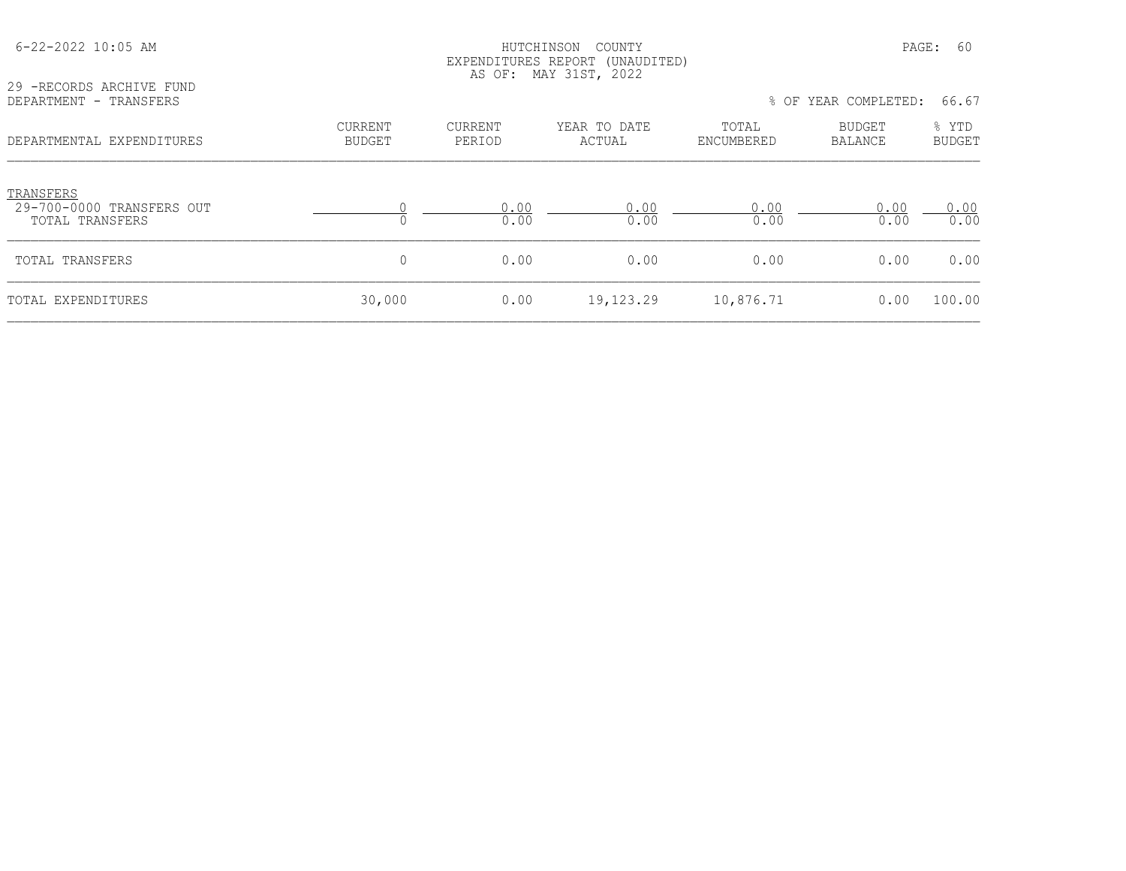| 6-22-2022 10:05 AM                                        |                   | HUTCHINSON<br>EXPENDITURES REPORT (UNAUDITED)<br>AS OF: MAY 31ST, 2022 |                        | PAGE:<br>-60        |                      |                        |
|-----------------------------------------------------------|-------------------|------------------------------------------------------------------------|------------------------|---------------------|----------------------|------------------------|
| 29 -RECORDS ARCHIVE FUND<br>DEPARTMENT - TRANSFERS        |                   |                                                                        |                        |                     | % OF YEAR COMPLETED: | 66.67                  |
| DEPARTMENTAL EXPENDITURES                                 | CURRENT<br>BUDGET | CURRENT<br>PERIOD                                                      | YEAR TO DATE<br>ACTUAL | TOTAL<br>ENCUMBERED | BUDGET<br>BALANCE    | % YTD<br><b>BUDGET</b> |
| TRANSFERS<br>29-700-0000 TRANSFERS OUT<br>TOTAL TRANSFERS |                   | 0.00<br>0.00                                                           | 0.00<br>0.00           | 0.00<br>0.00        | 0.00<br>0.00         | 0.00<br>0.00           |
| TOTAL TRANSFERS                                           | 0                 | 0.00                                                                   | 0.00                   | 0.00                | 0.00                 | 0.00                   |
| <b>TOTAL EXPENDITURES</b>                                 | 30,000            | 0.00                                                                   | 19,123.29              | 10,876.71           | 0.00                 | 100.00                 |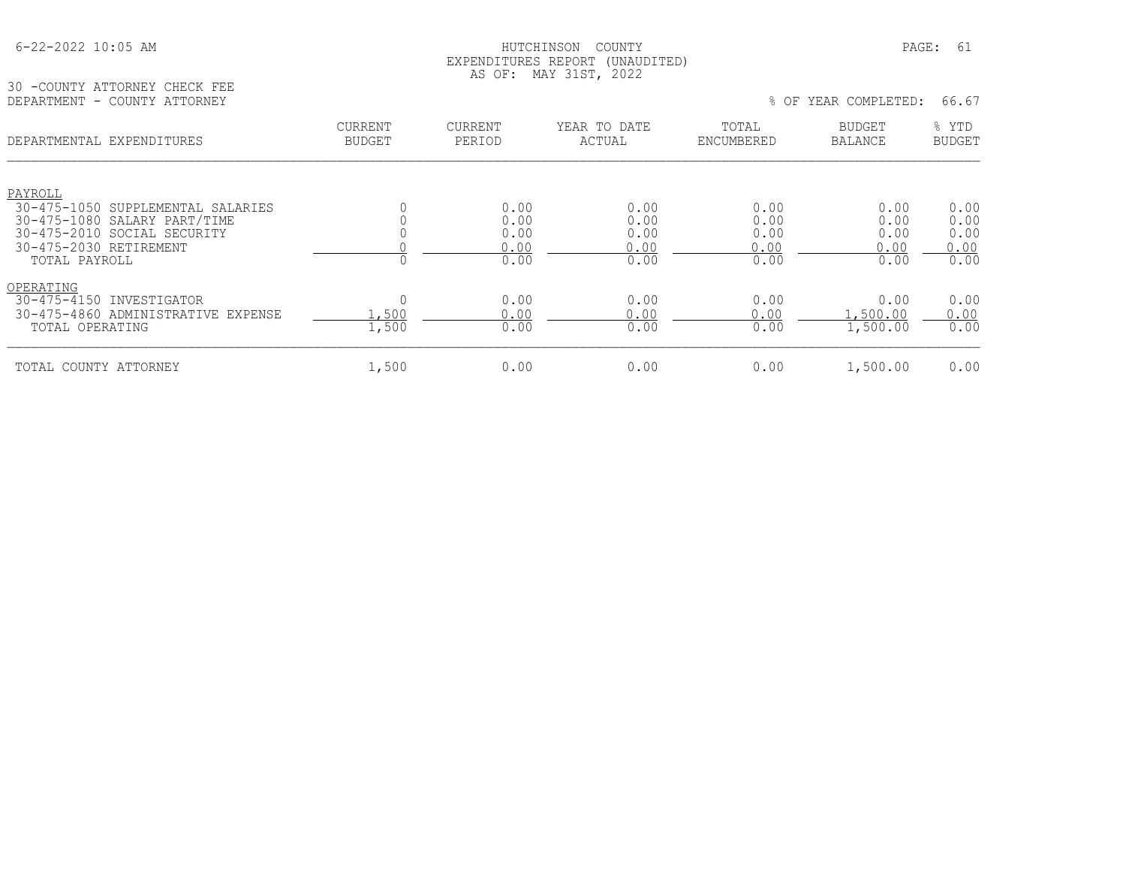#### HUTCHINSON COUNTY PAGE: 61 EXPENDITURES REPORT (UNAUDITED) AS OF: MAY 31ST, 2022

30 -COUNTY ATTORNEY CHECK FEE<br>DEPARTMENT - COUNTY ATTORNEY

### % OF YEAR COMPLETED: 66.67

| DEPARTMENTAL EXPENDITURES                                                                                                                   | <b>CURRENT</b><br><b>BUDGET</b> | CURRENT<br>PERIOD                    | YEAR TO DATE<br>ACTUAL               | TOTAL<br>ENCUMBERED                  | <b>BUDGET</b><br><b>BALANCE</b>      | % YTD<br><b>BUDGET</b>               |
|---------------------------------------------------------------------------------------------------------------------------------------------|---------------------------------|--------------------------------------|--------------------------------------|--------------------------------------|--------------------------------------|--------------------------------------|
| PAYROLL                                                                                                                                     |                                 |                                      |                                      |                                      |                                      |                                      |
| 30-475-1050 SUPPLEMENTAL SALARIES<br>30-475-1080 SALARY PART/TIME<br>30-475-2010 SOCIAL SECURITY<br>30-475-2030 RETIREMENT<br>TOTAL PAYROLL |                                 | 0.00<br>0.00<br>0.00<br>0.00<br>0.00 | 0.00<br>0.00<br>0.00<br>0.00<br>0.00 | 0.00<br>0.00<br>0.00<br>0.00<br>0.00 | 0.00<br>0.00<br>0.00<br>0.00<br>0.00 | 0.00<br>0.00<br>0.00<br>0.00<br>0.00 |
| OPERATING<br>30-475-4150 INVESTIGATOR<br>30-475-4860 ADMINISTRATIVE EXPENSE<br>TOTAL OPERATING                                              | 0<br>.,500<br>1,500             | 0.00<br>0.00<br>0.00                 | 0.00<br>0.00<br>0.00                 | 0.00<br>0.00<br>0.00                 | 0.00<br>.500.00<br>1,500.00          | 0.00<br>0.00<br>0.00                 |
| TOTAL COUNTY ATTORNEY                                                                                                                       | 1,500                           | 0.00                                 | 0.00                                 | 0.00                                 | 1,500.00                             | 0.00                                 |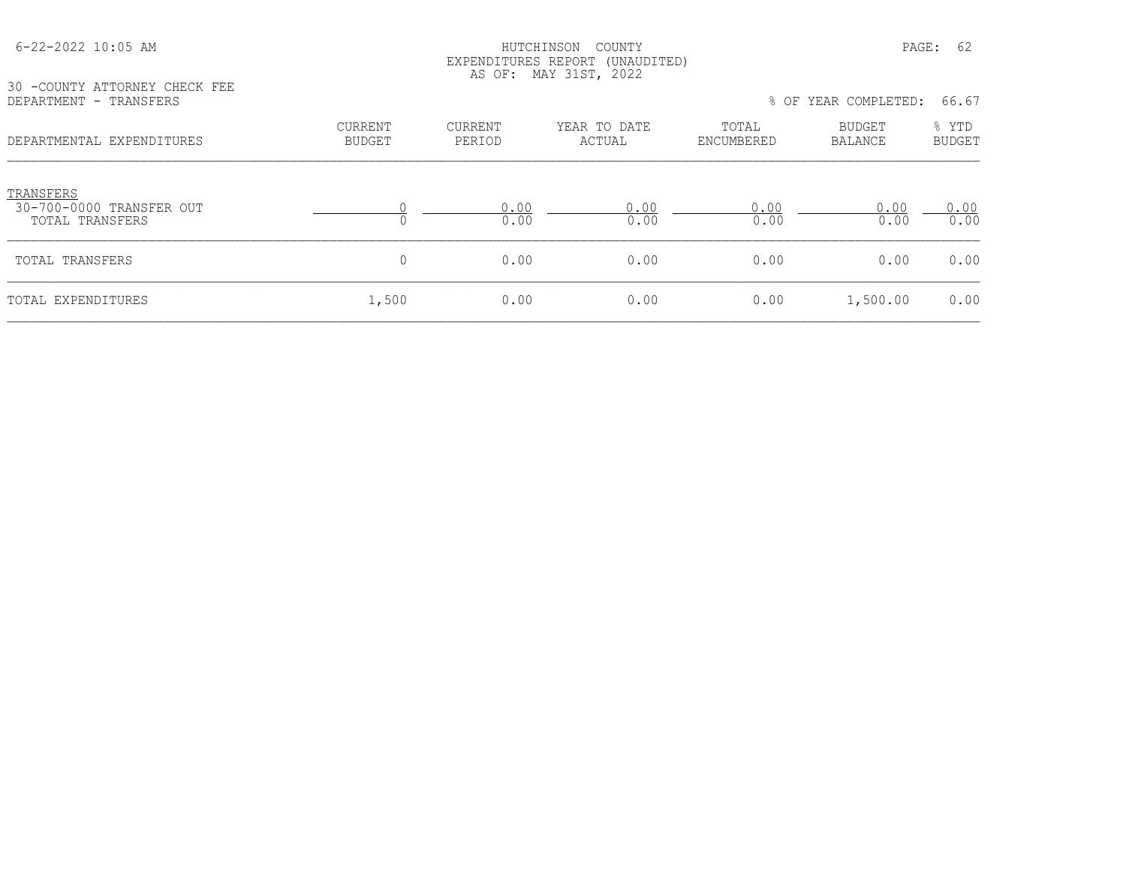|                                                                                      |                                 |                          | AS OF: MAY 31ST, 2022  |                     |                   |                 |
|--------------------------------------------------------------------------------------|---------------------------------|--------------------------|------------------------|---------------------|-------------------|-----------------|
| 30 -COUNTY ATTORNEY CHECK FEE<br>DEPARTMENT - TRANSFERS<br>DEPARTMENTAL EXPENDITURES |                                 |                          |                        | $8$ OF              | YEAR COMPLETED:   | 66.67           |
|                                                                                      | <b>CURRENT</b><br><b>BUDGET</b> | <b>CURRENT</b><br>PERIOD | YEAR TO DATE<br>ACTUAL | TOTAL<br>ENCUMBERED | BUDGET<br>BALANCE | % YTD<br>BUDGET |
| TRANSFERS<br>30-700-0000 TRANSFER OUT<br>TOTAL TRANSFERS                             |                                 | 0.00<br>0.00             | 0.00<br>0.00           | 0.00<br>0.00        | 0.00<br>0.00      | 0.00<br>0.00    |
| TOTAL TRANSFERS                                                                      | 0                               | 0.00                     | 0.00                   | 0.00                | 0.00              | 0.00            |
| TOTAL EXPENDITURES                                                                   | 1,500                           | 0.00                     | 0.00                   | 0.00                | 1,500.00          | 0.00            |

## 6-22-2022 10:05 AM HUTCHINSON COUNTY PAGE: 62 EXPENDITURES REPORT (UNAUDITED)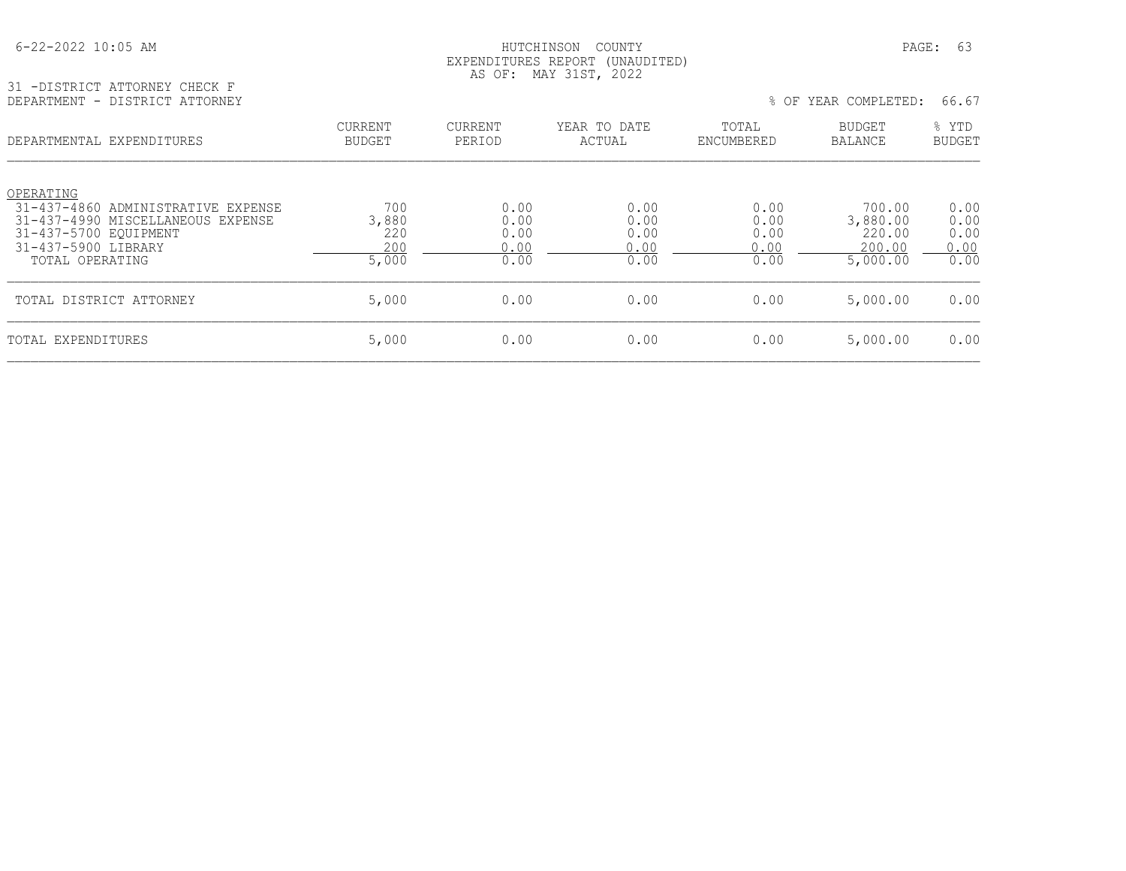#### HUTCHINSON COUNTY PAGE: 63 EXPENDITURES REPORT (UNAUDITED) AS OF: MAY 31ST, 2022

31 -DISTRICT ATTORNEY CHECK F

| DEPARTMENT - DISTRICT ATTORNEY                                          |                                 |                   |                        |                     | % OF YEAR COMPLETED:            | 66.67                  |
|-------------------------------------------------------------------------|---------------------------------|-------------------|------------------------|---------------------|---------------------------------|------------------------|
| DEPARTMENTAL EXPENDITURES                                               | <b>CURRENT</b><br><b>BUDGET</b> | CURRENT<br>PERIOD | YEAR TO DATE<br>ACTUAL | TOTAL<br>ENCUMBERED | <b>BUDGET</b><br><b>BALANCE</b> | % YTD<br><b>BUDGET</b> |
| OPERATING                                                               |                                 |                   |                        |                     |                                 |                        |
| 31-437-4860 ADMINISTRATIVE EXPENSE<br>31-437-4990 MISCELLANEOUS EXPENSE | 700<br>3,880                    | 0.00<br>0.00      | 0.00<br>0.00           | 0.00<br>0.00        | 700.00<br>3,880.00              | 0.00<br>0.00           |
| 31-437-5700 EOUIPMENT                                                   | 220                             | 0.00              | 0.00                   | 0.00                | 220.00                          | 0.00                   |
| 31-437-5900 LIBRARY                                                     | 200                             | 0.00              | 0.00                   | 0.00                | 200.00                          | 0.00                   |
| TOTAL OPERATING                                                         | 5,000                           | 0.00              | 0.00                   | 0.00                | 5,000.00                        | 0.00                   |
| TOTAL DISTRICT ATTORNEY                                                 | 5,000                           | 0.00              | 0.00                   | 0.00                | 5,000.00                        | 0.00                   |
| TOTAL EXPENDITURES                                                      | 5,000                           | 0.00              | 0.00                   | 0.00                | 5,000.00                        | 0.00                   |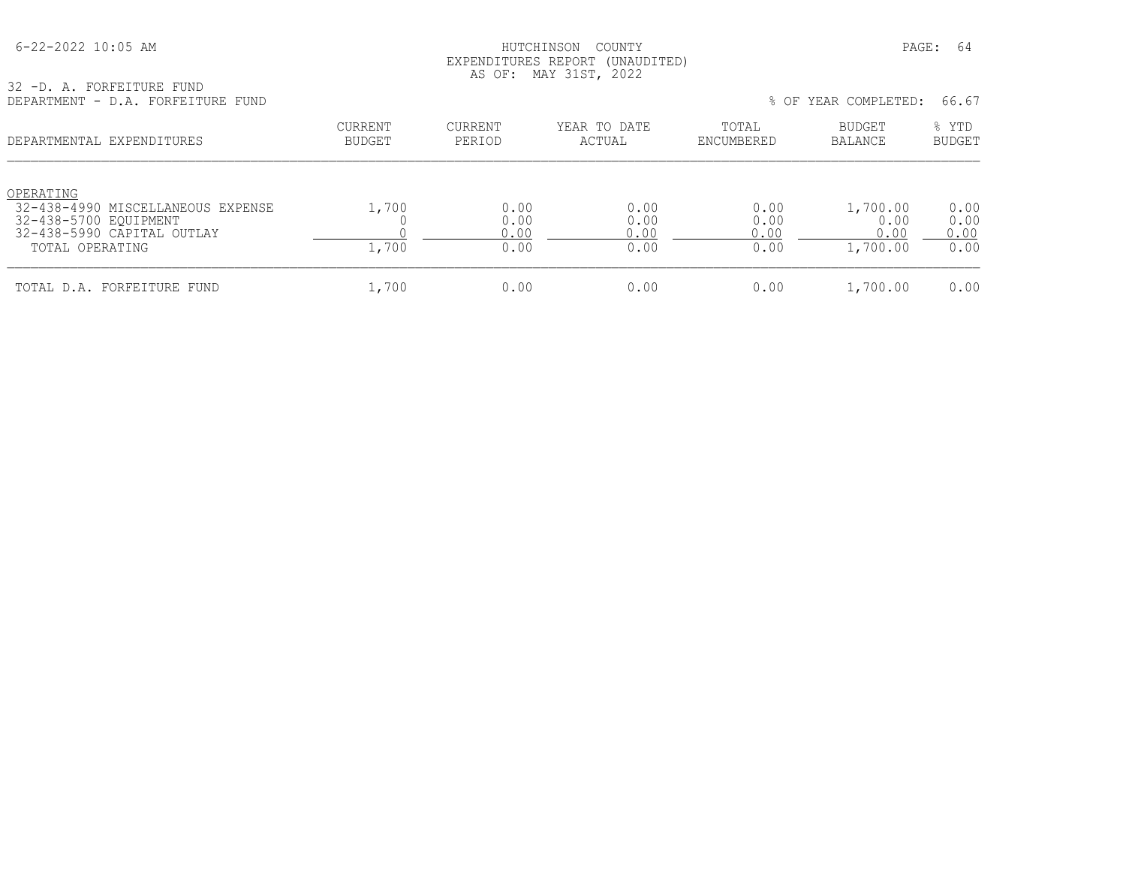#### HUTCHINSON COUNTY PAGE: 64 EXPENDITURES REPORT (UNAUDITED) AS OF: MAY 31ST, 2022

32 -D. A. FORFEITURE FUND

| DEPARTMENT - D.A. FORFEITURE FUND                                                                                        |                                 |                              |                              |                              | % OF YEAR COMPLETED:                 | 66.67                        |
|--------------------------------------------------------------------------------------------------------------------------|---------------------------------|------------------------------|------------------------------|------------------------------|--------------------------------------|------------------------------|
| DEPARTMENTAL EXPENDITURES                                                                                                | <b>CURRENT</b><br><b>BUDGET</b> | CURRENT<br>PERIOD            | YEAR TO DATE<br>ACTUAL       | TOTAL<br>ENCUMBERED          | BUDGET<br>BALANCE                    | % YTD<br><b>BUDGET</b>       |
| OPERATING<br>32-438-4990 MISCELLANEOUS EXPENSE<br>32-438-5700 EOUIPMENT<br>32-438-5990 CAPITAL OUTLAY<br>TOTAL OPERATING | 1,700<br>1,700                  | 0.00<br>0.00<br>0.00<br>0.00 | 0.00<br>0.00<br>0.00<br>0.00 | 0.00<br>0.00<br>0.00<br>0.00 | 1,700.00<br>0.00<br>0.00<br>1,700.00 | 0.00<br>0.00<br>0.00<br>0.00 |
| TOTAL D.A. FORFEITURE FUND                                                                                               | 1,700                           | 0.00                         | 0.00                         | 0.00                         | 1,700.00                             | 0.00                         |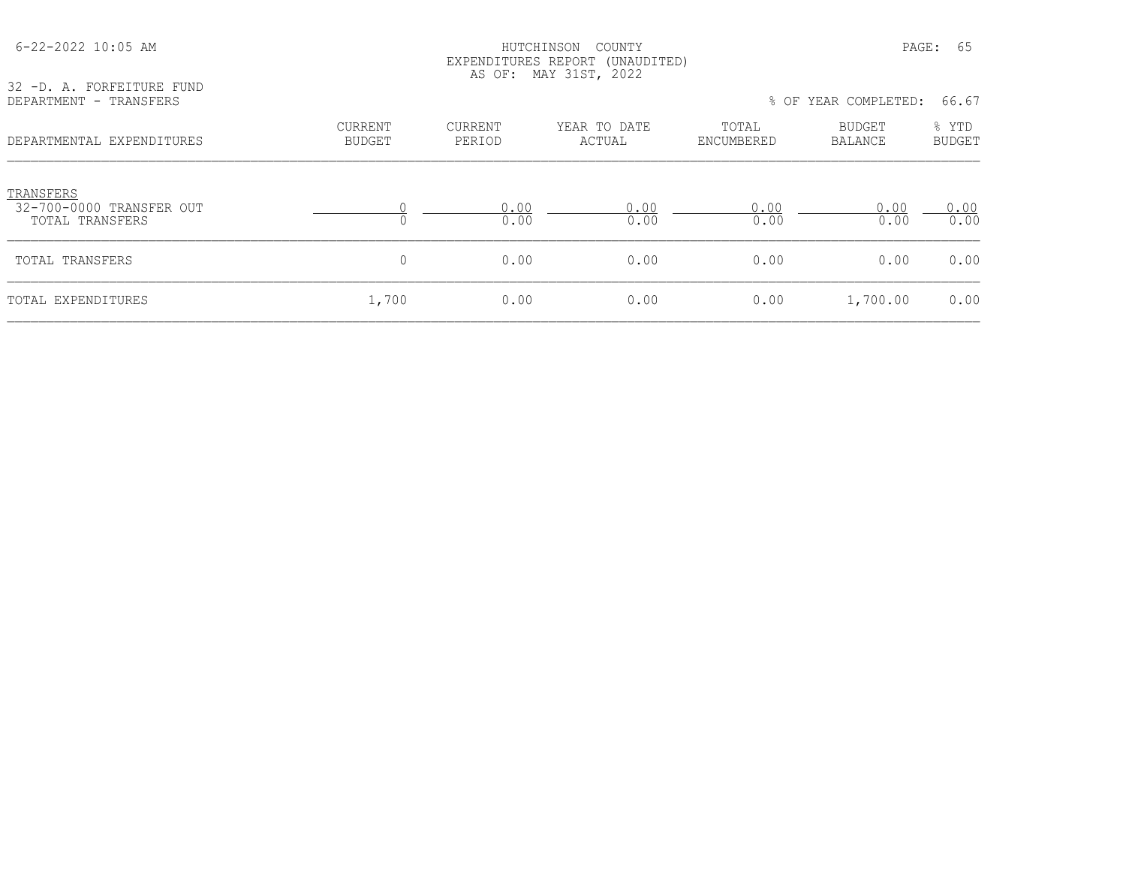| 32 -D. A. FORFEITURE FUND                                | EXPENDITURES REPORT (UNAUDITED)<br>AS OF: MAY 31ST, 2022 |                          |                        |                     |                          |                        |  |
|----------------------------------------------------------|----------------------------------------------------------|--------------------------|------------------------|---------------------|--------------------------|------------------------|--|
| DEPARTMENT - TRANSFERS                                   |                                                          |                          |                        |                     | % OF YEAR COMPLETED:     | 66.67                  |  |
| DEPARTMENTAL EXPENDITURES                                | CURRENT<br><b>BUDGET</b>                                 | <b>CURRENT</b><br>PERIOD | YEAR TO DATE<br>ACTUAL | TOTAL<br>ENCUMBERED | BUDGET<br><b>BALANCE</b> | % YTD<br><b>BUDGET</b> |  |
| TRANSFERS<br>32-700-0000 TRANSFER OUT<br>TOTAL TRANSFERS | 0                                                        | 0.00<br>0.00             | 0.00<br>0.00           | 0.00<br>0.00        | 0.00<br>0.00             | 0.00<br>0.00           |  |
| TOTAL TRANSFERS                                          | 0                                                        | 0.00                     | 0.00                   | 0.00                | 0.00                     | 0.00                   |  |
| TOTAL EXPENDITURES                                       | 1,700                                                    | 0.00                     | 0.00                   | 0.00                | 1,700.00                 | 0.00                   |  |

 6-22-2022 10:05 AM HUTCHINSON COUNTY PAGE: 65 EXPENDITURES REPORT (UNAUDITED)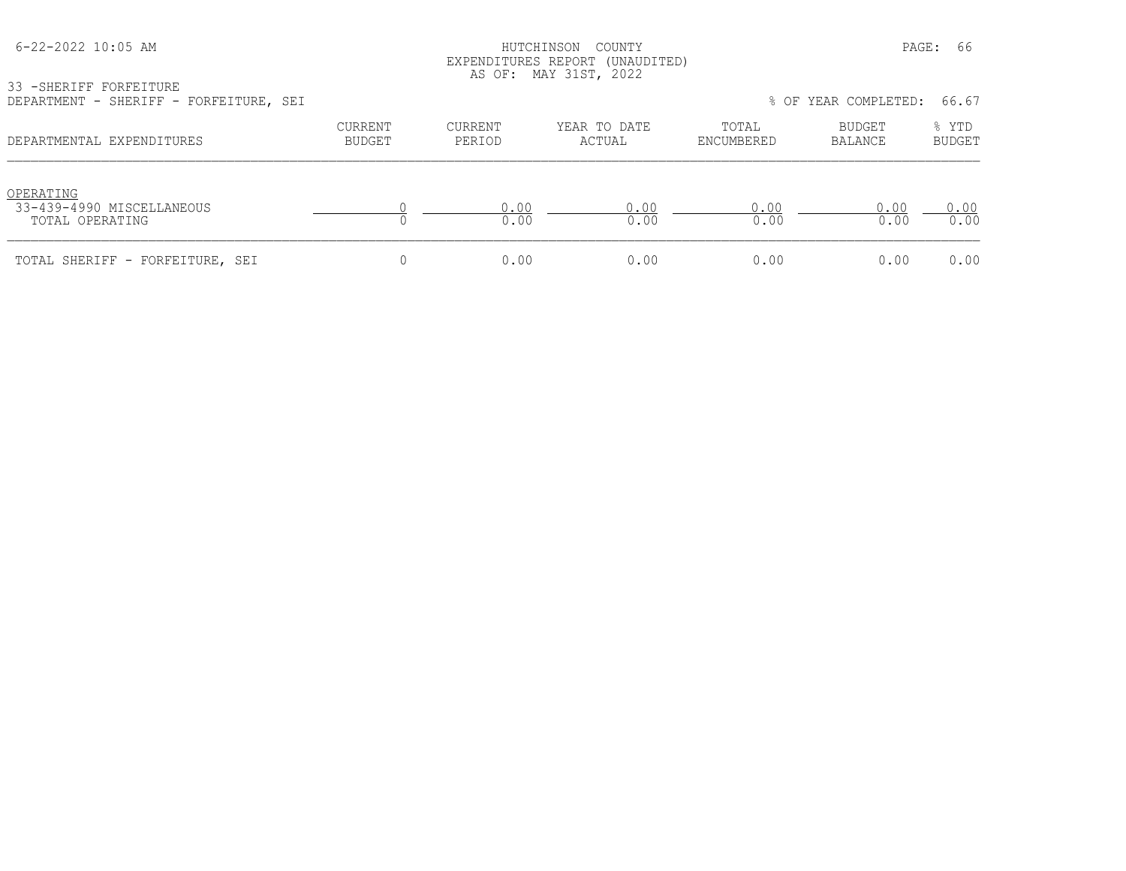#### HUTCHINSON COUNTY PAGE: 66 EXPENDITURES REPORT (UNAUDITED) AS OF: MAY 31ST, 2022

33 -SHERIFF FORFEITURE

| DEPARTMENT - SHERIFF - FORFEITURE, SEI                    |                          |                   |                        |                     | % OF YEAR COMPLETED: | 66.67                  |
|-----------------------------------------------------------|--------------------------|-------------------|------------------------|---------------------|----------------------|------------------------|
| DEPARTMENTAL EXPENDITURES                                 | CURRENT<br><b>BUDGET</b> | CURRENT<br>PERIOD | YEAR TO DATE<br>ACTUAL | TOTAL<br>ENCUMBERED | BUDGET<br>BALANCE    | % YTD<br><b>BUDGET</b> |
| OPERATING<br>33-439-4990 MISCELLANEOUS<br>TOTAL OPERATING |                          | 0.00<br>0.00      | 0.00<br>0.00           | 0.00<br>0.00        | 0.00<br>0.00         | 0.00<br>0.00           |
| TOTAL SHERIFF - FORFEITURE, SEI                           |                          | 0.00              | 0.00                   | 0.00                | 0.00                 | 0.00                   |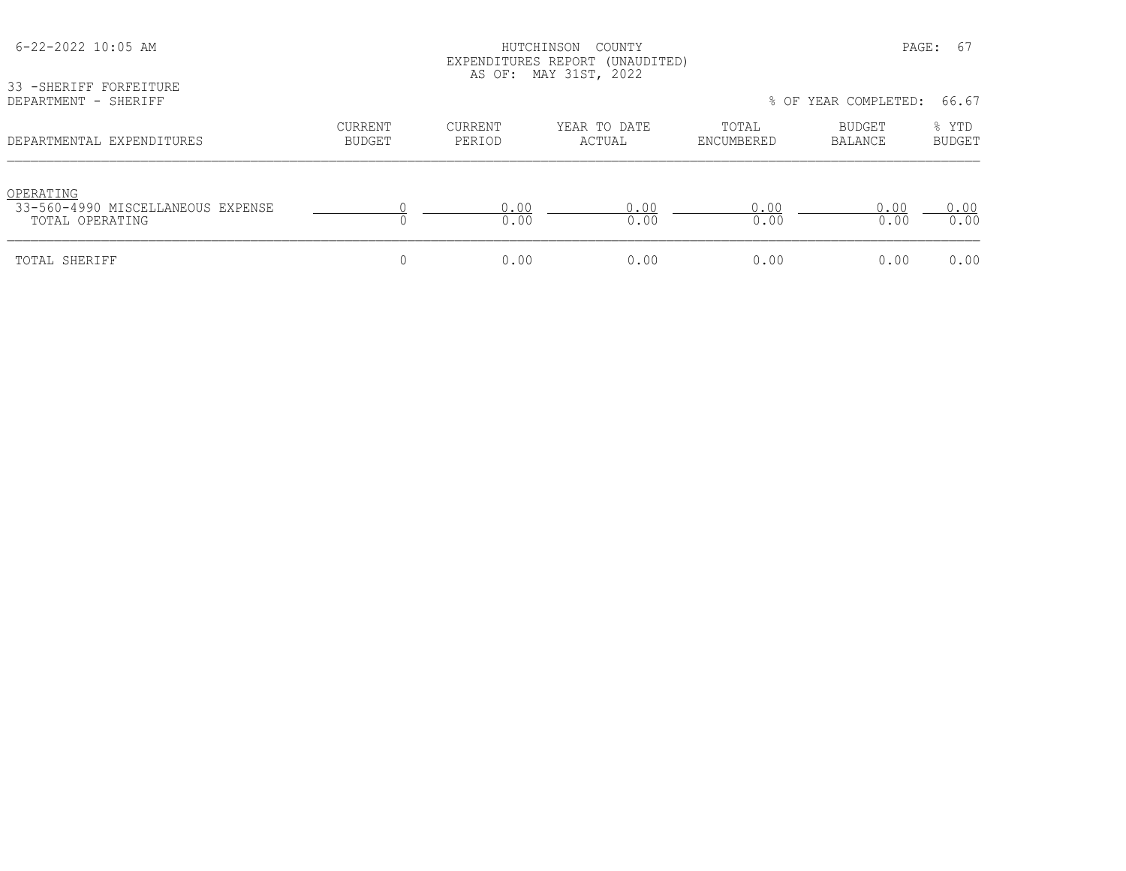| 6-22-2022 10:05 AM<br>33 - SHERIFF FORFEITURE                     |                                 |                          | HUTCHINSON<br>COUNTY<br>EXPENDITURES REPORT (UNAUDITED)<br>AS OF: MAY 31ST, 2022 |                     | PAGE:                | - 67                   |
|-------------------------------------------------------------------|---------------------------------|--------------------------|----------------------------------------------------------------------------------|---------------------|----------------------|------------------------|
| DEPARTMENT - SHERIFF                                              |                                 |                          |                                                                                  |                     | % OF YEAR COMPLETED: | 66.67                  |
| DEPARTMENTAL EXPENDITURES                                         | <b>CURRENT</b><br><b>BUDGET</b> | <b>CURRENT</b><br>PERIOD | YEAR TO DATE<br>ACTUAL                                                           | TOTAL<br>ENCUMBERED | BUDGET<br>BALANCE    | % YTD<br><b>BUDGET</b> |
| OPERATING<br>33-560-4990 MISCELLANEOUS EXPENSE<br>TOTAL OPERATING |                                 | 0.00<br>0.00             | 0.00<br>0.00                                                                     | 0.00<br>0.00        | 0.00<br>0.00         | 0.00<br>0.00           |
| TOTAL SHERIFF                                                     |                                 | 0.00                     | 0.00                                                                             | 0.00                | 0.00                 | 0.00                   |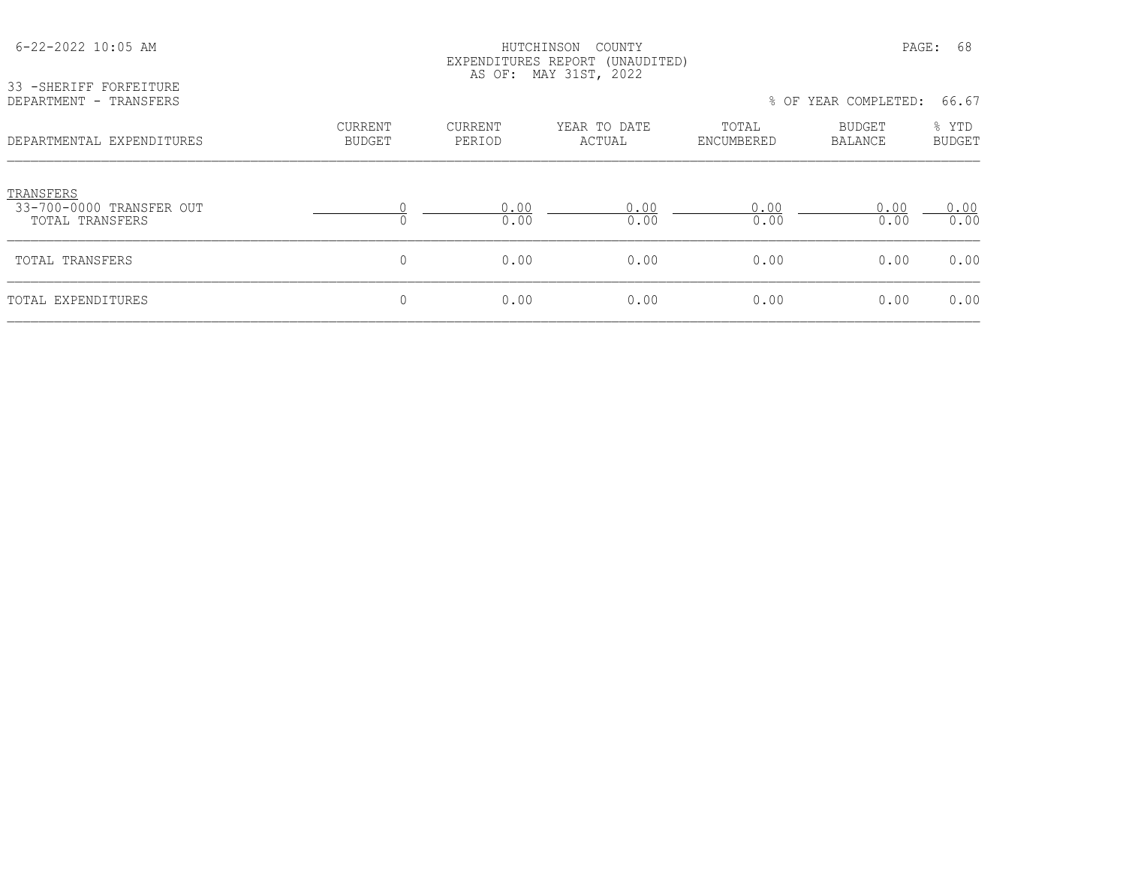| $6 - 22 - 2022$ 10:05 AM                                 |                          | HUTCHINSON<br>COUNTY<br>EXPENDITURES REPORT (UNAUDITED)<br>AS OF: MAY 31ST, 2022 |                        |                     |                      |                        |
|----------------------------------------------------------|--------------------------|----------------------------------------------------------------------------------|------------------------|---------------------|----------------------|------------------------|
| 33 - SHERIFF FORFEITURE<br>DEPARTMENT - TRANSFERS        |                          |                                                                                  |                        |                     | % OF YEAR COMPLETED: | 66.67                  |
| DEPARTMENTAL EXPENDITURES                                | CURRENT<br><b>BUDGET</b> | <b>CURRENT</b><br>PERIOD                                                         | YEAR TO DATE<br>ACTUAL | TOTAL<br>ENCUMBERED | BUDGET<br>BALANCE    | % YTD<br><b>BUDGET</b> |
| TRANSFERS<br>33-700-0000 TRANSFER OUT<br>TOTAL TRANSFERS | $\Omega$                 | 0.00<br>0.00                                                                     | 0.00<br>0.00           | 0.00<br>0.00        | 0.00<br>0.00         | 0.00<br>0.00           |
| TOTAL TRANSFERS                                          | 0                        | 0.00                                                                             | 0.00                   | 0.00                | 0.00                 | 0.00                   |
| TOTAL EXPENDITURES                                       | 0                        | 0.00                                                                             | 0.00                   | 0.00                | 0.00                 | 0.00                   |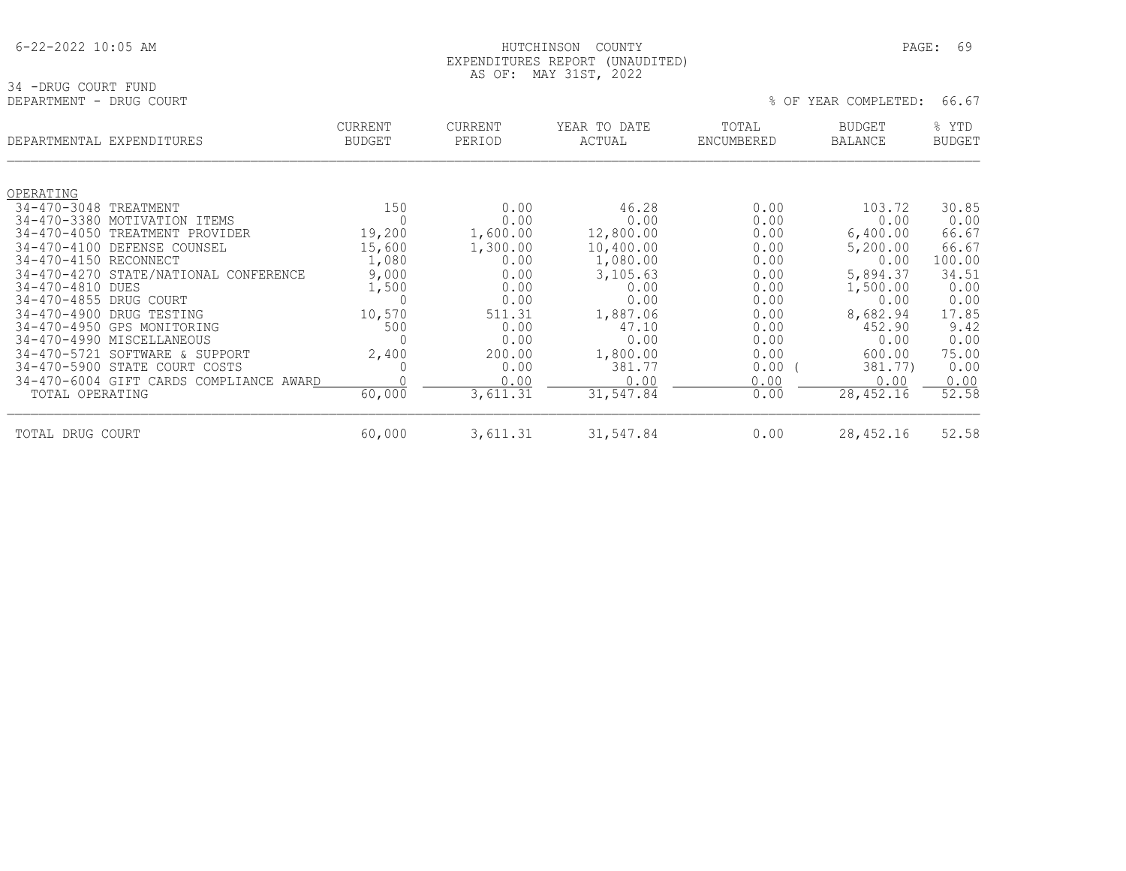#### HUTCHINSON COUNTY PAGE: 69 EXPENDITURES REPORT (UNAUDITED) AS OF: MAY 31ST, 2022

34 -DRUG COURT FUND<br>DEPARTMENT - DRUG COURT

% OF YEAR COMPLETED: 66.67

|                                            | DEPARTMENTAL EXPENDITURES                  | <b>CURRENT</b><br><b>BUDGET</b> | <b>CURRENT</b><br>PERIOD | YEAR TO DATE<br>ACTUAL | TOTAL<br>ENCUMBERED | <b>BUDGET</b><br><b>BALANCE</b> | % YTD<br><b>BUDGET</b> |
|--------------------------------------------|--------------------------------------------|---------------------------------|--------------------------|------------------------|---------------------|---------------------------------|------------------------|
|                                            |                                            |                                 |                          |                        |                     |                                 |                        |
| OPERATING                                  |                                            |                                 |                          |                        |                     |                                 |                        |
| 34-470-3048 TREATMENT                      |                                            | 150                             | 0.00                     | 46.28                  | 0.00                | 103.72                          | 30.85                  |
|                                            | 34-470-3380 MOTIVATION ITEMS               | 0                               | 0.00                     | 0.00                   | 0.00                | 0.00                            | 0.00                   |
|                                            | 34-470-4050 TREATMENT PROVIDER             | 19,200                          | 1,600.00                 | 12,800.00              | 0.00                | 6,400.00                        | 66.67                  |
| $34 - 470 - 4100$<br>34-470-4150 RECONNECT | DEFENSE COUNSEL                            | 15,600<br>1,080                 | 1,300.00<br>0.00         | 10,400.00<br>1,080.00  | 0.00<br>0.00        | 5,200.00<br>0.00                | 66.67<br>100.00        |
|                                            | 34-470-4270 STATE/NATIONAL CONFERENCE      | 9,000                           | 0.00                     | 3,105.63               |                     | 5,894.37                        | 34.51                  |
| 34-470-4810 DUES                           |                                            | 1,500                           | 0.00                     | 0.00                   | 0.00<br>0.00        | 1,500.00                        | 0.00                   |
| 34-470-4855 DRUG COURT                     |                                            | 0                               | 0.00                     | 0.00                   | 0.00                | 0.00                            | 0.00                   |
|                                            | 34-470-4900 DRUG TESTING                   | 10,570                          | 511.31                   | 1,887.06               | 0.00                | 8,682.94                        | 17.85                  |
|                                            | 34-470-4950 GPS MONITORING                 | 500                             | 0.00                     | 47.10                  | 0.00                | 452.90                          | 9.42                   |
|                                            | 34-470-4990 MISCELLANEOUS                  | 0                               | 0.00                     | 0.00                   | 0.00                | 0.00                            | 0.00                   |
|                                            | 34-470-5721 SOFTWARE & SUPPORT             | 2,400                           | 200.00                   | 1,800.00               | 0.00                | 600.00                          | 75.00                  |
|                                            | 34-470-5900 STATE COURT<br>COSTS           | 0                               | 0.00                     | 381.77                 | 0.00                | 381.77)                         | 0.00                   |
|                                            | 34-470-6004 GIFT CARDS COMPLIANCE<br>AWARD |                                 | 0.00                     | 0.00                   | 0.00                | 0.00                            | 0.00                   |
| TOTAL OPERATING                            |                                            | 60,000                          | 3,611.31                 | 31,547.84              | 0.00                | 28,452.16                       | 52.58                  |
| DRUG COURT<br>TOTAL                        |                                            | 60,000                          | 3,611.31                 | 31,547.84              | 0.00                | 28,452.16                       | 52.58                  |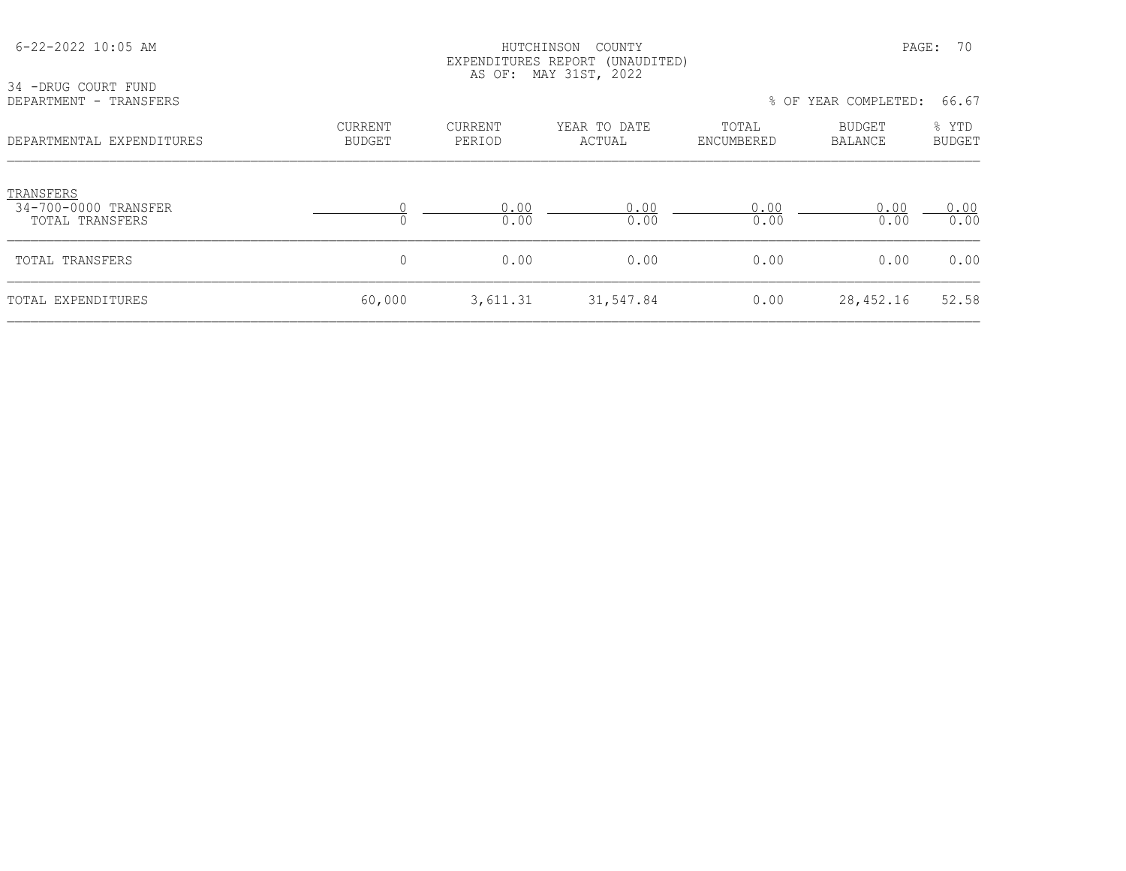| 34 -DRUG COURT FUND                                         |                                 |                   | EXPENDITURES REPORT (UNAUDITED)<br>AS OF: MAY 31ST, 2022 |                     |                      |                        |
|-------------------------------------------------------------|---------------------------------|-------------------|----------------------------------------------------------|---------------------|----------------------|------------------------|
| DEPARTMENT - TRANSFERS                                      |                                 |                   |                                                          |                     | % OF YEAR COMPLETED: | 66.67                  |
| DEPARTMENTAL EXPENDITURES                                   | <b>CURRENT</b><br><b>BUDGET</b> | CURRENT<br>PERIOD | YEAR TO DATE<br>ACTUAL                                   | TOTAL<br>ENCUMBERED | BUDGET<br>BALANCE    | % YTD<br><b>BUDGET</b> |
| TRANSFERS<br>34-700-0000 TRANSFER<br><b>TOTAL TRANSFERS</b> |                                 | 0.00<br>0.00      | 0.00<br>0.00                                             | 0.00<br>0.00        | 0.00<br>0.00         | 0.00<br>0.00           |
| TOTAL TRANSFERS                                             | $\overline{0}$                  | 0.00              | 0.00                                                     | 0.00                | 0.00                 | 0.00                   |
| TOTAL EXPENDITURES                                          | 60,000                          | 3,611.31          | 31,547.84                                                | 0.00                | 28, 452.16           | 52.58                  |

6-22-2022 10:05 AM HUTCHINSON COUNTY PAGE: 70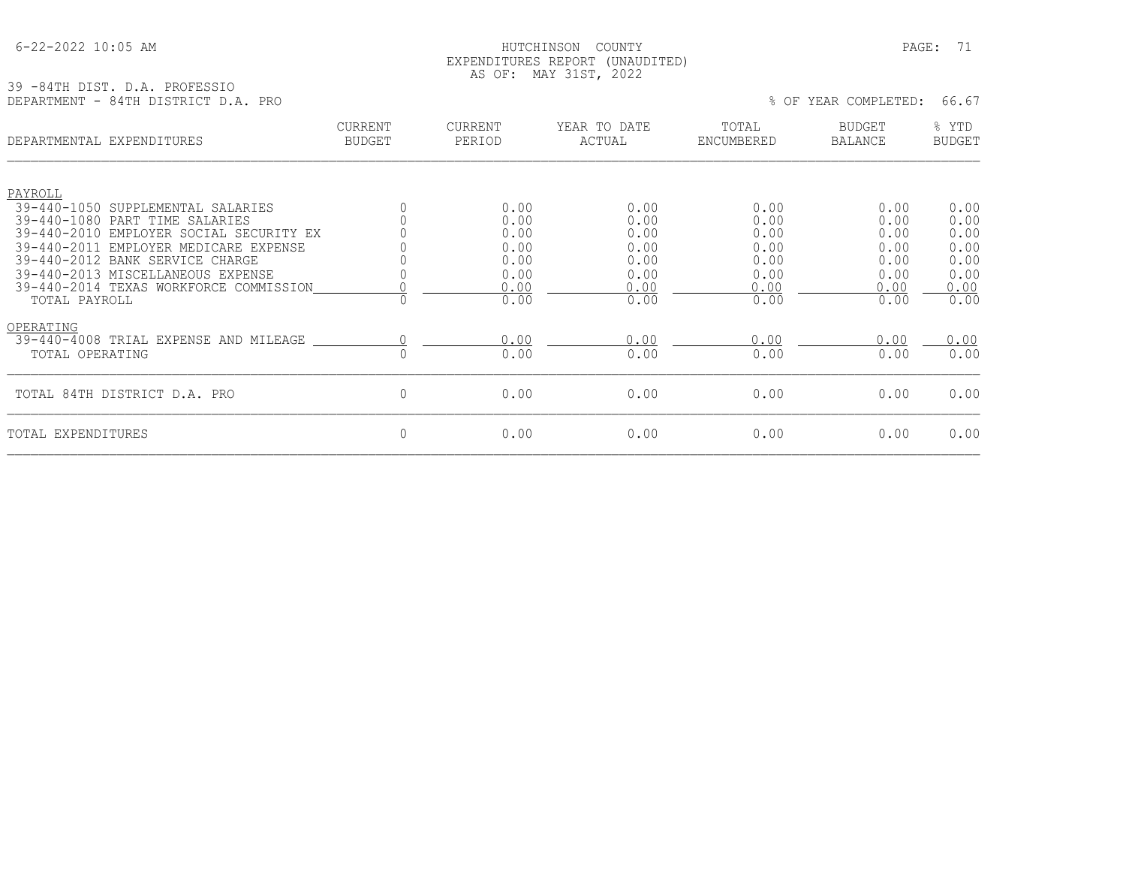| $6 - 22 - 2022$ 10:05 AM |  |  |
|--------------------------|--|--|
|                          |  |  |

#### HUTCHINSON COUNTY PAGE: 71 EXPENDITURES REPORT (UNAUDITED) AS OF: MAY 31ST, 2022

#### 39 -84TH DIST. D.A. PROFESSIO DEPARTMENT - 84TH DISTRICT D.A. PRO \$ 0.000 DEPARTMENT - 84TH DISTRICT D.A. PRO

|                              | DEPARTMENTAL EXPENDITURES                                                                                                                                                                          | CURRENT<br><b>BUDGET</b> | <b>CURRENT</b><br>PERIOD                     | YEAR TO DATE<br>ACTUAL                       | TOTAL<br>ENCUMBERED                          | <b>BUDGET</b><br><b>BALANCE</b>              | % YTD<br><b>BUDGET</b>                       |
|------------------------------|----------------------------------------------------------------------------------------------------------------------------------------------------------------------------------------------------|--------------------------|----------------------------------------------|----------------------------------------------|----------------------------------------------|----------------------------------------------|----------------------------------------------|
| PAYROLL                      | 39-440-1050 SUPPLEMENTAL SALARIES<br>39-440-1080 PART TIME SALARIES                                                                                                                                |                          | 0.00<br>0.00                                 | 0.00<br>0.00                                 | 0.00<br>0.00                                 | 0.00<br>0.00                                 | 0.00<br>0.00                                 |
| TOTAL PAYROLL                | 39-440-2010 EMPLOYER SOCIAL SECURITY EX<br>39-440-2011 EMPLOYER MEDICARE EXPENSE<br>39-440-2012 BANK SERVICE CHARGE<br>39-440-2013 MISCELLANEOUS EXPENSE<br>39-440-2014 TEXAS WORKFORCE COMMISSION |                          | 0.00<br>0.00<br>0.00<br>0.00<br>0.00<br>0.00 | 0.00<br>0.00<br>0.00<br>0.00<br>0.00<br>0.00 | 0.00<br>0.00<br>0.00<br>0.00<br>0.00<br>0.00 | 0.00<br>0.00<br>0.00<br>0.00<br>0.00<br>0.00 | 0.00<br>0.00<br>0.00<br>0.00<br>0.00<br>0.00 |
| OPERATING<br>TOTAL OPERATING | 39-440-4008 TRIAL EXPENSE AND MILEAGE                                                                                                                                                              |                          | 0.00<br>0.00                                 | 0.00<br>0.00                                 | 0.00<br>0.00                                 | 0.00<br>0.00                                 | 0.00<br>0.00                                 |
|                              | TOTAL 84TH DISTRICT D.A. PRO                                                                                                                                                                       | 0                        | 0.00                                         | 0.00                                         | 0.00                                         | 0.00                                         | 0.00                                         |
| TOTAL EXPENDITURES           |                                                                                                                                                                                                    | 0                        | 0.00                                         | 0.00                                         | 0.00                                         | 0.00                                         | 0.00                                         |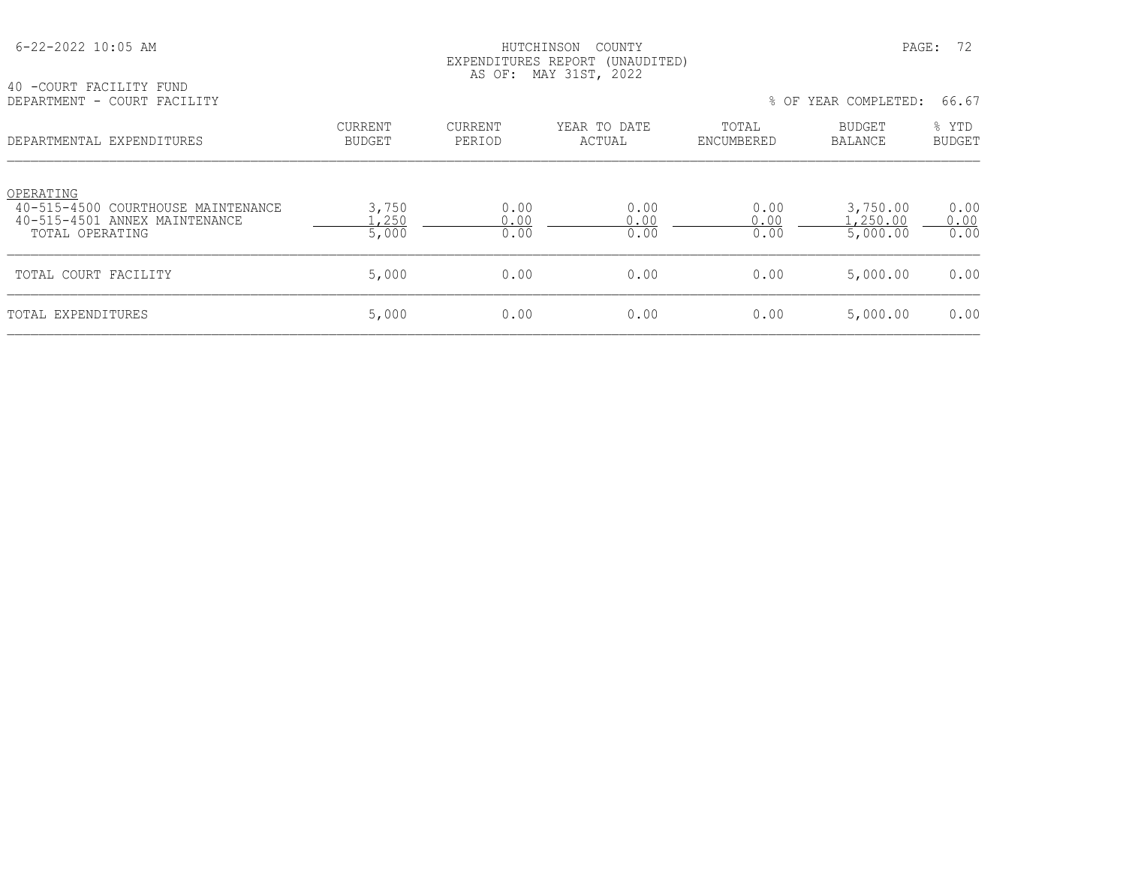#### HUTCHINSON COUNTY PAGE: 72 EXPENDITURES REPORT (UNAUDITED) AS OF: MAY 31ST, 2022

| 40 -COURT FACILITY FUND |  |                             |
|-------------------------|--|-----------------------------|
|                         |  | DEPARTMENT - COURT FACILITY |

% OF YEAR COMPLETED: 66.67

| DEPARTMENTAL EXPENDITURES                                                                           | CURRENT<br><b>BUDGET</b> | CURRENT<br>PERIOD    | YEAR TO DATE<br>ACTUAL | TOTAL<br>ENCUMBERED  | <b>BUDGET</b><br>BALANCE        | % YTD<br><b>BUDGET</b> |
|-----------------------------------------------------------------------------------------------------|--------------------------|----------------------|------------------------|----------------------|---------------------------------|------------------------|
| OPERATING<br>40-515-4500 COURTHOUSE MAINTENANCE<br>40-515-4501 ANNEX MAINTENANCE<br>TOTAL OPERATING | 3,750<br>,250<br>5,000   | 0.00<br>0.00<br>0.00 | 0.00<br>0.00<br>0.00   | 0.00<br>0.00<br>0.00 | 3,750.00<br>.250.00<br>5,000.00 | 0.00<br>0.00<br>0.00   |
| TOTAL COURT FACILITY                                                                                | 5,000                    | 0.00                 | 0.00                   | 0.00                 | 5,000.00                        | 0.00                   |
| TOTAL EXPENDITURES                                                                                  | 5,000                    | 0.00                 | 0.00                   | 0.00                 | 5,000.00                        | 0.00                   |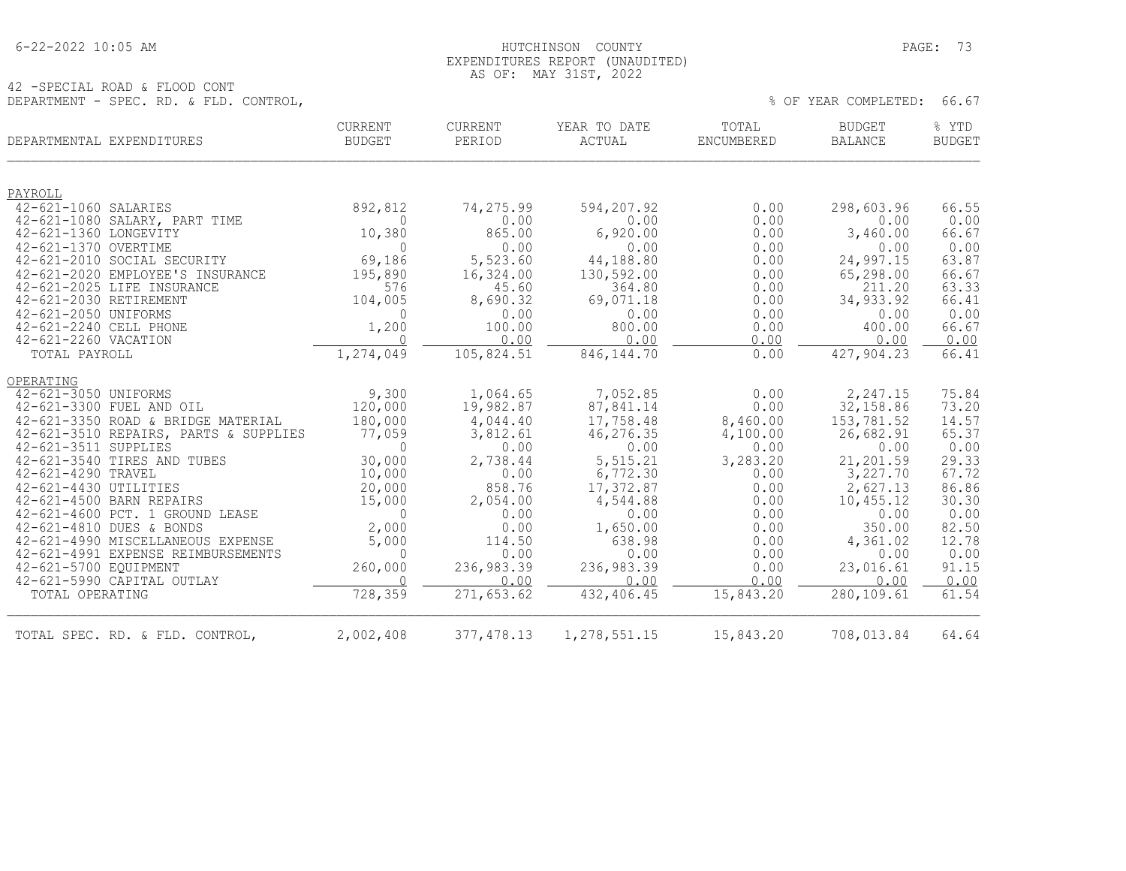## 6-22-2022 10:05 AM HUTCHINSON COUNTY PAGE: 73 EXPENDITURES REPORT (UNAUDITED) AS OF: MAY 31ST, 2022

42 -SPECIAL ROAD & FLOOD CONT DEPARTMENT - SPEC. RD. & FLD. CONTROL,  $\%$  Of YEAR COMPLETED: 66.67

| DEPARTMENTAL EXPENDITURES                                       | <b>CURRENT</b><br>BUDGET  | <b>CURRENT</b><br>PERIOD | YEAR TO DATE<br>ACTUAL  | TOTAL<br>ENCUMBERED | <b>BUDGET</b><br><b>BALANCE</b> | % YTD<br><b>BUDGET</b> |
|-----------------------------------------------------------------|---------------------------|--------------------------|-------------------------|---------------------|---------------------------------|------------------------|
| PAYROLL                                                         |                           |                          |                         |                     |                                 |                        |
| 42-621-1060 SALARIES                                            | 892,812                   | 74,275.99                | 594,207.92              | 0.00                | 298,603.96                      | 66.55                  |
| 42-621-1080 SALARY, PART TIME                                   | $\Omega$                  | 0.00                     | 0.00                    | 0.00                | 0.00                            | 0.00                   |
| 42-621-1360 LONGEVITY                                           | 10,380                    | 865.00                   | 6,920.00                | 0.00                | 3,460.00                        | 66.67                  |
| 42-621-1370 OVERTIME                                            | $\Omega$                  | 0.00                     | 0.00                    | 0.00                | 0.00                            | 0.00                   |
| 42-621-2010 SOCIAL SECURITY<br>42-621-2020 EMPLOYEE'S INSURANCE | 69,186<br>195,890         | 5,523.60<br>16,324.00    | 44,188.80<br>130,592.00 | 0.00<br>0.00        | 24,997.15<br>65,298.00          | 63.87<br>66.67         |
| 42-621-2025 LIFE INSURANCE                                      | 576                       | 45.60                    | 364.80                  | 0.00                | 211.20                          | 63.33                  |
| 42-621-2030 RETIREMENT                                          | 104,005                   | 8,690.32                 | 69,071.18               | 0.00                | 34,933.92                       | 66.41                  |
| 42-621-2050 UNIFORMS                                            | $\Omega$                  | 0.00                     | 0.00                    | 0.00                | 0.00                            | 0.00                   |
| 42-621-2240 CELL PHONE                                          | 1,200                     | 100.00                   | 800.00                  | 0.00                | 400.00                          | 66.67                  |
| 42-621-2260 VACATION                                            | $\Omega$                  | 0.00                     | 0.00                    | 0.00                | 0.00                            | 0.00                   |
| TOTAL PAYROLL                                                   | 1,274,049                 | 105,824.51               | 846, 144.70             | 0.00                | 427,904.23                      | 66.41                  |
| OPERATING                                                       |                           |                          |                         |                     |                                 |                        |
| 42-621-3050 UNIFORMS                                            | 9,300                     | 1,064.65                 | 7,052.85                | 0.00                | 2,247.15                        | 75.84                  |
| 42-621-3300 FUEL AND OIL                                        | 120,000                   | 19,982.87                | 87,841.14               | 0.00                | 32,158.86                       | 73.20                  |
| 42-621-3350 ROAD & BRIDGE MATERIAL                              | 180,000                   | 4,044.40                 | 17,758.48               | 8,460.00            | 153,781.52                      | 14.57                  |
| 42-621-3510 REPAIRS, PARTS & SUPPLIES                           | 77,059                    | 3,812.61                 | 46,276.35               | 4,100.00            | 26,682.91                       | 65.37                  |
| 42-621-3511 SUPPLIES                                            | $\Omega$                  | 0.00                     | 0.00                    | 0.00                | 0.00                            | 0.00                   |
| 42-621-3540 TIRES AND TUBES<br>42-621-4290 TRAVEL               | 30,000<br>10,000          | 2,738.44<br>0.00         | 5,515.21<br>6,772.30    | 3,283.20<br>0.00    | 21,201.59<br>3,227.70           | 29.33<br>67.72         |
| 42-621-4430 UTILITIES                                           | 20,000                    | 858.76                   | 17,372.87               | 0.00                | 2,627.13                        | 86.86                  |
| 42-621-4500 BARN REPAIRS                                        | 15,000                    | 2,054.00                 | 4,544.88                | 0.00                | 10,455.12                       | 30.30                  |
| 42-621-4600 PCT. 1 GROUND LEASE                                 | $\overline{0}$            | 0.00                     | 0.00                    | 0.00                | 0.00                            | 0.00                   |
| 42-621-4810 DUES & BONDS                                        | 2,000                     | 0.00                     | 1,650.00                | 0.00                | 350.00                          | 82.50                  |
| 42-621-4990 MISCELLANEOUS EXPENSE                               | 5,000                     | 114.50                   | 638.98                  | 0.00                | 4,361.02                        | 12.78                  |
| 42-621-4991 EXPENSE REIMBURSEMENTS                              | $\Omega$                  | 0.00                     | 0.00                    | 0.00                | 0.00                            | 0.00                   |
| 42-621-5700 EQUIPMENT                                           | 260,000                   | 236,983.39               | 236,983.39              | 0.00                | 23,016.61                       | 91.15                  |
| 42-621-5990 CAPITAL OUTLAY<br>TOTAL OPERATING                   | $\overline{0}$<br>728,359 | 0.00<br>271,653.62       | 0.00<br>432,406.45      | 0.00<br>15,843.20   | 0.00<br>280,109.61              | 0.00<br>61.54          |
|                                                                 |                           |                          |                         |                     |                                 |                        |
| TOTAL SPEC. RD. & FLD. CONTROL,                                 | 2,002,408                 | 377, 478.13              | 1, 278, 551.15          | 15,843.20           | 708,013.84                      | 64.64                  |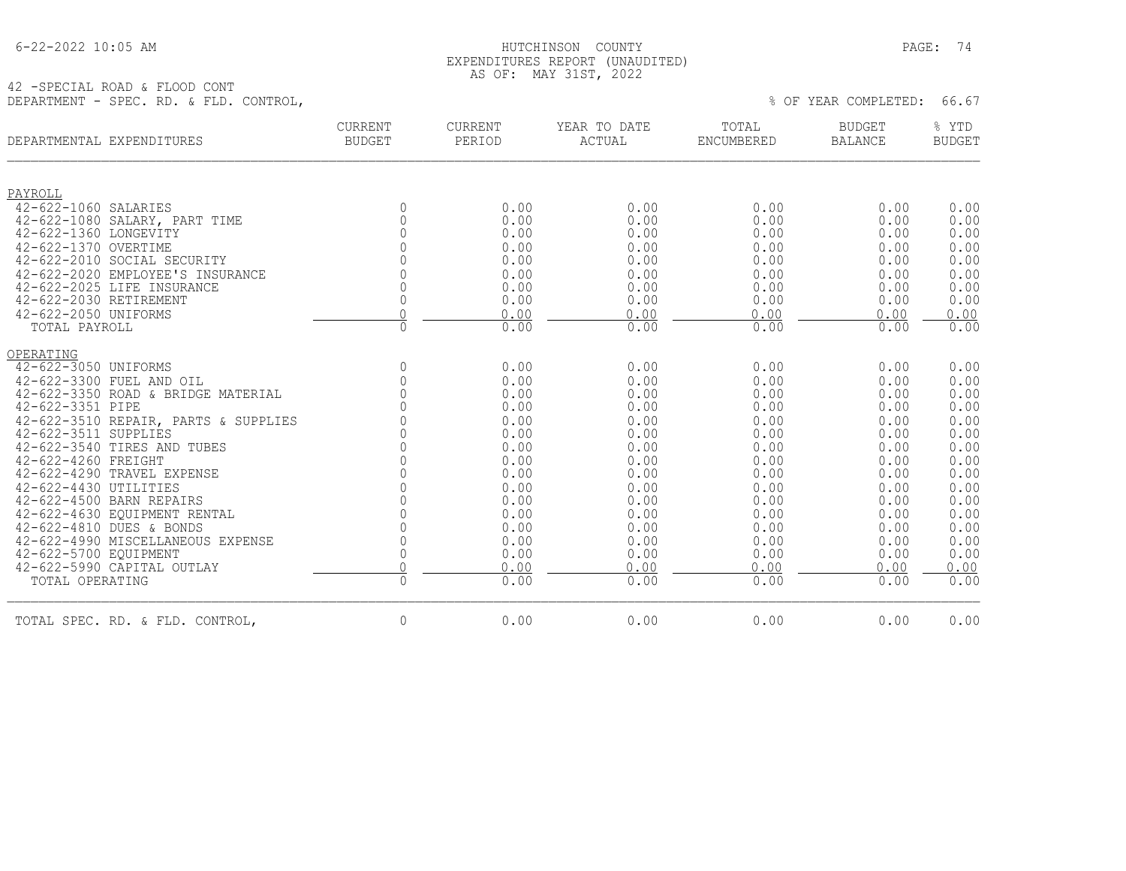| 6-22-2022 10:05 AM |
|--------------------|
|--------------------|

## HUTCHINSON COUNTY PAGE: 74 EXPENDITURES REPORT (UNAUDITED) AS OF: MAY 31ST, 2022

42 -SPECIAL ROAD & FLOOD CONT DEPARTMENT - SPEC. RD. & FLD. CONTROL,

| DEPARTMENTAL EXPENDITURES                                       | <b>CURRENT</b><br><b>BUDGET</b> | CURRENT<br>PERIOD | YEAR TO DATE<br>ACTUAL | TOTAL<br>ENCUMBERED | <b>BUDGET</b><br><b>BALANCE</b> | % YTD<br><b>BUDGET</b> |
|-----------------------------------------------------------------|---------------------------------|-------------------|------------------------|---------------------|---------------------------------|------------------------|
| PAYROLL                                                         |                                 |                   |                        |                     |                                 |                        |
| 42-622-1060 SALARIES                                            | $\mathbf{0}$                    | 0.00              | 0.00                   | 0.00                | 0.00                            | 0.00                   |
| 42-622-1080 SALARY, PART TIME                                   | $\Omega$                        | 0.00              | 0.00                   | 0.00                | 0.00                            | 0.00                   |
| 42-622-1360 LONGEVITY                                           | $\Omega$                        | 0.00              | 0.00                   | 0.00                | 0.00                            | 0.00                   |
| 42-622-1370 OVERTIME                                            | $\Omega$<br>$\Omega$            | 0.00              | 0.00                   | 0.00                | 0.00                            | 0.00                   |
| 42-622-2010 SOCIAL SECURITY<br>42-622-2020 EMPLOYEE'S INSURANCE | $\Omega$                        | 0.00<br>0.00      | 0.00<br>0.00           | 0.00<br>0.00        | 0.00<br>0.00                    | 0.00<br>0.00           |
| 42-622-2025 LIFE INSURANCE                                      | $\mathbf{0}$                    | 0.00              | 0.00                   | 0.00                | 0.00                            | 0.00                   |
| 42-622-2030 RETIREMENT                                          | $\mathbf 0$                     | 0.00              | 0.00                   | 0.00                | 0.00                            | 0.00                   |
| 42-622-2050 UNIFORMS                                            |                                 | 0.00              | 0.00                   | 0.00                | 0.00                            | 0.00                   |
| TOTAL PAYROLL                                                   | $\Omega$                        | 0.00              | 0.00                   | 0.00                | 0.00                            | 0.00                   |
| OPERATING                                                       |                                 |                   |                        |                     |                                 |                        |
| 42-622-3050 UNIFORMS                                            | $\mathbf{0}$                    | 0.00              | 0.00                   | 0.00                | 0.00                            | 0.00                   |
| 42-622-3300 FUEL AND OIL                                        | $\mathbb O$                     | 0.00              | 0.00                   | 0.00                | 0.00                            | 0.00                   |
| 42-622-3350 ROAD & BRIDGE MATERIAL                              | $\Omega$                        | 0.00              | 0.00                   | 0.00                | 0.00                            | 0.00                   |
| 42-622-3351 PIPE                                                |                                 | 0.00              | 0.00                   | 0.00                | 0.00                            | 0.00                   |
| 42-622-3510 REPAIR, PARTS & SUPPLIES                            |                                 | 0.00              | 0.00                   | 0.00                | 0.00                            | 0.00                   |
| 42-622-3511 SUPPLIES                                            |                                 | 0.00              | 0.00                   | 0.00                | 0.00                            | 0.00                   |
| 42-622-3540 TIRES AND TUBES                                     | $\Omega$                        | 0.00              | 0.00                   | 0.00                | 0.00                            | 0.00                   |
| 42-622-4260 FREIGHT                                             | $\cap$                          | 0.00              | 0.00                   | 0.00                | 0.00                            | 0.00                   |
| 42-622-4290 TRAVEL EXPENSE<br>42-622-4430 UTILITIES             |                                 | 0.00              | 0.00                   | 0.00                | 0.00                            | 0.00<br>0.00           |
| 42-622-4500 BARN REPAIRS                                        | $\Omega$                        | 0.00<br>0.00      | 0.00<br>0.00           | 0.00<br>0.00        | 0.00<br>0.00                    | 0.00                   |
| 42-622-4630 EQUIPMENT RENTAL                                    | $\Omega$                        | 0.00              | 0.00                   | 0.00                | 0.00                            | 0.00                   |
| 42-622-4810 DUES & BONDS                                        | $\Omega$                        | 0.00              | 0.00                   | 0.00                | 0.00                            | 0.00                   |
| 42-622-4990 MISCELLANEOUS EXPENSE                               | $\Omega$                        | 0.00              | 0.00                   | 0.00                | 0.00                            | 0.00                   |
| 42-622-5700 EQUIPMENT                                           | $\mathbb O$                     | 0.00              | 0.00                   | 0.00                | 0.00                            | 0.00                   |
| 42-622-5990 CAPITAL OUTLAY                                      | $\mathbf 0$                     | 0.00              | 0.00                   | 0.00                | 0.00                            | 0.00                   |
| TOTAL OPERATING                                                 | $\mathbb O$                     | 0.00              | 0.00                   | 0.00                | 0.00                            | 0.00                   |
| TOTAL SPEC. RD. & FLD. CONTROL,                                 | $\mathbb O$                     | 0.00              | 0.00                   | 0.00                | 0.00                            | 0.00                   |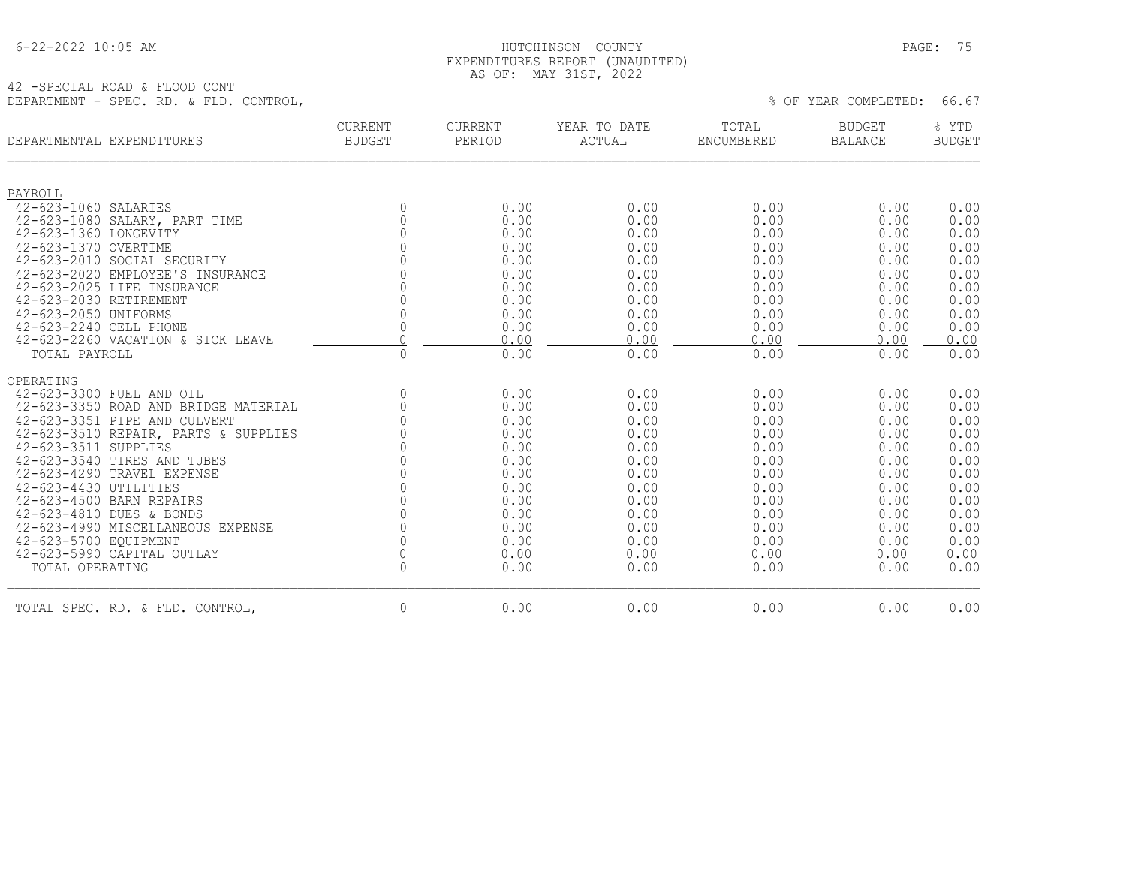|  | 6-22-2022 10:05 AM |  |
|--|--------------------|--|
|  |                    |  |

#### 6-22-2022 10:05 AM HUTCHINSON COUNTY PAGE: 75 EXPENDITURES REPORT (UNAUDITED) AS OF: MAY 31ST, 2022

42 -SPECIAL ROAD & FLOOD CONT DEPARTMENT - SPEC. RD. & FLD. CONTROL,  $66.67$ 

| DEPARTMENTAL EXPENDITURES            | CURRENT<br><b>BUDGET</b> | CURRENT<br>PERIOD | YEAR TO DATE<br>ACTUAL | TOTAL<br>ENCUMBERED | <b>BUDGET</b><br><b>BALANCE</b> | % YTD<br><b>BUDGET</b> |
|--------------------------------------|--------------------------|-------------------|------------------------|---------------------|---------------------------------|------------------------|
| PAYROLL                              |                          |                   |                        |                     |                                 |                        |
| 42-623-1060 SALARIES                 | $\mathbf 0$              | 0.00              | 0.00                   | 0.00                | 0.00                            | 0.00                   |
| 42-623-1080 SALARY, PART TIME        | $\mathbf 0$              | 0.00              | 0.00                   | 0.00                | 0.00                            | 0.00                   |
| 42-623-1360 LONGEVITY                | 0                        | 0.00              | 0.00                   | 0.00                | 0.00                            | 0.00                   |
| 42-623-1370 OVERTIME                 | $\overline{0}$           | 0.00              | 0.00                   | 0.00                | 0.00                            | 0.00                   |
| 42-623-2010 SOCIAL SECURITY          | $\mathsf{O}\xspace$      | 0.00              | 0.00                   | 0.00                | 0.00                            | 0.00                   |
| 42-623-2020 EMPLOYEE'S INSURANCE     | $\overline{0}$           | 0.00              | 0.00                   | 0.00                | 0.00                            | 0.00                   |
| 42-623-2025 LIFE INSURANCE           | $\Omega$                 | 0.00              | 0.00                   | 0.00                | 0.00                            | 0.00                   |
| 42-623-2030 RETIREMENT               | $\mathbf 0$              | 0.00              | 0.00                   | 0.00                | 0.00                            | 0.00                   |
| 42-623-2050 UNIFORMS                 | $\mathbf 0$              | 0.00              | 0.00                   | 0.00                | 0.00                            | 0.00                   |
| 42-623-2240 CELL PHONE               | $\circ$                  | 0.00              | 0.00                   | 0.00                | 0.00                            | 0.00                   |
| 42-623-2260 VACATION & SICK LEAVE    | $\Omega$                 | 0.00              | 0.00                   | 0.00                | 0.00                            | 0.00                   |
| TOTAL PAYROLL                        | $\mathbf 0$              | 0.00              | 0.00                   | 0.00                | 0.00                            | 0.00                   |
| OPERATING                            |                          |                   |                        |                     |                                 |                        |
| 42-623-3300 FUEL AND OIL             | $\mathbf 0$              | 0.00              | 0.00                   | 0.00                | 0.00                            | 0.00                   |
| 42-623-3350 ROAD AND BRIDGE MATERIAL | 0                        | 0.00              | 0.00                   | 0.00                | 0.00                            | 0.00                   |
| 42-623-3351 PIPE AND CULVERT         |                          | 0.00              | 0.00                   | 0.00                | 0.00                            | 0.00                   |
| 42-623-3510 REPAIR, PARTS & SUPPLIES |                          | 0.00              | 0.00                   | 0.00                | 0.00                            | 0.00                   |
| 42-623-3511 SUPPLIES                 |                          | 0.00              | 0.00                   | 0.00                | 0.00                            | 0.00                   |
| 42-623-3540 TIRES AND TUBES          |                          | 0.00              | 0.00                   | 0.00                | 0.00                            | 0.00                   |
| 42-623-4290 TRAVEL EXPENSE           |                          | 0.00              | 0.00                   | 0.00                | 0.00                            | 0.00                   |
| 42-623-4430 UTILITIES                |                          | 0.00              | 0.00                   | 0.00                | 0.00                            | 0.00                   |
| 42-623-4500 BARN REPAIRS             |                          | 0.00              | 0.00                   | 0.00                | 0.00                            | 0.00                   |
| 42-623-4810 DUES & BONDS             | $\cap$                   | 0.00              | 0.00                   | 0.00                | 0.00                            | 0.00                   |
| 42-623-4990 MISCELLANEOUS EXPENSE    | $\Omega$                 | 0.00              | 0.00                   | 0.00                | 0.00                            | 0.00                   |
| 42-623-5700 EQUIPMENT                | $\mathbf 0$              | 0.00              | 0.00                   | 0.00                | 0.00                            | 0.00                   |
| 42-623-5990 CAPITAL OUTLAY           | $\Omega$                 | 0.00              | 0.00                   | 0.00                | 0.00                            | 0.00                   |
| TOTAL OPERATING                      | $\Omega$                 | 0.00              | 0.00                   | 0.00                | 0.00                            | 0.00                   |
| TOTAL SPEC. RD. & FLD. CONTROL,      | 0                        | 0.00              | 0.00                   | 0.00                | 0.00                            | 0.00                   |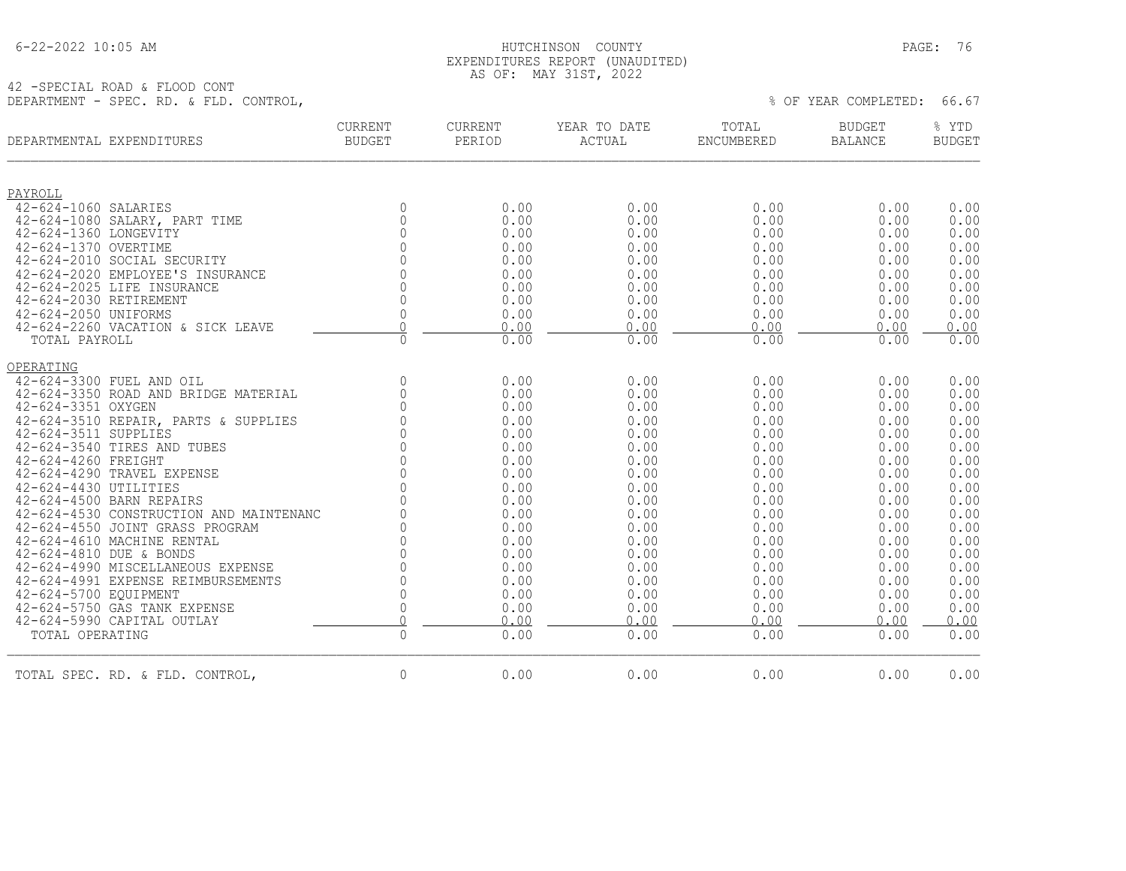| $6 - 22 - 2022$ 10:05 AM |  |  |
|--------------------------|--|--|
|                          |  |  |

## HUTCHINSON COUNTY PAGE: 76 EXPENDITURES REPORT (UNAUDITED) AS OF: MAY 31ST, 2022

42 -SPECIAL ROAD & FLOOD CONT DEPARTMENT - SPEC. RD. & FLD. CONTROL,  $\%$  Of YEAR COMPLETED: 66.67

| DEPARTMENTAL EXPENDITURES                                           | CURRENT<br><b>BUDGET</b> | CURRENT<br>PERIOD | YEAR TO DATE<br>ACTUAL | TOTAL<br>ENCUMBERED | BUDGET<br><b>BALANCE</b> | % YTD<br><b>BUDGET</b> |
|---------------------------------------------------------------------|--------------------------|-------------------|------------------------|---------------------|--------------------------|------------------------|
| PAYROLL                                                             |                          |                   |                        |                     |                          |                        |
| 42-624-1060 SALARIES                                                | $\mathbf{0}$             | 0.00              | 0.00                   | 0.00                | 0.00                     | 0.00                   |
| 42-624-1080 SALARY, PART TIME                                       | $\mathbf{0}$             | 0.00              | 0.00                   | 0.00                | 0.00                     | 0.00                   |
| 42-624-1360 LONGEVITY                                               | $\mathbf{0}$             | 0.00              | 0.00                   | 0.00                | 0.00                     | 0.00                   |
| 42-624-1370 OVERTIME                                                | $\Omega$                 | 0.00              | 0.00                   | 0.00                | 0.00                     | 0.00                   |
| 42-624-2010 SOCIAL SECURITY                                         | $\cap$                   | 0.00              | 0.00                   | 0.00                | 0.00                     | 0.00                   |
| 42-624-2020 EMPLOYEE'S INSURANCE                                    | $\Omega$                 | 0.00              | 0.00                   | 0.00                | 0.00                     | 0.00                   |
| 42-624-2025 LIFE INSURANCE                                          | $\overline{0}$           | 0.00              | 0.00                   | 0.00                | 0.00                     | 0.00                   |
| 42-624-2030 RETIREMENT                                              | $\mathbf{0}$             | 0.00              | 0.00                   | 0.00                | 0.00                     | 0.00                   |
| 42-624-2050 UNIFORMS                                                | $\mathbf 0$              | 0.00              | 0.00                   | 0.00                | 0.00                     | 0.00                   |
| 42-624-2260 VACATION & SICK LEAVE                                   | $\Omega$                 | 0.00              | 0.00                   | 0.00                | 0.00                     | 0.00                   |
| TOTAL PAYROLL                                                       | $\mathbf{0}$             | 0.00              | 0.00                   | 0.00                | 0.00                     | 0.00                   |
| OPERATING                                                           |                          |                   |                        |                     |                          |                        |
| 42-624-3300 FUEL AND OIL                                            | $\mathbf{0}$             | 0.00              | 0.00                   | 0.00                | 0.00                     | 0.00                   |
| 42-624-3350 ROAD AND BRIDGE MATERIAL                                | $\mathbf{0}$             | 0.00              | 0.00                   | 0.00                | 0.00                     | 0.00                   |
| 42-624-3351 OXYGEN                                                  | $\Omega$                 | 0.00              | 0.00                   | 0.00                | 0.00                     | 0.00                   |
| 42-624-3510 REPAIR, PARTS & SUPPLIES                                | $\Omega$                 | 0.00              | 0.00                   | 0.00                | 0.00                     | 0.00                   |
| 42-624-3511 SUPPLIES                                                | $\Omega$                 | 0.00              | 0.00                   | 0.00                | 0.00                     | 0.00                   |
| 42-624-3540 TIRES AND TUBES                                         | $\overline{0}$           | 0.00              | 0.00                   | 0.00                | 0.00                     | 0.00                   |
| 42-624-4260 FREIGHT                                                 | $\mathbb O$              | 0.00              | 0.00                   | 0.00                | 0.00                     | 0.00                   |
| 42-624-4290 TRAVEL EXPENSE                                          | $\Omega$                 | 0.00              | 0.00                   | 0.00                | 0.00                     | 0.00                   |
| 42-624-4430 UTILITIES                                               | $\Omega$                 | 0.00              | 0.00                   | 0.00                | 0.00                     | 0.00                   |
| 42-624-4500 BARN REPAIRS<br>42-624-4530 CONSTRUCTION AND MAINTENANC | $\Omega$<br>$\Omega$     | 0.00              | 0.00                   | 0.00                | 0.00                     | 0.00<br>0.00           |
| 42-624-4550 JOINT GRASS PROGRAM                                     | $\Omega$                 | 0.00<br>0.00      | 0.00<br>0.00           | 0.00<br>0.00        | 0.00<br>0.00             | 0.00                   |
| 42-624-4610 MACHINE RENTAL                                          | $\Omega$                 | 0.00              | 0.00                   | 0.00                | 0.00                     | 0.00                   |
| 42-624-4810 DUE & BONDS                                             | $\overline{0}$           | 0.00              | 0.00                   | 0.00                | 0.00                     | 0.00                   |
| 42-624-4990 MISCELLANEOUS EXPENSE                                   | $\mathbb O$              | 0.00              | 0.00                   | 0.00                | 0.00                     | 0.00                   |
| 42-624-4991 EXPENSE REIMBURSEMENTS                                  | $\Omega$                 | 0.00              | 0.00                   | 0.00                | 0.00                     | 0.00                   |
| 42-624-5700 EQUIPMENT                                               | $\mathbf{0}$             | 0.00              | 0.00                   | 0.00                | 0.00                     | 0.00                   |
| 42-624-5750 GAS TANK EXPENSE                                        | $\overline{0}$           | 0.00              | 0.00                   | 0.00                | 0.00                     | 0.00                   |
| 42-624-5990 CAPITAL OUTLAY                                          | $\overline{0}$           | 0.00              | 0.00                   | 0.00                | 0.00                     | 0.00                   |
| TOTAL OPERATING                                                     | $\mathbf 0$              | 0.00              | 0.00                   | 0.00                | 0.00                     | 0.00                   |
| TOTAL SPEC. RD. & FLD. CONTROL,                                     | $\overline{0}$           | 0.00              | 0.00                   | 0.00                | 0.00                     | 0.00                   |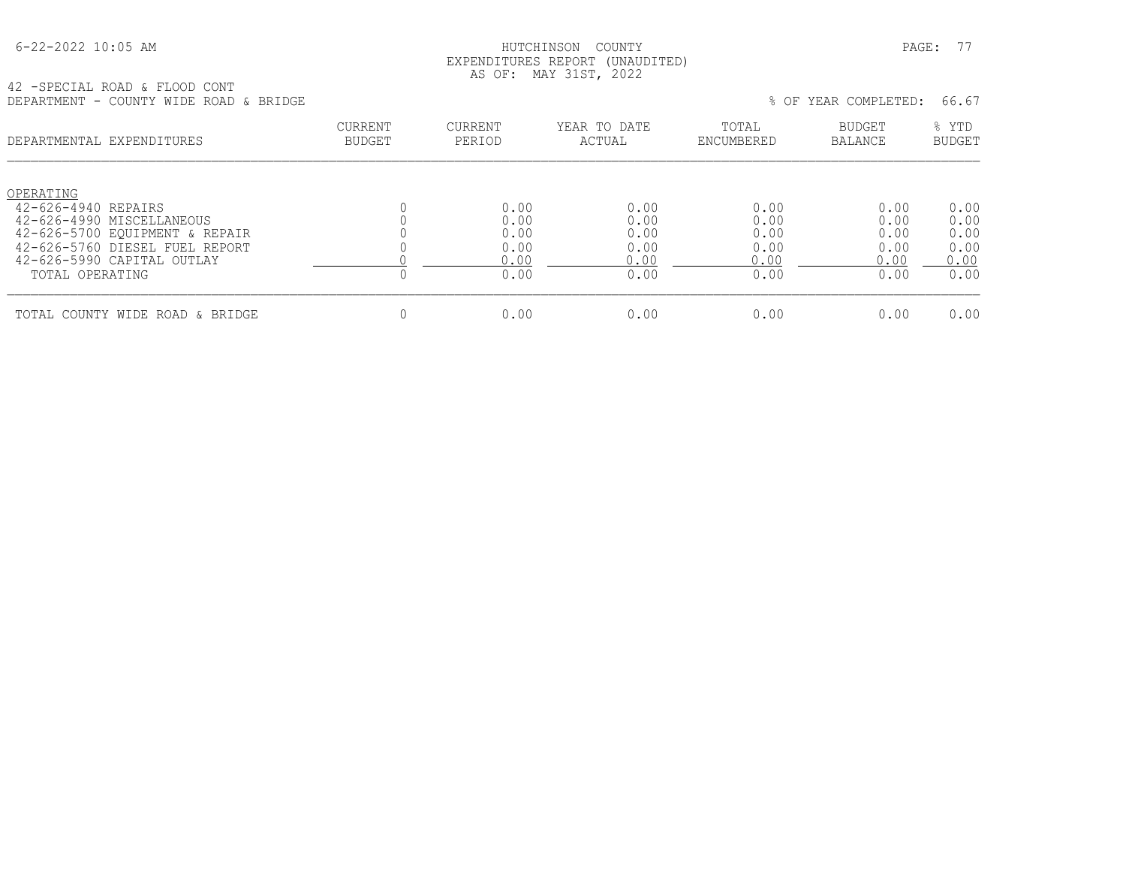## HUTCHINSON COUNTY PAGE: 77 EXPENDITURES REPORT (UNAUDITED) AS OF: MAY 31ST, 2022

42 -SPECIAL ROAD & FLOOD CONT DEPARTMENT - COUNTY WIDE ROAD & BRIDGE % OF YEAR COMPLETED: 66.67

| णामारारामाना<br>COONII WIDD ROND & DRIDOD                                                                                         |                                 |                              |                              |                              | 0 OL TUIN CONTIBUTION.       | 00.UT                        |
|-----------------------------------------------------------------------------------------------------------------------------------|---------------------------------|------------------------------|------------------------------|------------------------------|------------------------------|------------------------------|
| DEPARTMENTAL EXPENDITURES                                                                                                         | <b>CURRENT</b><br><b>BUDGET</b> | CURRENT<br>PERIOD            | YEAR TO DATE<br>ACTUAL       | TOTAL<br>ENCUMBERED          | <b>BUDGET</b><br>BALANCE     | % YTD<br><b>BUDGET</b>       |
| OPERATING<br>42-626-4940 REPAIRS<br>42-626-4990 MISCELLANEOUS<br>42-626-5700 EQUIPMENT & REPAIR<br>42-626-5760 DIESEL FUEL REPORT |                                 | 0.00<br>0.00<br>0.00<br>0.00 | 0.00<br>0.00<br>0.00<br>0.00 | 0.00<br>0.00<br>0.00<br>0.00 | 0.00<br>0.00<br>0.00<br>0.00 | 0.00<br>0.00<br>0.00<br>0.00 |
| 42-626-5990 CAPITAL OUTLAY<br>TOTAL OPERATING                                                                                     |                                 | 0.00<br>0.00                 | 0.00<br>0.00                 | 0.00<br>0.00                 | 0.00<br>0.00                 | 0.00<br>0.00                 |
| TOTAL COUNTY WIDE ROAD & BRIDGE                                                                                                   |                                 | 0.00                         | 0.00                         | 0.00                         | 0.00                         | 0.00                         |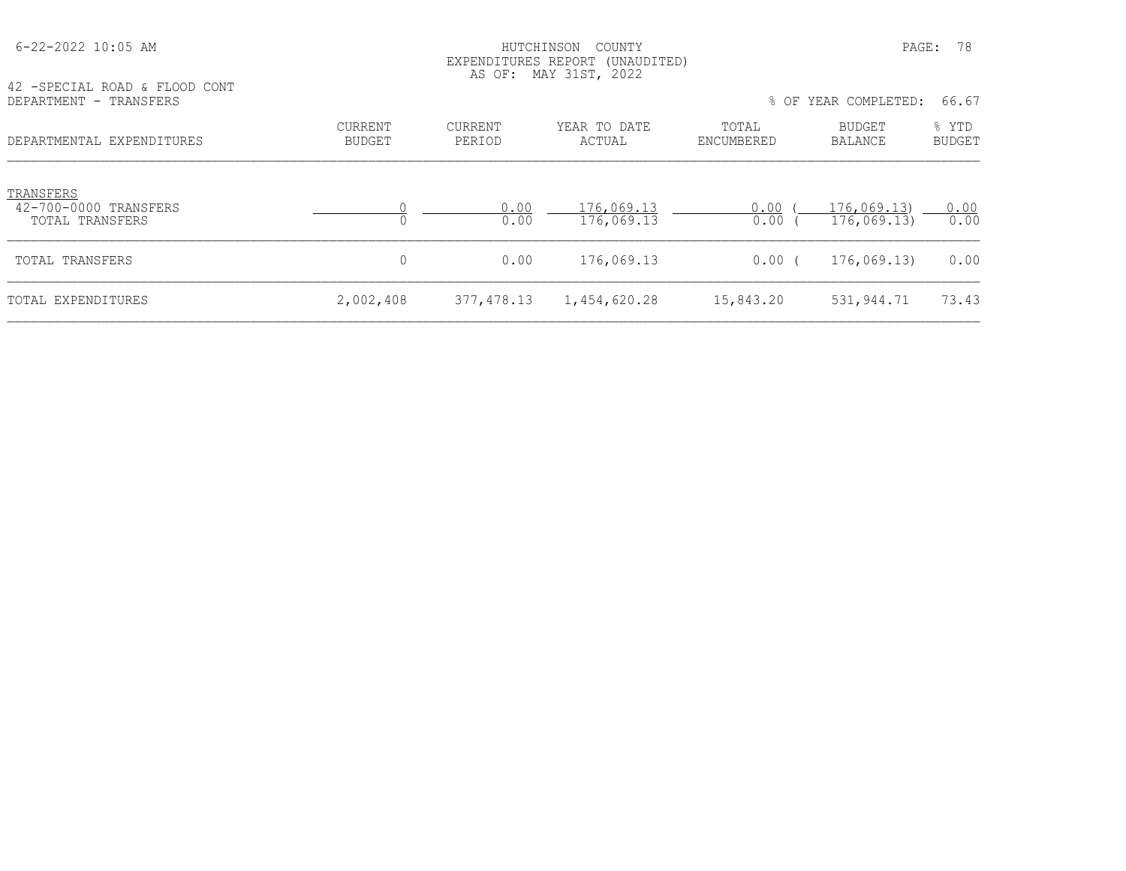| 42 - SPECIAL ROAD & FLOOD CONT                        |                          | LAN DINDITURNO RUIURINI (UNIQDITIDD)<br>AS OF: MAY 31ST, 2022 |                          |                     |                           |                        |
|-------------------------------------------------------|--------------------------|---------------------------------------------------------------|--------------------------|---------------------|---------------------------|------------------------|
| DEPARTMENT - TRANSFERS                                |                          |                                                               |                          |                     | % OF YEAR COMPLETED:      | 66.67                  |
| DEPARTMENTAL EXPENDITURES                             | CURRENT<br><b>BUDGET</b> | CURRENT<br>PERIOD                                             | YEAR TO DATE<br>ACTUAL   | TOTAL<br>ENCUMBERED | BUDGET<br>BALANCE         | % YTD<br><b>BUDGET</b> |
| TRANSFERS<br>42-700-0000 TRANSFERS<br>TOTAL TRANSFERS |                          | 0.00<br>0.00                                                  | 176,069.13<br>176,069.13 | 0.00<br>0.00        | 176,069.13)<br>176,069.13 | 0.00<br>0.00           |
| TOTAL TRANSFERS                                       | 0                        | 0.00                                                          | 176,069.13               | 0.00(               | 176,069.13)               | 0.00                   |
| TOTAL EXPENDITURES                                    | 2,002,408                | 377, 478.13                                                   | 1,454,620.28             | 15,843.20           | 531,944.71                | 73.43                  |

 6-22-2022 10:05 AM HUTCHINSON COUNTY PAGE: 78 EXPENDITURES REPORT (UNAUDITED)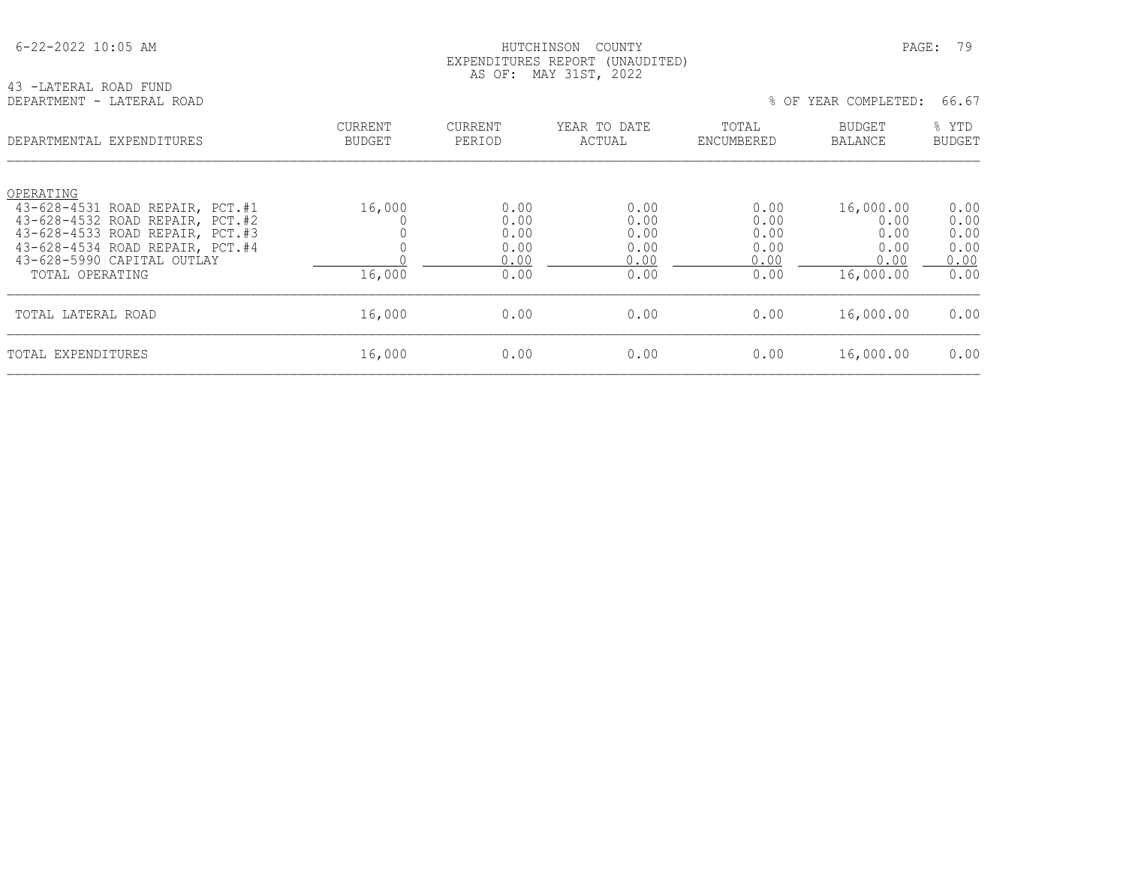## HUTCHINSON COUNTY PAGE: 79 EXPENDITURES REPORT (UNAUDITED) AS OF: MAY 31ST, 2022

43 -LATERAL ROAD FUND DEPARTMENT - LATERAL ROAD  $\frac{1}{6}$ 

|  | OF YEAR COMPLETED: | 66.67 |  |
|--|--------------------|-------|--|
|  |                    |       |  |

| DEPARTMENTAL EXPENDITURES                                                                                          | <b>CURRENT</b><br><b>BUDGET</b> | <b>CURRENT</b><br>PERIOD | YEAR TO DATE<br>ACTUAL | TOTAL<br>ENCUMBERED  | <b>BUDGET</b><br>BALANCE  | % YTD<br><b>BUDGET</b> |
|--------------------------------------------------------------------------------------------------------------------|---------------------------------|--------------------------|------------------------|----------------------|---------------------------|------------------------|
| OPERATING<br>43-628-4531 ROAD REPAIR, PCT.#1<br>43-628-4532 ROAD REPAIR, PCT.#2<br>43-628-4533 ROAD REPAIR, PCT.#3 | 16,000                          | 0.00<br>0.00<br>0.00     | 0.00<br>0.00<br>0.00   | 0.00<br>0.00<br>0.00 | 16,000.00<br>0.00<br>0.00 | 0.00<br>0.00<br>0.00   |
| 43-628-4534 ROAD REPAIR, PCT.#4<br>43-628-5990 CAPITAL OUTLAY<br>TOTAL OPERATING                                   | 16,000                          | 0.00<br>0.00<br>0.00     | 0.00<br>0.00<br>0.00   | 0.00<br>0.00<br>0.00 | 0.00<br>0.00<br>16,000.00 | 0.00<br>0.00<br>0.00   |
| TOTAL LATERAL ROAD                                                                                                 | 16,000                          | 0.00                     | 0.00                   | 0.00                 | 16,000.00                 | 0.00                   |
| TOTAL EXPENDITURES                                                                                                 | 16,000                          | 0.00                     | 0.00                   | 0.00                 | 16,000.00                 | 0.00                   |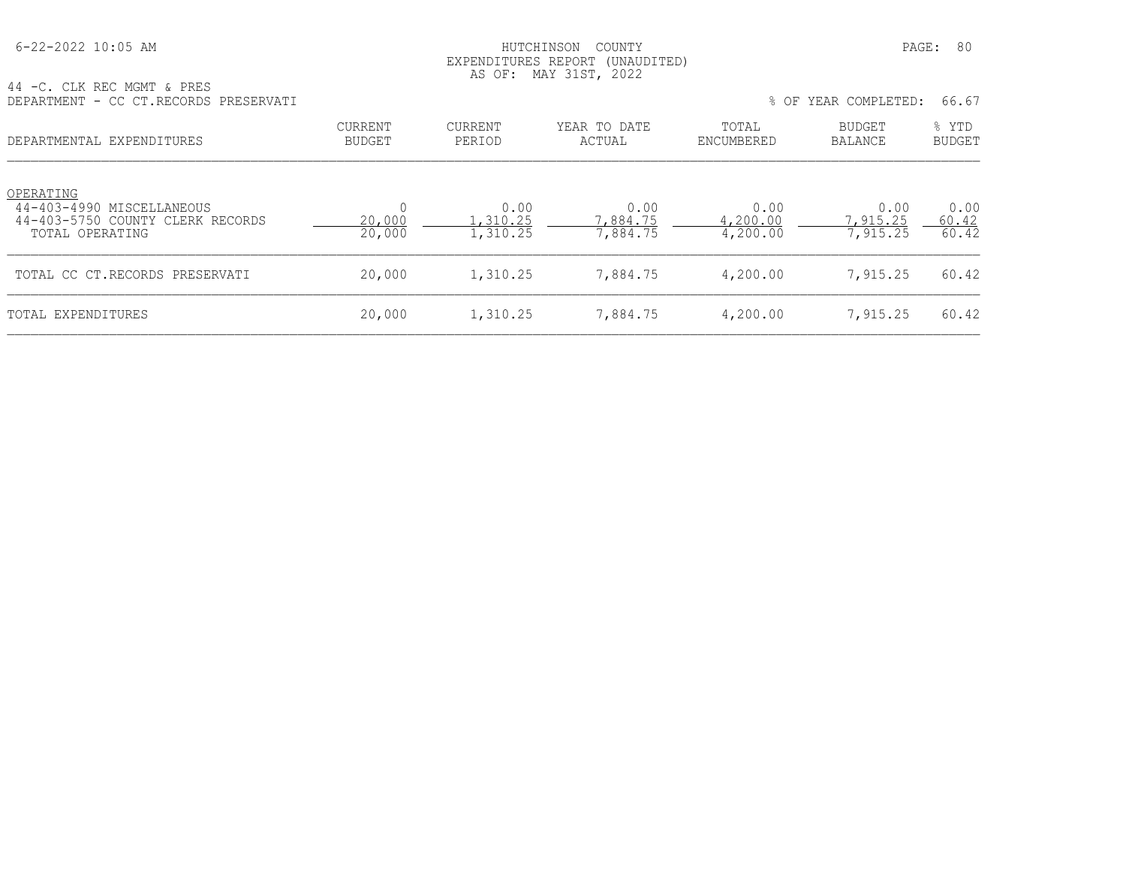## HUTCHINSON COUNTY PAGE: 80 EXPENDITURES REPORT (UNAUDITED) AS OF: MAY 31ST, 2022

| CLK REC MGMT & PRES<br>44 - C.        | --- --<br>----- ----- ---- |       |
|---------------------------------------|----------------------------|-------|
| DEPARTMENT - CC CT.RECORDS PRESERVATI | OF YEAR COMPLETED:         | 66.67 |
|                                       |                            |       |

| OF YEAR COMPLETED: | 66.67 |
|--------------------|-------|
|--------------------|-------|

| DEPARTMENTAL EXPENDITURES                                                                     | CURRENT<br><b>BUDGET</b> | CURRENT<br>PERIOD            | YEAR TO DATE<br>ACTUAL       | TOTAL<br>ENCUMBERED          | BUDGET<br>BALANCE            | % YTD<br><b>BUDGET</b> |
|-----------------------------------------------------------------------------------------------|--------------------------|------------------------------|------------------------------|------------------------------|------------------------------|------------------------|
| OPERATING<br>44-403-4990 MISCELLANEOUS<br>44-403-5750 COUNTY CLERK RECORDS<br>TOTAL OPERATING | 20,000<br>20,000         | 0.00<br>.,310.25<br>1,310.25 | 0.00<br>7,884.75<br>7,884.75 | 0.00<br>4,200.00<br>4,200.00 | 0.00<br>7,915.25<br>7,915.25 | 0.00<br>60.42<br>60.42 |
| TOTAL CC CT.RECORDS PRESERVATI                                                                | 20,000                   | 1,310.25                     | 7,884.75                     | 4,200.00                     | 7,915.25                     | 60.42                  |
| TOTAL EXPENDITURES                                                                            | 20,000                   | 1,310.25                     | 7,884.75                     | 4,200.00                     | 7,915.25                     | 60.42                  |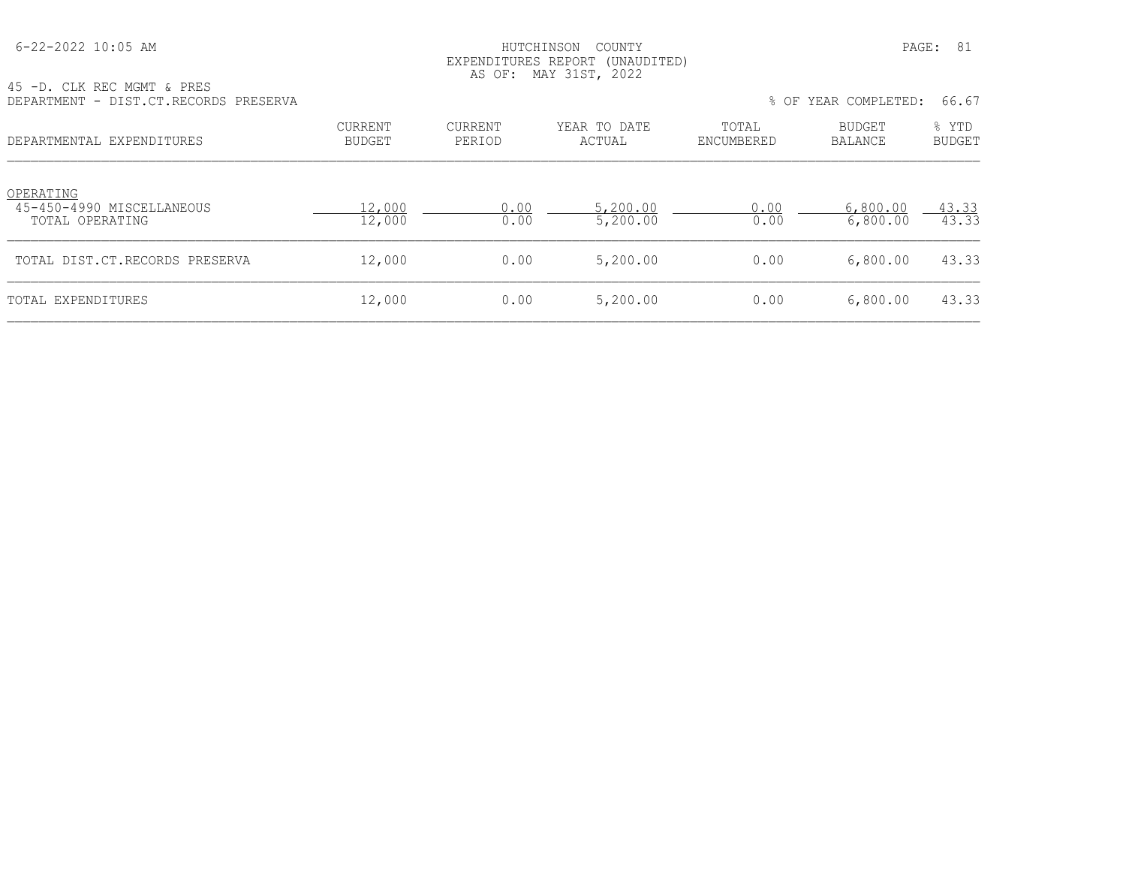## HUTCHINSON COUNTY PAGE: 81 EXPENDITURES REPORT (UNAUDITED) AS OF: MAY 31ST, 2022

| 45 -D. CLK REC MGMT & PRES<br>DEPARTMENT - DIST.CT.RECORDS PRESERVA |                          |                          |                        |                     | % OF YEAR COMPLETED:     | 66.67                  |
|---------------------------------------------------------------------|--------------------------|--------------------------|------------------------|---------------------|--------------------------|------------------------|
| DEPARTMENTAL EXPENDITURES                                           | <b>CURRENT</b><br>BUDGET | <b>CURRENT</b><br>PERIOD | YEAR TO DATE<br>ACTUAL | TOTAL<br>ENCUMBERED | BUDGET<br><b>BALANCE</b> | % YTD<br><b>BUDGET</b> |
| OPERATING<br>45-450-4990 MISCELLANEOUS<br>TOTAL OPERATING           | 12,000<br>12,000         | 0.00<br>0.00             | 5,200.00<br>5,200.00   | 0.00<br>0.00        | 6,800.00<br>6,800.00     | 43.33<br>43.33         |
| TOTAL DIST.CT.RECORDS PRESERVA                                      | 12,000                   | 0.00                     | 5,200.00               | 0.00                | 6,800.00                 | 43.33                  |

TOTAL EXPENDITURES 6,800.00 12,000 0.00 5,200.00 0.00 6,800.00 43.33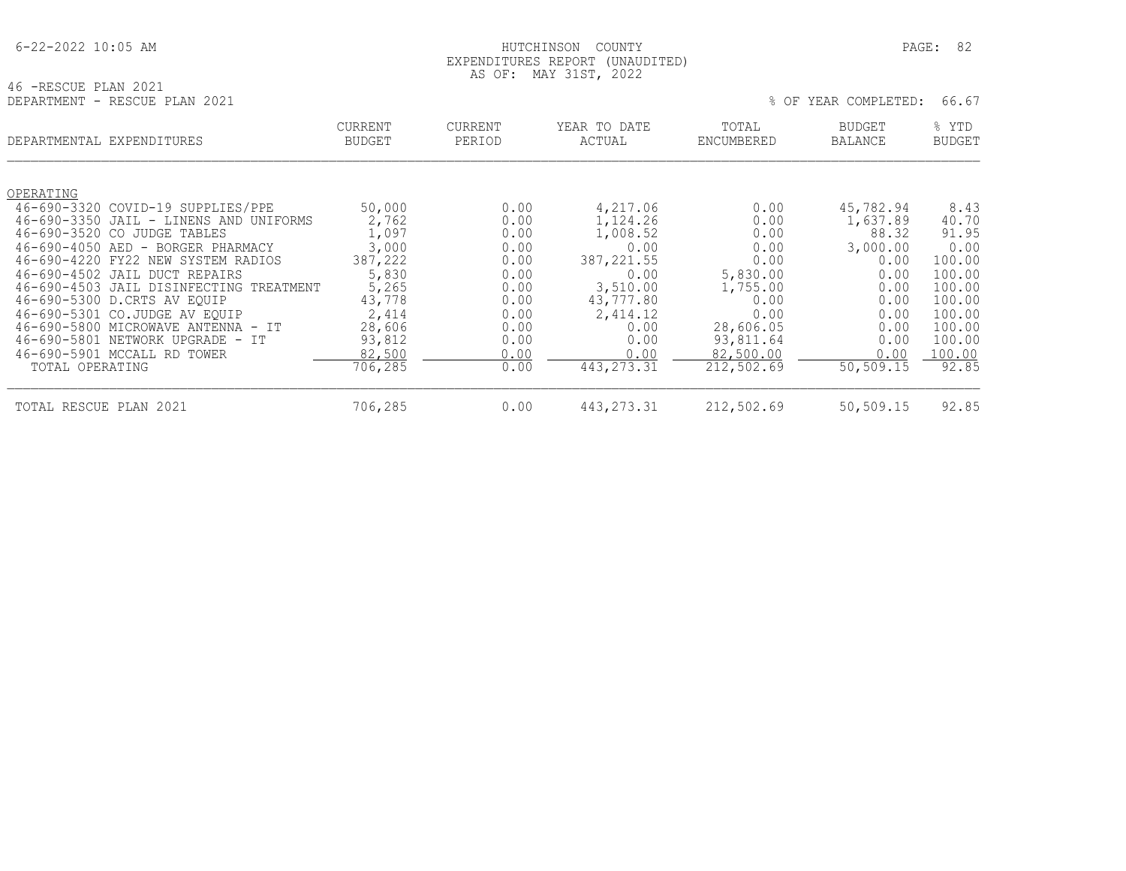## HUTCHINSON COUNTY PAGE: 82 EXPENDITURES REPORT (UNAUDITED) AS OF: MAY 31ST, 2022

| 46 -RESCUE PLAN 2021          |  |  |
|-------------------------------|--|--|
| DEPARTMENT - RESCUE PLAN 2021 |  |  |

| DEPARTMENT - RESCUE PLAN 2021 | % OF YEAR COMPLETED: 66.67 |  |  |  |
|-------------------------------|----------------------------|--|--|--|
|-------------------------------|----------------------------|--|--|--|

|                   | DEPARTMENTAL EXPENDITURES                          | <b>CURRENT</b><br><b>BUDGET</b> | <b>CURRENT</b><br>PERIOD | YEAR TO DATE<br>ACTUAL | TOTAL<br>ENCUMBERED | <b>BUDGET</b><br><b>BALANCE</b> | % YTD<br><b>BUDGET</b> |
|-------------------|----------------------------------------------------|---------------------------------|--------------------------|------------------------|---------------------|---------------------------------|------------------------|
|                   |                                                    |                                 |                          |                        |                     |                                 |                        |
| OPERATING         |                                                    |                                 |                          |                        |                     |                                 |                        |
|                   | 46-690-3320 COVID-19 SUPPLIES/PPE                  | 50,000                          | 0.00                     | 4,217.06               | 0.00                | 45,782.94                       | 8.43                   |
| $46 - 690 - 3350$ | JAIL - LINENS AND UNIFORMS                         | 2,762                           | 0.00                     | 1,124.26               | 0.00                | 1,637.89                        | 40.70                  |
| 46-690-3520       | CO.<br>JUDGE TABLES                                | 1,097                           | 0.00                     | 1,008.52               | 0.00                | 88.32                           | 91.95                  |
| $46 - 690 - 4050$ | BORGER PHARMACY<br>AED<br>$\overline{\phantom{0}}$ | 3,000                           | 0.00                     | 0.00                   | 0.00                | 3,000.00                        | 0.00                   |
| $46 - 690 - 4220$ | FY22 NEW SYSTEM RADIOS                             | 387,222                         | 0.00                     | 387, 221.55            | 0.00                | 0.00                            | 100.00                 |
|                   | 46-690-4502 JAIL DUCT REPAIRS                      | 5,830                           | 0.00                     | 0.00                   | 5,830.00            | 0.00                            | 100.00                 |
|                   | 46-690-4503 JAIL DISINFECTING TREATMENT            | 5,265                           | 0.00                     | 3,510.00               | 1,755.00            | 0.00                            | 100.00                 |
|                   | 46-690-5300 D.CRTS AV EQUIP                        | 43,778                          | 0.00                     | 43,777.80              | 0.00                | 0.00                            | 100.00                 |
|                   | 46-690-5301 CO.JUDGE AV EOUIP                      | 2,414                           | 0.00                     | 2,414.12               | 0.00                | 0.00                            | 100.00                 |
|                   | 46-690-5800 MICROWAVE ANTENNA - IT                 | 28,606                          | 0.00                     | 0.00                   | 28,606.05           | 0.00                            | 100.00                 |
|                   | 46-690-5801 NETWORK UPGRADE - IT                   | 93,812                          | 0.00                     | 0.00                   | 93,811.64           | 0.00                            | 100.00                 |
|                   | 46-690-5901 MCCALL RD TOWER                        | 82,500                          | 0.00                     | 0.00                   | 82,500.00           | 0.00                            | 100.00                 |
| TOTAL OPERATING   |                                                    | 706,285                         | 0.00                     | 443, 273. 31           | 212,502.69          | 50,509.15                       | 92.85                  |
| TOTAL RESCUE PLAN | 2021                                               | 706,285                         | 0.00                     | 443, 273. 31           | 212,502.69          | 50,509.15                       | 92.85                  |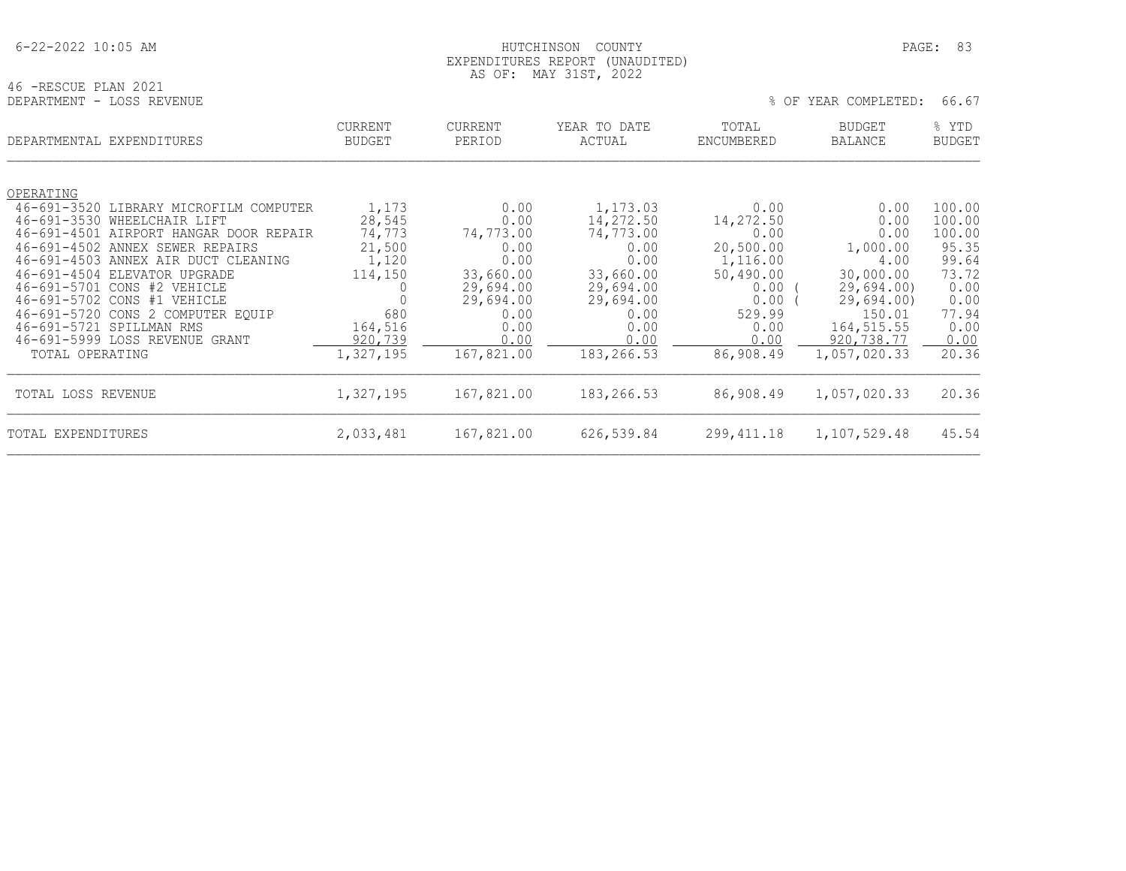## HUTCHINSON COUNTY PAGE: 83 EXPENDITURES REPORT (UNAUDITED) AS OF: MAY 31ST, 2022

| 46 -RESCUE PLAN 2021      |  |  |  |                            |  |
|---------------------------|--|--|--|----------------------------|--|
| DEPARTMENT - LOSS REVENUE |  |  |  | % OF YEAR COMPLETED: 66.67 |  |

|                    | DEPARTMENTAL EXPENDITURES              | CURRENT<br><b>BUDGET</b> | <b>CURRENT</b><br>PERIOD | YEAR TO DATE<br>ACTUAL | TOTAL<br>ENCUMBERED | <b>BUDGET</b><br><b>BALANCE</b> | % YTD<br><b>BUDGET</b> |
|--------------------|----------------------------------------|--------------------------|--------------------------|------------------------|---------------------|---------------------------------|------------------------|
|                    |                                        |                          |                          |                        |                     |                                 |                        |
| OPERATING          |                                        |                          |                          |                        |                     |                                 |                        |
|                    | 46-691-3520 LIBRARY MICROFILM COMPUTER | 1,173                    | 0.00                     | 1,173.03               | 0.00                | 0.00                            | 100.00                 |
|                    | 46-691-3530 WHEELCHAIR LIFT            | 28,545                   | 0.00                     | 14,272.50              | 14,272.50           | 0.00                            | 100.00                 |
|                    | 46-691-4501 AIRPORT HANGAR DOOR REPAIR | 74,773                   | 74,773.00                | 74,773.00              | 0.00                | 0.00                            | 100.00                 |
|                    | 46-691-4502 ANNEX SEWER REPAIRS        | 21,500                   | 0.00                     | 0.00                   | 20,500.00           | 1,000.00                        | 95.35                  |
|                    | 46-691-4503 ANNEX AIR DUCT CLEANING    | 1,120                    | 0.00                     | 0.00                   | 1,116.00            | 4.00                            | 99.64                  |
|                    | 46-691-4504 ELEVATOR UPGRADE           | 114,150                  | 33,660.00                | 33,660.00              | 50,490.00           | 30,000.00                       | 73.72                  |
|                    | 46-691-5701 CONS #2 VEHICLE            | 0                        | 29,694.00                | 29,694.00              | 0.00                | 29,694,00                       | 0.00                   |
|                    | 46-691-5702 CONS #1 VEHICLE            |                          | 29,694.00                | 29,694.00              | 0.00                | 29,694.00                       | 0.00                   |
|                    | 46-691-5720 CONS 2 COMPUTER EOUIP      | 680                      | 0.00                     | 0.00                   | 529.99              | 150.01                          | 77.94                  |
|                    | 46-691-5721 SPILLMAN RMS               | 164,516                  | 0.00                     | 0.00                   | 0.00                | 164, 515.55                     | 0.00                   |
|                    | 46-691-5999 LOSS REVENUE GRANT         | 920,739                  | 0.00                     | 0.00                   | 0.00                | 920,738.77                      | 0.00                   |
| TOTAL OPERATING    |                                        | 1,327,195                | 167,821.00               | 183,266.53             | 86,908.49           | 1,057,020.33                    | 20.36                  |
| TOTAL LOSS REVENUE |                                        | 1,327,195                | 167,821.00               | 183,266.53             | 86,908.49           | 1,057,020.33                    | 20.36                  |
| TOTAL EXPENDITURES |                                        | 2,033,481                | 167,821.00               | 626,539.84             | 299, 411.18         | 1,107,529.48                    | 45.54                  |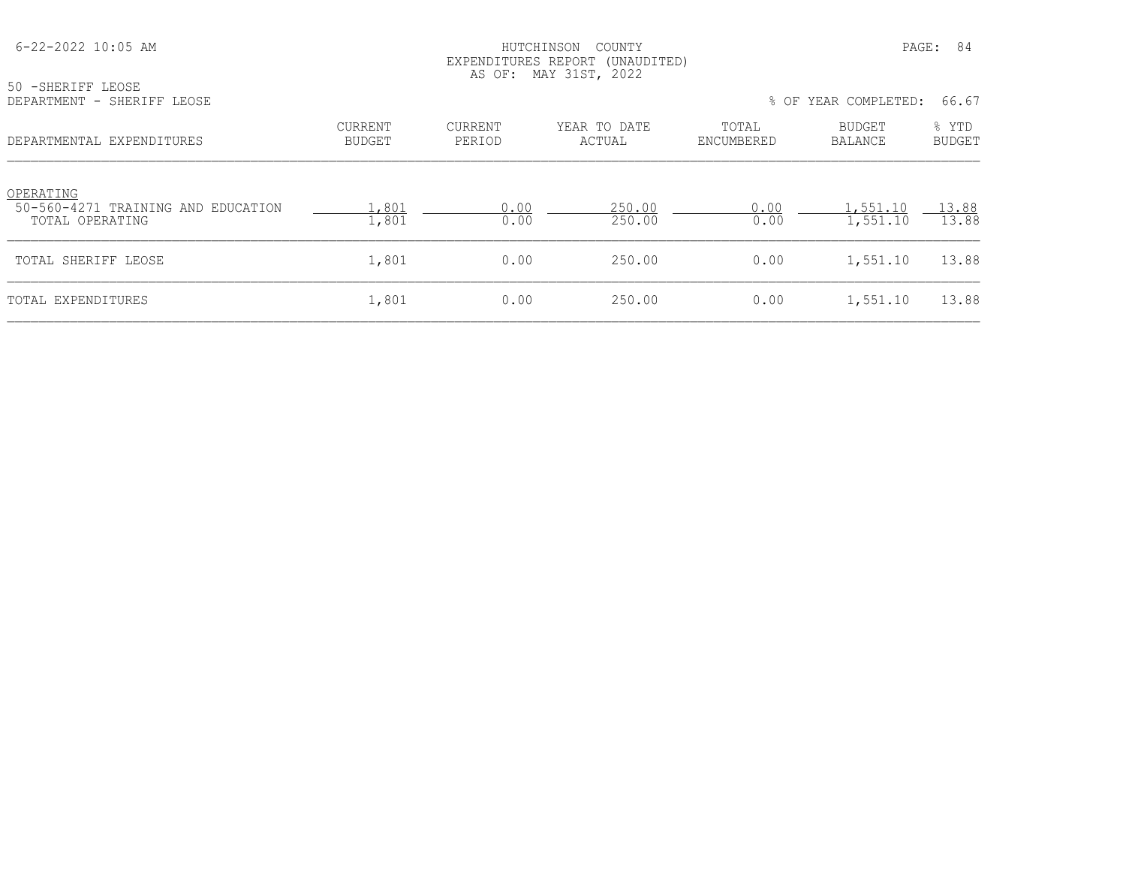| 50 -SHERIFF LEOSE<br>DEPARTMENT - SHERIFF LEOSE                    |                                 |                   | EXPENDITURES REPORT (UNAUDITED)<br>AS OF: MAY 31ST, 2022 |                     | % OF YEAR COMPLETED:     | 66.67                  |
|--------------------------------------------------------------------|---------------------------------|-------------------|----------------------------------------------------------|---------------------|--------------------------|------------------------|
| DEPARTMENTAL EXPENDITURES                                          | <b>CURRENT</b><br><b>BUDGET</b> | CURRENT<br>PERIOD | YEAR TO DATE<br>ACTUAL                                   | TOTAL<br>ENCUMBERED | BUDGET<br><b>BALANCE</b> | % YTD<br><b>BUDGET</b> |
| OPERATING<br>50-560-4271 TRAINING AND EDUCATION<br>TOTAL OPERATING | 1,801<br>1,801                  | 0.00<br>0.00      | 250.00<br>250.00                                         | 0.00<br>0.00        | .,551.10<br>1,551.10     | 13.88<br>13.88         |
| TOTAL SHERIFF LEOSE                                                | 1,801                           | 0.00              | 250.00                                                   | 0.00                | 1,551.10                 | 13.88                  |
| TOTAL EXPENDITURES                                                 | 1,801                           | 0.00              | 250.00                                                   | 0.00                | 1,551.10                 | 13.88                  |

6-22-2022 10:05 AM HUTCHINSON COUNTY PAGE: 84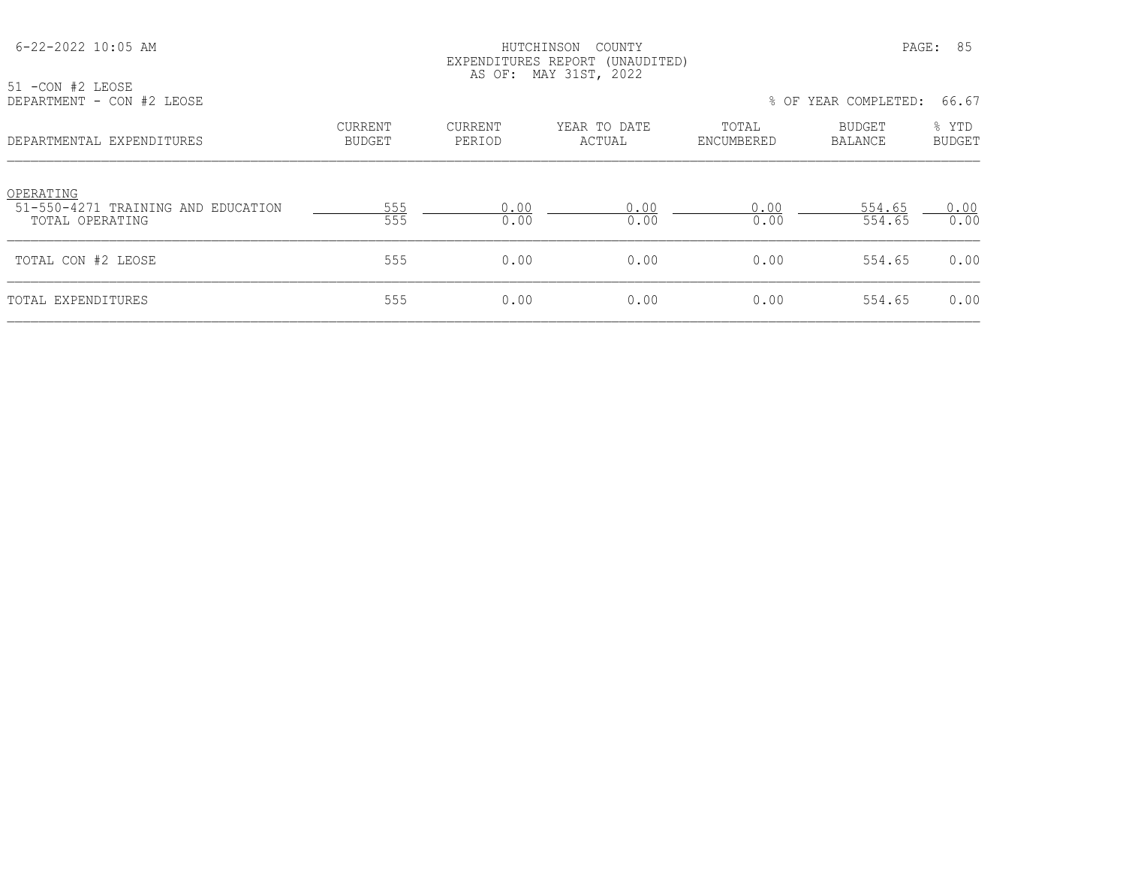| 51 -CON #2 LEOSE                                |                                 |                   | EXPENDITURES REPORT (UNAUDITED)<br>AS OF: MAY 31ST, 2022 |                     |                          |                        |
|-------------------------------------------------|---------------------------------|-------------------|----------------------------------------------------------|---------------------|--------------------------|------------------------|
| DEPARTMENT - CON #2 LEOSE                       |                                 |                   |                                                          |                     | % OF YEAR COMPLETED:     | 66.67                  |
| DEPARTMENTAL EXPENDITURES                       | <b>CURRENT</b><br><b>BUDGET</b> | CURRENT<br>PERIOD | YEAR TO DATE<br>ACTUAL                                   | TOTAL<br>ENCUMBERED | <b>BUDGET</b><br>BALANCE | % YTD<br><b>BUDGET</b> |
| OPERATING<br>51-550-4271 TRAINING AND EDUCATION | 555                             | 0.00              | 0.00                                                     | 0.00                | 554.65                   | 0.00                   |
| TOTAL OPERATING                                 | 555                             | 0.00              | 0.00                                                     | 0.00                | 554.65                   | 0.00                   |
| TOTAL CON #2 LEOSE                              | 555                             | 0.00              | 0.00                                                     | 0.00                | 554.65                   | 0.00                   |
| TOTAL EXPENDITURES                              | 555                             | 0.00              | 0.00                                                     | 0.00                | 554.65                   | 0.00                   |

6-22-2022 10:05 AM HUTCHINSON COUNTY PAGE: 85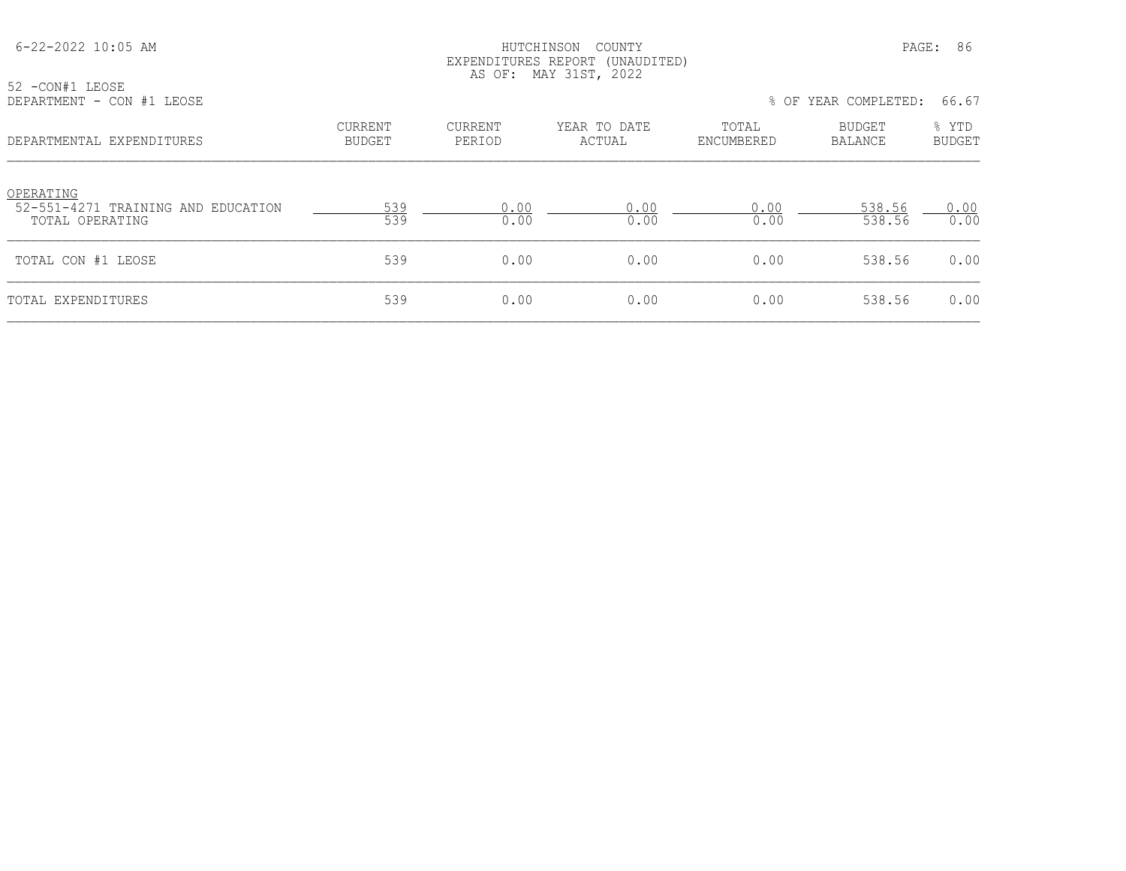| 52 -CON#1 LEOSE                                 |                                 |                   | EXPENDITURES REPORT (UNAUDITED)<br>AS OF: MAY 31ST, 2022 |                     |                          |                        |
|-------------------------------------------------|---------------------------------|-------------------|----------------------------------------------------------|---------------------|--------------------------|------------------------|
| DEPARTMENT - CON #1 LEOSE                       |                                 |                   |                                                          |                     | % OF YEAR COMPLETED:     | 66.67                  |
| DEPARTMENTAL EXPENDITURES                       | <b>CURRENT</b><br><b>BUDGET</b> | CURRENT<br>PERIOD | YEAR TO DATE<br>ACTUAL                                   | TOTAL<br>ENCUMBERED | <b>BUDGET</b><br>BALANCE | % YTD<br><b>BUDGET</b> |
| OPERATING<br>52-551-4271 TRAINING AND EDUCATION | 539                             | 0.00              | 0.00                                                     | 0.00                | 538.56                   | 0.00                   |
| TOTAL OPERATING                                 | 539                             | 0.00              | 0.00                                                     | 0.00                | 538.56                   | 0.00                   |
| TOTAL CON #1 LEOSE                              | 539                             | 0.00              | 0.00                                                     | 0.00                | 538.56                   | 0.00                   |
| TOTAL EXPENDITURES                              | 539                             | 0.00              | 0.00                                                     | 0.00                | 538.56                   | 0.00                   |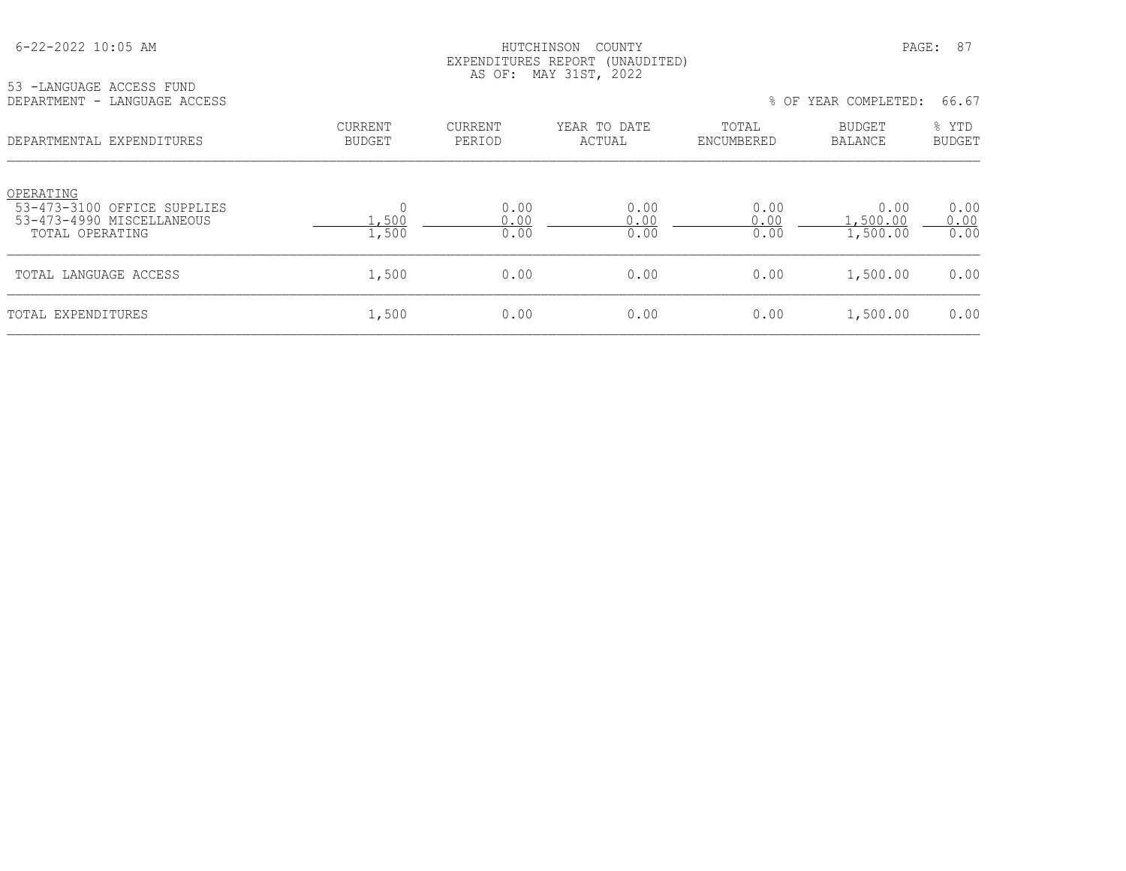## HUTCHINSON COUNTY PAGE: 87 EXPENDITURES REPORT (UNAUDITED) AS OF: MAY 31ST, 2022

| 53 - LANGUAGE ACCESS FUND |                              |
|---------------------------|------------------------------|
|                           | DEPARTMENT - LANGUAGE ACCESS |

% OF YEAR COMPLETED: 66.67

| DEPARTMENTAL EXPENDITURES                                                                | CURRENT<br><b>BUDGET</b> | CURRENT<br>PERIOD    | YEAR TO DATE<br>ACTUAL | TOTAL<br>ENCUMBERED  | BUDGET<br><b>BALANCE</b>     | % YTD<br><b>BUDGET</b> |
|------------------------------------------------------------------------------------------|--------------------------|----------------------|------------------------|----------------------|------------------------------|------------------------|
| OPERATING<br>53-473-3100 OFFICE SUPPLIES<br>53-473-4990 MISCELLANEOUS<br>TOTAL OPERATING | 1,500<br>1,500           | 0.00<br>0.00<br>0.00 | 0.00<br>0.00<br>0.00   | 0.00<br>0.00<br>0.00 | 0.00<br>.,500.00<br>1,500.00 | 0.00<br>0.00<br>0.00   |
| TOTAL LANGUAGE ACCESS                                                                    | 1,500                    | 0.00                 | 0.00                   | 0.00                 | 1,500.00                     | 0.00                   |
| TOTAL EXPENDITURES                                                                       | 1,500                    | 0.00                 | 0.00                   | 0.00                 | 1,500.00                     | 0.00                   |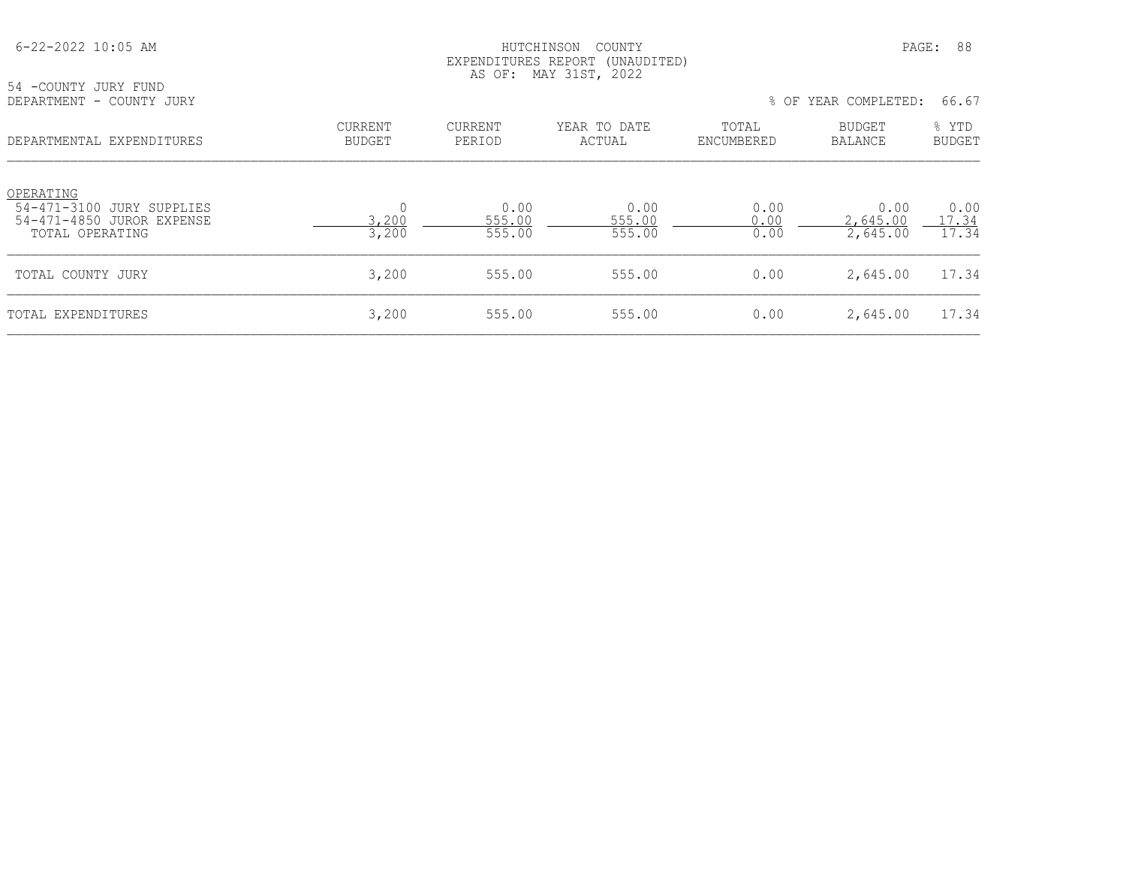| 54 -COUNTY JURY FUND                                                                   |                                 |                          | EXPENDITURES REPORT (UNAUDITED)<br>AS OF: MAY 31ST, 2022 |                      |                              |                        |
|----------------------------------------------------------------------------------------|---------------------------------|--------------------------|----------------------------------------------------------|----------------------|------------------------------|------------------------|
| DEPARTMENT - COUNTY JURY                                                               |                                 |                          |                                                          |                      | % OF YEAR COMPLETED:         | 66.67                  |
| DEPARTMENTAL EXPENDITURES                                                              | <b>CURRENT</b><br><b>BUDGET</b> | CURRENT<br>PERIOD        | YEAR TO DATE<br>ACTUAL                                   | TOTAL<br>ENCUMBERED  | BUDGET<br>BALANCE            | % YTD<br><b>BUDGET</b> |
| OPERATING<br>54-471-3100 JURY SUPPLIES<br>54-471-4850 JUROR EXPENSE<br>TOTAL OPERATING | $\mathbf 0$<br>3,200<br>3,200   | 0.00<br>555.00<br>555.00 | 0.00<br>555.00<br>555.00                                 | 0.00<br>0.00<br>0.00 | 0.00<br>2,645.00<br>2,645.00 | 0.00<br>17.34<br>17.34 |
| TOTAL COUNTY JURY                                                                      | 3,200                           | 555.00                   | 555.00                                                   | 0.00                 | 2,645.00                     | 17.34                  |
| TOTAL EXPENDITURES                                                                     | 3,200                           | 555.00                   | 555.00                                                   | 0.00                 | 2,645.00                     | 17.34                  |

# 6-22-2022 10:05 AM HUTCHINSON COUNTY PAGE: 88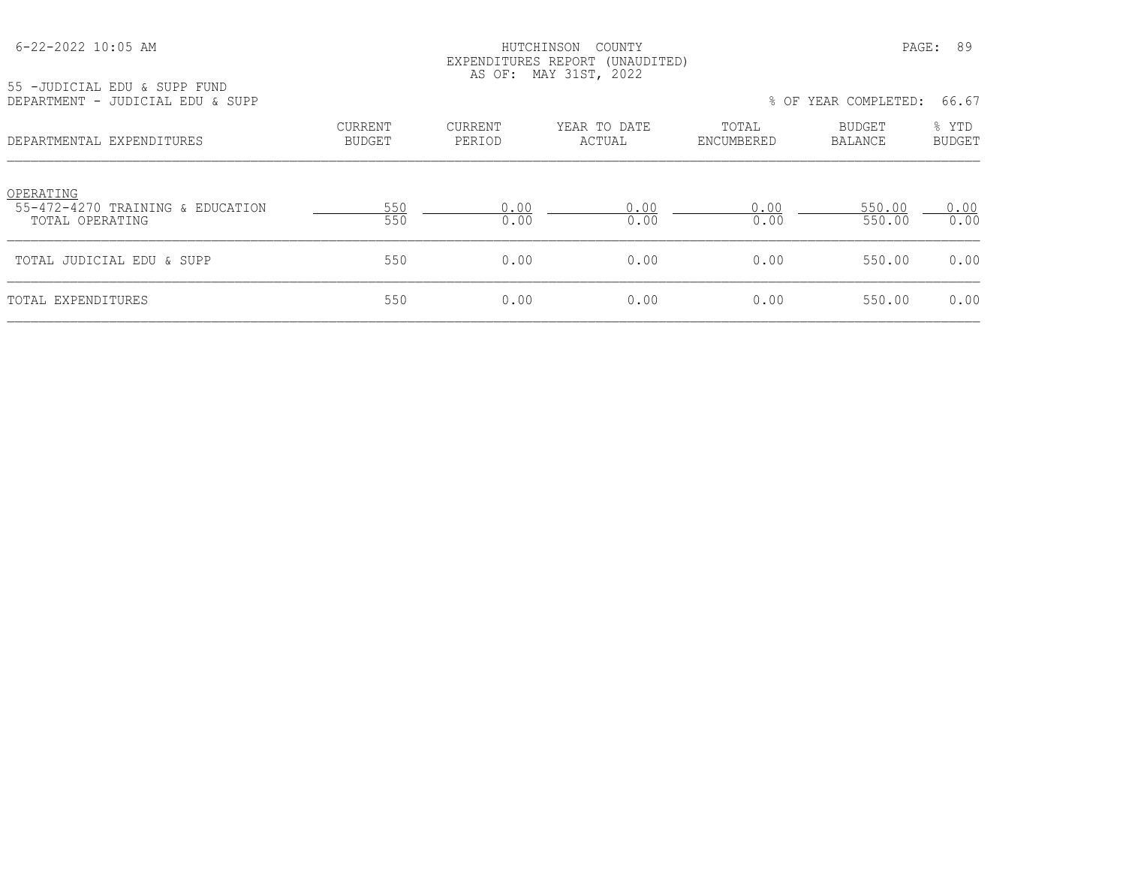## HUTCHINSON COUNTY PAGE: 89 EXPENDITURES REPORT (UNAUDITED) AS OF: MAY 31ST, 2022

55 -JUDICIAL EDU & SUPP FUND<br>DEPARTMENT - JUDICIAL EDU & S

| DEPARTMENT - JUDICIAL EDU & SUPP                                 |                                 |                   |                        |                     | % OF YEAR COMPLETED:     | 66.67                  |
|------------------------------------------------------------------|---------------------------------|-------------------|------------------------|---------------------|--------------------------|------------------------|
| DEPARTMENTAL EXPENDITURES                                        | <b>CURRENT</b><br><b>BUDGET</b> | CURRENT<br>PERIOD | YEAR TO DATE<br>ACTUAL | TOTAL<br>ENCUMBERED | <b>BUDGET</b><br>BALANCE | % YTD<br><b>BUDGET</b> |
| OPERATING<br>55-472-4270 TRAINING & EDUCATION<br>TOTAL OPERATING | 550<br>550                      | 0.00<br>0.00      | 0.00<br>0.00           | 0.00<br>0.00        | 550.00<br>550.00         | 0.00<br>0.00           |
| TOTAL JUDICIAL EDU & SUPP                                        | 550                             | 0.00              | 0.00                   | 0.00                | 550.00                   | 0.00                   |
| TOTAL EXPENDITURES                                               | 550                             | 0.00              | 0.00                   | 0.00                | 550.00                   | 0.00                   |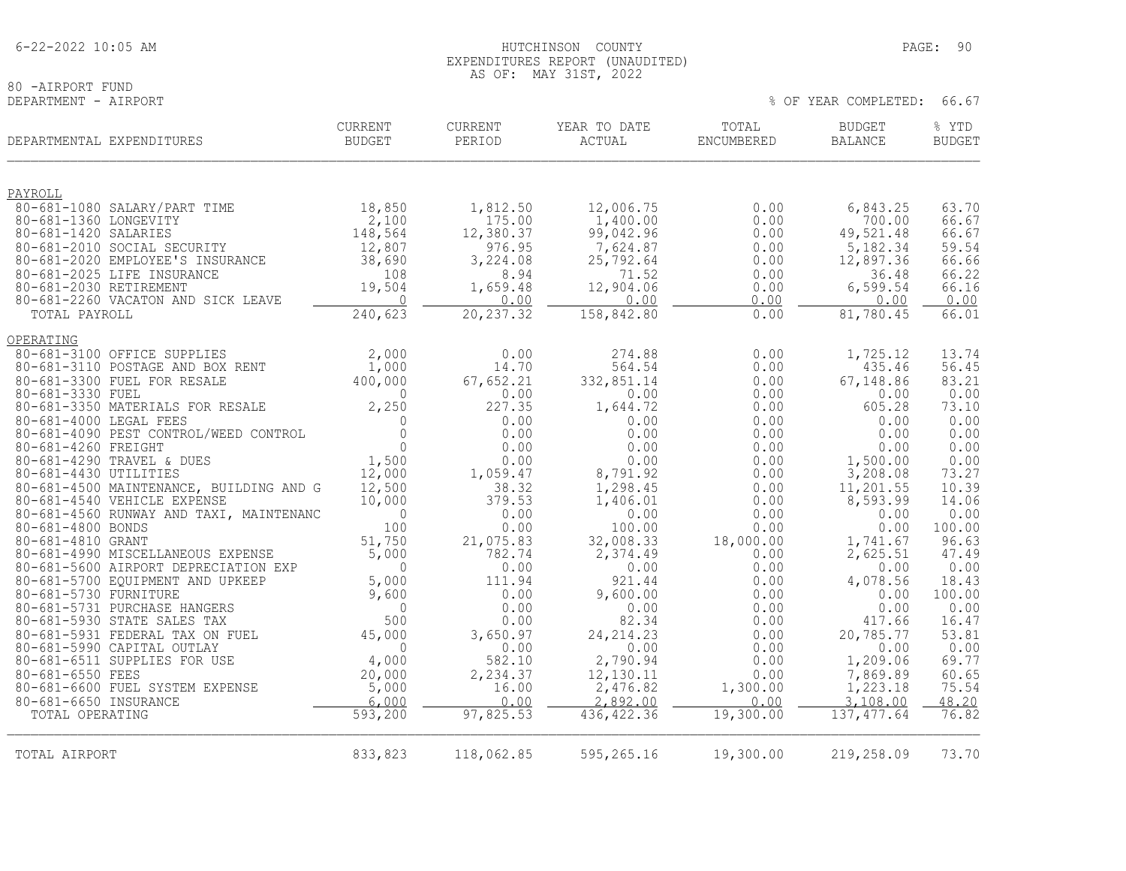## AS OF: MAY 31ST, 2022 80 -AIRPORT FUND<br>DEPARTMENT - AIRPORT

% OF YEAR COMPLETED: 66.67

|                        | DEPARTMENTAL EXPENDITURES                                              | <b>CURRENT</b><br><b>BUDGET</b> | CURRENT<br>PERIOD   | YEAR TO DATE<br>ACTUAL | TOTAL<br>ENCUMBERED | <b>BUDGET</b><br><b>BALANCE</b> | % YTD<br><b>BUDGET</b> |
|------------------------|------------------------------------------------------------------------|---------------------------------|---------------------|------------------------|---------------------|---------------------------------|------------------------|
| PAYROLL                |                                                                        |                                 |                     |                        |                     |                                 |                        |
|                        | 80-681-1080 SALARY/PART TIME                                           | 18,850                          | 1,812.50            | 12,006.75              | 0.00                | 6,843.25                        | 63.70                  |
| 80-681-1360 LONGEVITY  |                                                                        | 2,100                           | 175.00              | 1,400.00               | 0.00                | 700.00                          | 66.67                  |
| 80-681-1420 SALARIES   |                                                                        | 148,564                         | 12,380.37<br>976.95 | 99,042.96              | 0.00                | 49,521.48                       | 66.67                  |
|                        | 80-681-2010 SOCIAL SECURITY<br>80-681-2020 EMPLOYEE'S INSURANCE        | 12,807<br>38,690                | 3,224.08            | 7,624.87<br>25,792.64  | 0.00<br>0.00        | 5,182.34<br>12,897.36           | 59.54<br>66.66         |
|                        | 80-681-2025 LIFE INSURANCE                                             | 108                             | 8.94                | 71.52                  | 0.00                | 36.48                           | 66.22                  |
| 80-681-2030 RETIREMENT |                                                                        | 19,504                          | 1,659.48            | 12,904.06              | 0.00                | 6,599.54                        | 66.16                  |
|                        | 80-681-2260 VACATON AND SICK LEAVE                                     | - 0                             | 0.00                | 0.00                   | 0.00                | 0.00                            | 0.00                   |
| TOTAL PAYROLL          |                                                                        | 240,623                         | 20, 237.32          | 158,842.80             | 0.00                | 81,780.45                       | 66.01                  |
| OPERATING              |                                                                        |                                 |                     |                        |                     |                                 |                        |
|                        | 80-681-3100 OFFICE SUPPLIES                                            | 2,000                           | 0.00                | 274.88                 | 0.00                | 1,725.12                        | 13.74                  |
|                        | 80-681-3110 POSTAGE AND BOX RENT                                       | 1,000                           | 14.70               | 564.54                 | 0.00                | 435.46                          | 56.45                  |
|                        | 80-681-3300 FUEL FOR RESALE                                            | 400,000                         | 67,652.21           | 332,851.14             | 0.00                | 67,148.86                       | 83.21                  |
| 80-681-3330 FUEL       | 80-681-3350 MATERIALS FOR RESALE                                       | $\Omega$<br>2,250               | 0.00<br>227.35      | 0.00<br>1,644.72       | 0.00<br>0.00        | 0.00<br>605.28                  | 0.00<br>73.10          |
| 80-681-4000 LEGAL FEES |                                                                        | $\Omega$                        | 0.00                | 0.00                   | 0.00                | 0.00                            | 0.00                   |
|                        | 80-681-4090 PEST CONTROL/WEED CONTROL                                  | $\bigcap$                       | 0.00                | 0.00                   | 0.00                | 0.00                            | 0.00                   |
| 80-681-4260 FREIGHT    |                                                                        | $\Omega$                        | 0.00                | 0.00                   | 0.00                | 0.00                            | 0.00                   |
|                        | 80-681-4290 TRAVEL & DUES                                              | 1,500                           | 0.00                | 0.00                   | 0.00                | 1,500.00                        | 0.00                   |
| 80-681-4430 UTILITIES  |                                                                        | 12,000                          | 1,059.47            | 8,791.92               | 0.00                | 3,208.08                        | 73.27                  |
|                        | 80-681-4500 MAINTENANCE, BUILDING AND G                                | 12,500                          | 38.32               | 1,298.45               | 0.00                | 11,201.55                       | 10.39                  |
|                        | 80-681-4540 VEHICLE EXPENSE<br>80-681-4560 RUNWAY AND TAXI, MAINTENANC | 10,000<br>$\Omega$              | 379.53<br>0.00      | 1,406.01<br>0.00       | 0.00<br>0.00        | 8,593.99<br>0.00                | 14.06<br>0.00          |
| 80-681-4800 BONDS      |                                                                        | 100                             | 0.00                | 100.00                 | 0.00                | 0.00                            | 100.00                 |
| 80-681-4810 GRANT      |                                                                        | 51,750                          | 21,075.83           | 32,008.33              | 18,000.00           | 1,741.67                        | 96.63                  |
|                        | 80-681-4990 MISCELLANEOUS EXPENSE                                      | 5,000                           | 782.74              | 2,374.49               | 0.00                | 2,625.51                        | 47.49                  |
|                        | 80-681-5600 AIRPORT DEPRECIATION EXP                                   | $\bigcap$                       | 0.00                | 0.00                   | 0.00                | 0.00                            | 0.00                   |
|                        | 80-681-5700 EQUIPMENT AND UPKEEP                                       | 5,000                           | 111.94              | 921.44                 | 0.00                | 4,078.56                        | 18.43                  |
| 80-681-5730 FURNITURE  |                                                                        | 9,600                           | 0.00                | 9,600.00               | 0.00                | 0.00                            | 100.00                 |
|                        | 80-681-5731 PURCHASE HANGERS                                           | $\mathbf 0$<br>500              | 0.00                | 0.00                   | 0.00                | 0.00                            | 0.00                   |
|                        | 80-681-5930 STATE SALES TAX<br>80-681-5931 FEDERAL TAX ON FUEL         | 45,000                          | 0.00<br>3,650.97    | 82.34<br>24, 214.23    | 0.00<br>0.00        | 417.66<br>20,785.77             | 16.47<br>53.81         |
|                        | 80-681-5990 CAPITAL OUTLAY                                             | $\Omega$                        | 0.00                | 0.00                   | 0.00                | 0.00                            | 0.00                   |
|                        | 80-681-6511 SUPPLIES FOR USE                                           | 4,000                           | 582.10              | 2,790.94               | 0.00                | 1,209.06                        | 69.77                  |
| 80-681-6550 FEES       |                                                                        | 20,000                          | 2,234.37            | 12,130.11              | 0.00                | 7,869.89                        | 60.65                  |
|                        | 80-681-6600 FUEL SYSTEM EXPENSE                                        | 5,000                           | 16.00               | 2,476.82               | 1,300.00            | 1,223.18                        | 75.54                  |
| 80-681-6650 INSURANCE  |                                                                        | 6,000                           | 0.00                | 2,892.00               | 0.00                | 3,108.00                        | 48.20                  |
| TOTAL OPERATING        |                                                                        | 593, 200                        | 97,825.53           | 436, 422.36            | 19,300.00           | 137, 477.64                     | 76.82                  |
| TOTAL AIRPORT          |                                                                        | 833,823                         | 118,062.85          | 595,265.16             | 19,300.00           | 219,258.09                      | 73.70                  |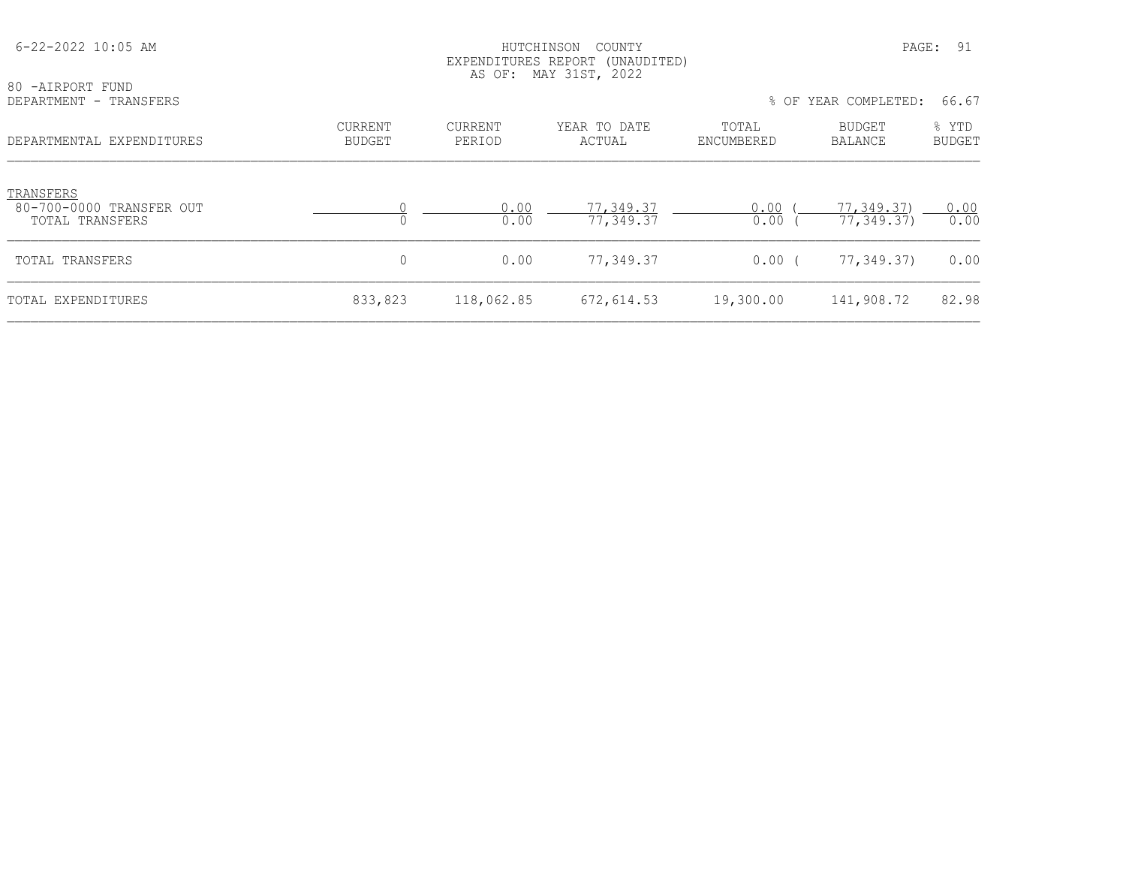| 80 -AIRPORT FUND                                         | EXPENDITURES REPORT (UNAUDITED)<br>AS OF: MAY 31ST, 2022 |                   |                        |                     |                          |                        |
|----------------------------------------------------------|----------------------------------------------------------|-------------------|------------------------|---------------------|--------------------------|------------------------|
| DEPARTMENT - TRANSFERS                                   |                                                          |                   |                        |                     | % OF YEAR COMPLETED:     | 66.67                  |
| DEPARTMENTAL EXPENDITURES                                | <b>CURRENT</b><br>BUDGET                                 | CURRENT<br>PERIOD | YEAR TO DATE<br>ACTUAL | TOTAL<br>ENCUMBERED | BUDGET<br>BALANCE        | % YTD<br><b>BUDGET</b> |
| TRANSFERS<br>80-700-0000 TRANSFER OUT<br>TOTAL TRANSFERS |                                                          | 0.00<br>0.00      | 77,349.37<br>77,349.37 | 0.00<br>0.00        | 77,349.37)<br>77,349.37) | 0.00<br>0.00           |
| TOTAL TRANSFERS                                          |                                                          | 0.00              | 77,349.37              | $0.00$ (            | 77,349.37)               | 0.00                   |
| TOTAL EXPENDITURES                                       | 833,823                                                  | 118,062.85        | 672,614.53             | 19,300.00           | 141,908.72               | 82.98                  |

6-22-2022 10:05 AM HUTCHINSON COUNTY PAGE: 91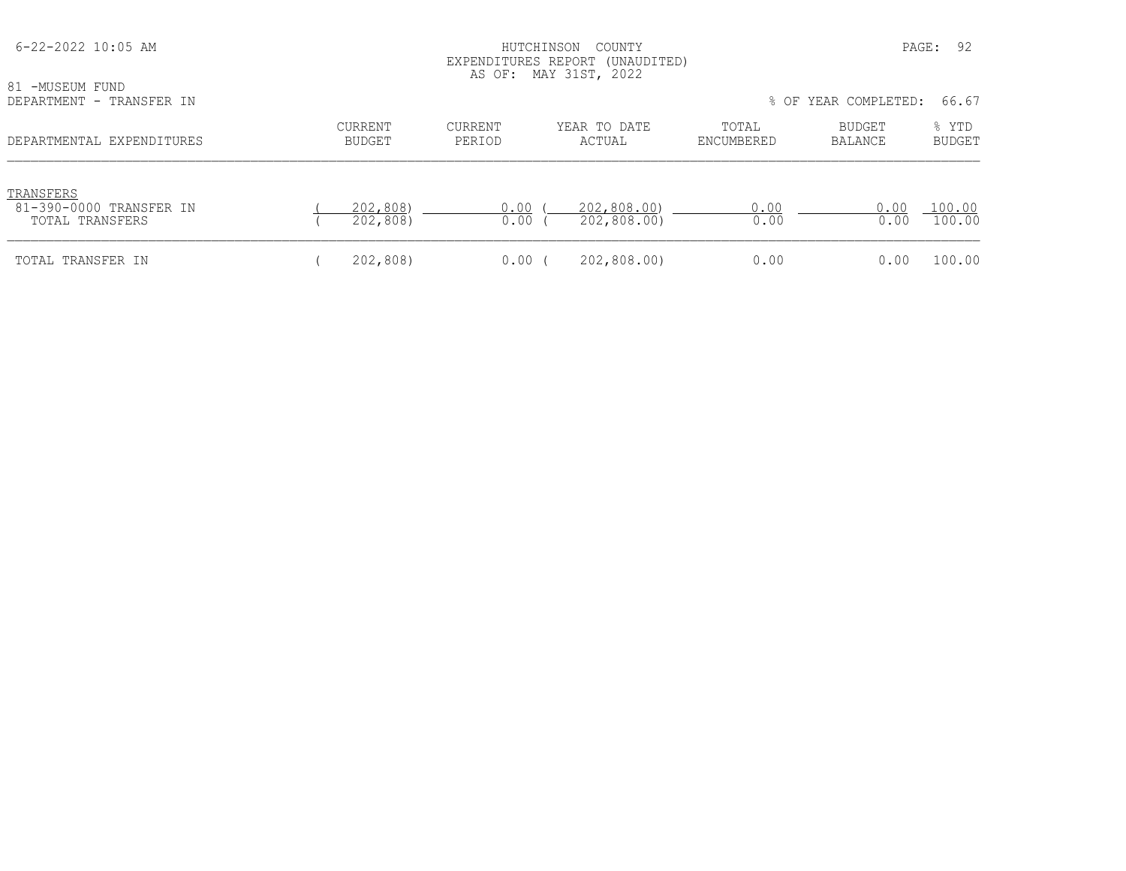| 6-22-2022 10:05 AM<br>81 -MUSEUM FUND                   |                          | PAGE:<br>COUNTY<br>HUTCHINSON<br>EXPENDITURES REPORT (UNAUDITED)<br>AS OF: MAY 31ST, 2022 |                            |                     |                      |                        |
|---------------------------------------------------------|--------------------------|-------------------------------------------------------------------------------------------|----------------------------|---------------------|----------------------|------------------------|
| DEPARTMENT - TRANSFER IN                                |                          |                                                                                           |                            |                     | % OF YEAR COMPLETED: | 66.67                  |
| DEPARTMENTAL EXPENDITURES                               | <b>CURRENT</b><br>BUDGET | <b>CURRENT</b><br>PERIOD                                                                  | YEAR TO DATE<br>ACTUAL     | TOTAL<br>ENCUMBERED | BUDGET<br>BALANCE    | % YTD<br><b>BUDGET</b> |
| TRANSFERS<br>81-390-0000 TRANSFER IN<br>TOTAL TRANSFERS | 202,808)<br>202,808)     | 0.00<br>0.00                                                                              | 202,808,00)<br>202,808.00) | 0.00<br>0.00        | 0.00<br>0.00         | 100.00<br>100.00       |
| TOTAL TRANSFER IN                                       | 202,808)                 | $0.00$ (                                                                                  | 202,808.00)                | 0.00                | 0.00                 | 100.00                 |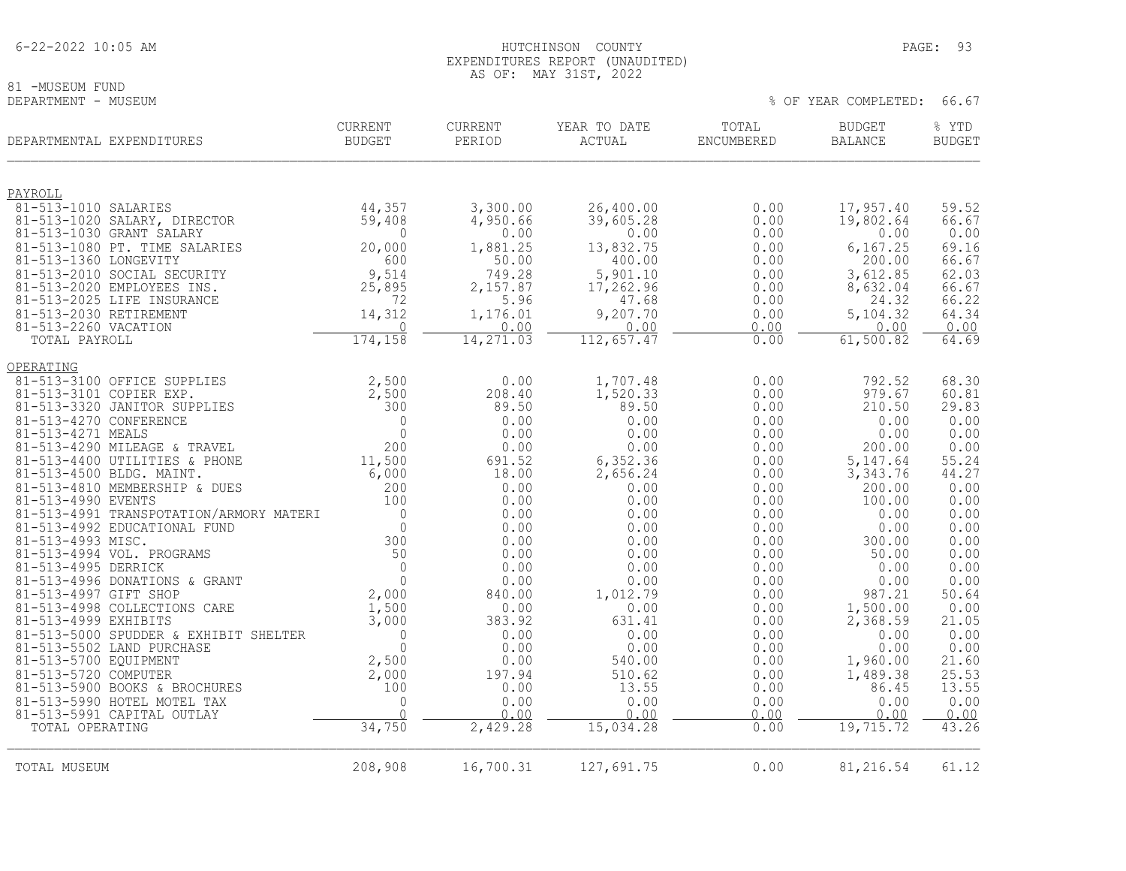6-22-2022 10:05 AM HUTCHINSON COUNTY PAGE: 93

81 -MUSEUM FUND<br>DEPARTMENT - MUSEUM

 EXPENDITURES REPORT (UNAUDITED) AS OF: MAY 31ST, 2022

% OF YEAR COMPLETED: 66.67

| DEPARTMENTAL EXPENDITURES                                          | CURRENT<br><b>BUDGET</b> | CURRENT<br>PERIOD | YEAR TO DATE<br>ACTUAL | TOTAL<br><b>ENCUMBERED</b> | <b>BUDGET</b><br><b>BALANCE</b> | % YTD<br><b>BUDGET</b> |
|--------------------------------------------------------------------|--------------------------|-------------------|------------------------|----------------------------|---------------------------------|------------------------|
| PAYROLL                                                            |                          |                   |                        |                            |                                 |                        |
| 81-513-1010 SALARIES                                               | 44,357                   | 3,300.00          | 26,400.00              | 0.00                       | 17,957.40                       | 59.52                  |
| 81-513-1020 SALARY, DIRECTOR                                       | 59,408                   | 4,950.66          | 39,605.28              | 0.00                       | 19,802.64                       | 66.67                  |
| 81-513-1030 GRANT SALARY<br>81-513-1080 PT. TIME SALARIES          | $\Omega$<br>20,000       | 0.00<br>1,881.25  | 0.00<br>13,832.75      | 0.00<br>0.00               | 0.00<br>6,167.25                | 0.00<br>69.16          |
| 81-513-1360 LONGEVITY                                              | 600                      | 50.00             | 400.00                 | 0.00                       | 200.00                          | 66.67                  |
| 81-513-2010 SOCIAL SECURITY                                        | 9,514                    | 749.28            | 5,901.10               | 0.00                       | 3,612.85                        | 62.03                  |
| 81-513-2020 EMPLOYEES INS.                                         | 25,895                   | 2,157.87          | 17,262.96              | 0.00                       | 8,632.04                        | 66.67                  |
| 81-513-2025 LIFE INSURANCE                                         | 72                       | 5.96              | 47.68                  | 0.00                       | 24.32                           | 66.22                  |
| 81-513-2030 RETIREMENT<br>81-513-2260 VACATION                     | 14,312<br>$\mathbf 0$    | 1,176.01<br>0.00  | 9,207.70<br>0.00       | 0.00<br>0.00               | 5,104.32<br>0.00                | 64.34<br>0.00          |
| TOTAL PAYROLL                                                      | 174, 158                 | 14, 271.03        | 112,657.47             | 0.00                       | 61,500.82                       | 64.69                  |
|                                                                    |                          |                   |                        |                            |                                 |                        |
| OPERATING                                                          |                          |                   |                        |                            |                                 |                        |
| 81-513-3100 OFFICE SUPPLIES<br>81-513-3101 COPIER EXP.             | 2,500<br>2,500           | 0.00<br>208.40    | 1,707.48<br>1,520.33   | 0.00<br>0.00               | 792.52<br>979.67                | 68.30<br>60.81         |
| 81-513-3320 JANITOR SUPPLIES                                       | 300                      | 89.50             | 89.50                  | 0.00                       | 210.50                          | 29.83                  |
| 81-513-4270 CONFERENCE                                             | 0                        | 0.00              | 0.00                   | 0.00                       | 0.00                            | 0.00                   |
| 81-513-4271 MEALS                                                  | $\Omega$                 | 0.00              | 0.00                   | 0.00                       | 0.00                            | 0.00                   |
| 81-513-4290 MILEAGE & TRAVEL                                       | 200                      | 0.00              | 0.00                   | 0.00                       | 200.00                          | 0.00                   |
| 81-513-4400 UTILITIES & PHONE<br>81-513-4500 BLDG. MAINT.          | 11,500<br>6,000          | 691.52<br>18.00   | 6,352.36               | 0.00                       | 5, 147.64<br>3, 343.76          | 55.24<br>44.27         |
| 81-513-4810 MEMBERSHIP & DUES                                      | 200                      | 0.00              | 2,656.24<br>0.00       | 0.00<br>0.00               | 200.00                          | 0.00                   |
| 81-513-4990 EVENTS                                                 | 100                      | 0.00              | 0.00                   | 0.00                       | 100.00                          | 0.00                   |
| 81-513-4991 TRANSPOTATION/ARMORY MATERI                            | $\overline{0}$           | 0.00              | 0.00                   | 0.00                       | 0.00                            | 0.00                   |
| 81-513-4992 EDUCATIONAL FUND                                       | $\Omega$                 | 0.00              | 0.00                   | 0.00                       | 0.00                            | 0.00                   |
| 81-513-4993 MISC.<br>81-513-4994 VOL. PROGRAMS                     | 300<br>50                | 0.00<br>0.00      | 0.00                   | 0.00                       | 300.00                          | 0.00<br>0.00           |
| 81-513-4995 DERRICK                                                | $\overline{0}$           | 0.00              | 0.00<br>0.00           | 0.00<br>0.00               | 50.00<br>0.00                   | 0.00                   |
| 81-513-4996 DONATIONS & GRANT                                      | $\mathbf{0}$             | 0.00              | 0.00                   | 0.00                       | 0.00                            | 0.00                   |
| 81-513-4997 GIFT SHOP                                              | 2,000                    | 840.00            | 1,012.79               | 0.00                       | 987.21                          | 50.64                  |
| 81-513-4998 COLLECTIONS CARE                                       | 1,500                    | 0.00              | 0.00                   | 0.00                       | 1,500.00                        | 0.00                   |
| 81-513-4999 EXHIBITS                                               | 3,000                    | 383.92            | 631.41                 | 0.00                       | 2,368.59                        | 21.05                  |
| 81-513-5000 SPUDDER & EXHIBIT SHELTER<br>81-513-5502 LAND PURCHASE | $\mathbf{0}$<br>$\Omega$ | 0.00<br>0.00      | 0.00<br>0.00           | 0.00<br>0.00               | 0.00<br>0.00                    | 0.00<br>0.00           |
| 81-513-5700 EQUIPMENT                                              | 2,500                    | 0.00              | 540.00                 | 0.00                       | 1,960.00                        | 21.60                  |
| 81-513-5720 COMPUTER                                               | 2,000                    | 197.94            | 510.62                 | 0.00                       | 1,489.38                        | 25.53                  |
| 81-513-5900 BOOKS & BROCHURES                                      | 100                      | 0.00              | 13.55                  | 0.00                       | 86.45                           | 13.55                  |
| 81-513-5990 HOTEL MOTEL TAX                                        | $\Omega$                 | 0.00              | 0.00                   | 0.00                       | 0.00                            | 0.00                   |
| 81-513-5991 CAPITAL OUTLAY<br>TOTAL OPERATING                      | $\Omega$<br>34,750       | 0.00<br>2,429.28  | 0.00<br>15,034.28      | 0.00<br>0.00               | 0.00<br>19,715.72               | 0.00<br>43.26          |
|                                                                    |                          |                   |                        |                            |                                 |                        |
| TOTAL MUSEUM                                                       | 208,908                  | 16,700.31         | 127,691.75             | 0.00                       | 81,216.54                       | 61.12                  |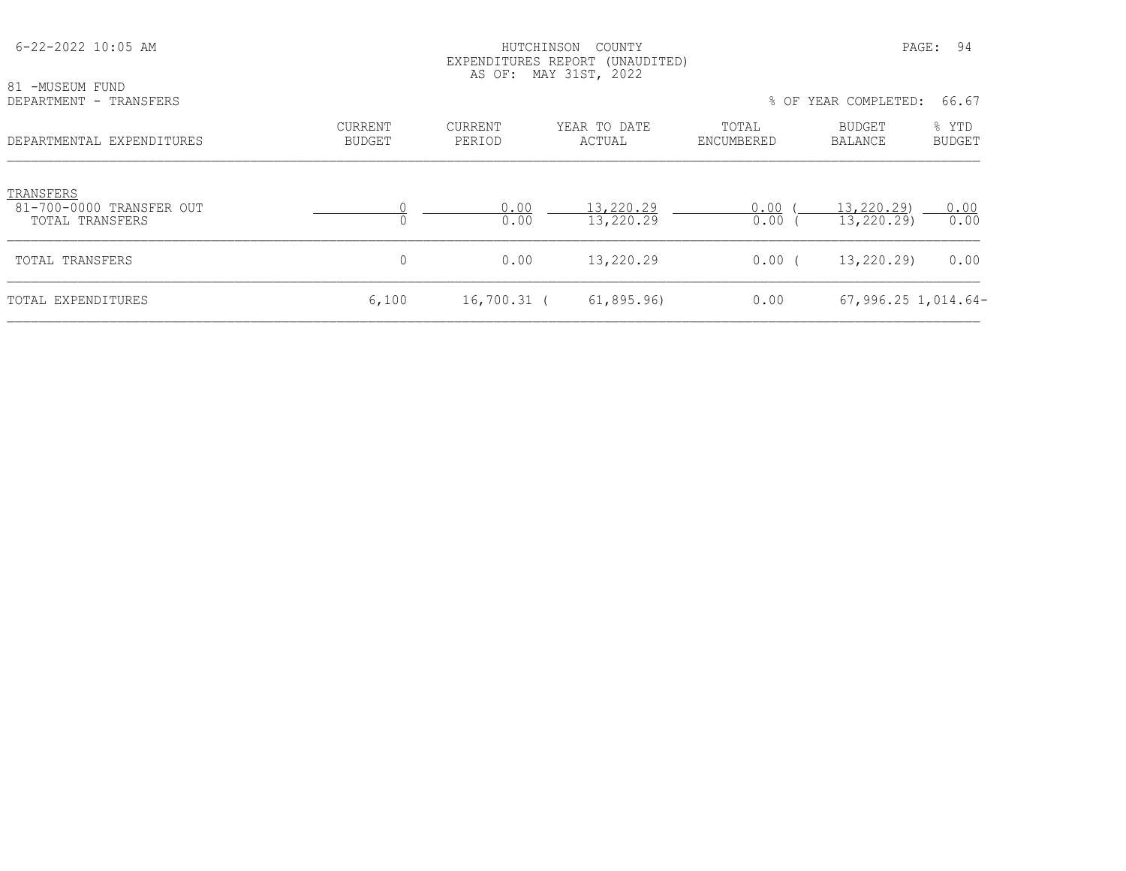| $6 - 22 - 2022$ 10:05 AM                                 |                                 | HUTCHINSON        | COUNTY<br>EXPENDITURES REPORT (UNAUDITED)<br>AS OF: MAY 31ST, 2022 |                     |                          | PAGE: 94        |
|----------------------------------------------------------|---------------------------------|-------------------|--------------------------------------------------------------------|---------------------|--------------------------|-----------------|
| 81 -MUSEUM FUND<br>DEPARTMENT - TRANSFERS                |                                 |                   |                                                                    |                     | % OF YEAR COMPLETED:     | 66.67           |
| DEPARTMENTAL EXPENDITURES                                | <b>CURRENT</b><br><b>BUDGET</b> | CURRENT<br>PERIOD | YEAR TO DATE<br>ACTUAL                                             | TOTAL<br>ENCUMBERED | BUDGET<br>BALANCE        | % YTD<br>BUDGET |
| TRANSFERS<br>81-700-0000 TRANSFER OUT<br>TOTAL TRANSFERS |                                 | 0.00<br>0.00      | 13,220.29<br>13,220.29                                             | 0.00<br>0.00        | 13,220.29)<br>13,220.29) | 0.00<br>0.00    |
| TOTAL TRANSFERS                                          | 0                               | 0.00              | 13,220.29                                                          | $0.00$ (            | 13,220.29)               | 0.00            |
| TOTAL EXPENDITURES                                       | 6,100                           | 16,700.31 (       | 61,895.96                                                          | 0.00                | $67,996.25$ 1,014.64-    |                 |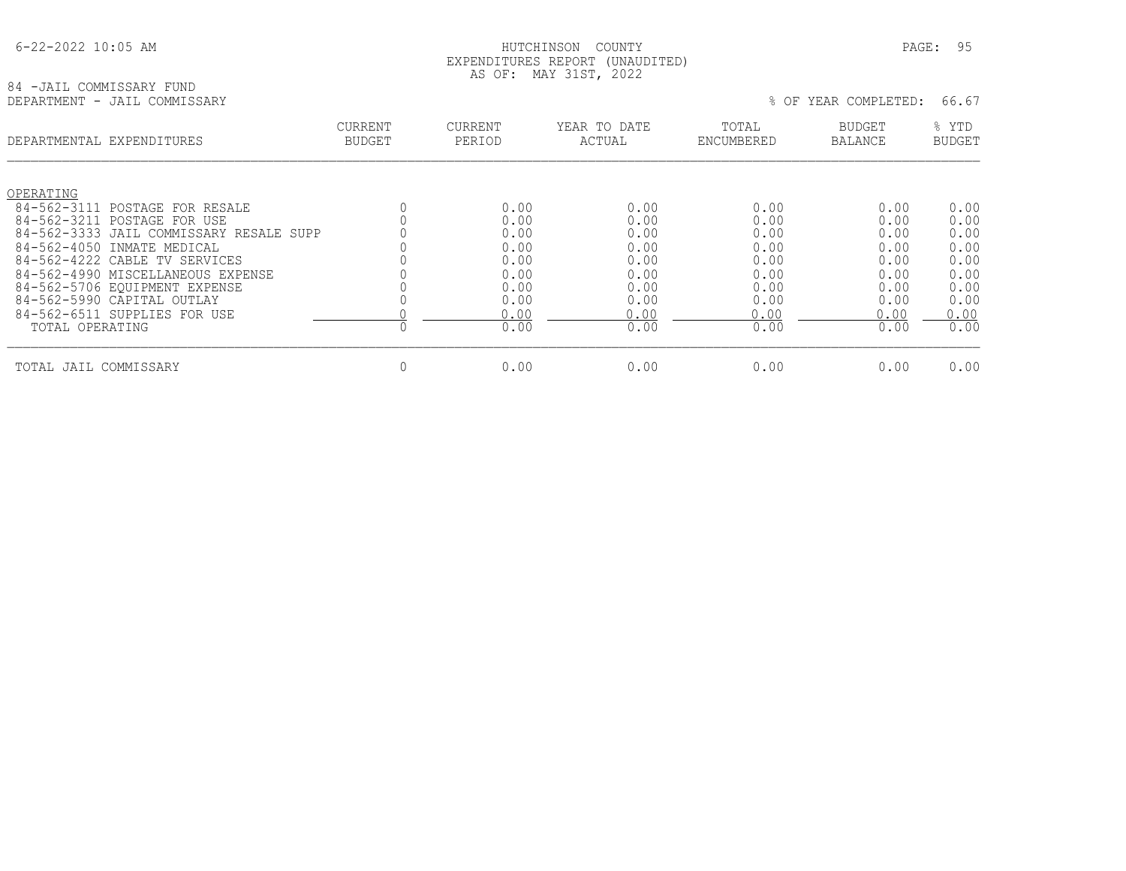## HUTCHINSON COUNTY PAGE: 95 EXPENDITURES REPORT (UNAUDITED) AS OF: MAY 31ST, 2022

## 84 -JAIL COMMISSARY FUND<br>DEPARTMENT - JAIL COMMISSARY

% OF YEAR COMPLETED: 66.67

| DEPARTMENTAL EXPENDITURES               | <b>CURRENT</b><br><b>BUDGET</b> | CURRENT<br>PERIOD | YEAR TO DATE<br>ACTUAL | TOTAL<br>ENCUMBERED | <b>BUDGET</b><br><b>BALANCE</b> | % YTD<br><b>BUDGET</b> |
|-----------------------------------------|---------------------------------|-------------------|------------------------|---------------------|---------------------------------|------------------------|
| OPERATING                               |                                 |                   |                        |                     |                                 |                        |
| $84 - 562 - 3111$<br>POSTAGE FOR RESALE |                                 | 0.00              | 0.00                   | 0.00                | 0.00                            | 0.00                   |
| 84-562-3211 POSTAGE FOR USE             |                                 | 0.00              | 0.00                   | 0.00                | 0.00                            | 0.00                   |
| 84-562-3333 JAIL COMMISSARY RESALE SUPP |                                 | 0.00              | 0.00                   | 0.00                | 0.00                            | 0.00                   |
| $84 - 562 - 4050$<br>INMATE MEDICAL     |                                 | 0.00              | 0.00                   | 0.00                | 0.00                            | 0.00                   |
| 84-562-4222 CABLE TV SERVICES           |                                 | 0.00              | 0.00                   | 0.00                | 0.00                            | 0.00                   |
| 84-562-4990 MISCELLANEOUS EXPENSE       |                                 | 0.00              | 0.00                   | 0.00                | 0.00                            | 0.00                   |
| 84-562-5706 EOUIPMENT EXPENSE           |                                 | 0.00              | 0.00                   | 0.00                | 0.00                            | 0.00                   |
| 84-562-5990 CAPITAL OUTLAY              |                                 | 0.00              | 0.00                   | 0.00                | 0.00                            | 0.00                   |
| 84-562-6511 SUPPLIES FOR USE            |                                 | 0.00              | 0.00                   | 0.00                | 0.00                            | 0.00                   |
| TOTAL OPERATING                         |                                 | 0.00              | 0.00                   | 0.00                | 0.00                            | 0.00                   |
| TOTAL JAIL COMMISSARY                   | 0                               | 0.00              | 0.00                   | 0.00                | 0.00                            | 0.00                   |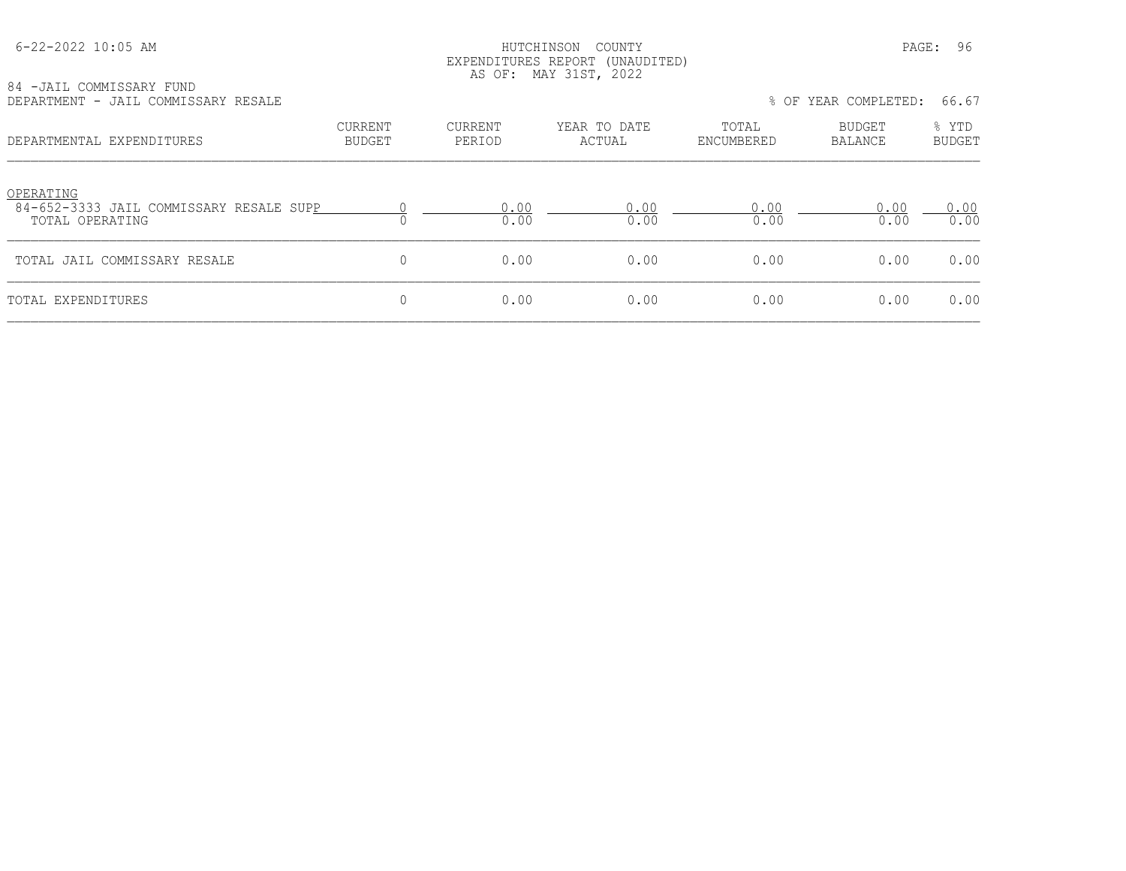## HUTCHINSON COUNTY PAGE: 96 EXPENDITURES REPORT (UNAUDITED) AS OF: MAY 31ST, 2022

| 84 -JAIL COMMISSARY FUND |                                     |  |
|--------------------------|-------------------------------------|--|
|                          | DEPARTMENT - JAIL COMMISSARY RESALE |  |

| DEPARTMENT - JAIL COMMISSARY RESALE                                     |                                 |                   |                        |                     | % OF YEAR COMPLETED: | 66.67                  |
|-------------------------------------------------------------------------|---------------------------------|-------------------|------------------------|---------------------|----------------------|------------------------|
| DEPARTMENTAL EXPENDITURES                                               | <b>CURRENT</b><br><b>BUDGET</b> | CURRENT<br>PERIOD | YEAR TO DATE<br>ACTUAL | TOTAL<br>ENCUMBERED | BUDGET<br>BALANCE    | % YTD<br><b>BUDGET</b> |
| OPERATING<br>84-652-3333 JAIL COMMISSARY RESALE SUPP<br>TOTAL OPERATING |                                 | 0.00<br>0.00      | 0.00<br>0.00           | 0.00<br>0.00        | 0.00<br>0.00         | 0.00<br>0.00           |
| TOTAL JAIL COMMISSARY RESALE                                            | $\Omega$                        | 0.00              | 0.00                   | 0.00                | 0.00                 | 0.00                   |
| TOTAL EXPENDITURES                                                      | $\mathbf{0}$                    | 0.00              | 0.00                   | 0.00                | 0.00                 | 0.00                   |
|                                                                         |                                 |                   |                        |                     |                      |                        |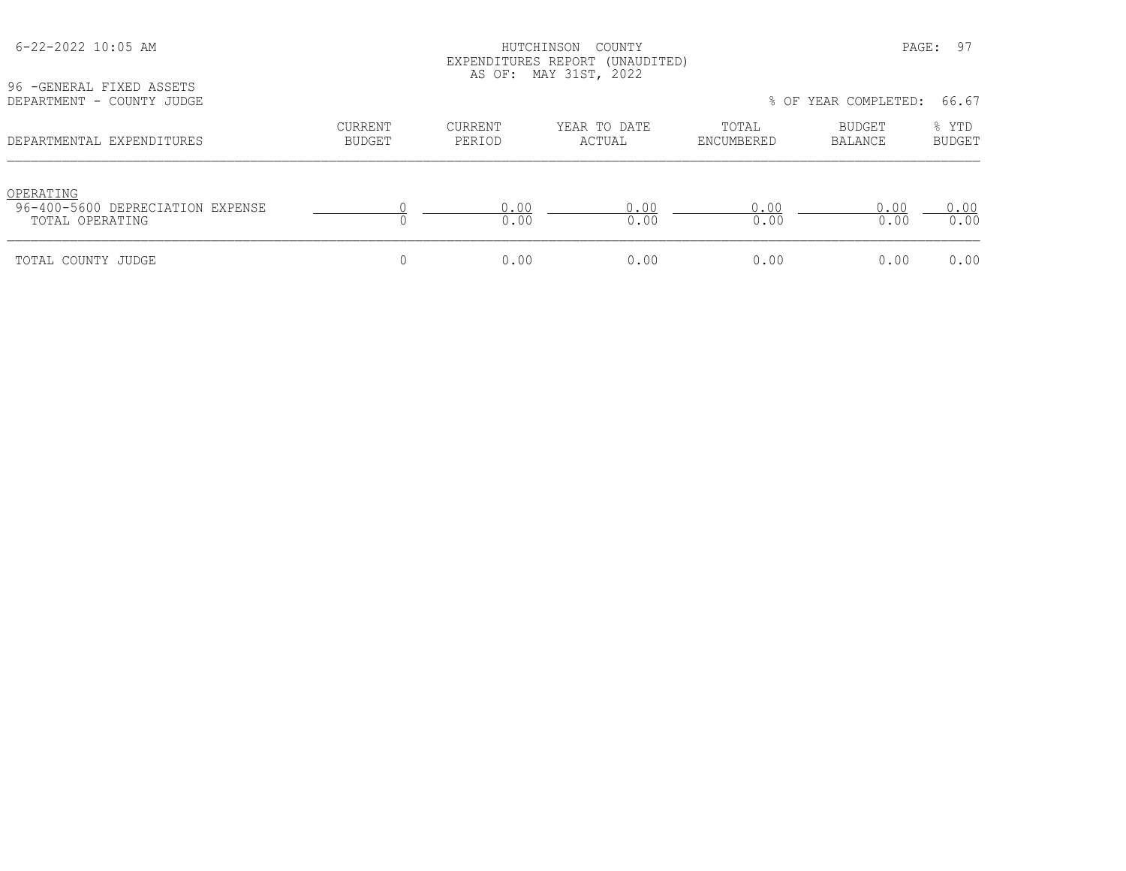| 96 - GENERAL FIXED ASSETS                     |                                 |                   | EXPENDITURES REPORT (UNAUDITED)<br>AS OF: MAY 31ST, 2022 |                     |                      |                        |
|-----------------------------------------------|---------------------------------|-------------------|----------------------------------------------------------|---------------------|----------------------|------------------------|
| DEPARTMENT - COUNTY JUDGE                     |                                 |                   |                                                          |                     | % OF YEAR COMPLETED: | 66.67                  |
| DEPARTMENTAL EXPENDITURES                     | <b>CURRENT</b><br><b>BUDGET</b> | CURRENT<br>PERIOD | YEAR TO DATE<br>ACTUAL                                   | TOTAL<br>ENCUMBERED | BUDGET<br>BALANCE    | % YTD<br><b>BUDGET</b> |
| OPERATING<br>96-400-5600 DEPRECIATION EXPENSE |                                 | 0.00              | 0.00                                                     | 0.00                | 0.00                 | 0.00                   |
| TOTAL OPERATING                               |                                 | 0.00              | 0.00                                                     | 0.00                | 0.00                 | 0.00                   |
| TOTAL COUNTY JUDGE                            | U                               | 0.00              | 0.00                                                     | 0.00                | 0.00                 | 0.00                   |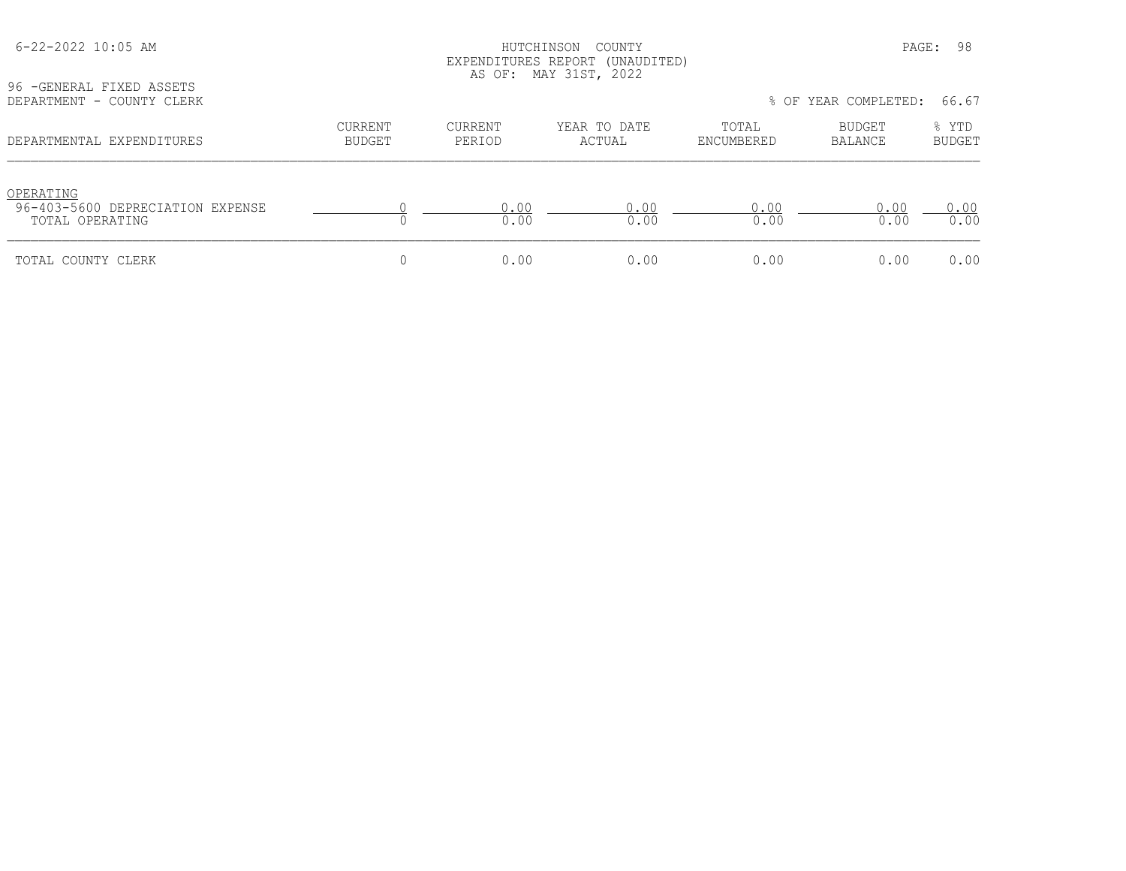| 96 -GENERAL FIXED ASSETS<br>DEPARTMENT - COUNTY CLERK            | EXPENDITURES REPORT (UNAUDITED)<br>AS OF: MAY 31ST, 2022<br>% OF YEAR COMPLETED: 66.67 |                   |                        |                     |                   |                 |
|------------------------------------------------------------------|----------------------------------------------------------------------------------------|-------------------|------------------------|---------------------|-------------------|-----------------|
| DEPARTMENTAL EXPENDITURES                                        | <b>CURRENT</b><br><b>BUDGET</b>                                                        | CURRENT<br>PERIOD | YEAR TO DATE<br>ACTUAL | TOTAL<br>ENCUMBERED | BUDGET<br>BALANCE | % YTD<br>BUDGET |
| OPERATING<br>96-403-5600 DEPRECIATION EXPENSE<br>TOTAL OPERATING |                                                                                        | 0.00<br>0.00      | 0.00<br>0.00           | 0.00<br>0.00        | 0.00<br>0.00      | 0.00<br>0.00    |
| TOTAL COUNTY CLERK                                               | U                                                                                      | 0.00              | 0.00                   | 0.00                | 0.00              | 0.00            |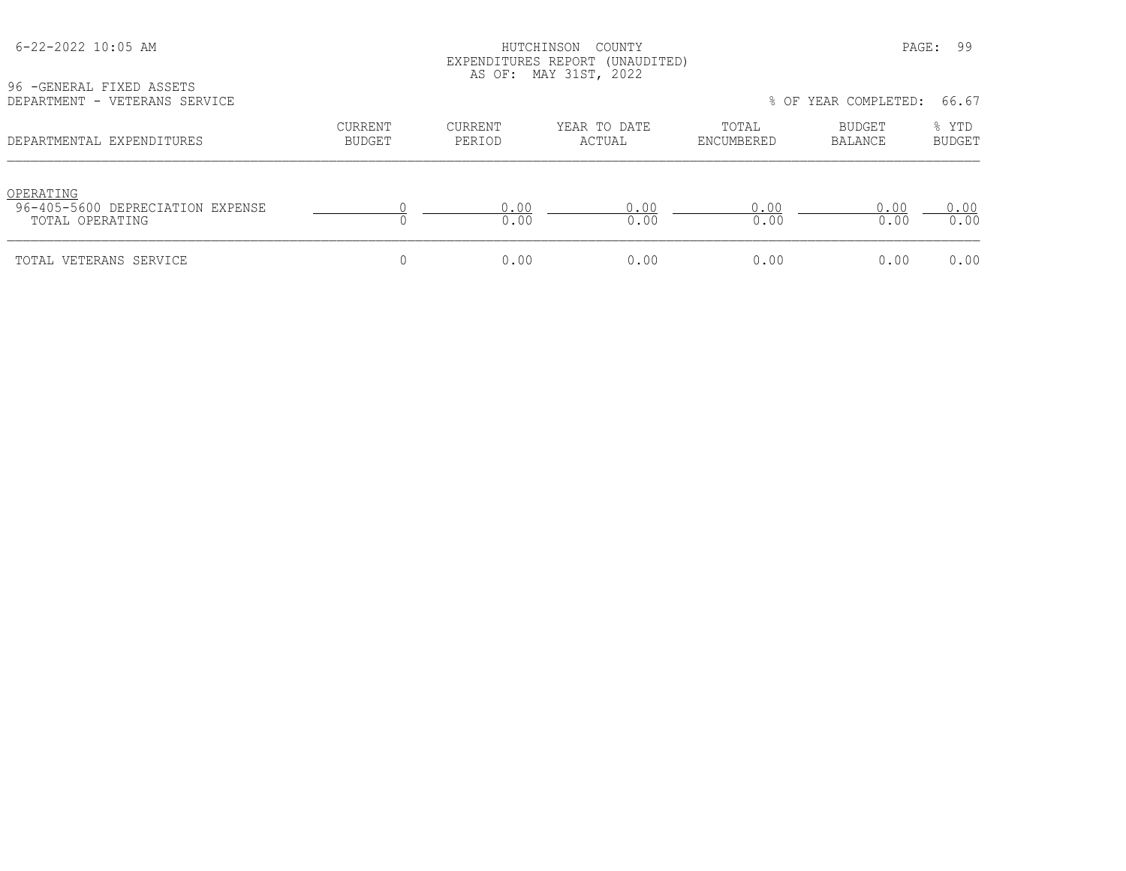## HUTCHINSON COUNTY PAGE: 99 EXPENDITURES REPORT (UNAUDITED) AS OF: MAY 31ST, 2022

96 -GENERAL FIXED ASSETS<br>DEPARTMENT - VETERANS SEI

| DEPARTMENT - VETERANS SERVICE                                    |                          | 66.67<br>% OF YEAR COMPLETED: |                        |                     |                   |                        |
|------------------------------------------------------------------|--------------------------|-------------------------------|------------------------|---------------------|-------------------|------------------------|
| DEPARTMENTAL EXPENDITURES                                        | CURRENT<br><b>BUDGET</b> | CURRENT<br>PERIOD             | YEAR TO DATE<br>ACTUAL | TOTAL<br>ENCUMBERED | BUDGET<br>BALANCE | % YTD<br><b>BUDGET</b> |
| OPERATING<br>96-405-5600 DEPRECIATION EXPENSE<br>TOTAL OPERATING |                          | 0.00<br>0.00                  | 0.00<br>0.00           | 0.00<br>0.00        | 0.00<br>0.00      | 0.00<br>0.00           |
| TOTAL VETERANS SERVICE                                           |                          | 0.00                          | 0.00                   | 0.00                | 0.00              | 0.00                   |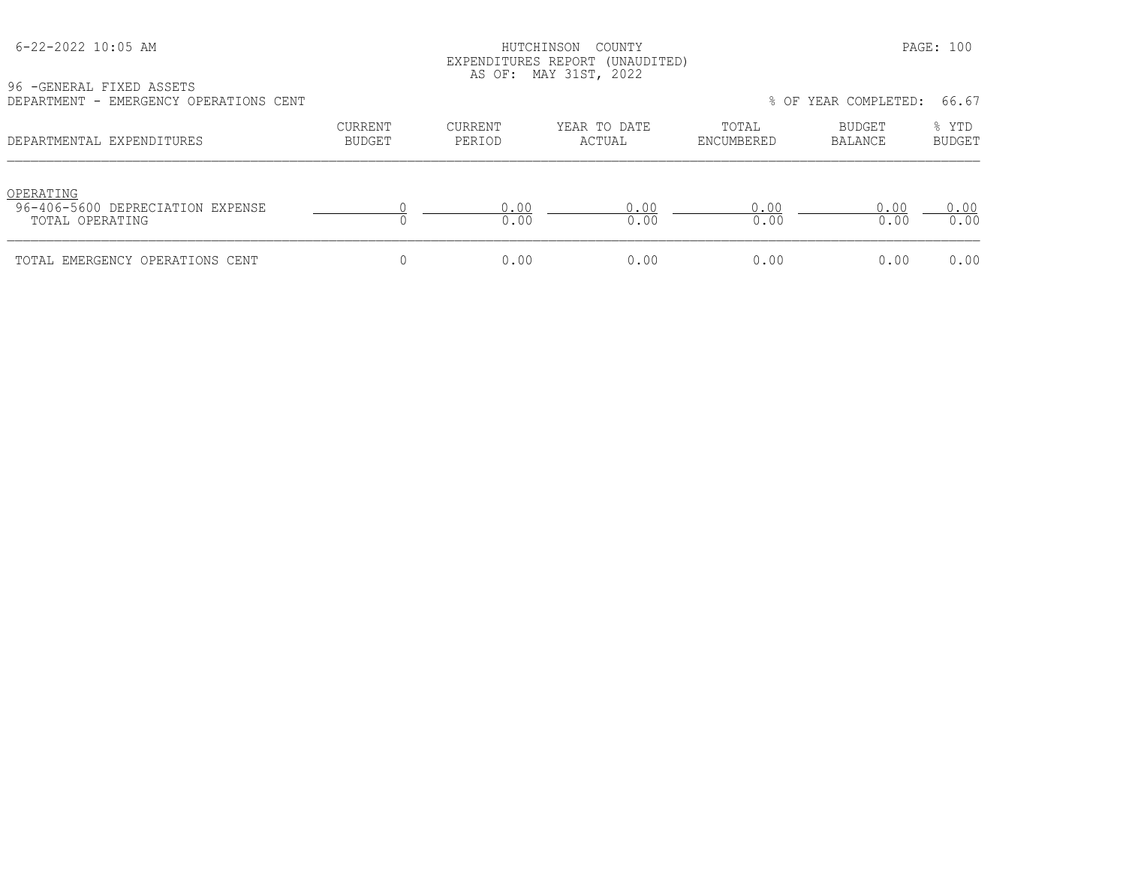## HUTCHINSON COUNTY PAGE: 100 EXPENDITURES REPORT (UNAUDITED) AS OF: MAY 31ST, 2022

| 96 -GENERAL FIXED ASSETS               |         |         |              |       |                            |      |
|----------------------------------------|---------|---------|--------------|-------|----------------------------|------|
|                                        |         |         |              |       |                            |      |
| DEPARTMENT - EMERGENCY OPERATIONS CENT |         |         |              |       | % OF YEAR COMPLETED: 66.67 |      |
|                                        |         |         |              |       |                            |      |
|                                        | CURRENT | CURRENT | YEAR TO DATE | TOTAL | <b>BUDGET</b>              | YTD. |
|                                        |         |         |              |       |                            |      |

|  | % OF YEAR COMPLETED: | 66.67 |
|--|----------------------|-------|
|  |                      |       |

| DEPARTMENTAL EXPENDITURES                                        | CURRENT<br><b>BUDGET</b> | CURRENT<br>PERIOD | YEAR TO DATE<br>ACTUAL | TOTAL<br>ENCUMBERED | <b>BUDGET</b><br>BALANCE | % YTD<br><b>BUDGET</b> |
|------------------------------------------------------------------|--------------------------|-------------------|------------------------|---------------------|--------------------------|------------------------|
| OPERATING<br>96-406-5600 DEPRECIATION EXPENSE<br>TOTAL OPERATING |                          | 0.00<br>0.00      | 0.00<br>0.00           | 0.00<br>0.00        | 0.00<br>0.00             | 0.00<br>0.00           |
| TOTAL EMERGENCY OPERATIONS CENT                                  |                          | 0.00              | 0.00                   | 0.00                | 0.00                     | 0.00                   |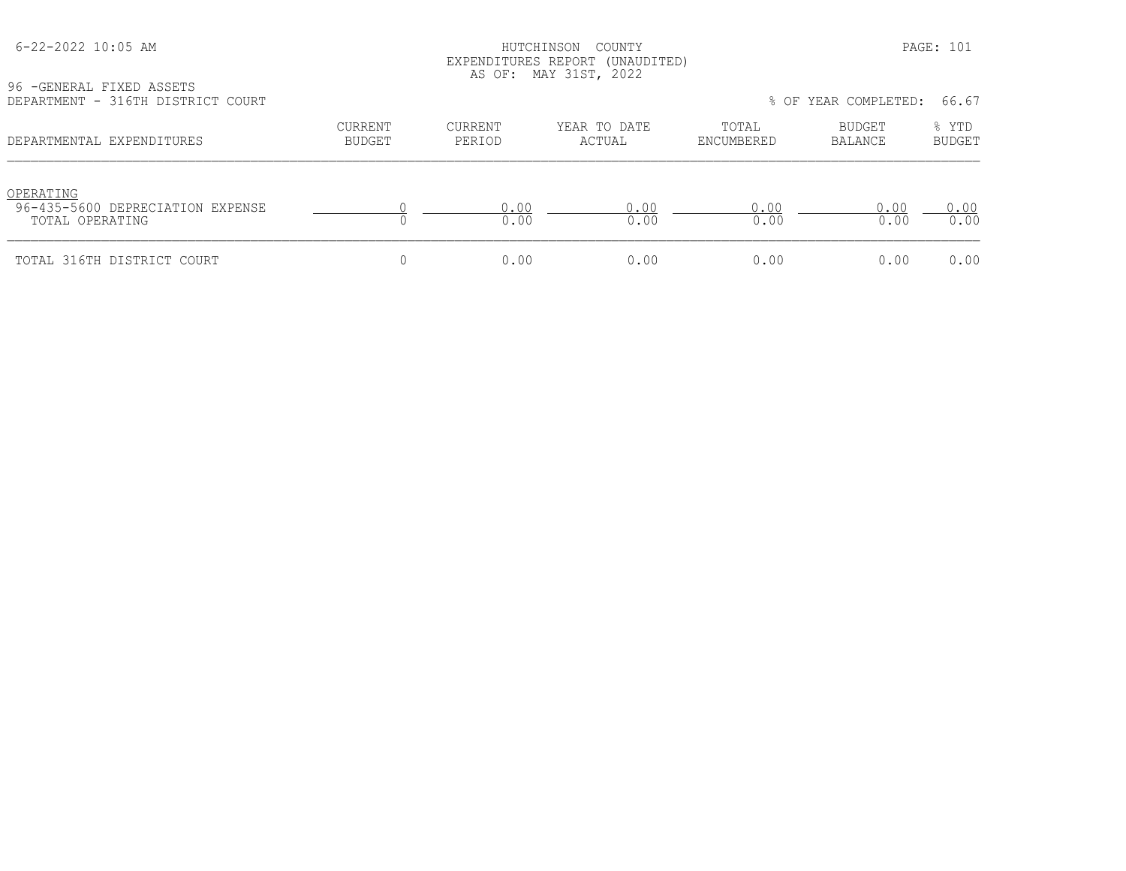## HUTCHINSON COUNTY PAGE: 101 EXPENDITURES REPORT (UNAUDITED) AS OF: MAY 31ST, 2022

96 -GENERAL FIXED ASSETS<br>DEPARTMENT - 316TH DISTR

| DEPARTMENT - 316TH DISTRICT COURT                                |                          |                   |                        |                     | % OF YEAR COMPLETED: | 66.67                  |
|------------------------------------------------------------------|--------------------------|-------------------|------------------------|---------------------|----------------------|------------------------|
| DEPARTMENTAL EXPENDITURES                                        | CURRENT<br><b>BUDGET</b> | CURRENT<br>PERIOD | YEAR TO DATE<br>ACTUAL | TOTAL<br>ENCUMBERED | BUDGET<br>BALANCE    | % YTD<br><b>BUDGET</b> |
| OPERATING<br>96-435-5600 DEPRECIATION EXPENSE<br>TOTAL OPERATING |                          | 0.00<br>0.00      | 0.00<br>0.00           | 0.00<br>0.00        | 0.00<br>0.00         | 0.00<br>0.00           |
| TOTAL 316TH DISTRICT COURT                                       |                          | 0.00              | 0.00                   | 0.00                | 0.00                 | 0.00                   |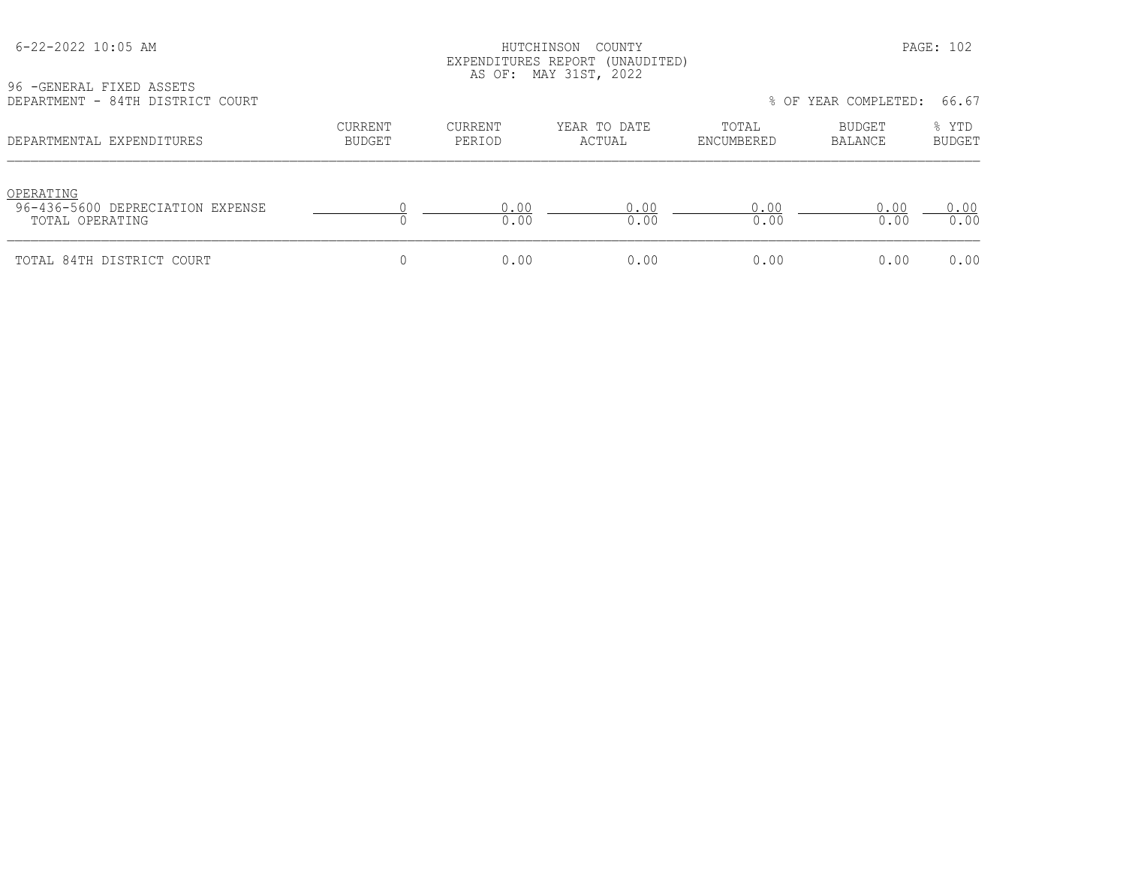## HUTCHINSON COUNTY PAGE: 102 EXPENDITURES REPORT (UNAUDITED) AS OF: MAY 31ST, 2022

| 96 - GENERAL FIXED ASSETS        |  |  |
|----------------------------------|--|--|
| DEPARTMENT - 84TH DISTRICT COURT |  |  |

| DEPARTMENT - 84TH DISTRICT COURT                                 |                          |                          |                        |                     | % OF YEAR COMPLETED: | 66.67                  |  |
|------------------------------------------------------------------|--------------------------|--------------------------|------------------------|---------------------|----------------------|------------------------|--|
| DEPARTMENTAL EXPENDITURES                                        | CURRENT<br><b>BUDGET</b> | <b>CURRENT</b><br>PERIOD | YEAR TO DATE<br>ACTUAL | TOTAL<br>ENCUMBERED | BUDGET<br>BALANCE    | % YTD<br><b>BUDGET</b> |  |
| OPERATING<br>96-436-5600 DEPRECIATION EXPENSE<br>TOTAL OPERATING |                          | 0.00<br>0.00             | 0.00<br>0.00           | 0.00<br>0.00        | 0.00<br>0.00         | 0.00<br>0.00           |  |
| TOTAL 84TH DISTRICT COURT                                        |                          | 0.00                     | 0.00                   | 0.00                | 0.00                 | 0.00                   |  |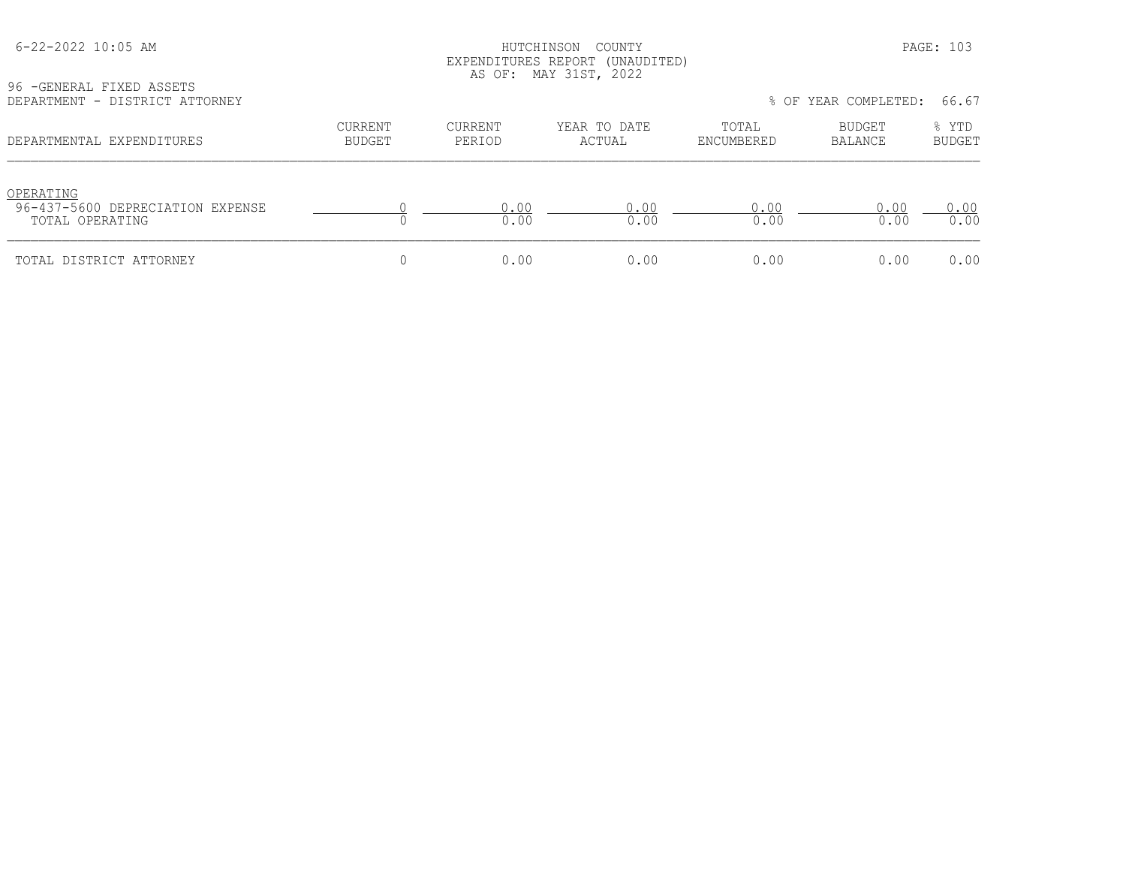## HUTCHINSON COUNTY PAGE: 103 EXPENDITURES REPORT (UNAUDITED) AS OF: MAY 31ST, 2022

| 96 - GENERAL FIXED ASSETS      |  |  |
|--------------------------------|--|--|
| DEPARTMENT - DISTRICT ATTORNEY |  |  |

| DEPARTMENT - DISTRICT ATTORNEY                                   |                          |                   |                        | 66.67<br>% OF YEAR COMPLETED: |                   |                        |
|------------------------------------------------------------------|--------------------------|-------------------|------------------------|-------------------------------|-------------------|------------------------|
| DEPARTMENTAL EXPENDITURES                                        | CURRENT<br><b>BUDGET</b> | CURRENT<br>PERIOD | YEAR TO DATE<br>ACTUAL | TOTAL<br>ENCUMBERED           | BUDGET<br>BALANCE | % YTD<br><b>BUDGET</b> |
| OPERATING<br>96-437-5600 DEPRECIATION EXPENSE<br>TOTAL OPERATING |                          | 0.00<br>0.00      | 0.00<br>0.00           | 0.00<br>0.00                  | 0.00<br>0.00      | 0.00<br>0.00           |
| TOTAL DISTRICT ATTORNEY                                          |                          | 0.00              | 0.00                   | 0.00                          | 0.00              | 0.00                   |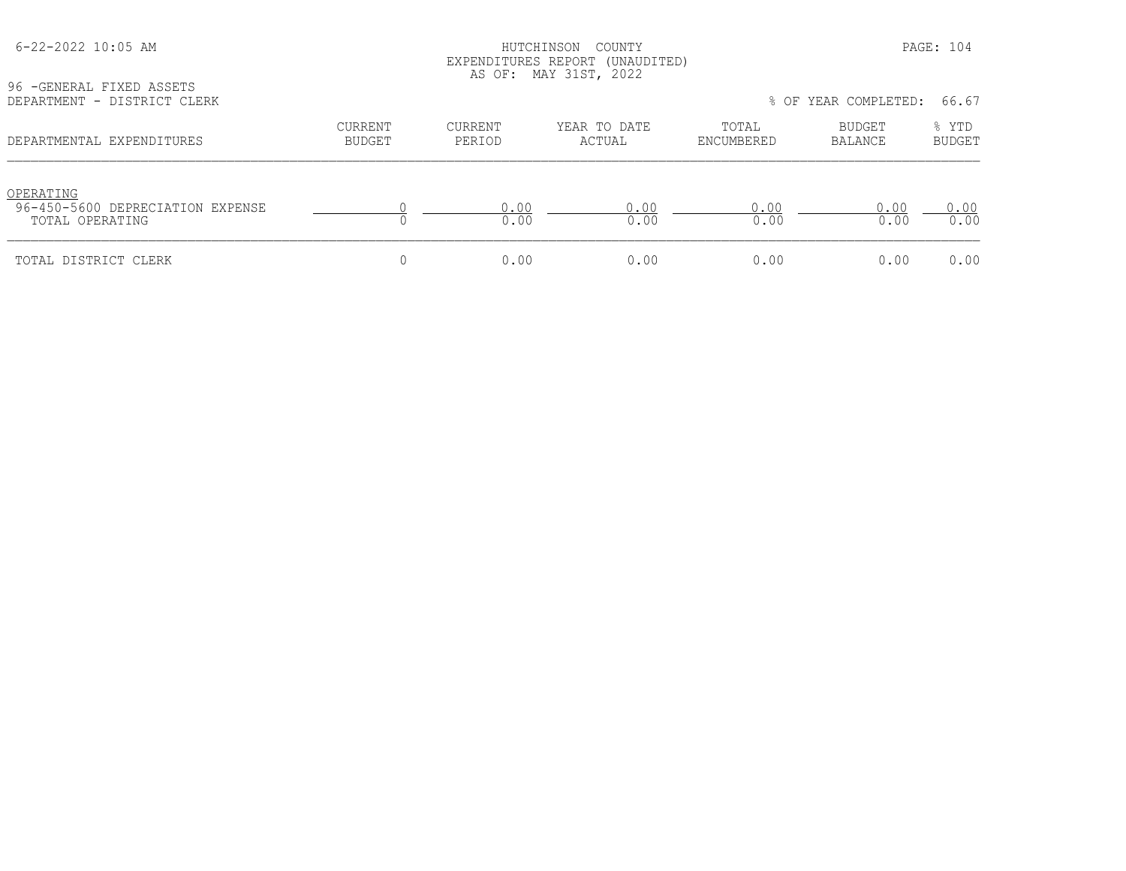| 96 - GENERAL FIXED ASSETS                                        |                                 |                   | LAPLENDIIURES REPURI (UNAUDIIED)<br>AS OF: MAY 31ST, 2022 |                     |                          |                        |
|------------------------------------------------------------------|---------------------------------|-------------------|-----------------------------------------------------------|---------------------|--------------------------|------------------------|
| DEPARTMENT - DISTRICT CLERK                                      |                                 |                   |                                                           |                     | % OF YEAR COMPLETED:     | 66.67                  |
| DEPARTMENTAL EXPENDITURES                                        | <b>CURRENT</b><br><b>BUDGET</b> | CURRENT<br>PERIOD | YEAR TO DATE<br>ACTUAL                                    | TOTAL<br>ENCUMBERED | <b>BUDGET</b><br>BALANCE | % YTD<br><b>BUDGET</b> |
| OPERATING<br>96-450-5600 DEPRECIATION EXPENSE<br>TOTAL OPERATING |                                 | 0.00<br>0.00      | 0.00<br>0.00                                              | 0.00<br>0.00        | 0.00<br>0.00             | 0.00<br>0.00           |
| TOTAL DISTRICT CLERK                                             |                                 | 0.00              | 0.00                                                      | 0.00                | 0.00                     | 0.00                   |

 6-22-2022 10:05 AM HUTCHINSON COUNTY PAGE: 104 EXPENDITURES REPORT (UNAUDITED)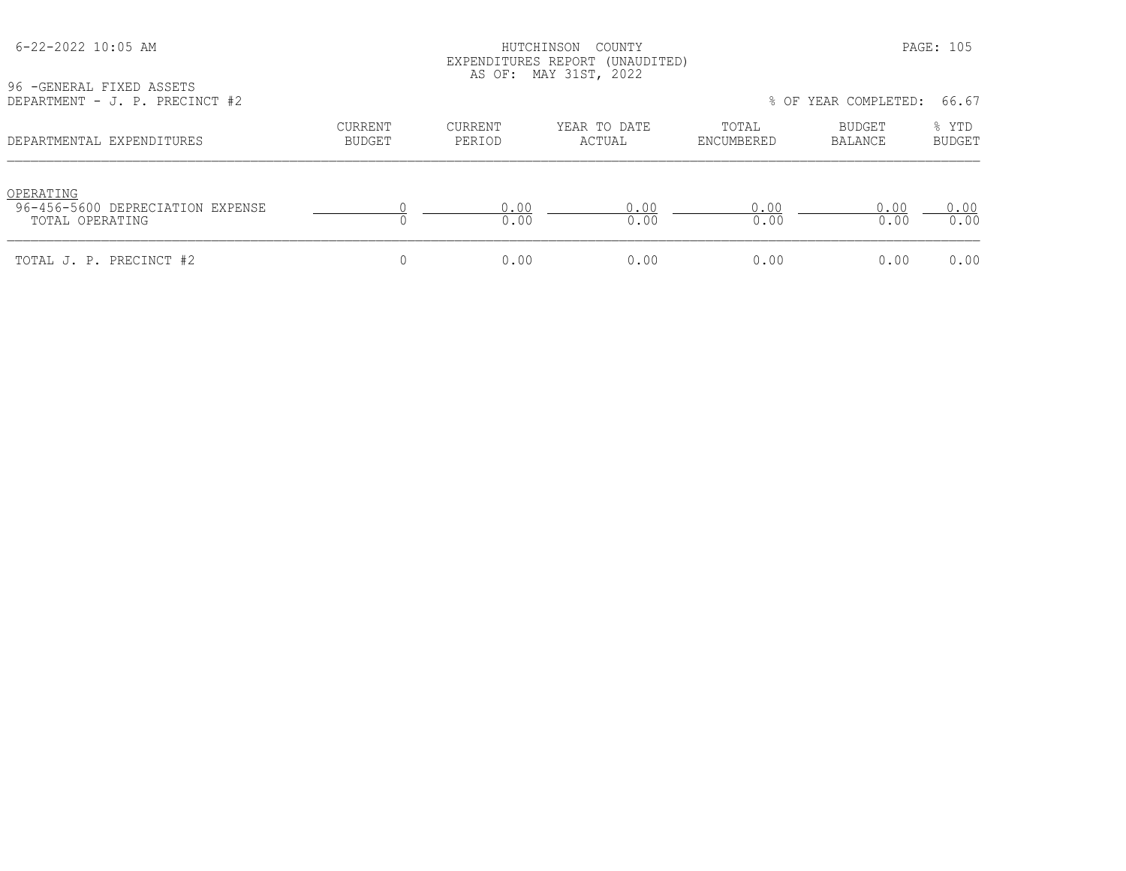## HUTCHINSON COUNTY PAGE: 105 EXPENDITURES REPORT (UNAUDITED) AS OF: MAY 31ST, 2022

| 96 - GENERAL FIXED ASSETS |  |                                |  |
|---------------------------|--|--------------------------------|--|
|                           |  | DEPARTMENT - J. P. PRECINCT #2 |  |

| DEPARTMENT - J. P. PRECINCT #2                                   |                          |                   |                        |                     | % OF YEAR COMPLETED: | 66.67                  |
|------------------------------------------------------------------|--------------------------|-------------------|------------------------|---------------------|----------------------|------------------------|
| DEPARTMENTAL EXPENDITURES                                        | CURRENT<br><b>BUDGET</b> | CURRENT<br>PERIOD | YEAR TO DATE<br>ACTUAL | TOTAL<br>ENCUMBERED | BUDGET<br>BALANCE    | % YTD<br><b>BUDGET</b> |
| OPERATING<br>96-456-5600 DEPRECIATION EXPENSE<br>TOTAL OPERATING |                          | 0.00<br>0.00      | 0.00<br>0.00           | 0.00<br>0.00        | 0.00<br>0.00         | 0.00<br>0.00           |
| TOTAL J. P. PRECINCT #2                                          |                          | 0.00              | 0.00                   | 0.00                | 0.00                 | 0.00                   |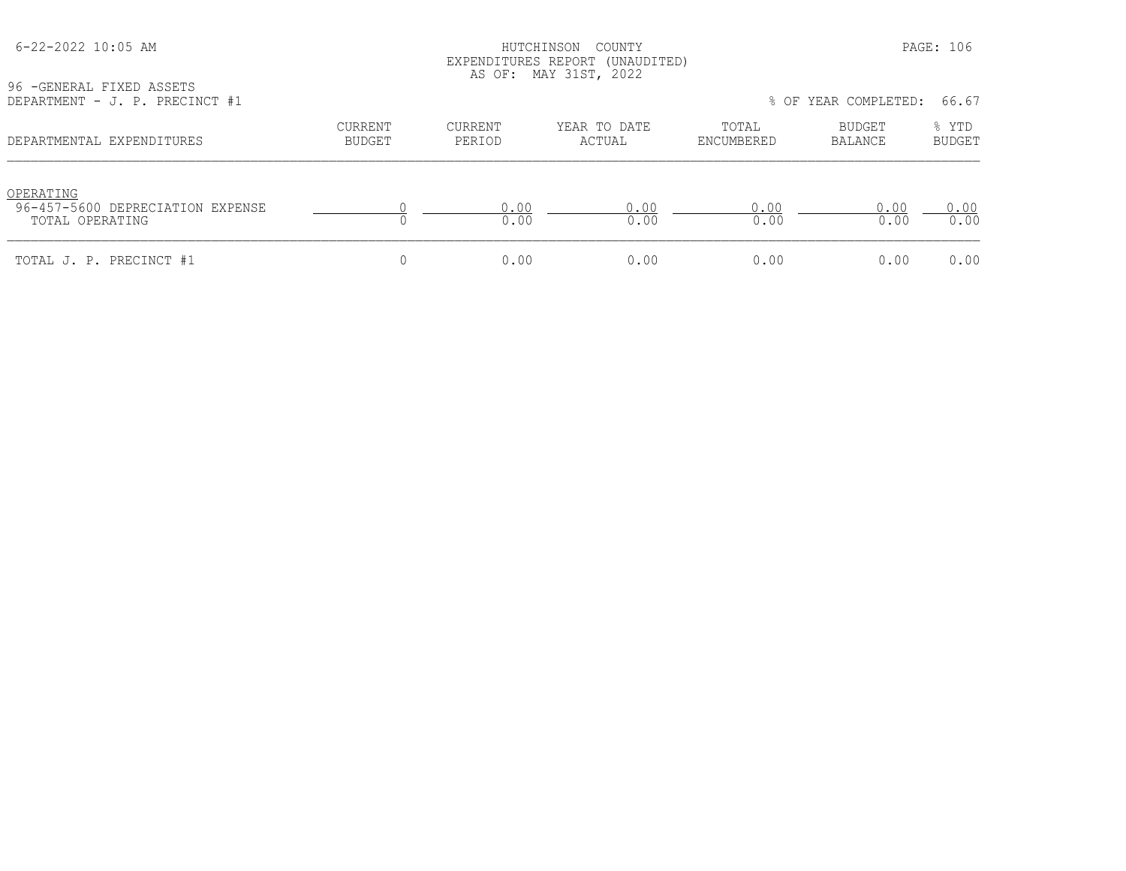## HUTCHINSON COUNTY PAGE: 106 EXPENDITURES REPORT (UNAUDITED) AS OF: MAY 31ST, 2022

| 96 - GENERAL FIXED ASSETS |  |                                |  |
|---------------------------|--|--------------------------------|--|
|                           |  | DEPARTMENT - J. P. PRECINCT #1 |  |

| DEPARTMENT - J. P. PRECINCT #1                                   |                          |                   |                        |                     | % OF YEAR COMPLETED: 66.67 |                        |
|------------------------------------------------------------------|--------------------------|-------------------|------------------------|---------------------|----------------------------|------------------------|
| DEPARTMENTAL EXPENDITURES                                        | CURRENT<br><b>BUDGET</b> | CURRENT<br>PERIOD | YEAR TO DATE<br>ACTUAL | TOTAL<br>ENCUMBERED | BUDGET<br>BALANCE          | % YTD<br><b>BUDGET</b> |
| OPERATING<br>96-457-5600 DEPRECIATION EXPENSE<br>TOTAL OPERATING |                          | 0.00<br>0.00      | 0.00<br>0.00           | 0.00<br>0.00        | 0.00<br>0.00               | 0.00<br>0.00           |
| TOTAL J. P. PRECINCT #1                                          |                          | 0.00              | 0.00                   | 0.00                | 0.00                       | 0.00                   |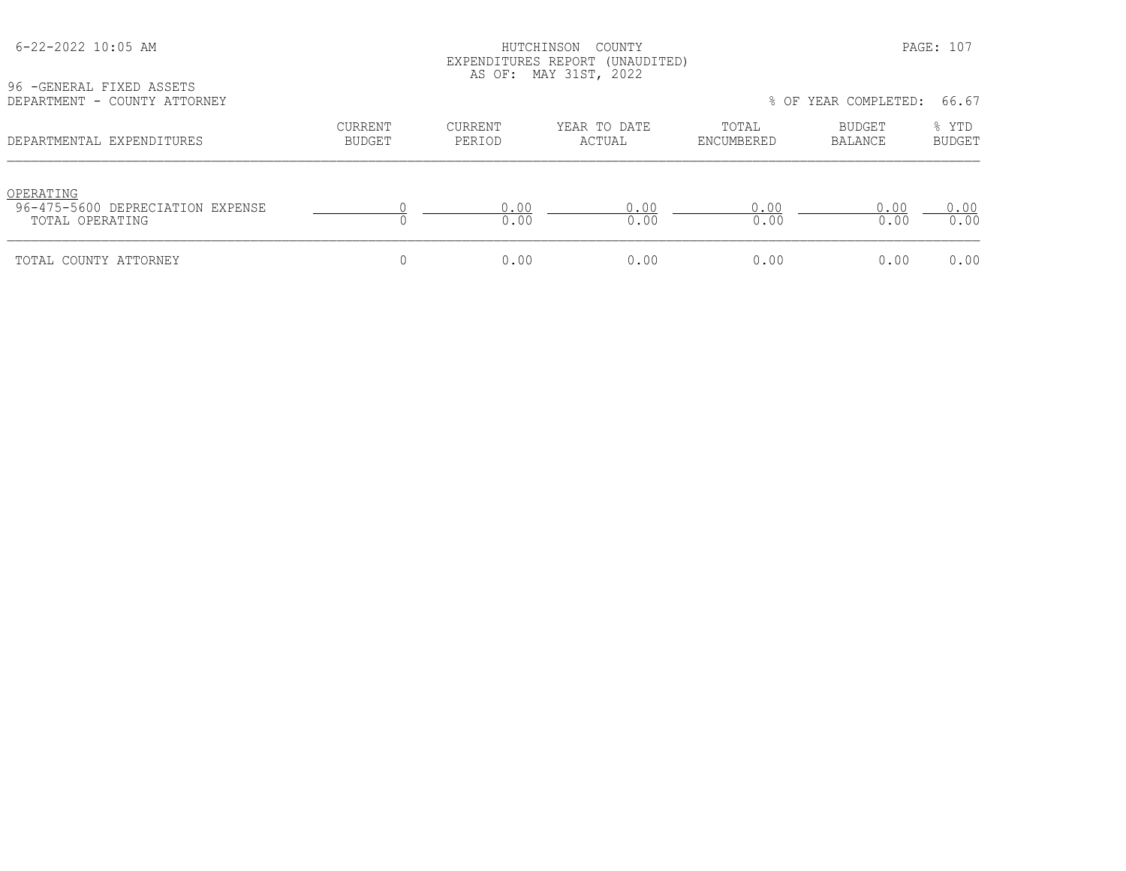|  | $6 - 22 - 2022$ 10:05 AM |  |  |
|--|--------------------------|--|--|
|--|--------------------------|--|--|

## HUTCHINSON COUNTY PAGE: 107 EXPENDITURES REPORT (UNAUDITED) AS OF: MAY 31ST, 2022

| 96 - GENERAL FIXED ASSETS |                              |
|---------------------------|------------------------------|
|                           | DEPARTMENT - COUNTY ATTORNEY |

| DEPARTMENT - COUNTY ATTORNEY                                     |                          |                   |                        |                     | % OF YEAR COMPLETED: | 66.67                  |
|------------------------------------------------------------------|--------------------------|-------------------|------------------------|---------------------|----------------------|------------------------|
| DEPARTMENTAL EXPENDITURES                                        | CURRENT<br><b>BUDGET</b> | CURRENT<br>PERIOD | YEAR TO DATE<br>ACTUAL | TOTAL<br>ENCUMBERED | BUDGET<br>BALANCE    | % YTD<br><b>BUDGET</b> |
| OPERATING<br>96-475-5600 DEPRECIATION EXPENSE<br>TOTAL OPERATING |                          | 0.00<br>0.00      | 0.00<br>0.00           | 0.00<br>0.00        | 0.00<br>0.00         | 0.00<br>0.00           |
| TOTAL COUNTY ATTORNEY                                            |                          | 0.00              | 0.00                   | 0.00                | 0.00                 | 0.00                   |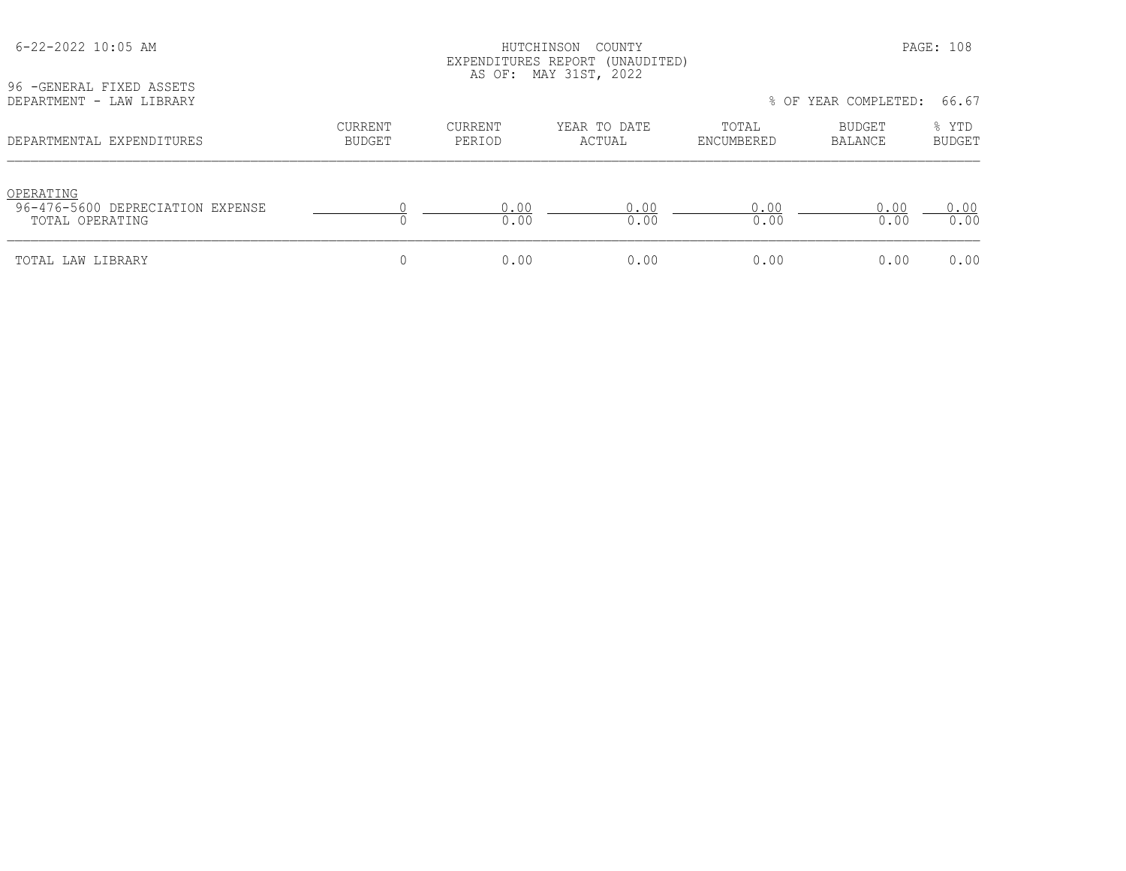| 96 - GENERAL FIXED ASSETS                                        |                          |                          | EXPENDITURES REPORT (UNAUDITED)<br>AS OF: MAY 31ST, 2022 |                     |                      |                 |
|------------------------------------------------------------------|--------------------------|--------------------------|----------------------------------------------------------|---------------------|----------------------|-----------------|
| DEPARTMENT - LAW LIBRARY                                         |                          |                          |                                                          |                     | % OF YEAR COMPLETED: | 66.67           |
| DEPARTMENTAL EXPENDITURES                                        | <b>CURRENT</b><br>BUDGET | <b>CURRENT</b><br>PERIOD | YEAR TO DATE<br>ACTUAL                                   | TOTAL<br>ENCUMBERED | BUDGET<br>BALANCE    | % YTD<br>BUDGET |
| OPERATING<br>96-476-5600 DEPRECIATION EXPENSE<br>TOTAL OPERATING |                          | 0.00<br>0.00             | 0.00<br>0.00                                             | 0.00<br>0.00        | 0.00<br>0.00         | 0.00<br>0.00    |
| TOTAL LAW LIBRARY                                                |                          | 0.00                     | 0.00                                                     | 0.00                | 0.00                 | 0.00            |

6-22-2022 10:05 AM HUTCHINSON COUNTY PAGE: 108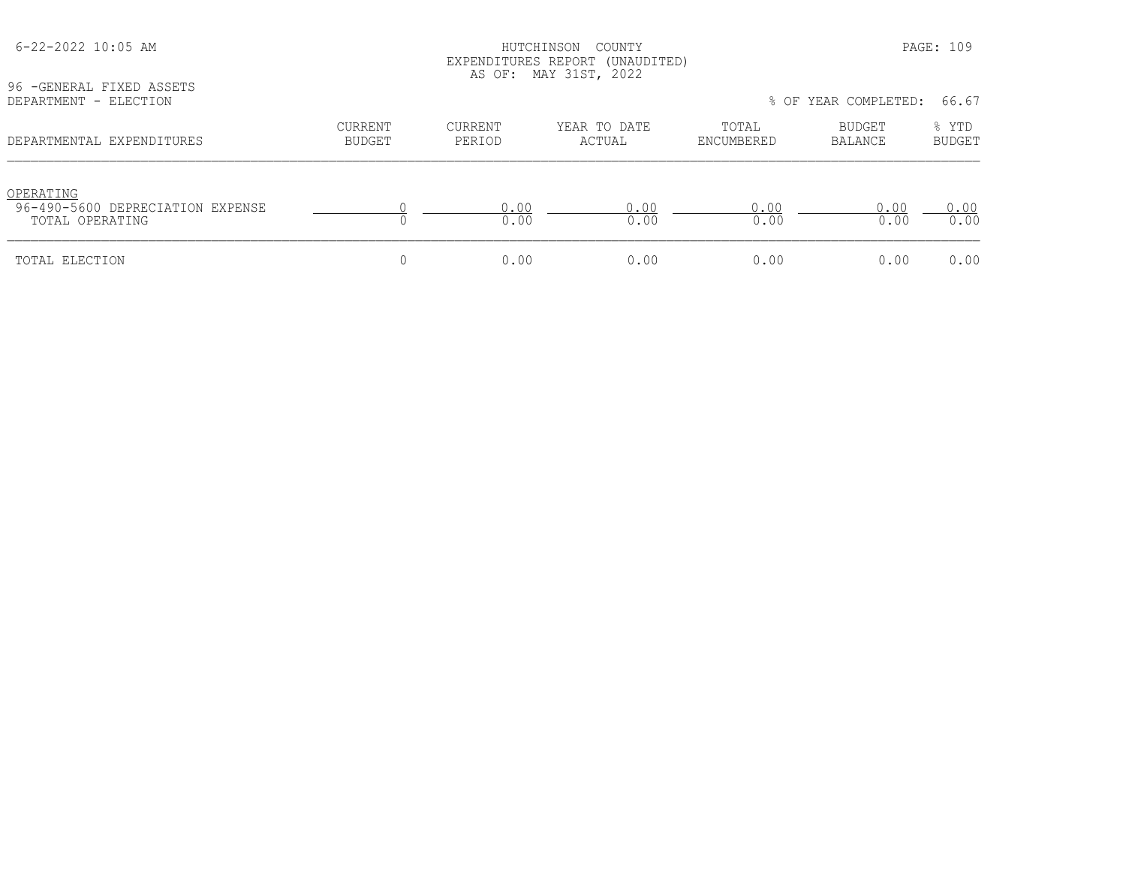| 96 - GENERAL FIXED ASSETS                                        |                                 |                          | EXPENDITURES REPORT (UNAUDITED)<br>AS OF: MAY 31ST, 2022 |                     |                          |                        |
|------------------------------------------------------------------|---------------------------------|--------------------------|----------------------------------------------------------|---------------------|--------------------------|------------------------|
| DEPARTMENT - ELECTION                                            |                                 |                          |                                                          |                     | % OF YEAR COMPLETED:     | 66.67                  |
| DEPARTMENTAL EXPENDITURES                                        | <b>CURRENT</b><br><b>BUDGET</b> | <b>CURRENT</b><br>PERIOD | YEAR TO DATE<br>ACTUAL                                   | TOTAL<br>ENCUMBERED | <b>BUDGET</b><br>BALANCE | % YTD<br><b>BUDGET</b> |
| OPERATING<br>96-490-5600 DEPRECIATION EXPENSE<br>TOTAL OPERATING |                                 | 0.00<br>0.00             | 0.00<br>0.00                                             | 0.00<br>0.00        | 0.00<br>0.00             | 0.00<br>0.00           |
| TOTAL ELECTION                                                   | 0                               | 0.00                     | 0.00                                                     | 0.00                | 0.00                     | 0.00                   |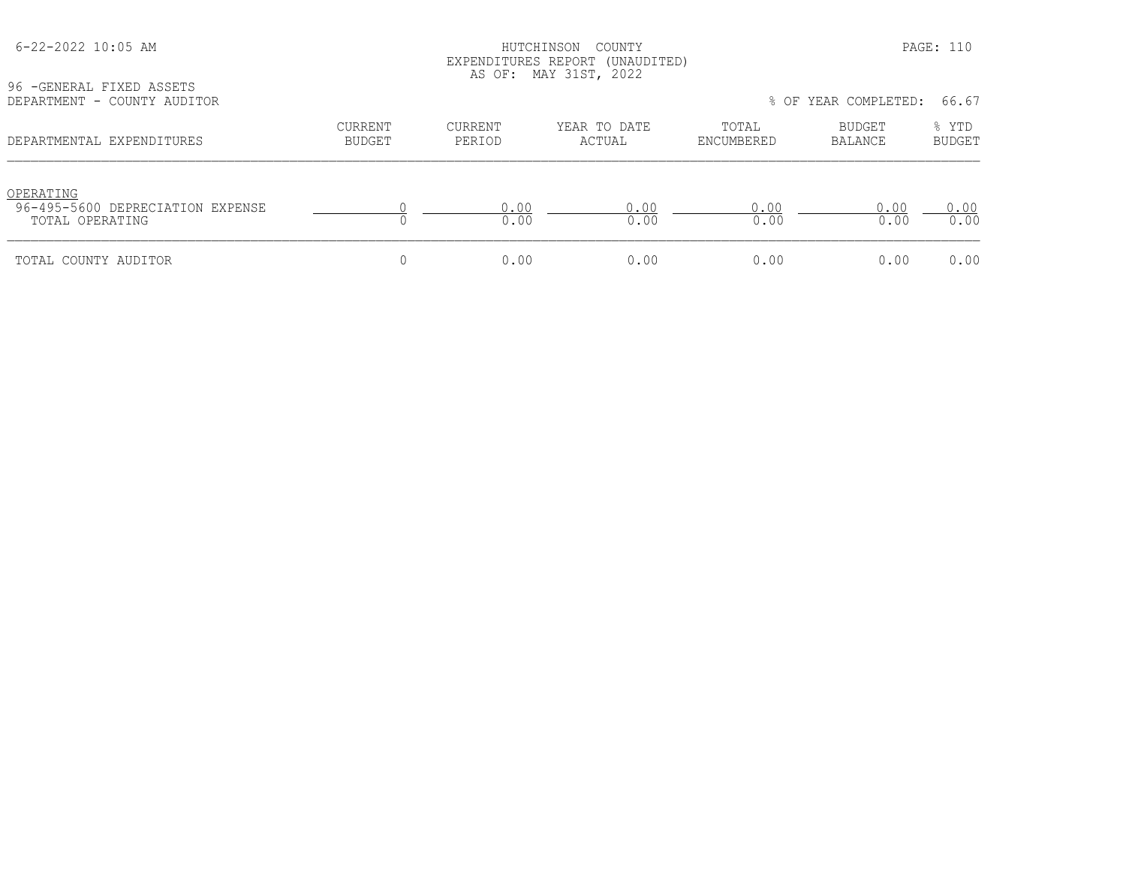| 96 - GENERAL FIXED ASSETS                                        |                                 |                          | EAPENDIIONES NEPONI (ONAODIIED)<br>AS OF: MAY 31ST, 2022 |                     |                                 |                        |
|------------------------------------------------------------------|---------------------------------|--------------------------|----------------------------------------------------------|---------------------|---------------------------------|------------------------|
| DEPARTMENT - COUNTY AUDITOR                                      |                                 |                          |                                                          |                     | % OF YEAR COMPLETED:            | 66.67                  |
| DEPARTMENTAL EXPENDITURES                                        | <b>CURRENT</b><br><b>BUDGET</b> | <b>CURRENT</b><br>PERIOD | YEAR TO DATE<br>ACTUAL                                   | TOTAL<br>ENCUMBERED | <b>BUDGET</b><br><b>BALANCE</b> | % YTD<br><b>BUDGET</b> |
| OPERATING<br>96-495-5600 DEPRECIATION EXPENSE<br>TOTAL OPERATING |                                 | 0.00<br>0.00             | 0.00<br>0.00                                             | 0.00<br>0.00        | 0.00<br>0.00                    | 0.00<br>0.00           |
| TOTAL COUNTY AUDITOR                                             | 0                               | 0.00                     | 0.00                                                     | 0.00                | 0.00                            | 0.00                   |

 6-22-2022 10:05 AM HUTCHINSON COUNTY PAGE: 110 EXPENDITURES REPORT (UNAUDITED)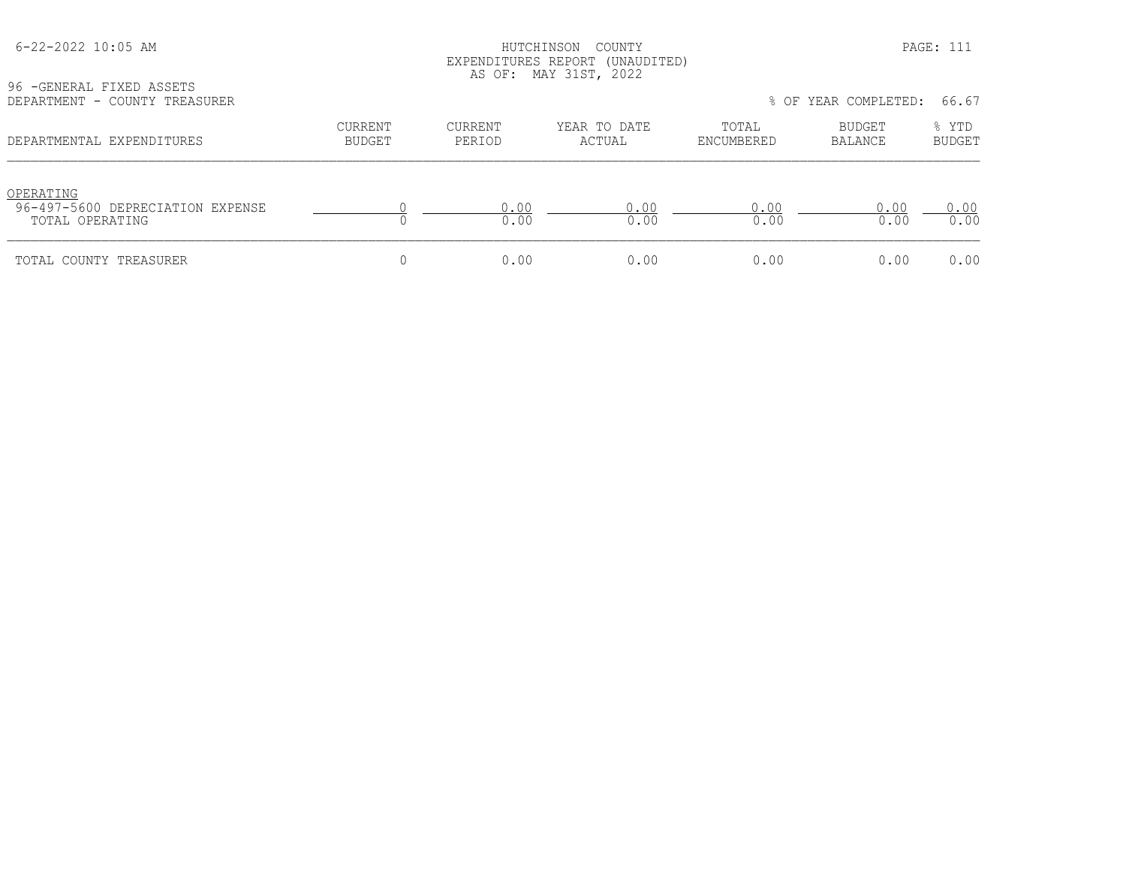# HUTCHINSON COUNTY PAGE: 111 EXPENDITURES REPORT (UNAUDITED) AS OF: MAY 31ST, 2022

96 -GENERAL FIXED ASSETS<br>DEPARTMENT - COUNTY TREA

| DEPARTMENT - COUNTY TREASURER                                    |                          |                   |                        |                     | % OF YEAR COMPLETED: | 66.67                  |
|------------------------------------------------------------------|--------------------------|-------------------|------------------------|---------------------|----------------------|------------------------|
| DEPARTMENTAL EXPENDITURES                                        | CURRENT<br><b>BUDGET</b> | CURRENT<br>PERIOD | YEAR TO DATE<br>ACTUAL | TOTAL<br>ENCUMBERED | BUDGET<br>BALANCE    | % YTD<br><b>BUDGET</b> |
| OPERATING<br>96-497-5600 DEPRECIATION EXPENSE<br>TOTAL OPERATING |                          | 0.00<br>0.00      | 0.00<br>0.00           | 0.00<br>0.00        | 0.00<br>0.00         | 0.00<br>0.00           |
| TOTAL COUNTY TREASURER                                           |                          | 0.00              | 0.00                   | 0.00                | 0.00                 | 0.00                   |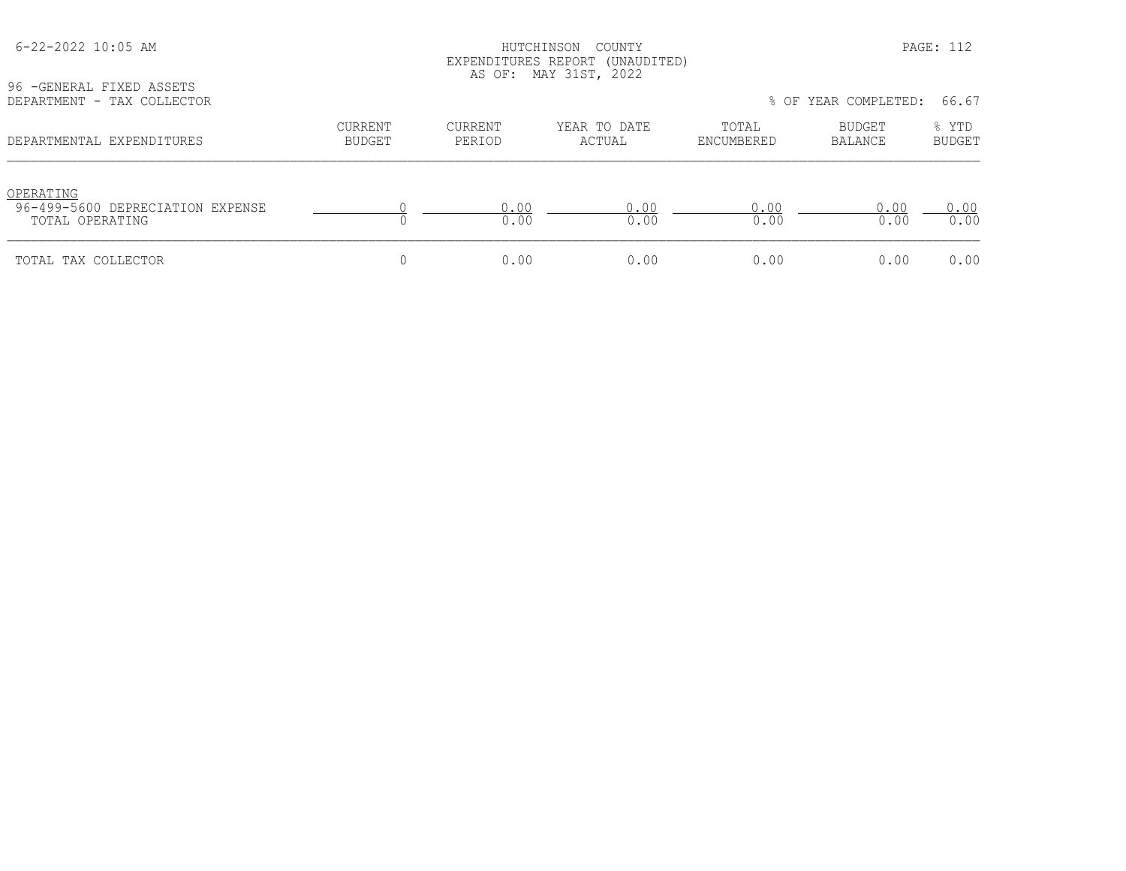| 96 - GENERAL FIXED ASSETS                                        |                   |                   | EXPENDITURES REPORT (UNAUDITED)<br>AS OF: MAY 31ST, 2022 |                     | % OF YEAR COMPLETED: | 66.67           |
|------------------------------------------------------------------|-------------------|-------------------|----------------------------------------------------------|---------------------|----------------------|-----------------|
| DEPARTMENT - TAX COLLECTOR<br>DEPARTMENTAL EXPENDITURES          | CURRENT<br>BUDGET | CURRENT<br>PERIOD | YEAR TO DATE<br>ACTUAL                                   | TOTAL<br>ENCUMBERED | BUDGET<br>BALANCE    | % YTD<br>BUDGET |
| OPERATING<br>96-499-5600 DEPRECIATION EXPENSE<br>TOTAL OPERATING |                   | 0.00<br>0.00      | 0.00<br>0.00                                             | 0.00<br>0.00        | 0.00<br>0.00         | 0.00<br>0.00    |
| TOTAL TAX COLLECTOR                                              |                   | 0.00              | 0.00                                                     | 0.00                | 0.00                 | 0.00            |

 6-22-2022 10:05 AM HUTCHINSON COUNTY PAGE: 112 EXPENDITURES REPORT (UNAUDITED)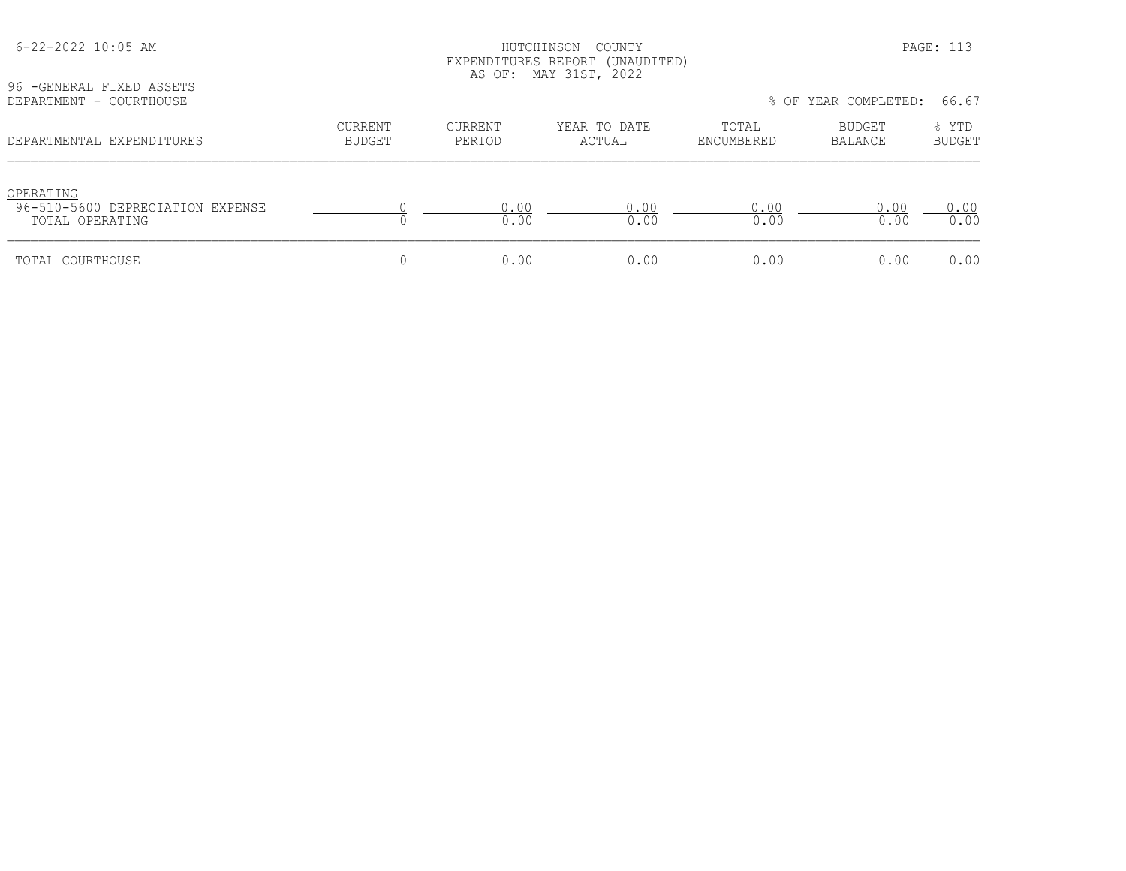| 96 - GENERAL FIXED ASSETS                                        |                          |                   | EXPENDITURES REPORT (UNAUDITED)<br>AS OF: MAY 31ST, 2022 |                     |                          |                        |
|------------------------------------------------------------------|--------------------------|-------------------|----------------------------------------------------------|---------------------|--------------------------|------------------------|
| DEPARTMENT - COURTHOUSE                                          |                          |                   |                                                          |                     | % OF YEAR COMPLETED:     | 66.67                  |
| DEPARTMENTAL EXPENDITURES                                        | <b>CURRENT</b><br>BUDGET | CURRENT<br>PERIOD | YEAR TO DATE<br>ACTUAL                                   | TOTAL<br>ENCUMBERED | BUDGET<br><b>BALANCE</b> | % YTD<br><b>BUDGET</b> |
| OPERATING<br>96-510-5600 DEPRECIATION EXPENSE<br>TOTAL OPERATING |                          | 0.00<br>0.00      | 0.00<br>0.00                                             | 0.00<br>0.00        | 0.00<br>0.00             | 0.00<br>0.00           |
| TOTAL COURTHOUSE                                                 | U                        | 0.00              | 0.00                                                     | 0.00                | 0.00                     | 0.00                   |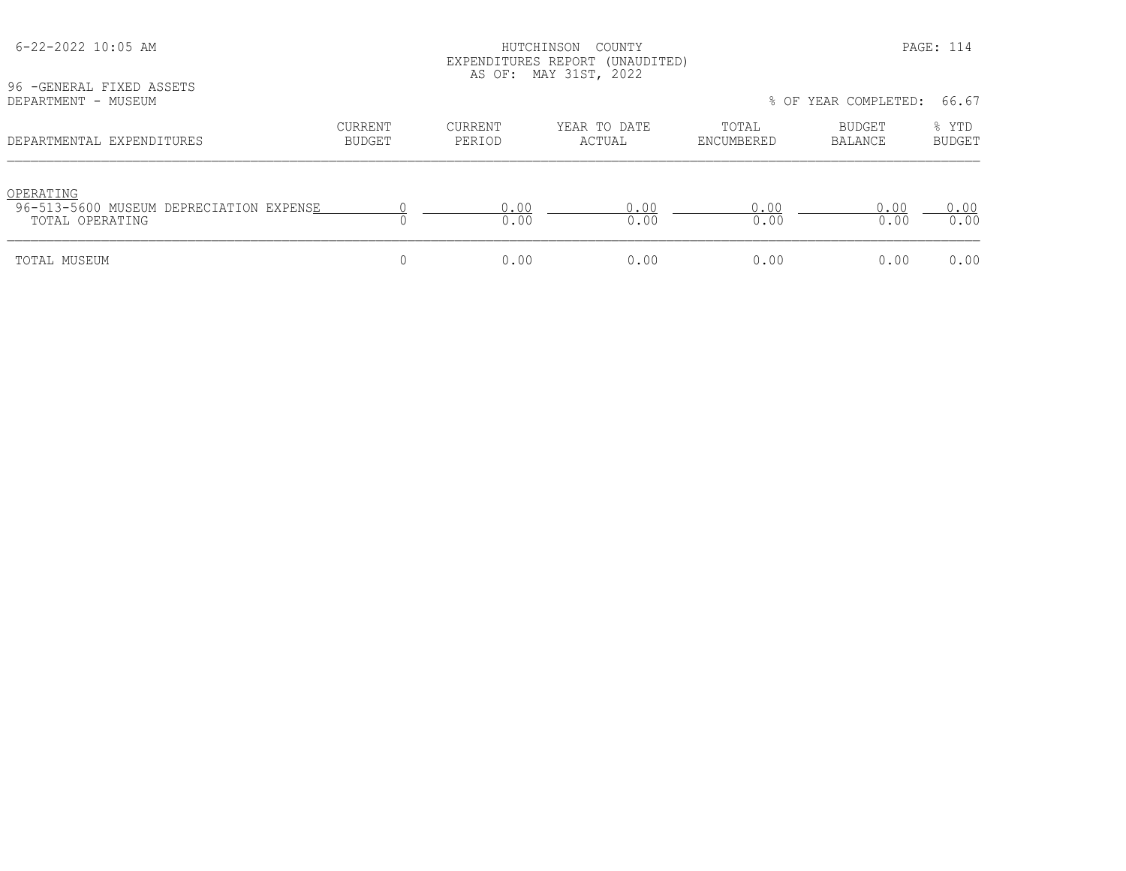| 6-22-2022 10:05 AM<br>96 - GENERAL FIXED ASSETS                         |                          | HUTCHINSON<br>EXPENDITURES REPORT (UNAUDITED)<br>AS OF: MAY 31ST, 2022 |                        | PAGE: 114           |                      |                 |
|-------------------------------------------------------------------------|--------------------------|------------------------------------------------------------------------|------------------------|---------------------|----------------------|-----------------|
| DEPARTMENT - MUSEUM                                                     |                          |                                                                        |                        |                     | % OF YEAR COMPLETED: | 66.67           |
| DEPARTMENTAL EXPENDITURES                                               | <b>CURRENT</b><br>BUDGET | <b>CURRENT</b><br>PERIOD                                               | YEAR TO DATE<br>ACTUAL | TOTAL<br>ENCUMBERED | BUDGET<br>BALANCE    | % YTD<br>BUDGET |
| OPERATING<br>96-513-5600 MUSEUM DEPRECIATION EXPENSE<br>TOTAL OPERATING |                          | 0.00<br>0.00                                                           | 0.00<br>0.00           | 0.00<br>0.00        | 0.00<br>0.00         | 0.00<br>0.00    |
| TOTAL MUSEUM                                                            | 0                        | 0.00                                                                   | 0.00                   | 0.00                | 0.00                 | 0.00            |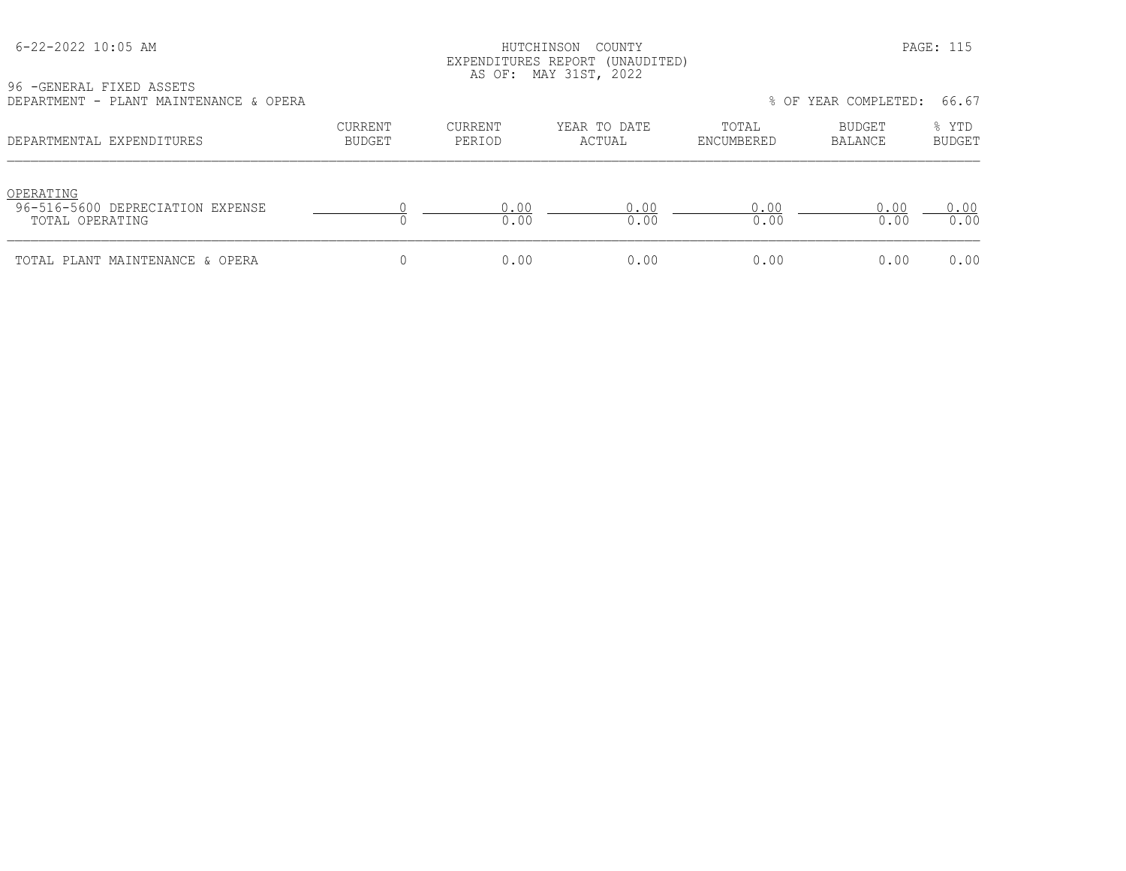## HUTCHINSON COUNTY PAGE: 115 EXPENDITURES REPORT (UNAUDITED) AS OF: MAY 31ST, 2022

| 96 - GENERAL FIXED ASSETS |  |                                        |  |
|---------------------------|--|----------------------------------------|--|
|                           |  | DEPARTMENT - PLANT MAINTENANCE & OPERA |  |

| DEPARTMENT - PLANT MAINTENANCE & OPERA                           |                                 |                   |                        |                     | % OF YEAR COMPLETED:     | 66.67           |
|------------------------------------------------------------------|---------------------------------|-------------------|------------------------|---------------------|--------------------------|-----------------|
| DEPARTMENTAL EXPENDITURES                                        | <b>CURRENT</b><br><b>BUDGET</b> | CURRENT<br>PERIOD | YEAR TO DATE<br>ACTUAL | TOTAL<br>ENCUMBERED | BUDGET<br><b>BALANCE</b> | % YTD<br>BUDGET |
| OPERATING<br>96-516-5600 DEPRECIATION EXPENSE<br>TOTAL OPERATING |                                 | 0.00<br>0.00      | 0.00<br>0.00           | 0.00<br>0.00        | 0.00<br>0.00             | 0.00<br>0.00    |
| TOTAL PLANT MAINTENANCE & OPERA                                  |                                 | 0.00              | 0.00                   | 0.00                | 0.00                     | 0.00            |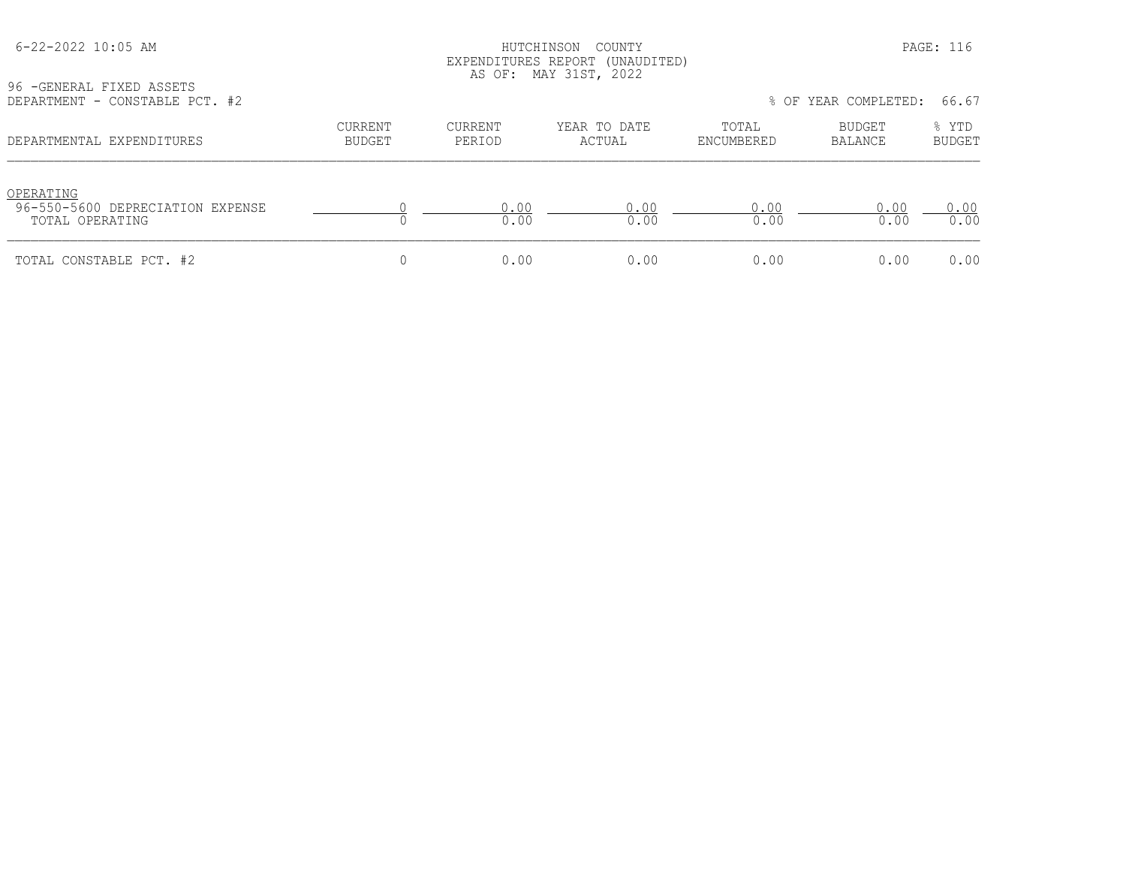# HUTCHINSON COUNTY PAGE: 116 EXPENDITURES REPORT (UNAUDITED) AS OF: MAY 31ST, 2022

96 -GENERAL FIXED ASSETS<br>DEPARTMENT - CONSTABLE P

| DEPARTMENT - CONSTABLE PCT. #2                                   |                          |                   |                        |                     | % OF YEAR COMPLETED: 66.67 |                        |
|------------------------------------------------------------------|--------------------------|-------------------|------------------------|---------------------|----------------------------|------------------------|
| DEPARTMENTAL EXPENDITURES                                        | CURRENT<br><b>BUDGET</b> | CURRENT<br>PERIOD | YEAR TO DATE<br>ACTUAL | TOTAL<br>ENCUMBERED | BUDGET<br>BALANCE          | % YTD<br><b>BUDGET</b> |
| OPERATING<br>96-550-5600 DEPRECIATION EXPENSE<br>TOTAL OPERATING |                          | 0.00<br>0.00      | 0.00<br>0.00           | 0.00<br>0.00        | 0.00<br>0.00               | 0.00<br>0.00           |
| TOTAL CONSTABLE PCT. #2                                          |                          | 0.00              | 0.00                   | 0.00                | 0.00                       | 0.00                   |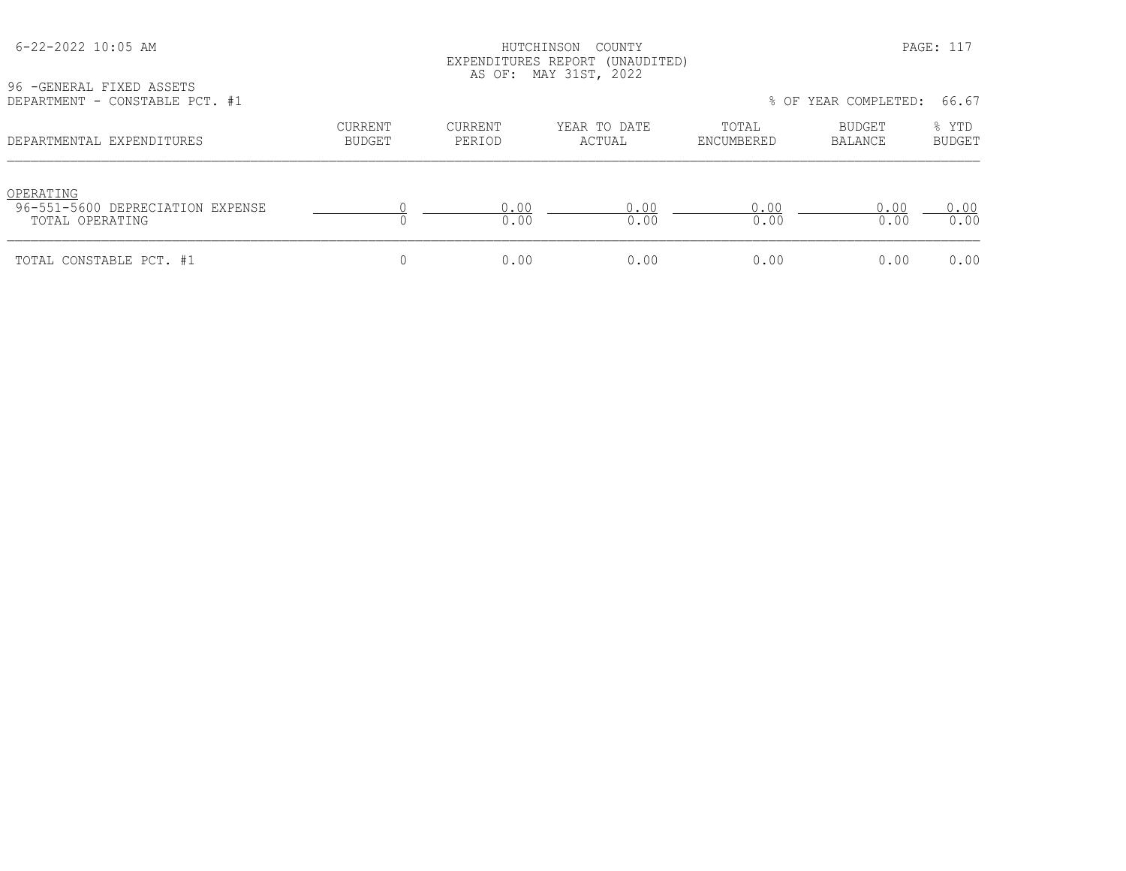## HUTCHINSON COUNTY PAGE: 117 EXPENDITURES REPORT (UNAUDITED) AS OF: MAY 31ST, 2022

96 -GENERAL FIXED ASSETS<br>DEPARTMENT - CONSTABLE P

| DEPARTMENT - CONSTABLE PCT. #1                                   |                   |                   |                        |                     | % OF YEAR COMPLETED: | 66.67                  |
|------------------------------------------------------------------|-------------------|-------------------|------------------------|---------------------|----------------------|------------------------|
| DEPARTMENTAL EXPENDITURES                                        | CURRENT<br>BUDGET | CURRENT<br>PERIOD | YEAR TO DATE<br>ACTUAL | TOTAL<br>ENCUMBERED | BUDGET<br>BALANCE    | % YTD<br><b>BUDGET</b> |
| OPERATING<br>96-551-5600 DEPRECIATION EXPENSE<br>TOTAL OPERATING |                   | 0.00<br>0.00      | 0.00<br>0.00           | 0.00<br>0.00        | 0.00<br>0.00         | 0.00<br>0.00           |
| TOTAL CONSTABLE PCT. #1                                          |                   | 0.00              | 0.00                   | 0.00                | 0.00                 | 0.00                   |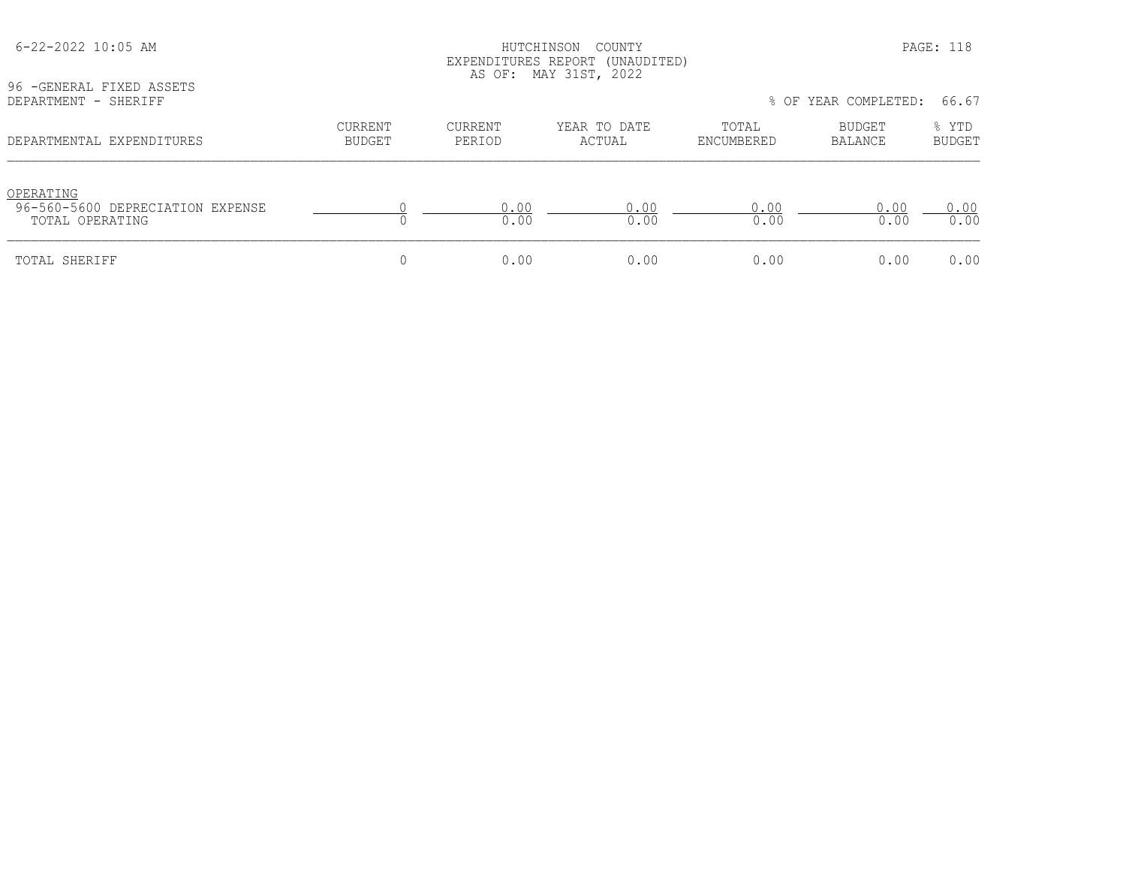| 96 - GENERAL FIXED ASSETS                                        |                          |                          | EXPENDITURES REPORT (UNAUDITED)<br>AS OF: MAY 31ST, 2022 |                     |                      |                        |
|------------------------------------------------------------------|--------------------------|--------------------------|----------------------------------------------------------|---------------------|----------------------|------------------------|
| DEPARTMENT - SHERIFF                                             |                          |                          |                                                          |                     | % OF YEAR COMPLETED: | 66.67                  |
| DEPARTMENTAL EXPENDITURES                                        | CURRENT<br><b>BUDGET</b> | <b>CURRENT</b><br>PERIOD | YEAR TO DATE<br>ACTUAL                                   | TOTAL<br>ENCUMBERED | BUDGET<br>BALANCE    | % YTD<br><b>BUDGET</b> |
| OPERATING<br>96-560-5600 DEPRECIATION EXPENSE<br>TOTAL OPERATING |                          | 0.00<br>0.00             | 0.00<br>0.00                                             | 0.00<br>0.00        | 0.00<br>0.00         | 0.00<br>0.00           |
| TOTAL SHERIFF                                                    | 0                        | 0.00                     | 0.00                                                     | 0.00                | 0.00                 | 0.00                   |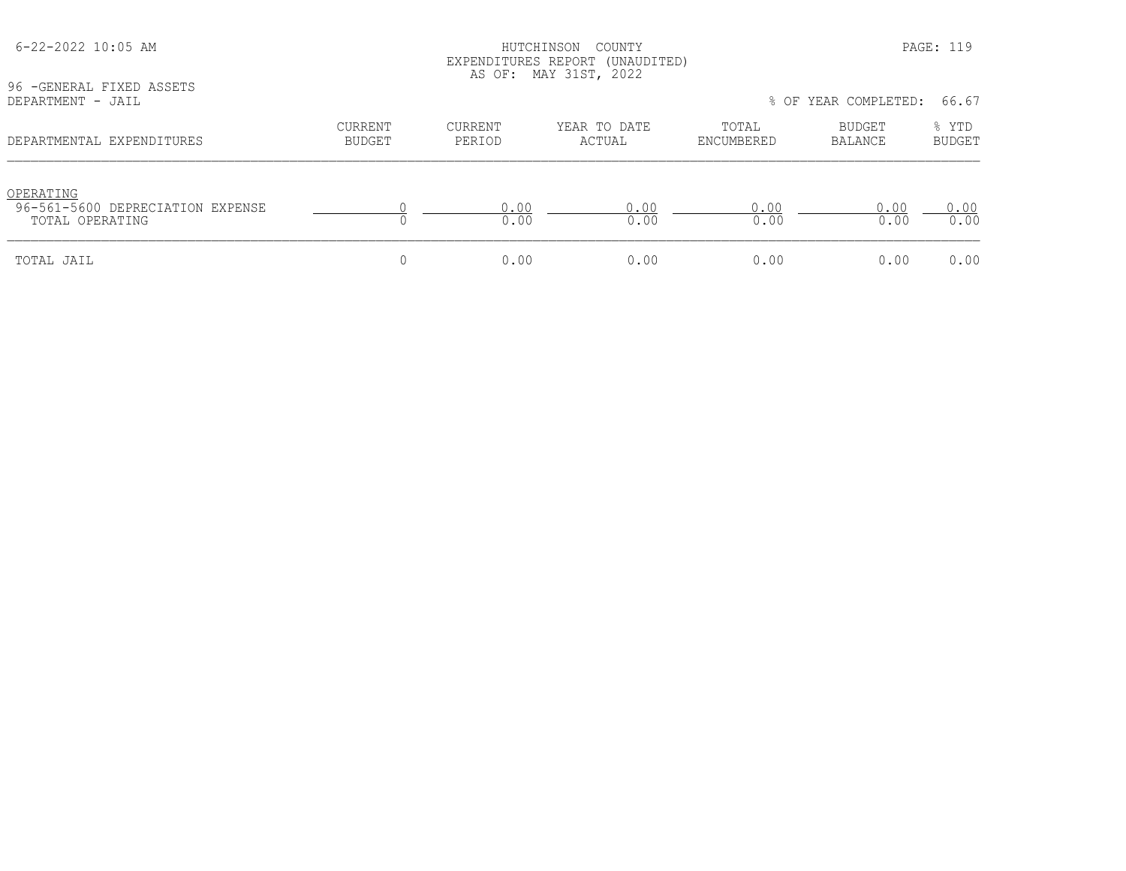| 96 - GENERAL FIXED ASSETS                     |                                 |                          | EXPENDITURES REPORT (UNAUDITED)<br>AS OF: MAY 31ST, 2022 |                     |                      |                        |
|-----------------------------------------------|---------------------------------|--------------------------|----------------------------------------------------------|---------------------|----------------------|------------------------|
| DEPARTMENT - JAIL                             |                                 |                          |                                                          |                     | % OF YEAR COMPLETED: | 66.67                  |
| DEPARTMENTAL EXPENDITURES                     | <b>CURRENT</b><br><b>BUDGET</b> | <b>CURRENT</b><br>PERIOD | YEAR TO DATE<br>ACTUAL                                   | TOTAL<br>ENCUMBERED | BUDGET<br>BALANCE    | % YTD<br><b>BUDGET</b> |
| OPERATING<br>96-561-5600 DEPRECIATION EXPENSE |                                 | 0.00                     | 0.00                                                     | 0.00                | 0.00                 | 0.00                   |
| TOTAL OPERATING                               |                                 | 0.00                     | 0.00                                                     | 0.00                | 0.00                 | 0.00                   |
| TOTAL JAIL                                    | 0                               | 0.00                     | 0.00                                                     | 0.00                | 0.00                 | 0.00                   |

6-22-2022 10:05 AM HUTCHINSON COUNTY PAGE: 119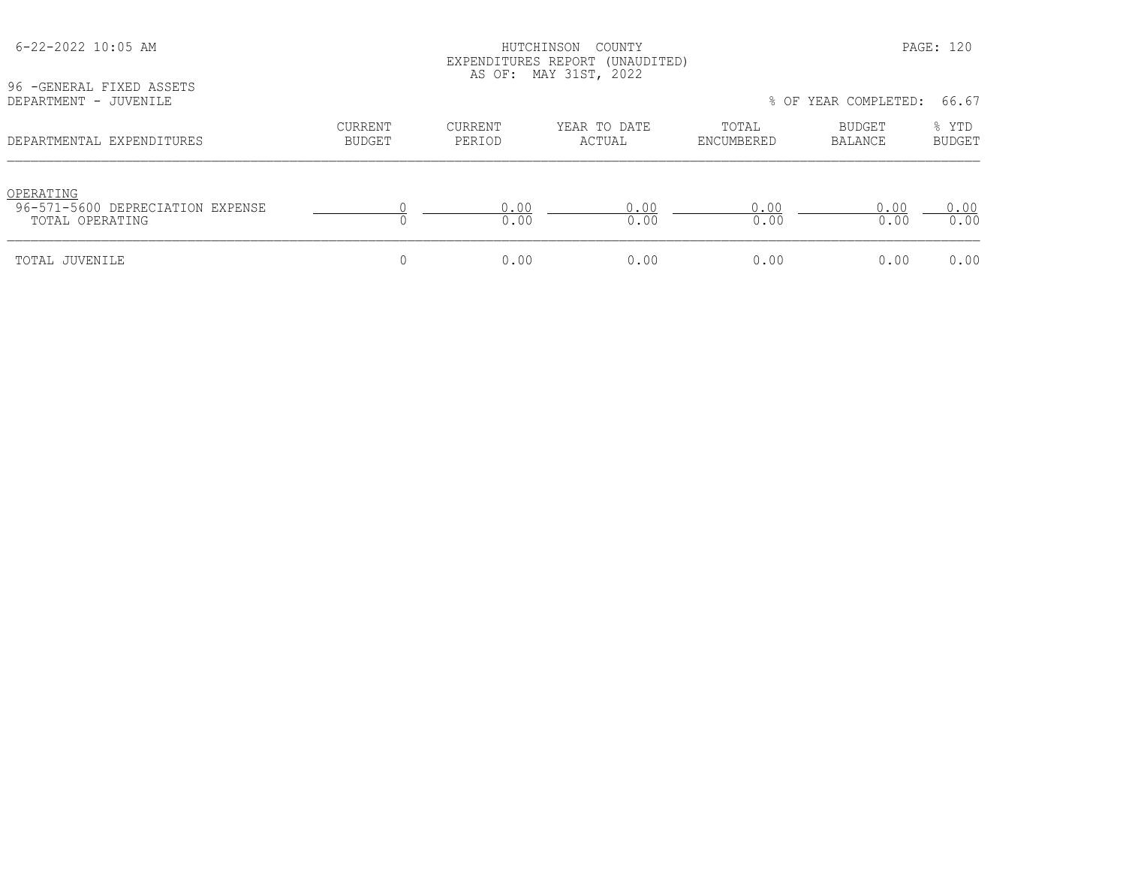| 96 - GENERAL FIXED ASSETS                                        |                                 |                          | EXPENDITURES REPORT (UNAUDITED)<br>AS OF: MAY 31ST, 2022 |                     |                                 |                        |
|------------------------------------------------------------------|---------------------------------|--------------------------|----------------------------------------------------------|---------------------|---------------------------------|------------------------|
| DEPARTMENT - JUVENILE                                            |                                 |                          |                                                          |                     | % OF YEAR COMPLETED:            | 66.67                  |
| DEPARTMENTAL EXPENDITURES                                        | <b>CURRENT</b><br><b>BUDGET</b> | <b>CURRENT</b><br>PERIOD | YEAR TO DATE<br>ACTUAL                                   | TOTAL<br>ENCUMBERED | <b>BUDGET</b><br><b>BALANCE</b> | % YTD<br><b>BUDGET</b> |
| OPERATING<br>96-571-5600 DEPRECIATION EXPENSE<br>TOTAL OPERATING |                                 | 0.00<br>0.00             | 0.00<br>0.00                                             | 0.00<br>0.00        | 0.00<br>0.00                    | 0.00<br>0.00           |
| TOTAL JUVENILE                                                   | 0                               | 0.00                     | 0.00                                                     | 0.00                | 0.00                            | 0.00                   |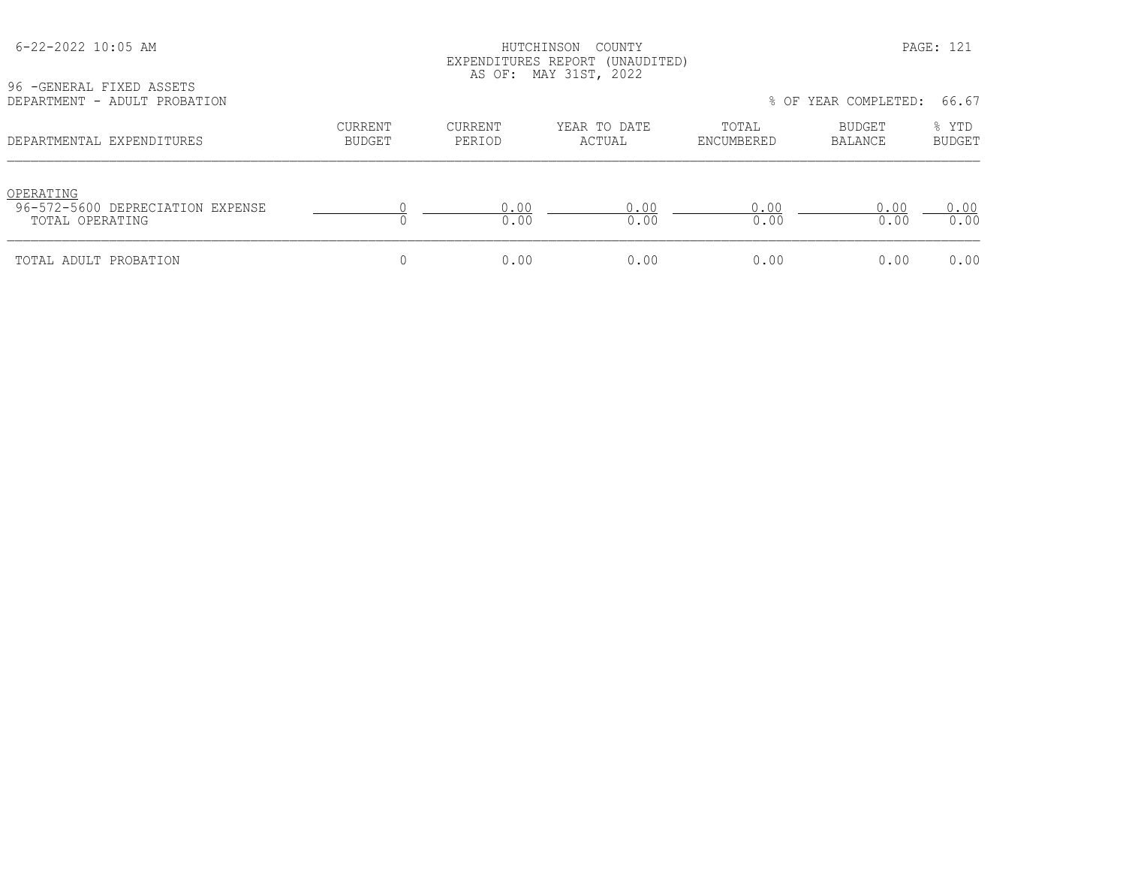|  | 6-22-2022 10:05 AM |  |  |  |
|--|--------------------|--|--|--|
|--|--------------------|--|--|--|

## HUTCHINSON COUNTY PAGE: 121 EXPENDITURES REPORT (UNAUDITED) AS OF: MAY 31ST, 2022

| 96 - GENERAL FIXED ASSETS    |  |
|------------------------------|--|
| DEPARTMENT - ADULT PROBATION |  |

| ^URRENT | CURRENT       | YEAR TO DATE | TOTAL    | BUDGET            | % YTD<br><b>BIIDGET</b>                |
|---------|---------------|--------------|----------|-------------------|----------------------------------------|
|         | <b>BUDGET</b> | PERTOD       | ACTIJAI. | <b>ENCHMBERED</b> | % OF YEAR COMPLETED: 66.67<br>RALANCE. |

| DEL ARTEENTALI EATENDITOREO                                      | ്ധ്ധാമ്പ | L LINIUL | AVI VAID | unconiunuu  | <b>DALARUL</b> | ്ധ്ധാല⊥    |
|------------------------------------------------------------------|----------|----------|----------|-------------|----------------|------------|
| OPERATING<br>96-572-5600 DEPRECIATION EXPENSE<br>TOTAL OPERATING |          | 0.00     | 0.00     | .00<br>0.00 | .00<br>0.00    | ∩∩<br>0.00 |
| TOTAL ADULT PROBATION                                            |          | 0.00     | 0.00     | 0.00        | 0.00           | 0.00       |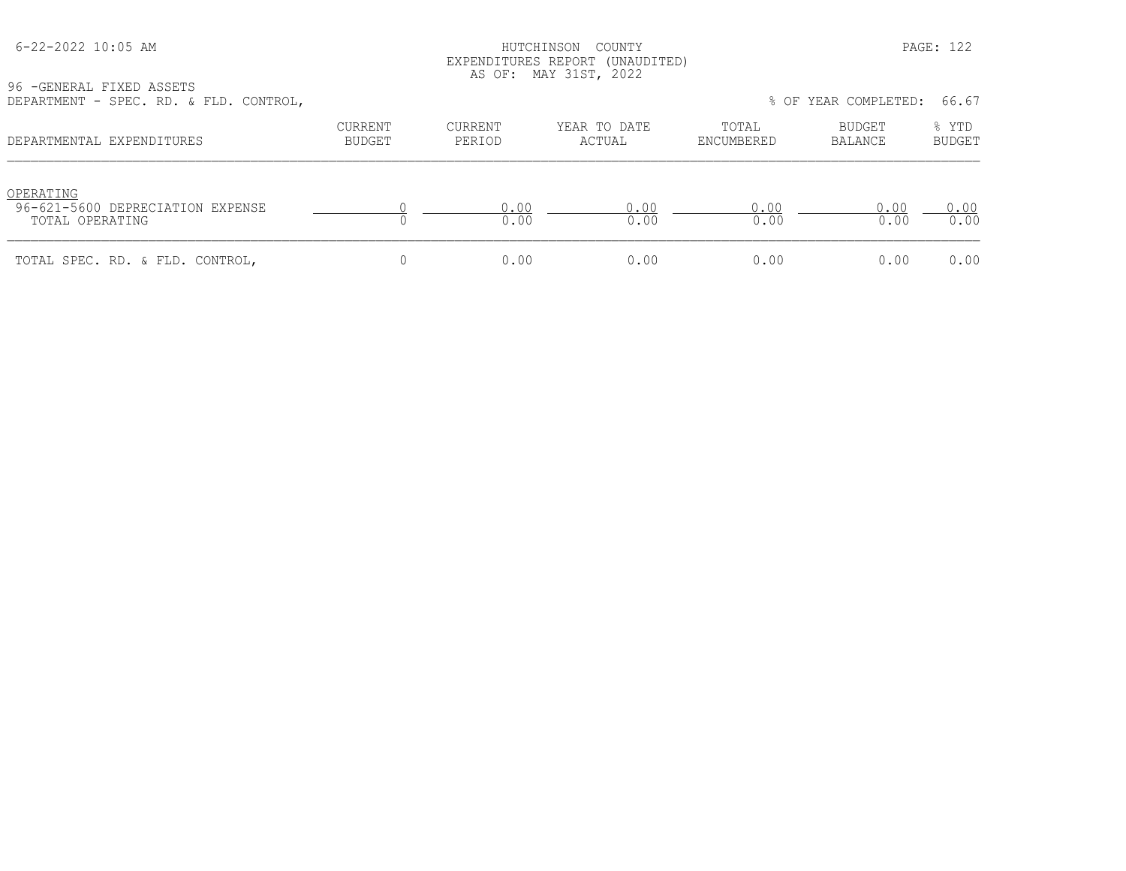## HUTCHINSON COUNTY PAGE: 122 EXPENDITURES REPORT (UNAUDITED) AS OF: MAY 31ST, 2022

96 -GENERAL FIXED ASSETS

| DEPARTMENT - SPEC. RD. & FLD. CONTROL,                           |                          |                   |                        |                     | % OF YEAR COMPLETED: | 66.67                  |
|------------------------------------------------------------------|--------------------------|-------------------|------------------------|---------------------|----------------------|------------------------|
| DEPARTMENTAL EXPENDITURES                                        | CURRENT<br><b>BUDGET</b> | CURRENT<br>PERIOD | YEAR TO DATE<br>ACTUAL | TOTAL<br>ENCUMBERED | BUDGET<br>BALANCE    | % YTD<br><b>BUDGET</b> |
| OPERATING<br>96-621-5600 DEPRECIATION EXPENSE<br>TOTAL OPERATING |                          | 0.00<br>0.00      | 0.00<br>0.00           | 0.00<br>0.00        | 0.00<br>0.00         | 0.00<br>0.00           |
| TOTAL SPEC. RD. & FLD. CONTROL,                                  |                          | 0.00              | 0.00                   | 0.00                | 0.00                 | 0.00                   |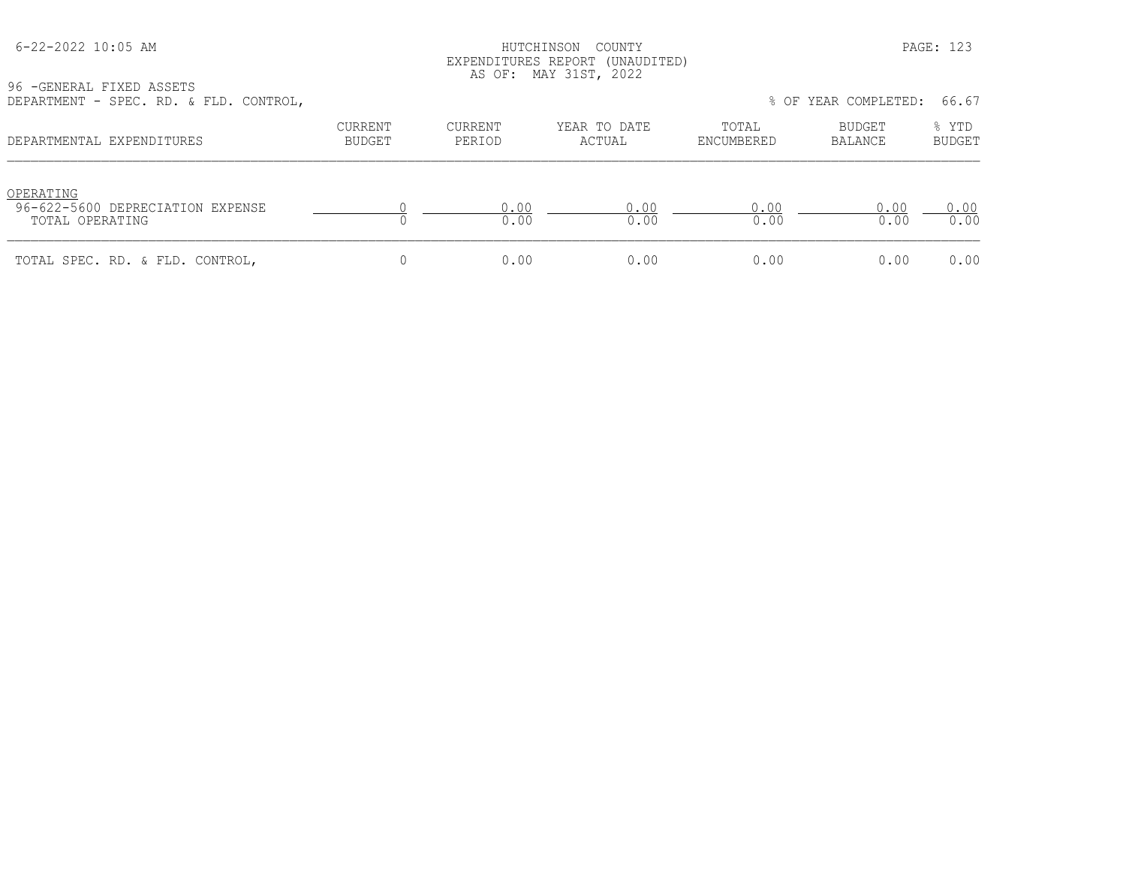## HUTCHINSON COUNTY PAGE: 123 EXPENDITURES REPORT (UNAUDITED) AS OF: MAY 31ST, 2022

96 -GENERAL FIXED ASSETS

| DEPARTMENT - SPEC. RD. & FLD. CONTROL,                           |                   |                   |                        |                     | % OF YEAR COMPLETED: | 66.67                  |
|------------------------------------------------------------------|-------------------|-------------------|------------------------|---------------------|----------------------|------------------------|
| DEPARTMENTAL EXPENDITURES                                        | CURRENT<br>BUDGET | CURRENT<br>PERIOD | YEAR TO DATE<br>ACTUAL | TOTAL<br>ENCUMBERED | BUDGET<br>BALANCE    | % YTD<br><b>BUDGET</b> |
| OPERATING<br>96-622-5600 DEPRECIATION EXPENSE<br>TOTAL OPERATING |                   | 0.00<br>0.00      | 0.00<br>0.00           | 0.00<br>0.00        | 0.00<br>0.00         | 0.00<br>0.00           |
| TOTAL SPEC. RD. & FLD. CONTROL,                                  |                   | 0.00              | 0.00                   | 0.00                | 0.00                 | 0.00                   |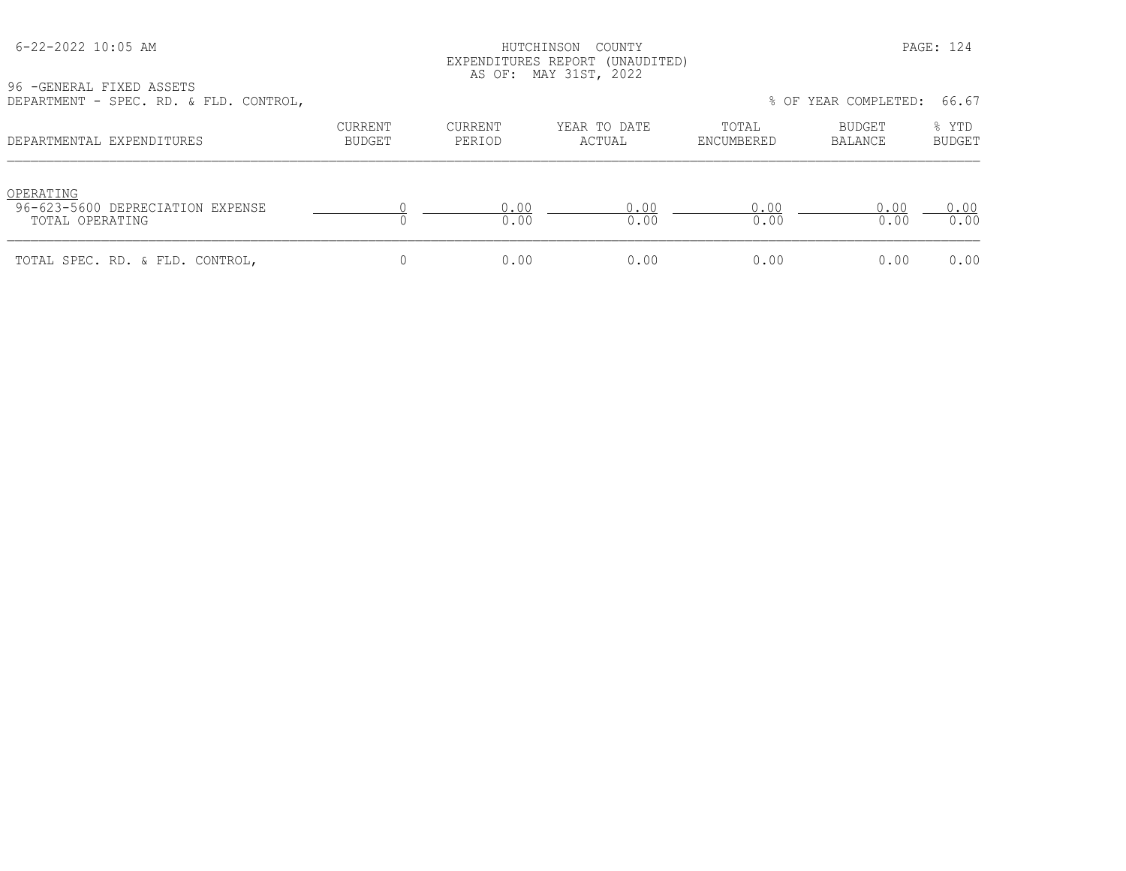## HUTCHINSON COUNTY PAGE: 124 EXPENDITURES REPORT (UNAUDITED) AS OF: MAY 31ST, 2022

96 -GENERAL FIXED ASSETS DEPARTMENT - SPEC. RD. & FLD. CONTROL, % OF YEAR COMPLETED: 66.67

| DEFANIMENT - SEEC. ND. & FID. CONINUL,                           |                   |                          |                        |                     | O UI ILAN CUMILILLID. | .                      |
|------------------------------------------------------------------|-------------------|--------------------------|------------------------|---------------------|-----------------------|------------------------|
| DEPARTMENTAL EXPENDITURES                                        | CURRENT<br>BUDGET | <b>CURRENT</b><br>PERIOD | YEAR TO DATE<br>ACTUAL | TOTAL<br>ENCUMBERED | BUDGET<br>BALANCE     | % YTD<br><b>BUDGET</b> |
| OPERATING<br>96-623-5600 DEPRECIATION EXPENSE<br>TOTAL OPERATING |                   | 0.00<br>0.00             | 0.00<br>0.00           | 0.00<br>0.00        | 0.00<br>0.00          | 0.00<br>0.00           |
| TOTAL SPEC. RD. & FLD. CONTROL,                                  |                   | 0.00                     | 0.00                   | 0.00                | 0.00                  | 0.00                   |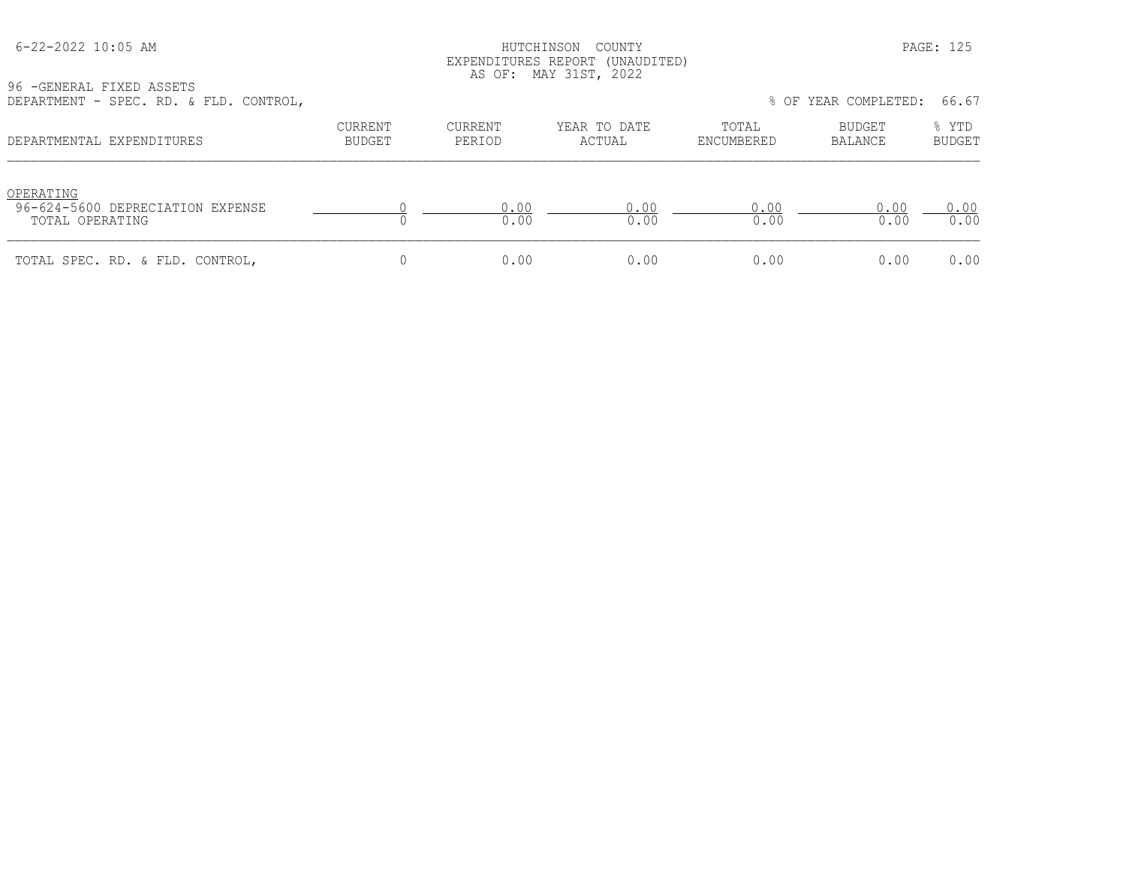## HUTCHINSON COUNTY PAGE: 125 EXPENDITURES REPORT (UNAUDITED) AS OF: MAY 31ST, 2022

| 96 - GENERAL FIXED ASSETS              |  |  |  |
|----------------------------------------|--|--|--|
| DEPARTMENT - SPEC. RD. & FLD. CONTROL, |  |  |  |

| DEPARTMENT - SPEC. RD. & FLD. CONTROL,                           |                   |                   |                        |                     | % OF YEAR COMPLETED: | 66.67           |
|------------------------------------------------------------------|-------------------|-------------------|------------------------|---------------------|----------------------|-----------------|
| DEPARTMENTAL EXPENDITURES                                        | CURRENT<br>BUDGET | CURRENT<br>PERIOD | YEAR TO DATE<br>ACTUAL | TOTAL<br>ENCUMBERED | BUDGET<br>BALANCE    | % YTD<br>BUDGET |
| OPERATING<br>96-624-5600 DEPRECIATION EXPENSE<br>TOTAL OPERATING |                   | 0.00<br>0.00      | 0.00<br>0.00           | 0.00<br>0.00        | 0.00<br>0.00         | 0.00<br>0.00    |
| TOTAL SPEC. RD. & FLD. CONTROL,                                  |                   | 0.00              | 0.00                   | 0.00                | 0.00                 | 0.00            |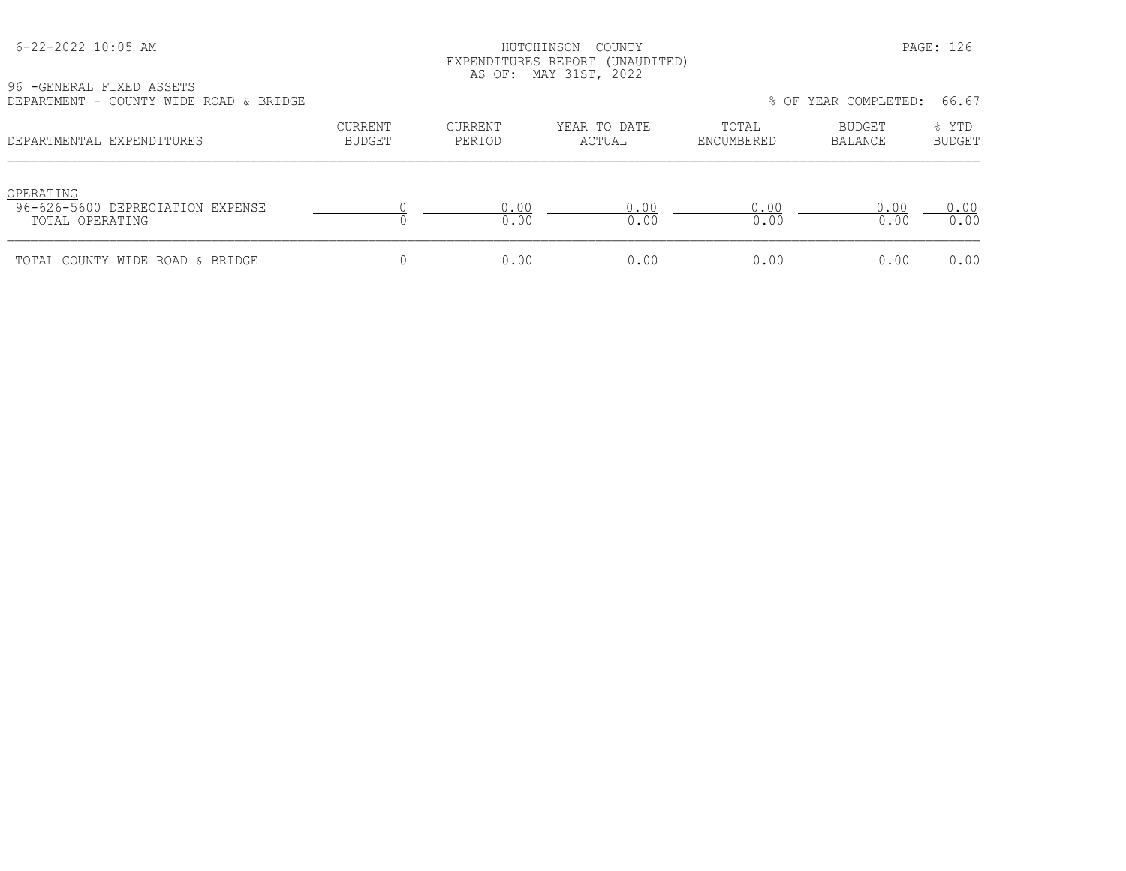#### HUTCHINSON COUNTY PAGE: 126 EXPENDITURES REPORT (UNAUDITED) AS OF: MAY 31ST, 2022

| DEPARTMENT - COUNTY WIDE ROAD & BRIDGE                           |                          |                   |                        |                     | % OF YEAR COMPLETED:     | 66.67                  |
|------------------------------------------------------------------|--------------------------|-------------------|------------------------|---------------------|--------------------------|------------------------|
| DEPARTMENTAL EXPENDITURES                                        | <b>CURRENT</b><br>BUDGET | CURRENT<br>PERIOD | YEAR TO DATE<br>ACTUAL | TOTAL<br>ENCUMBERED | BUDGET<br><b>BALANCE</b> | % YTD<br><b>BUDGET</b> |
| OPERATING<br>96-626-5600 DEPRECIATION EXPENSE<br>TOTAL OPERATING |                          | 0.00<br>0.00      | 0.00<br>0.00           | 0.00<br>0.00        | 0.00<br>0.00             | 0.00<br>0.00           |

TOTAL COUNTY WIDE ROAD & BRIDGE  $\begin{array}{cccccccc} 0 & 0 & 0.00 & 0.00 & 0.00 & 0.00 & 0.00 & 0.00 & 0.00 & 0.00 & 0.00 & 0.00 & 0.00 & 0.00 & 0.00 & 0.00 & 0.00 & 0.00 & 0.00 & 0.00 & 0.00 & 0.00 & 0.00 & 0.00 & 0.00 & 0.00 & 0.00 & 0.00 & 0.00 & 0.00 & 0.00 &$ 

96 -GENERAL FIXED ASSETS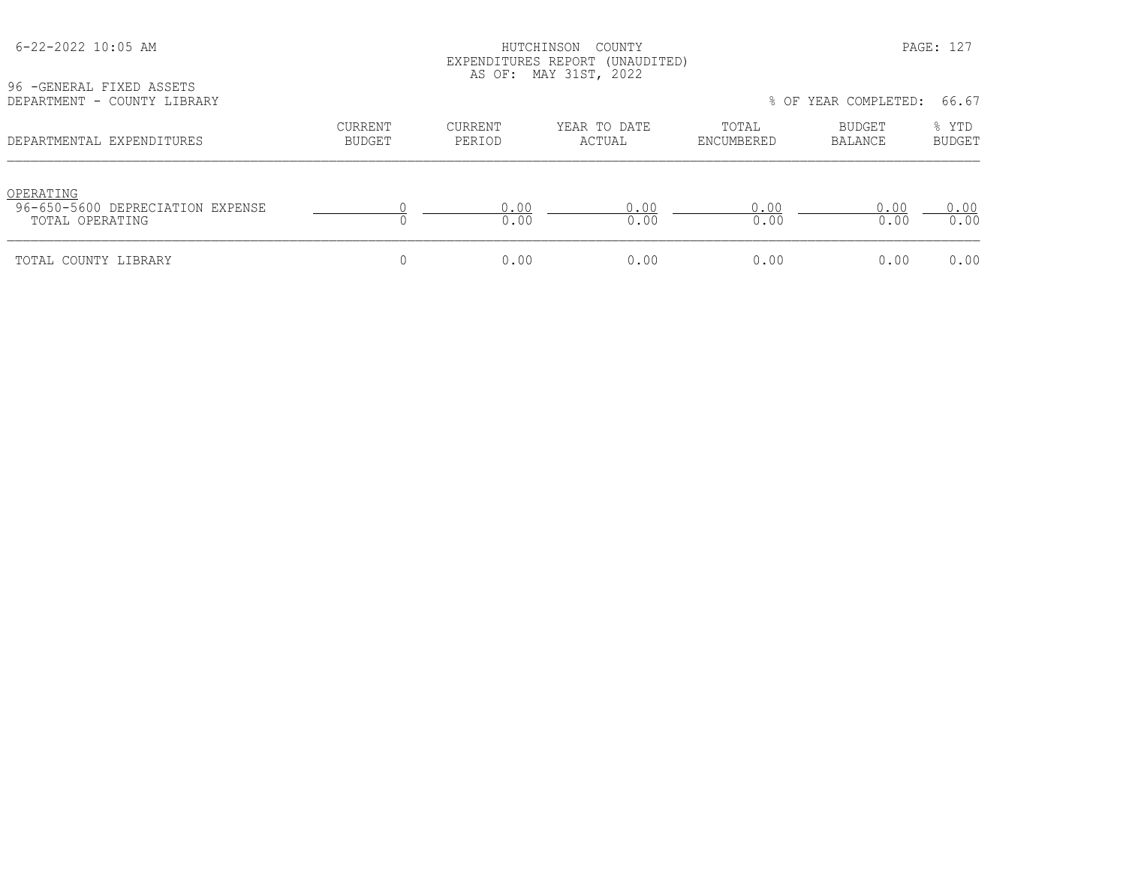| $6 - 22 - 2022$ 10:05 AM<br>96 - GENERAL FIXED ASSETS<br>DEPARTMENT - COUNTY LIBRARY |                          | HUTCHINSON               | COUNTY<br>EXPENDITURES REPORT (UNAUDITED)<br>AS OF: MAY 31ST, 2022 |                     | % OF YEAR COMPLETED: | PAGE: 127<br>66.67     |
|--------------------------------------------------------------------------------------|--------------------------|--------------------------|--------------------------------------------------------------------|---------------------|----------------------|------------------------|
| DEPARTMENTAL EXPENDITURES                                                            | <b>CURRENT</b><br>BUDGET | <b>CURRENT</b><br>PERIOD | YEAR TO DATE<br>ACTUAL                                             | TOTAL<br>ENCUMBERED | BUDGET<br>BALANCE    | % YTD<br><b>BUDGET</b> |
| OPERATING<br>96-650-5600 DEPRECIATION EXPENSE<br>TOTAL OPERATING                     |                          | 0.00<br>0.00             | 0.00<br>0.00                                                       | 0.00<br>0.00        | 0.00<br>0.00         | 0.00<br>0.00           |
| TOTAL COUNTY LIBRARY                                                                 | 0                        | 0.00                     | 0.00                                                               | 0.00                | 0.00                 | 0.00                   |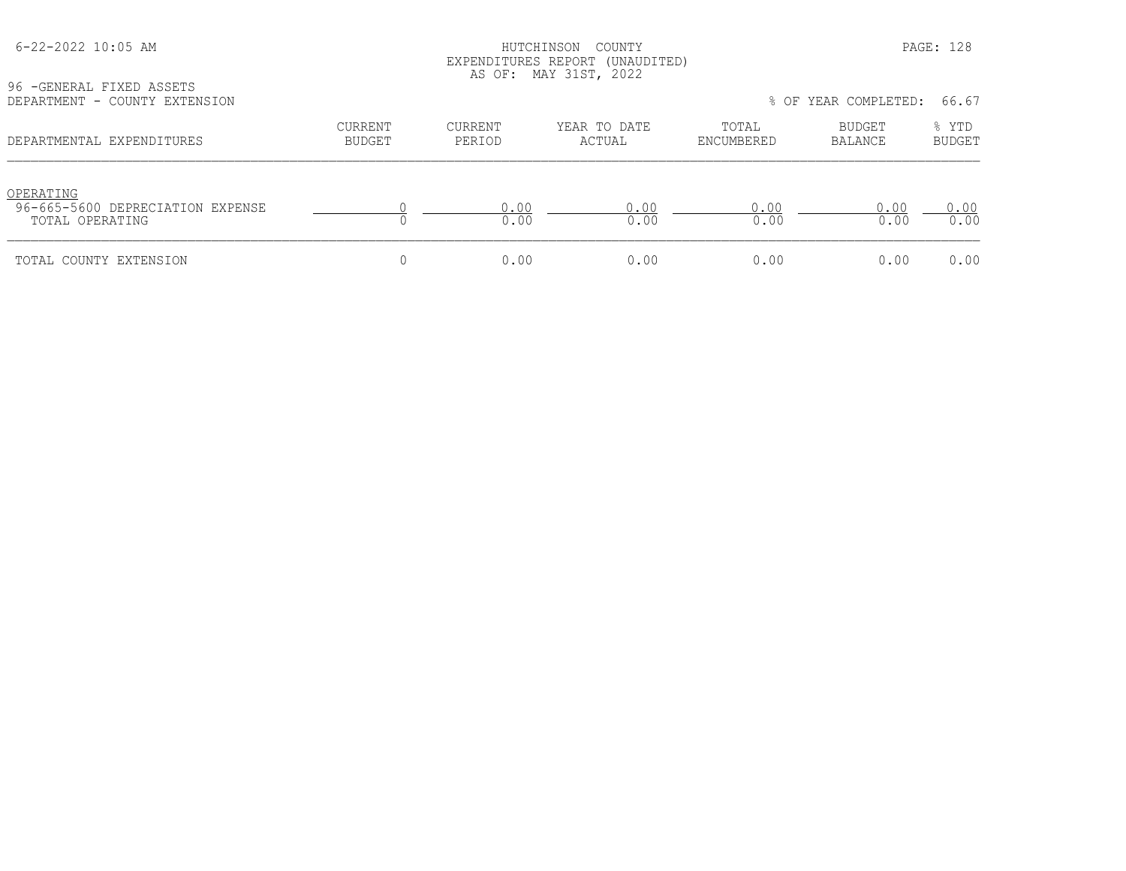# HUTCHINSON COUNTY PAGE: 128 EXPENDITURES REPORT (UNAUDITED) AS OF: MAY 31ST, 2022

96 -GENERAL FIXED ASSETS<br>DEPARTMENT - COUNTY EXTED

| DEPARTMENT - COUNTY EXTENSION                                    |                          |                   |                        |                     | % OF YEAR COMPLETED: | 66.67                  |
|------------------------------------------------------------------|--------------------------|-------------------|------------------------|---------------------|----------------------|------------------------|
| DEPARTMENTAL EXPENDITURES                                        | CURRENT<br><b>BUDGET</b> | CURRENT<br>PERIOD | YEAR TO DATE<br>ACTUAL | TOTAL<br>ENCUMBERED | BUDGET<br>BALANCE    | % YTD<br><b>BUDGET</b> |
| OPERATING<br>96-665-5600 DEPRECIATION EXPENSE<br>TOTAL OPERATING |                          | 0.00<br>0.00      | 0.00<br>0.00           | 0.00<br>0.00        | 0.00<br>0.00         | 0.00<br>0.00           |
| TOTAL COUNTY EXTENSION                                           |                          | 0.00              | 0.00                   | 0.00                | 0.00                 | 0.00                   |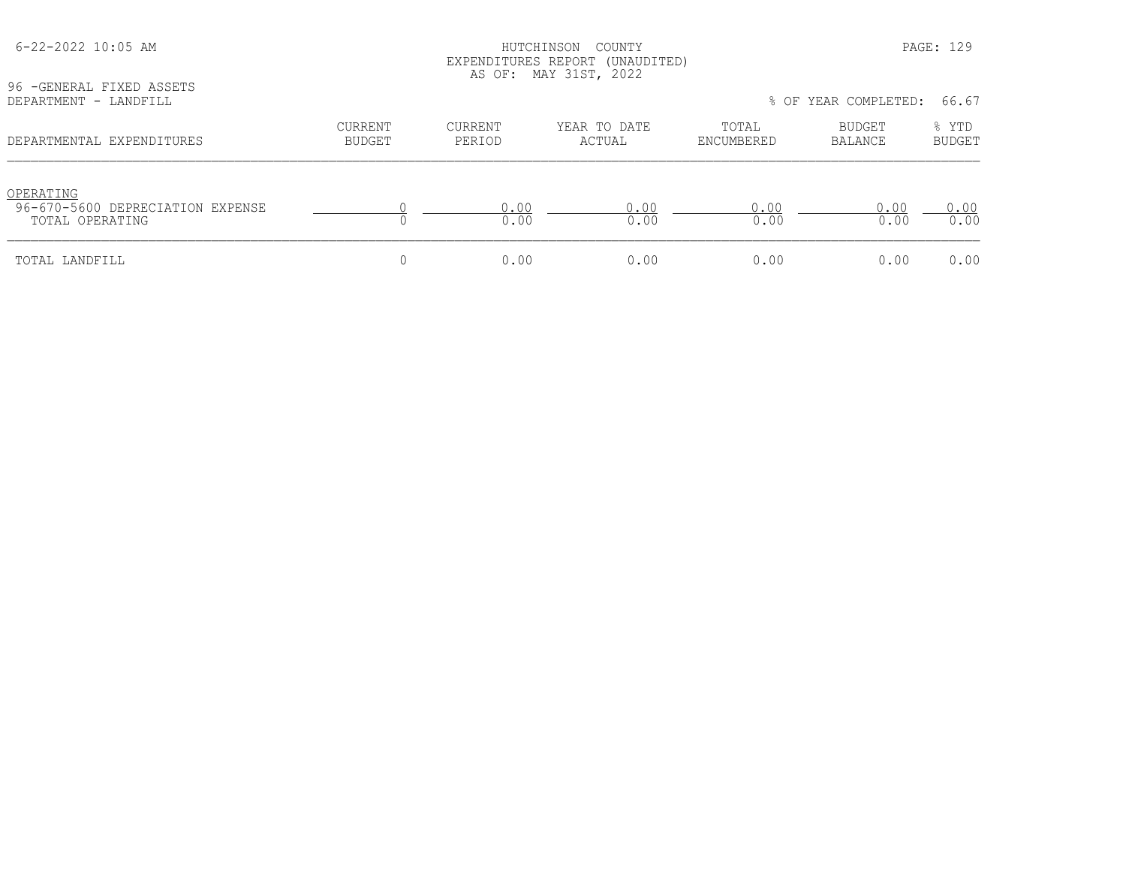| 96 - GENERAL FIXED ASSETS                                        |                                 |                          | EXPENDITURES REPORT (UNAUDITED)<br>AS OF: MAY 31ST, 2022 |                     |                          |                        |
|------------------------------------------------------------------|---------------------------------|--------------------------|----------------------------------------------------------|---------------------|--------------------------|------------------------|
| DEPARTMENT - LANDFILL                                            |                                 |                          |                                                          |                     | % OF YEAR COMPLETED:     | 66.67                  |
| DEPARTMENTAL EXPENDITURES                                        | <b>CURRENT</b><br><b>BUDGET</b> | <b>CURRENT</b><br>PERIOD | YEAR TO DATE<br>ACTUAL                                   | TOTAL<br>ENCUMBERED | <b>BUDGET</b><br>BALANCE | % YTD<br><b>BUDGET</b> |
| OPERATING<br>96-670-5600 DEPRECIATION EXPENSE<br>TOTAL OPERATING |                                 | 0.00<br>0.00             | 0.00<br>0.00                                             | 0.00<br>0.00        | 0.00<br>0.00             | 0.00<br>0.00           |
| TOTAL LANDFILL                                                   | 0                               | 0.00                     | 0.00                                                     | 0.00                | 0.00                     | 0.00                   |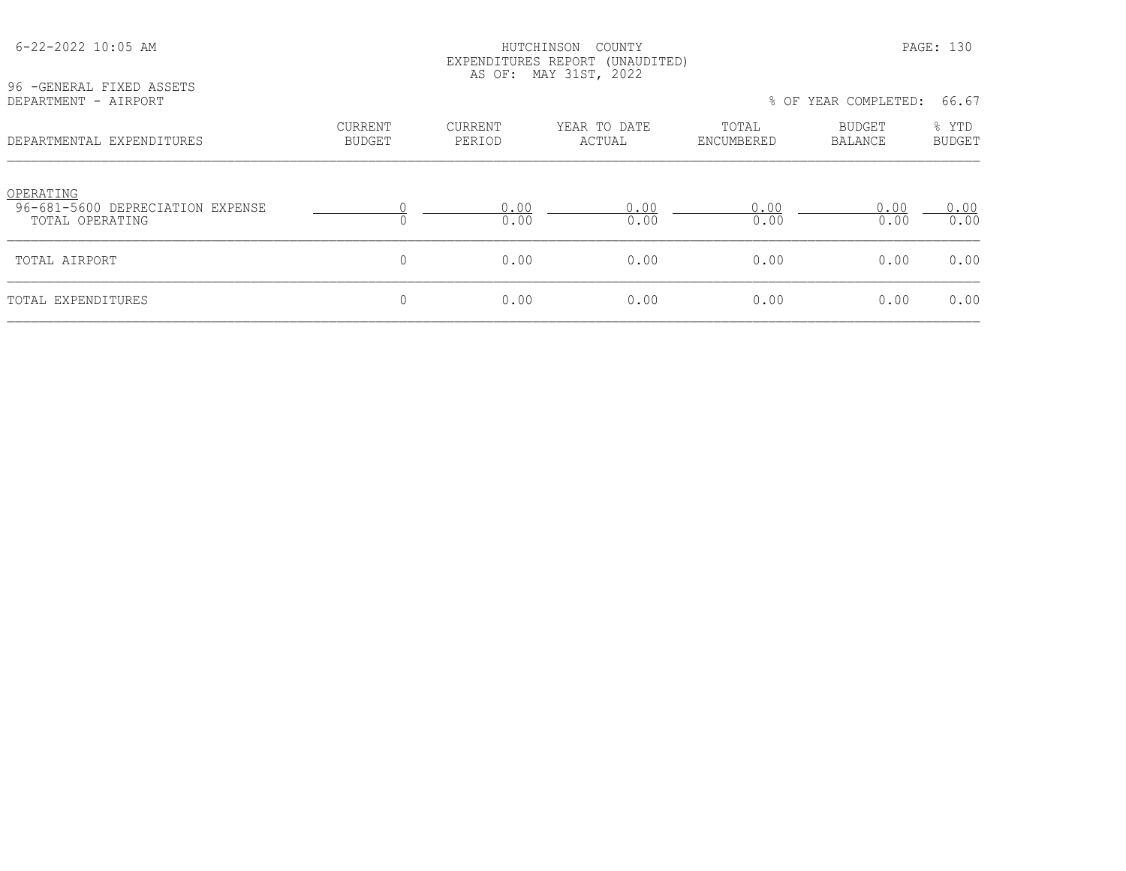| 96 - GENERAL FIXED ASSETS                                        | EXPENDITURES REPORT (UNAUDITED)<br>MAY 31ST, 2022<br>AS OF: |                          |                        |                     |                               |                        |  |  |
|------------------------------------------------------------------|-------------------------------------------------------------|--------------------------|------------------------|---------------------|-------------------------------|------------------------|--|--|
| DEPARTMENT - AIRPORT                                             |                                                             |                          |                        |                     | % OF YEAR COMPLETED:<br>66.67 |                        |  |  |
| DEPARTMENTAL EXPENDITURES                                        | <b>CURRENT</b><br><b>BUDGET</b>                             | <b>CURRENT</b><br>PERIOD | YEAR TO DATE<br>ACTUAL | TOTAL<br>ENCUMBERED | BUDGET<br>BALANCE             | % YTD<br><b>BUDGET</b> |  |  |
| OPERATING<br>96-681-5600 DEPRECIATION EXPENSE<br>TOTAL OPERATING |                                                             | 0.00<br>0.00             | 0.00<br>0.00           | 0.00<br>0.00        | 0.00<br>0.00                  | 0.00<br>0.00           |  |  |
| TOTAL AIRPORT                                                    | $\mathbf{0}$                                                | 0.00                     | 0.00                   | 0.00                | 0.00                          | 0.00                   |  |  |
| TOTAL EXPENDITURES                                               | $\mathbf{0}$                                                | 0.00                     | 0.00                   | 0.00                | 0.00                          | 0.00                   |  |  |